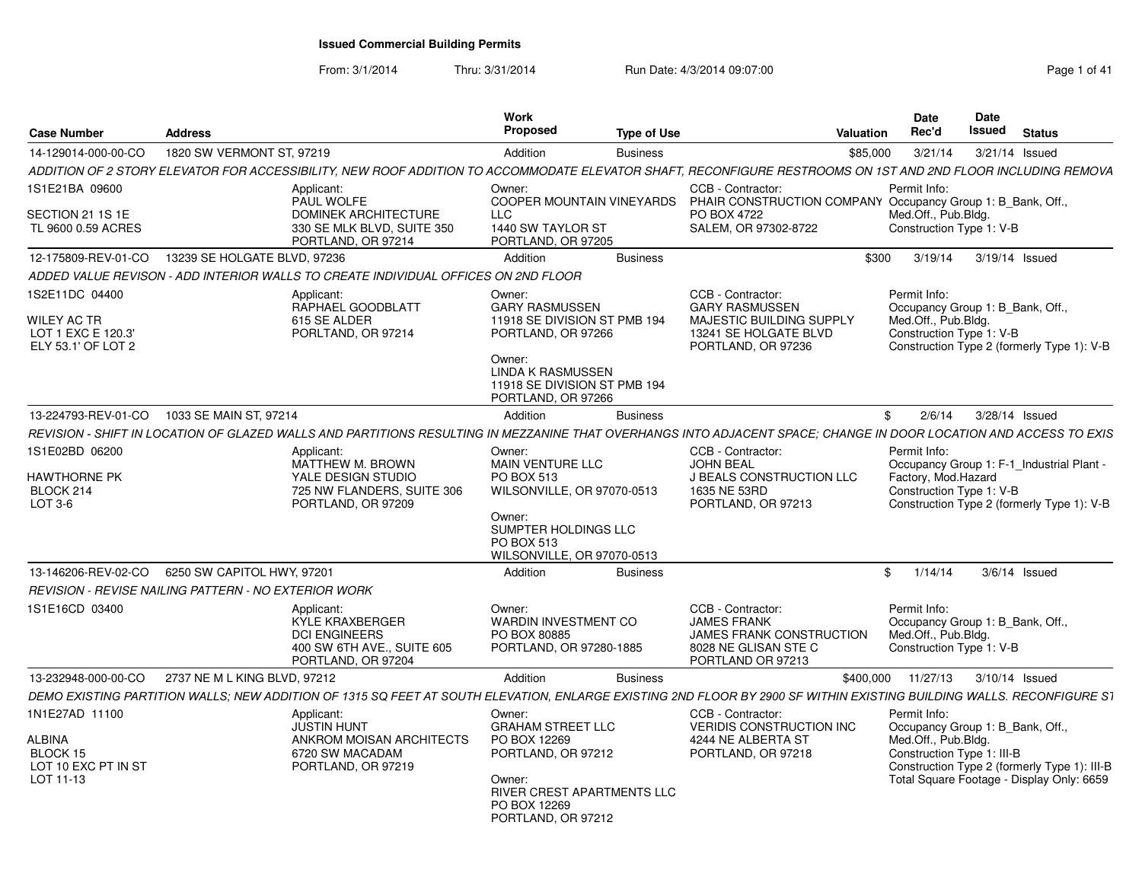| Case Number                                                               | <b>Address</b>                                                                                                                                                       | Work<br>Proposed                                    |                                                                                                                                                               | Type of Use                                                                                                                                       | Date<br>Rec'd<br>Valuation           |                                                   | Date<br>Issued<br><b>Status</b>                                                                                               |  |
|---------------------------------------------------------------------------|----------------------------------------------------------------------------------------------------------------------------------------------------------------------|-----------------------------------------------------|---------------------------------------------------------------------------------------------------------------------------------------------------------------|---------------------------------------------------------------------------------------------------------------------------------------------------|--------------------------------------|---------------------------------------------------|-------------------------------------------------------------------------------------------------------------------------------|--|
| 14-129014-000-00-CO                                                       | 1820 SW VERMONT ST, 97219                                                                                                                                            | Addition                                            |                                                                                                                                                               | <b>Business</b>                                                                                                                                   | \$85,000                             | 3/21/14                                           | 3/21/14 Issued                                                                                                                |  |
|                                                                           | ADDITION OF 2 STORY ELEVATOR FOR ACCESSIBILITY, NEW ROOF ADDITION TO ACCOMMODATE ELEVATOR SHAFT, RECONFIGURE RESTROOMS ON 1ST AND 2ND FLOOR INCLUDING REMOVA         |                                                     |                                                                                                                                                               |                                                                                                                                                   |                                      |                                                   |                                                                                                                               |  |
| 1S1E21BA 09600<br>SECTION 21 1S 1E<br>TL 9600 0.59 ACRES                  | Applicant:<br>PAUL WOLFE<br><b>DOMINEK ARCHITECTURE</b><br>330 SE MLK BLVD, SUITE 350                                                                                | Owner:<br><b>LLC</b>                                | 1440 SW TAYLOR ST                                                                                                                                             | CCB - Contractor:<br>COOPER MOUNTAIN VINEYARDS PHAIR CONSTRUCTION COMPANY Occupancy Group 1: B Bank, Off.,<br>PO BOX 4722<br>SALEM, OR 97302-8722 | Permit Info:                         | Med.Off., Pub.Bldg.<br>Construction Type 1: V-B   |                                                                                                                               |  |
|                                                                           | PORTLAND, OR 97214                                                                                                                                                   |                                                     | PORTLAND, OR 97205                                                                                                                                            |                                                                                                                                                   |                                      |                                                   |                                                                                                                               |  |
|                                                                           | 12-175809-REV-01-CO  13239 SE HOLGATE BLVD, 97236                                                                                                                    | Addition                                            |                                                                                                                                                               | <b>Business</b>                                                                                                                                   |                                      |                                                   | \$300 3/19/14 3/19/14 Issued                                                                                                  |  |
|                                                                           | ADDED VALUE REVISON - ADD INTERIOR WALLS TO CREATE INDIVIDUAL OFFICES ON 2ND FLOOR                                                                                   |                                                     |                                                                                                                                                               |                                                                                                                                                   |                                      |                                                   |                                                                                                                               |  |
| 1S2E11DC 04400<br>WILEY AC TR<br>LOT 1 EXC E 120.3'<br>ELY 53.1' OF LOT 2 | Applicant:<br>RAPHAEL GOODBLATT<br>615 SE ALDER<br>PORLTAND, OR 97214                                                                                                | Owner:<br>Owner:                                    | <b>GARY RASMUSSEN</b><br>11918 SE DIVISION ST PMB 194<br>PORTLAND, OR 97266<br><b>LINDA K RASMUSSEN</b><br>11918 SE DIVISION ST PMB 194<br>PORTLAND, OR 97266 | CCB - Contractor:<br><b>GARY RASMUSSEN</b><br><b>MAJESTIC BUILDING SUPPLY</b><br>13241 SE HOLGATE BLVD<br>PORTLAND, OR 97236                      | Permit Info:                         | Med.Off., Pub.Bldg.<br>Construction Type 1: V-B   | Occupancy Group 1: B_Bank, Off.,<br>Construction Type 2 (formerly Type 1): V-B                                                |  |
|                                                                           | 13-224793-REV-01-CO 1033 SE MAIN ST, 97214                                                                                                                           | Addition                                            |                                                                                                                                                               | <b>Business</b>                                                                                                                                   |                                      |                                                   | \$ 2/6/14 3/28/14 Issued                                                                                                      |  |
|                                                                           | REVISION - SHIFT IN LOCATION OF GLAZED WALLS AND PARTITIONS RESULTING IN MEZZANINE THAT OVERHANGS INTO ADJACENT SPACE; CHANGE IN DOOR LOCATION AND ACCESS TO EXIS    |                                                     |                                                                                                                                                               |                                                                                                                                                   |                                      |                                                   |                                                                                                                               |  |
| 1S1E02BD 06200<br>HAWTHORNE PK<br>BLOCK 214<br>LOT 3-6                    | Applicant:<br>MATTHEW M. BROWN<br>YALE DESIGN STUDIO<br>725 NW FLANDERS, SUITE 306<br>PORTLAND, OR 97209                                                             | Owner:<br><b>PO BOX 513</b><br>Owner:<br>PO BOX 513 | MAIN VENTURE LLC<br>WILSONVILLE, OR 97070-0513<br>SUMPTER HOLDINGS LLC<br>WILSONVILLE, OR 97070-0513                                                          | CCB - Contractor:<br><b>JOHN BEAL</b><br><b>J BEALS CONSTRUCTION LLC</b><br>1635 NE 53RD<br>PORTLAND, OR 97213                                    | Permit Info:                         | Factory, Mod.Hazard<br>Construction Type 1: V-B   | Occupancy Group 1: F-1 Industrial Plant -<br>Construction Type 2 (formerly Type 1): V-B                                       |  |
|                                                                           | 13-146206-REV-02-CO   6250 SW CAPITOL HWY, 97201                                                                                                                     | Addition                                            |                                                                                                                                                               | <b>Business</b>                                                                                                                                   | 1/14/14<br>$\mathcal{F}$             |                                                   | $3/6/14$ Issued                                                                                                               |  |
|                                                                           | REVISION - REVISE NAILING PATTERN - NO EXTERIOR WORK                                                                                                                 |                                                     |                                                                                                                                                               |                                                                                                                                                   |                                      |                                                   |                                                                                                                               |  |
| 1S1E16CD 03400                                                            | Applicant:<br>KYLE KRAXBERGER<br><b>DCI ENGINEERS</b><br>400 SW 6TH AVE., SUITE 605<br>PORTLAND, OR 97204                                                            | Owner:<br>PO BOX 80885                              | WARDIN INVESTMENT CO<br>PORTLAND, OR 97280-1885                                                                                                               | CCB - Contractor:<br><b>JAMES FRANK</b><br><b>JAMES FRANK CONSTRUCTION</b><br>8028 NE GLISAN STE O<br>PORTLAND OR 97213                           | Permit Info:                         | Med.Off., Pub.Bldg.<br>Construction Type 1: V-B   | Occupancy Group 1: B_Bank, Off.,                                                                                              |  |
|                                                                           | 13-232948-000-00-CO 2737 NE M L KING BLVD, 97212                                                                                                                     | Addition                                            |                                                                                                                                                               | Business                                                                                                                                          | \$400,000  11/27/13  3/10/14  Issued |                                                   |                                                                                                                               |  |
|                                                                           | DEMO EXISTING PARTITION WALLS: NEW ADDITION OF 1315 SQ FEET AT SOUTH ELEVATION. ENLARGE EXISTING 2ND FLOOR BY 2900 SF WITHIN EXISTING BUILDING WALLS. RECONFIGURE S1 |                                                     |                                                                                                                                                               |                                                                                                                                                   |                                      |                                                   |                                                                                                                               |  |
| 1N1E27AD 11100<br>ALBINA<br>BLOCK 15<br>LOT 10 EXC PT IN ST<br>LOT 11-13  | Applicant:<br><b>JUSTIN HUNT</b><br>ANKROM MOISAN ARCHITECTS<br>6720 SW MACADAM<br>PORTLAND, OR 97219                                                                | Owner:<br>PO BOX 12269<br>Owner:<br>PO BOX 12269    | <b>GRAHAM STREET LLC</b><br>PORTLAND, OR 97212<br>RIVER CREST APARTMENTS LLC<br>PORTLAND, OR 97212                                                            | CCB - Contractor:<br>VERIDIS CONSTRUCTION INC<br>4244 NE ALBERTA ST<br>PORTLAND, OR 97218                                                         | Permit Info:                         | Med.Off., Pub.Bldg.<br>Construction Type 1: III-B | Occupancy Group 1: B_Bank, Off.,<br>Construction Type 2 (formerly Type 1): III-B<br>Total Square Footage - Display Only: 6659 |  |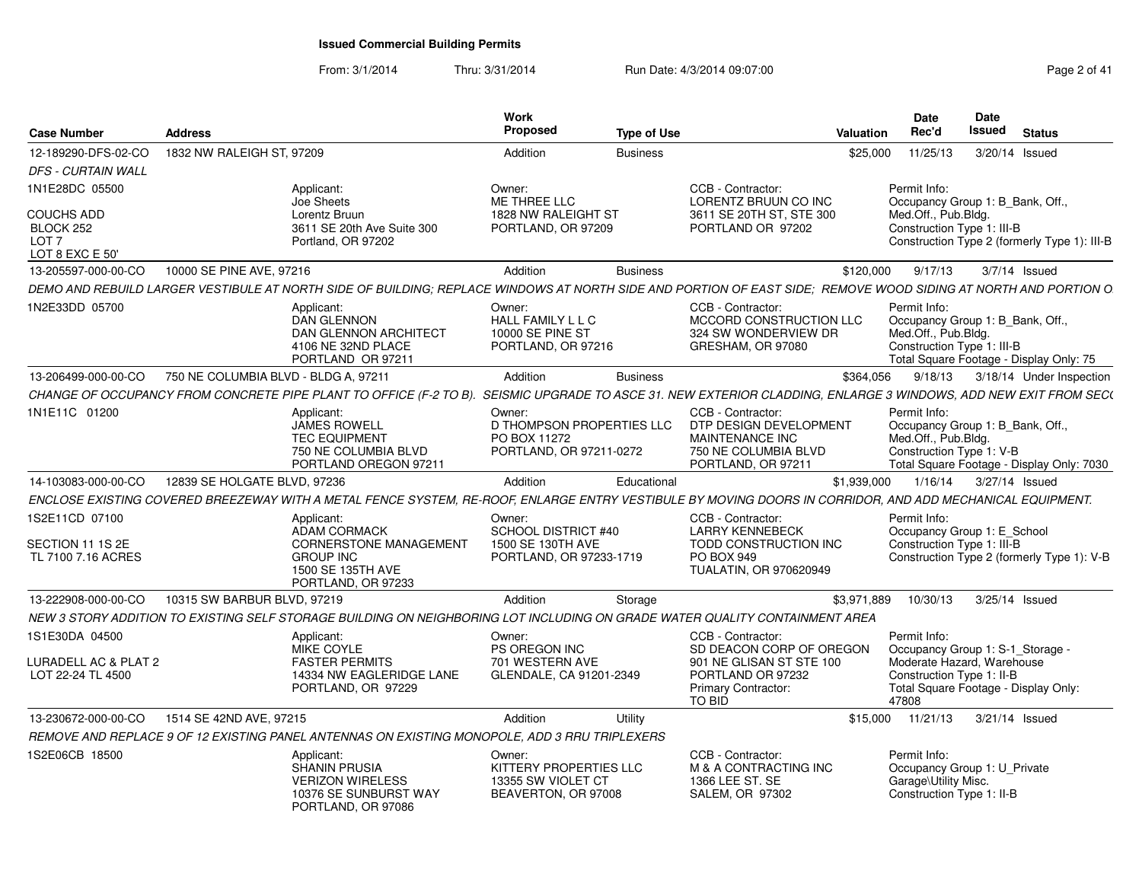| <b>Case Number</b>                                                    | <b>Address</b>                       |                                                                                                                                                                | Work<br>Proposed                                                               | <b>Type of Use</b> |                                                                                                              | Valuation   | <b>Date</b><br>Rec'd                                                                                  | <b>Date</b><br><b>Issued</b> | <b>Status</b>                                |  |
|-----------------------------------------------------------------------|--------------------------------------|----------------------------------------------------------------------------------------------------------------------------------------------------------------|--------------------------------------------------------------------------------|--------------------|--------------------------------------------------------------------------------------------------------------|-------------|-------------------------------------------------------------------------------------------------------|------------------------------|----------------------------------------------|--|
| 12-189290-DFS-02-CO                                                   | 1832 NW RALEIGH ST, 97209            |                                                                                                                                                                | Addition                                                                       | <b>Business</b>    |                                                                                                              | \$25,000    | 11/25/13                                                                                              |                              | 3/20/14 Issued                               |  |
| <b>DFS - CURTAIN WALL</b>                                             |                                      |                                                                                                                                                                |                                                                                |                    |                                                                                                              |             |                                                                                                       |                              |                                              |  |
| 1N1E28DC 05500                                                        |                                      | Applicant:<br>Joe Sheets                                                                                                                                       | Owner:<br>ME THREE LLC                                                         |                    | CCB - Contractor:<br>LORENTZ BRUUN CO INC                                                                    |             | Permit Info:<br>Occupancy Group 1: B_Bank, Off.,                                                      |                              |                                              |  |
| <b>COUCHS ADD</b><br>BLOCK 252<br>LOT <sub>7</sub><br>LOT 8 EXC E 50' |                                      | Lorentz Bruun<br>3611 SE 20th Ave Suite 300<br>Portland, OR 97202                                                                                              | 1828 NW RALEIGHT ST<br>PORTLAND, OR 97209                                      |                    | 3611 SE 20TH ST, STE 300<br>PORTLAND OR 97202                                                                |             | Med.Off., Pub.Bldg.<br>Construction Type 1: III-B                                                     |                              | Construction Type 2 (formerly Type 1): III-B |  |
| 13-205597-000-00-CO                                                   | 10000 SE PINE AVE, 97216             |                                                                                                                                                                | Addition                                                                       | <b>Business</b>    |                                                                                                              | \$120,000   | 9/17/13                                                                                               |                              | $3/7/14$ Issued                              |  |
|                                                                       |                                      | DEMO AND REBUILD LARGER VESTIBULE AT NORTH SIDE OF BUILDING: REPLACE WINDOWS AT NORTH SIDE AND PORTION OF EAST SIDE: REMOVE WOOD SIDING AT NORTH AND PORTION O |                                                                                |                    |                                                                                                              |             |                                                                                                       |                              |                                              |  |
| 1N2E33DD 05700                                                        |                                      | Applicant:<br><b>DAN GLENNON</b><br><b>DAN GLENNON ARCHITECT</b><br>4106 NE 32ND PLACE<br>PORTLAND OR 97211                                                    | Owner:<br>HALL FAMILY L L C<br><b>10000 SE PINE ST</b><br>PORTLAND, OR 97216   |                    | CCB - Contractor:<br>MCCORD CONSTRUCTION LLC<br>324 SW WONDERVIEW DR<br>GRESHAM, OR 97080                    |             | Permit Info:<br>Occupancy Group 1: B Bank, Off.,<br>Med.Off., Pub.Blda.<br>Construction Type 1: III-B |                              | Total Square Footage - Display Only: 75      |  |
| 13-206499-000-00-CO                                                   | 750 NE COLUMBIA BLVD - BLDG A, 97211 |                                                                                                                                                                | Addition                                                                       | <b>Business</b>    |                                                                                                              | \$364,056   | 9/18/13                                                                                               |                              | 3/18/14 Under Inspection                     |  |
|                                                                       |                                      | CHANGE OF OCCUPANCY FROM CONCRETE PIPE PLANT TO OFFICE (F-2 TO B).                                                                                             |                                                                                |                    | SEISMIC UPGRADE TO ASCE 31. NEW EXTERIOR CLADDING, ENLARGE 3 WINDOWS, ADD NEW EXIT FROM SEC(                 |             |                                                                                                       |                              |                                              |  |
| 1N1E11C 01200                                                         |                                      | Applicant:<br><b>JAMES ROWELL</b><br><b>TEC EQUIPMENT</b><br>750 NE COLUMBIA BLVD<br>PORTLAND OREGON 97211                                                     | Owner:<br>D THOMPSON PROPERTIES LLC<br>PO BOX 11272<br>PORTLAND, OR 97211-0272 |                    | CCB - Contractor:<br>DTP DESIGN DEVELOPMENT<br>MAINTENANCE INC<br>750 NE COLUMBIA BLVD<br>PORTLAND, OR 97211 |             | Permit Info:<br>Occupancy Group 1: B_Bank, Off.,<br>Med.Off., Pub.Bldg.<br>Construction Type 1: V-B   |                              | Total Square Footage - Display Only: 7030    |  |
| 14-103083-000-00-CO                                                   | 12839 SE HOLGATE BLVD, 97236         |                                                                                                                                                                | Addition                                                                       | Educational        |                                                                                                              | \$1,939,000 | 1/16/14                                                                                               |                              | 3/27/14 Issued                               |  |
|                                                                       |                                      | ENCLOSE EXISTING COVERED BREEZEWAY WITH A METAL FENCE SYSTEM, RE-ROOF, ENLARGE ENTRY VESTIBULE BY MOVING DOORS IN CORRIDOR, AND ADD MECHANICAL EQUIPMENT.      |                                                                                |                    |                                                                                                              |             |                                                                                                       |                              |                                              |  |
| 1S2E11CD 07100<br>SECTION 11 1S 2E                                    |                                      | Applicant:<br><b>ADAM CORMACK</b><br>CORNERSTONE MANAGEMENT                                                                                                    | Owner:<br>SCHOOL DISTRICT #40<br>1500 SE 130TH AVE                             |                    | CCB - Contractor:<br><b>LARRY KENNEBECK</b><br>TODD CONSTRUCTION INC                                         |             | Permit Info:<br>Occupancy Group 1: E_School<br>Construction Type 1: III-B                             |                              |                                              |  |
| TL 7100 7.16 ACRES                                                    |                                      | <b>GROUP INC</b><br>1500 SE 135TH AVE<br>PORTLAND, OR 97233                                                                                                    | PORTLAND, OR 97233-1719                                                        |                    | <b>PO BOX 949</b><br><b>TUALATIN, OR 970620949</b>                                                           |             |                                                                                                       |                              | Construction Type 2 (formerly Type 1): V-B   |  |
| 13-222908-000-00-CO                                                   | 10315 SW BARBUR BLVD, 97219          |                                                                                                                                                                | Addition                                                                       | Storage            |                                                                                                              | \$3.971.889 | 10/30/13                                                                                              |                              | 3/25/14 Issued                               |  |
|                                                                       |                                      | NEW 3 STORY ADDITION TO EXISTING SELF STORAGE BUILDING ON NEIGHBORING LOT INCLUDING ON GRADE WATER QUALITY CONTAINMENT AREA                                    |                                                                                |                    |                                                                                                              |             |                                                                                                       |                              |                                              |  |
| 1S1E30DA 04500                                                        |                                      | Applicant:<br><b>MIKE COYLE</b>                                                                                                                                | Owner:<br>PS OREGON INC                                                        |                    | CCB - Contractor:<br>SD DEACON CORP OF OREGON                                                                |             | Permit Info:<br>Occupancy Group 1: S-1_Storage -                                                      |                              |                                              |  |
| LURADELL AC & PLAT 2<br>LOT 22-24 TL 4500                             |                                      | <b>FASTER PERMITS</b><br>14334 NW EAGLERIDGE LANE<br>PORTLAND, OR 97229                                                                                        | 701 WESTERN AVE<br>GLENDALE, CA 91201-2349                                     |                    | 901 NE GLISAN ST STE 100<br>PORTLAND OR 97232<br><b>Primary Contractor:</b><br><b>TO BID</b>                 |             | Moderate Hazard, Warehouse<br>Construction Type 1: II-B<br>47808                                      |                              | Total Square Footage - Display Only:         |  |
| 13-230672-000-00-CO                                                   | 1514 SE 42ND AVE, 97215              |                                                                                                                                                                | Addition                                                                       | Utility            |                                                                                                              |             | \$15,000 11/21/13                                                                                     |                              | 3/21/14 Issued                               |  |
|                                                                       |                                      | REMOVE AND REPLACE 9 OF 12 EXISTING PANEL ANTENNAS ON EXISTING MONOPOLE. ADD 3 RRU TRIPLEXERS                                                                  |                                                                                |                    |                                                                                                              |             |                                                                                                       |                              |                                              |  |
| 1S2E06CB 18500                                                        |                                      | Applicant:<br><b>SHANIN PRUSIA</b><br><b>VERIZON WIRELESS</b><br>10376 SE SUNBURST WAY<br>PORTLAND, OR 97086                                                   | Owner:<br>KITTERY PROPERTIES LLC<br>13355 SW VIOLET CT<br>BEAVERTON, OR 97008  |                    | CCB - Contractor:<br>M & A CONTRACTING INC<br>1366 LEE ST. SE<br><b>SALEM, OR 97302</b>                      |             | Permit Info:<br>Occupancy Group 1: U Private<br>Garage\Utility Misc.<br>Construction Type 1: II-B     |                              |                                              |  |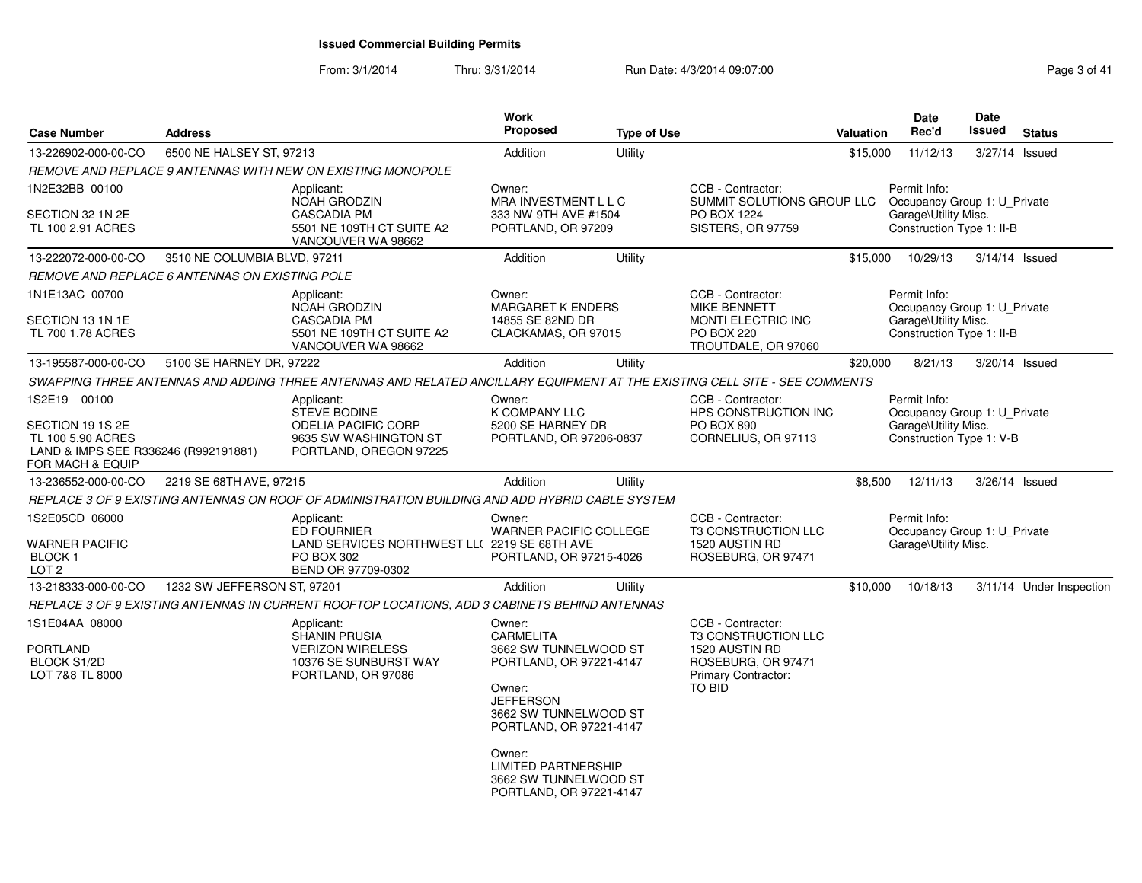| <b>Case Number</b>                                                                                | <b>Address</b>               |                                                                                                                            | Work<br><b>Proposed</b>                                                                                                            | <b>Type of Use</b> |                                                                                         | <b>Valuation</b> | Date<br>Rec'd                                                                     | <b>Date</b><br>Issued | <b>Status</b>            |
|---------------------------------------------------------------------------------------------------|------------------------------|----------------------------------------------------------------------------------------------------------------------------|------------------------------------------------------------------------------------------------------------------------------------|--------------------|-----------------------------------------------------------------------------------------|------------------|-----------------------------------------------------------------------------------|-----------------------|--------------------------|
| 13-226902-000-00-CO                                                                               | 6500 NE HALSEY ST, 97213     |                                                                                                                            | Addition                                                                                                                           | Utility            |                                                                                         | \$15,000         | 11/12/13                                                                          | 3/27/14 Issued        |                          |
|                                                                                                   |                              | REMOVE AND REPLACE 9 ANTENNAS WITH NEW ON EXISTING MONOPOLE                                                                |                                                                                                                                    |                    |                                                                                         |                  |                                                                                   |                       |                          |
| 1N2E32BB 00100                                                                                    |                              | Applicant:                                                                                                                 | Owner:                                                                                                                             |                    | CCB - Contractor:                                                                       |                  | Permit Info:                                                                      |                       |                          |
| SECTION 32 1N 2E<br>TL 100 2.91 ACRES                                                             |                              | NOAH GRODZIN<br><b>CASCADIA PM</b><br>5501 NE 109TH CT SUITE A2<br>VANCOUVER WA 98662                                      | MRA INVESTMENT L L C<br>333 NW 9TH AVE #1504<br>PORTLAND, OR 97209                                                                 |                    | SUMMIT SOLUTIONS GROUP LLC<br>PO BOX 1224<br>SISTERS, OR 97759                          |                  | Occupancy Group 1: U_Private<br>Garage\Utility Misc.<br>Construction Type 1: II-B |                       |                          |
| 13-222072-000-00-CO                                                                               | 3510 NE COLUMBIA BLVD, 97211 |                                                                                                                            | Addition                                                                                                                           | Utility            |                                                                                         | \$15,000         | 10/29/13                                                                          | $3/14/14$ Issued      |                          |
| REMOVE AND REPLACE 6 ANTENNAS ON EXISTING POLE                                                    |                              |                                                                                                                            |                                                                                                                                    |                    |                                                                                         |                  |                                                                                   |                       |                          |
| 1N1E13AC 00700<br>SECTION 13 1N 1E                                                                |                              | Applicant:<br>NOAH GRODZIN<br><b>CASCADIA PM</b>                                                                           | Owner:<br><b>MARGARET K ENDERS</b><br>14855 SE 82ND DR                                                                             |                    | CCB - Contractor:<br><b>MIKE BENNETT</b><br><b>MONTI ELECTRIC INC</b>                   |                  | Permit Info:<br>Occupancy Group 1: U_Private<br>Garage\Utility Misc.              |                       |                          |
| TL 700 1.78 ACRES                                                                                 |                              | 5501 NE 109TH CT SUITE A2<br>VANCOUVER WA 98662                                                                            | CLACKAMAS, OR 97015                                                                                                                |                    | <b>PO BOX 220</b><br>TROUTDALE, OR 97060                                                |                  | Construction Type 1: II-B                                                         |                       |                          |
| 13-195587-000-00-CO                                                                               | 5100 SE HARNEY DR, 97222     |                                                                                                                            | Addition                                                                                                                           | Utility            |                                                                                         | \$20,000         | 8/21/13                                                                           | 3/20/14 Issued        |                          |
|                                                                                                   |                              | SWAPPING THREE ANTENNAS AND ADDING THREE ANTENNAS AND RELATED ANCILLARY EQUIPMENT AT THE EXISTING CELL SITE - SEE COMMENTS |                                                                                                                                    |                    |                                                                                         |                  |                                                                                   |                       |                          |
| 1S2E19 00100                                                                                      |                              | Applicant:<br><b>STEVE BODINE</b>                                                                                          | Owner:<br><b>K COMPANY LLC</b>                                                                                                     |                    | CCB - Contractor:<br>HPS CONSTRUCTION INC                                               |                  | Permit Info:<br>Occupancy Group 1: U_Private                                      |                       |                          |
| SECTION 19 1S 2E<br>TL 100 5.90 ACRES<br>LAND & IMPS SEE R336246 (R992191881)<br>FOR MACH & EQUIP |                              | <b>ODELIA PACIFIC CORP</b><br>9635 SW WASHINGTON ST<br>PORTLAND, OREGON 97225                                              | 5200 SE HARNEY DR<br>PORTLAND, OR 97206-0837                                                                                       |                    | <b>PO BOX 890</b><br>CORNELIUS, OR 97113                                                |                  | Garage\Utility Misc.<br>Construction Type 1: V-B                                  |                       |                          |
| 13-236552-000-00-CO                                                                               | 2219 SE 68TH AVE, 97215      |                                                                                                                            | Addition                                                                                                                           | Utility            |                                                                                         | \$8,500          | 12/11/13                                                                          | 3/26/14 Issued        |                          |
|                                                                                                   |                              | REPLACE 3 OF 9 EXISTING ANTENNAS ON ROOF OF ADMINISTRATION BUILDING AND ADD HYBRID CABLE SYSTEM                            |                                                                                                                                    |                    |                                                                                         |                  |                                                                                   |                       |                          |
| 1S2E05CD 06000<br>WARNER PACIFIC<br><b>BLOCK1</b><br>LOT <sub>2</sub>                             |                              | Applicant:<br><b>ED FOURNIER</b><br>LAND SERVICES NORTHWEST LL(2219 SE 68TH AVE<br>PO BOX 302<br>BEND OR 97709-0302        | Owner:<br><b>WARNER PACIFIC COLLEGE</b><br>PORTLAND, OR 97215-4026                                                                 |                    | CCB - Contractor:<br><b>T3 CONSTRUCTION LLC</b><br>1520 AUSTIN RD<br>ROSEBURG, OR 97471 |                  | Permit Info:<br>Occupancy Group 1: U_Private<br>Garage\Utility Misc.              |                       |                          |
| 13-218333-000-00-CO                                                                               | 1232 SW JEFFERSON ST, 97201  |                                                                                                                            | Addition                                                                                                                           | Utility            |                                                                                         | \$10,000         | 10/18/13                                                                          |                       | 3/11/14 Under Inspection |
|                                                                                                   |                              | REPLACE 3 OF 9 EXISTING ANTENNAS IN CURRENT ROOFTOP LOCATIONS, ADD 3 CABINETS BEHIND ANTENNAS                              |                                                                                                                                    |                    |                                                                                         |                  |                                                                                   |                       |                          |
| 1S1E04AA 08000                                                                                    |                              | Applicant:<br><b>SHANIN PRUSIA</b>                                                                                         | Owner:<br>CARMELITA                                                                                                                |                    | CCB - Contractor:<br><b>T3 CONSTRUCTION LLC</b>                                         |                  |                                                                                   |                       |                          |
| PORTLAND<br><b>BLOCK S1/2D</b><br>LOT 7&8 TL 8000                                                 |                              | <b>VERIZON WIRELESS</b><br>10376 SE SUNBURST WAY<br>PORTLAND, OR 97086                                                     | 3662 SW TUNNELWOOD ST<br>PORTLAND, OR 97221-4147<br>Owner:<br><b>JEFFERSON</b><br>3662 SW TUNNELWOOD ST<br>PORTLAND, OR 97221-4147 |                    | 1520 AUSTIN RD<br>ROSEBURG, OR 97471<br><b>Primary Contractor:</b><br><b>TO BID</b>     |                  |                                                                                   |                       |                          |
|                                                                                                   |                              |                                                                                                                            | Owner:<br><b>LIMITED PARTNERSHIP</b><br>3662 SW TUNNELWOOD ST<br>PORTLAND, OR 97221-4147                                           |                    |                                                                                         |                  |                                                                                   |                       |                          |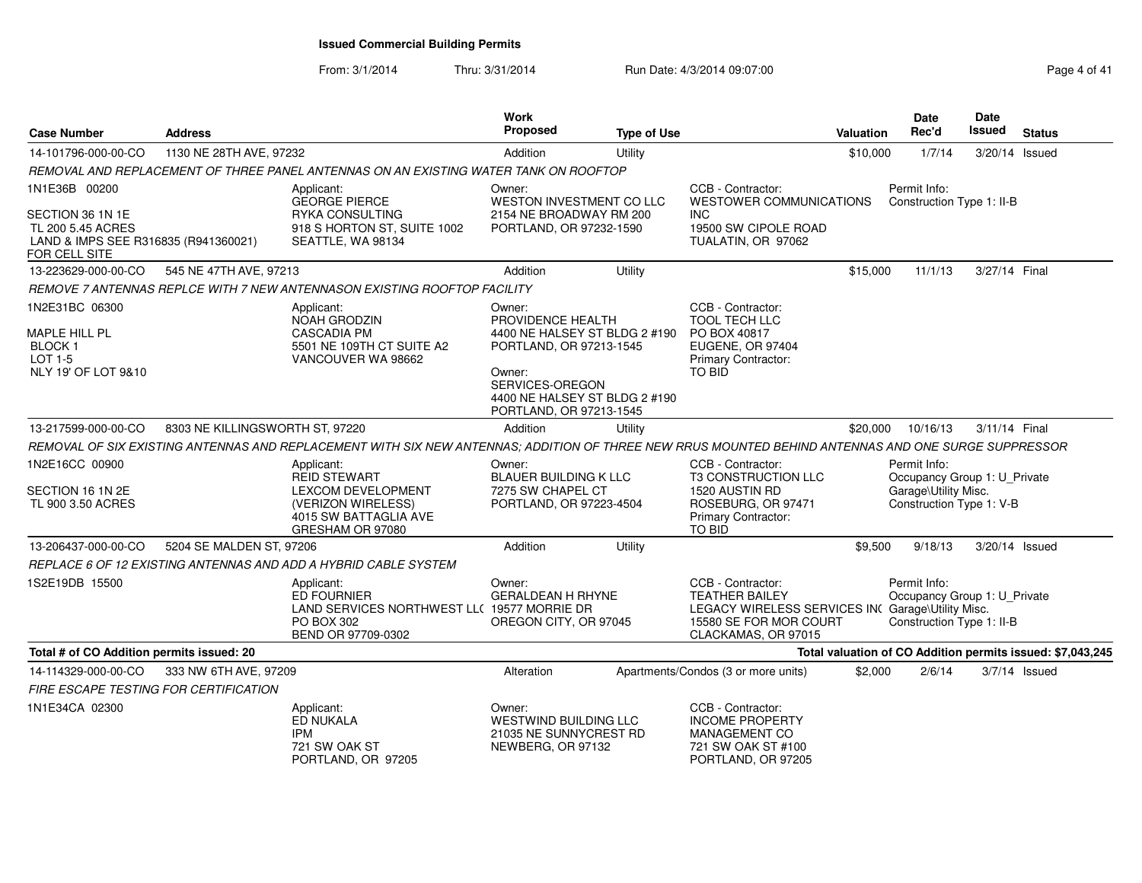| <b>Case Number</b>                                                                             | <b>Address</b>                  |                                                                                                                                                     | <b>Work</b><br><b>Proposed</b>                                                                                 | <b>Type of Use</b>                                             |                                                                                                                                                  | <b>Valuation</b> | Date<br>Rec'd                                                             | Date<br><b>Issued</b> | <b>Status</b>                                              |
|------------------------------------------------------------------------------------------------|---------------------------------|-----------------------------------------------------------------------------------------------------------------------------------------------------|----------------------------------------------------------------------------------------------------------------|----------------------------------------------------------------|--------------------------------------------------------------------------------------------------------------------------------------------------|------------------|---------------------------------------------------------------------------|-----------------------|------------------------------------------------------------|
| 14-101796-000-00-CO                                                                            | 1130 NE 28TH AVE, 97232         |                                                                                                                                                     | Addition                                                                                                       | Utility                                                        |                                                                                                                                                  | \$10,000         | 1/7/14                                                                    | 3/20/14 Issued        |                                                            |
|                                                                                                |                                 | REMOVAL AND REPLACEMENT OF THREE PANEL ANTENNAS ON AN EXISTING WATER TANK ON ROOFTOP                                                                |                                                                                                                |                                                                |                                                                                                                                                  |                  |                                                                           |                       |                                                            |
| 1N1E36B 00200                                                                                  |                                 | Applicant:<br><b>GEORGE PIERCE</b>                                                                                                                  | Owner:<br><b>WESTON INVESTMENT CO LLC</b>                                                                      |                                                                | CCB - Contractor:<br>WESTOWER COMMUNICATIONS                                                                                                     |                  | Permit Info:<br>Construction Type 1: II-B                                 |                       |                                                            |
| SECTION 36 1N 1E<br>TL 200 5.45 ACRES<br>LAND & IMPS SEE R316835 (R941360021)<br>FOR CELL SITE |                                 | RYKA CONSULTING<br>918 S HORTON ST, SUITE 1002<br>SEATTLE, WA 98134                                                                                 | 2154 NE BROADWAY RM 200<br>PORTLAND, OR 97232-1590                                                             |                                                                | <b>INC</b><br>19500 SW CIPOLE ROAD<br>TUALATIN, OR 97062                                                                                         |                  |                                                                           |                       |                                                            |
| 13-223629-000-00-CO                                                                            | 545 NE 47TH AVE, 97213          |                                                                                                                                                     | Addition                                                                                                       | Utility                                                        |                                                                                                                                                  | \$15,000         | 11/1/13                                                                   | 3/27/14 Final         |                                                            |
|                                                                                                |                                 | REMOVE 7 ANTENNAS REPLCE WITH 7 NEW ANTENNASON EXISTING ROOFTOP FACILITY                                                                            |                                                                                                                |                                                                |                                                                                                                                                  |                  |                                                                           |                       |                                                            |
| 1N2E31BC 06300<br>MAPLE HILL PL<br><b>BLOCK1</b><br>LOT 1-5<br>NLY 19' OF LOT 9&10             |                                 | Applicant:<br><b>NOAH GRODZIN</b><br><b>CASCADIA PM</b><br>5501 NE 109TH CT SUITE A2<br>VANCOUVER WA 98662                                          | Owner:<br>PROVIDENCE HEALTH<br>PORTLAND, OR 97213-1545<br>Owner:<br>SERVICES-OREGON<br>PORTLAND, OR 97213-1545 | 4400 NE HALSEY ST BLDG 2 #190<br>4400 NE HALSEY ST BLDG 2 #190 | CCB - Contractor:<br>TOOL TECH LLC<br>PO BOX 40817<br><b>EUGENE, OR 97404</b><br><b>Primary Contractor:</b><br>TO BID                            |                  |                                                                           |                       |                                                            |
| 13-217599-000-00-CO                                                                            | 8303 NE KILLINGSWORTH ST, 97220 |                                                                                                                                                     | Addition                                                                                                       | Utility                                                        |                                                                                                                                                  | \$20,000         | 10/16/13                                                                  | 3/11/14 Final         |                                                            |
|                                                                                                |                                 | REMOVAL OF SIX EXISTING ANTENNAS AND REPLACEMENT WITH SIX NEW ANTENNAS; ADDITION OF THREE NEW RRUS MOUNTED BEHIND ANTENNAS AND ONE SURGE SUPPRESSOR |                                                                                                                |                                                                |                                                                                                                                                  |                  |                                                                           |                       |                                                            |
| 1N2E16CC 00900                                                                                 |                                 | Applicant:<br><b>REID STEWART</b>                                                                                                                   | Owner:<br><b>BLAUER BUILDING K LLC</b>                                                                         |                                                                | CCB - Contractor:<br>T3 CONSTRUCTION LLC                                                                                                         |                  | Permit Info:<br>Occupancy Group 1: U_Private                              |                       |                                                            |
| SECTION 16 1N 2E<br>TL 900 3.50 ACRES                                                          |                                 | LEXCOM DEVELOPMENT<br>(VERIZON WIRELESS)<br>4015 SW BATTAGLIA AVE<br>GRESHAM OR 97080                                                               | 7275 SW CHAPEL CT<br>PORTLAND, OR 97223-4504                                                                   |                                                                | 1520 AUSTIN RD<br>ROSEBURG, OR 97471<br>Primary Contractor:<br>TO BID                                                                            |                  | Garage\Utility Misc.<br>Construction Type 1: V-B                          |                       |                                                            |
| 13-206437-000-00-CO                                                                            | 5204 SE MALDEN ST, 97206        |                                                                                                                                                     | Addition                                                                                                       | Utility                                                        |                                                                                                                                                  | \$9,500          | 9/18/13                                                                   | 3/20/14 Issued        |                                                            |
|                                                                                                |                                 | REPLACE 6 OF 12 EXISTING ANTENNAS AND ADD A HYBRID CABLE SYSTEM                                                                                     |                                                                                                                |                                                                |                                                                                                                                                  |                  |                                                                           |                       |                                                            |
| 1S2E19DB 15500                                                                                 |                                 | Applicant:<br><b>ED FOURNIER</b><br>LAND SERVICES NORTHWEST LL( 19577 MORRIE DR<br>PO BOX 302<br>BEND OR 97709-0302                                 | Owner:<br><b>GERALDEAN H RHYNE</b><br>OREGON CITY, OR 97045                                                    |                                                                | CCB - Contractor:<br><b>TEATHER BAILEY</b><br>LEGACY WIRELESS SERVICES INC Garage\Utility Misc.<br>15580 SE FOR MOR COURT<br>CLACKAMAS, OR 97015 |                  | Permit Info:<br>Occupancy Group 1: U Private<br>Construction Type 1: II-B |                       |                                                            |
| Total # of CO Addition permits issued: 20                                                      |                                 |                                                                                                                                                     |                                                                                                                |                                                                |                                                                                                                                                  |                  |                                                                           |                       | Total valuation of CO Addition permits issued: \$7,043,245 |
| 14-114329-000-00-CO<br><b>FIRE ESCAPE TESTING FOR CERTIFICATION</b>                            | 333 NW 6TH AVE, 97209           |                                                                                                                                                     | Alteration                                                                                                     |                                                                | Apartments/Condos (3 or more units)                                                                                                              | \$2,000          | 2/6/14                                                                    | $3/7/14$ Issued       |                                                            |
| 1N1E34CA 02300                                                                                 |                                 | Applicant:<br>ED NUKALA<br><b>IPM</b><br>721 SW OAK ST<br>PORTLAND, OR 97205                                                                        | Owner:<br><b>WESTWIND BUILDING LLC</b><br>21035 NE SUNNYCREST RD<br>NEWBERG, OR 97132                          |                                                                | CCB - Contractor:<br><b>INCOME PROPERTY</b><br><b>MANAGEMENT CO</b><br>721 SW OAK ST #100<br>PORTLAND, OR 97205                                  |                  |                                                                           |                       |                                                            |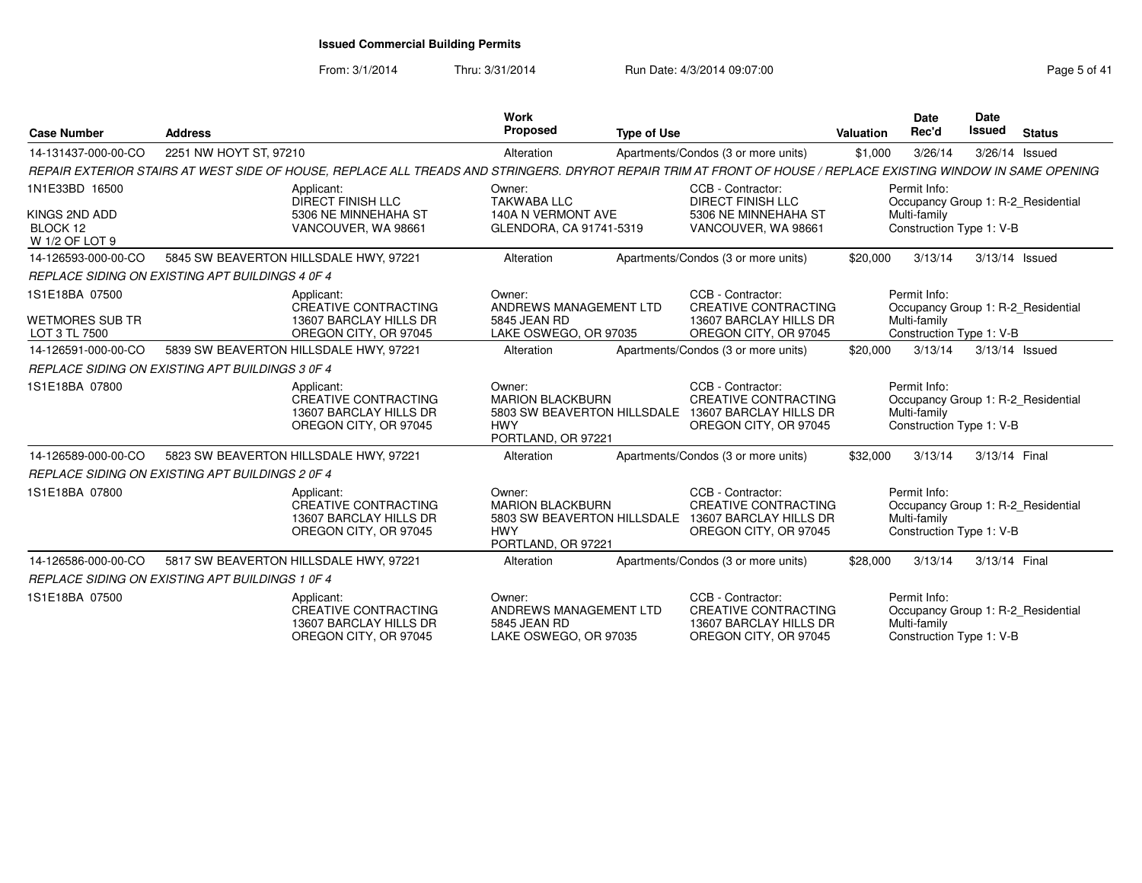| <b>Case Number</b>                                            | <b>Address</b>                                                                                                                                                 | Work<br><b>Proposed</b>                                                       | <b>Type of Use</b> |                                                                                                                                 | <b>Valuation</b> | <b>Date</b><br>Rec'd                                     | <b>Date</b><br><b>Issued</b> | <b>Status</b>                      |
|---------------------------------------------------------------|----------------------------------------------------------------------------------------------------------------------------------------------------------------|-------------------------------------------------------------------------------|--------------------|---------------------------------------------------------------------------------------------------------------------------------|------------------|----------------------------------------------------------|------------------------------|------------------------------------|
| 14-131437-000-00-CO                                           | 2251 NW HOYT ST, 97210                                                                                                                                         | Alteration                                                                    |                    | Apartments/Condos (3 or more units)                                                                                             | \$1,000          | 3/26/14                                                  | 3/26/14 Issued               |                                    |
|                                                               | REPAIR EXTERIOR STAIRS AT WEST SIDE OF HOUSE, REPLACE ALL TREADS AND STRINGERS. DRYROT REPAIR TRIM AT FRONT OF HOUSE / REPLACE EXISTING WINDOW IN SAME OPENING |                                                                               |                    |                                                                                                                                 |                  |                                                          |                              |                                    |
| 1N1E33BD 16500<br>KINGS 2ND ADD<br>BLOCK 12<br>W 1/2 OF LOT 9 | Applicant:<br><b>DIRECT FINISH LLC</b><br>5306 NE MINNEHAHA ST<br>VANCOUVER, WA 98661                                                                          | Owner:<br><b>TAKWABA LLC</b><br>140A N VERMONT AVE<br>GLENDORA, CA 91741-5319 |                    | CCB - Contractor:<br><b>DIRECT FINISH LLC</b><br>5306 NE MINNEHAHA ST<br>VANCOUVER, WA 98661                                    |                  | Permit Info:<br>Multi-family<br>Construction Type 1: V-B |                              | Occupancy Group 1: R-2 Residential |
| 14-126593-000-00-CO                                           | 5845 SW BEAVERTON HILLSDALE HWY, 97221                                                                                                                         | Alteration                                                                    |                    | Apartments/Condos (3 or more units)                                                                                             | \$20,000         | 3/13/14                                                  |                              | 3/13/14 Issued                     |
|                                                               | REPLACE SIDING ON EXISTING APT BUILDINGS 4 0F 4                                                                                                                |                                                                               |                    |                                                                                                                                 |                  |                                                          |                              |                                    |
| 1S1E18BA 07500<br><b>WETMORES SUB TR</b><br>LOT 3 TL 7500     | Applicant:<br><b>CREATIVE CONTRACTING</b><br>13607 BARCLAY HILLS DR<br>OREGON CITY, OR 97045                                                                   | Owner:<br>ANDREWS MANAGEMENT LTD<br>5845 JEAN RD<br>LAKE OSWEGO, OR 97035     |                    | CCB - Contractor:<br><b>CREATIVE CONTRACTING</b><br>13607 BARCLAY HILLS DR<br>OREGON CITY, OR 97045                             |                  | Permit Info:<br>Multi-family<br>Construction Type 1: V-B |                              | Occupancy Group 1: R-2_Residential |
| 14-126591-000-00-CO                                           | 5839 SW BEAVERTON HILLSDALE HWY, 97221                                                                                                                         | Alteration                                                                    |                    | Apartments/Condos (3 or more units)                                                                                             | \$20,000         | 3/13/14                                                  |                              | 3/13/14 Issued                     |
|                                                               | REPLACE SIDING ON EXISTING APT BUILDINGS 3 0F 4                                                                                                                |                                                                               |                    |                                                                                                                                 |                  |                                                          |                              |                                    |
| 1S1E18BA 07800                                                | Applicant:<br>CREATIVE CONTRACTING<br>13607 BARCLAY HILLS DR<br>OREGON CITY, OR 97045                                                                          | Owner:<br><b>MARION BLACKBURN</b><br><b>HWY</b><br>PORTLAND, OR 97221         |                    | CCB - Contractor:<br><b>CREATIVE CONTRACTING</b><br>5803 SW BEAVERTON HILLSDALE 13607 BARCLAY HILLS DR<br>OREGON CITY, OR 97045 |                  | Permit Info:<br>Multi-family<br>Construction Type 1: V-B |                              | Occupancy Group 1: R-2 Residential |
| 14-126589-000-00-CO                                           | 5823 SW BEAVERTON HILLSDALE HWY, 97221                                                                                                                         | Alteration                                                                    |                    | Apartments/Condos (3 or more units)                                                                                             | \$32,000         | 3/13/14                                                  | 3/13/14 Final                |                                    |
|                                                               | REPLACE SIDING ON EXISTING APT BUILDINGS 2 0F 4                                                                                                                |                                                                               |                    |                                                                                                                                 |                  |                                                          |                              |                                    |
| 1S1E18BA 07800                                                | Applicant:<br>CREATIVE CONTRACTING<br>13607 BARCLAY HILLS DR<br>OREGON CITY, OR 97045                                                                          | Owner:<br><b>MARION BLACKBURN</b><br><b>HWY</b><br>PORTLAND, OR 97221         |                    | CCB - Contractor:<br><b>CREATIVE CONTRACTING</b><br>5803 SW BEAVERTON HILLSDALE 13607 BARCLAY HILLS DR<br>OREGON CITY, OR 97045 |                  | Permit Info:<br>Multi-family<br>Construction Type 1: V-B |                              | Occupancy Group 1: R-2_Residential |
| 14-126586-000-00-CO                                           | 5817 SW BEAVERTON HILLSDALE HWY, 97221                                                                                                                         | Alteration                                                                    |                    | Apartments/Condos (3 or more units)                                                                                             | \$28,000         | 3/13/14                                                  | 3/13/14 Final                |                                    |
|                                                               | REPLACE SIDING ON EXISTING APT BUILDINGS 1 0F 4                                                                                                                |                                                                               |                    |                                                                                                                                 |                  |                                                          |                              |                                    |
| 1S1E18BA 07500                                                | Applicant:<br><b>CREATIVE CONTRACTING</b><br>13607 BARCLAY HILLS DR<br>OREGON CITY, OR 97045                                                                   | Owner:<br>ANDREWS MANAGEMENT LTD<br>5845 JEAN RD<br>LAKE OSWEGO, OR 97035     |                    | CCB - Contractor:<br><b>CREATIVE CONTRACTING</b><br>13607 BARCLAY HILLS DR<br>OREGON CITY, OR 97045                             |                  | Permit Info:<br>Multi-family<br>Construction Type 1: V-B |                              | Occupancy Group 1: R-2_Residential |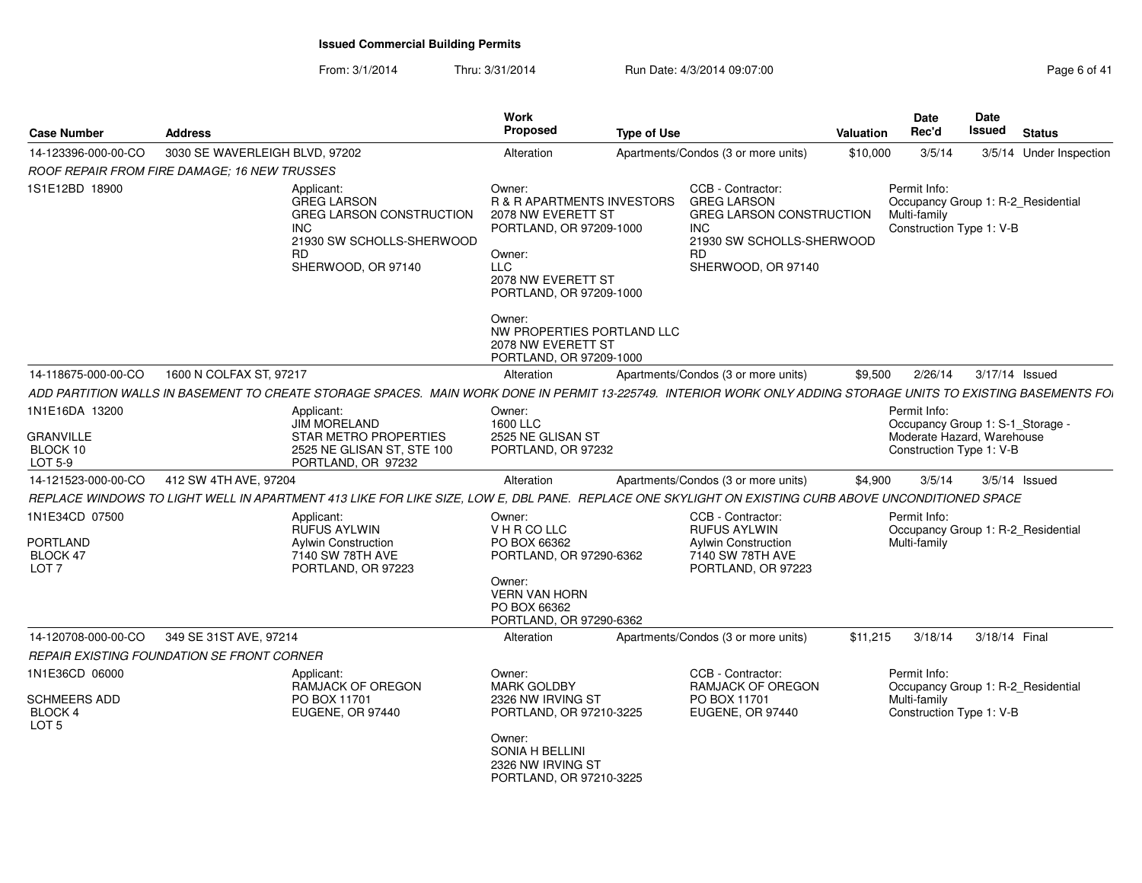| <b>Case Number</b>                                                | <b>Address</b>                                                                                                                                                  | Work<br><b>Proposed</b>                                                                                                                                                   | <b>Type of Use</b>                                                                                                                                       | <b>Valuation</b> | <b>Date</b><br>Rec'd                                                                           | Date<br>Issued | <b>Status</b>           |
|-------------------------------------------------------------------|-----------------------------------------------------------------------------------------------------------------------------------------------------------------|---------------------------------------------------------------------------------------------------------------------------------------------------------------------------|----------------------------------------------------------------------------------------------------------------------------------------------------------|------------------|------------------------------------------------------------------------------------------------|----------------|-------------------------|
| 14-123396-000-00-CO                                               | 3030 SE WAVERLEIGH BLVD, 97202                                                                                                                                  | Alteration                                                                                                                                                                | Apartments/Condos (3 or more units)                                                                                                                      | \$10,000         | 3/5/14                                                                                         |                | 3/5/14 Under Inspection |
|                                                                   | ROOF REPAIR FROM FIRE DAMAGE: 16 NEW TRUSSES                                                                                                                    |                                                                                                                                                                           |                                                                                                                                                          |                  |                                                                                                |                |                         |
| 1S1E12BD 18900                                                    | Applicant:<br><b>GREG LARSON</b><br>GREG LARSON CONSTRUCTION<br><b>INC</b><br>21930 SW SCHOLLS-SHERWOOD<br>RD.<br>SHERWOOD, OR 97140                            | Owner:<br><b>R &amp; R APARTMENTS INVESTORS</b><br>2078 NW EVERETT ST<br>PORTLAND, OR 97209-1000<br>Owner:<br><b>LLC</b><br>2078 NW EVERETT ST<br>PORTLAND, OR 97209-1000 | CCB - Contractor:<br><b>GREG LARSON</b><br><b>GREG LARSON CONSTRUCTION</b><br><b>INC</b><br>21930 SW SCHOLLS-SHERWOOD<br><b>RD</b><br>SHERWOOD, OR 97140 |                  | Permit Info:<br>Occupancy Group 1: R-2_Residential<br>Multi-family<br>Construction Type 1: V-B |                |                         |
|                                                                   |                                                                                                                                                                 | Owner:<br>NW PROPERTIES PORTLAND LLC<br>2078 NW EVERETT ST<br>PORTLAND, OR 97209-1000                                                                                     |                                                                                                                                                          |                  |                                                                                                |                |                         |
| 14-118675-000-00-CO                                               | 1600 N COLFAX ST, 97217                                                                                                                                         | Alteration                                                                                                                                                                | Apartments/Condos (3 or more units)                                                                                                                      | \$9,500          | 2/26/14                                                                                        | 3/17/14 Issued |                         |
|                                                                   | ADD PARTITION WALLS IN BASEMENT TO CREATE STORAGE SPACES. MAIN WORK DONE IN PERMIT 13-225749. INTERIOR WORK ONLY ADDING STORAGE UNITS TO EXISTING BASEMENTS FOI |                                                                                                                                                                           |                                                                                                                                                          |                  |                                                                                                |                |                         |
| 1N1E16DA 13200                                                    | Applicant:                                                                                                                                                      | Owner:                                                                                                                                                                    |                                                                                                                                                          |                  | Permit Info:                                                                                   |                |                         |
| <b>GRANVILLE</b><br>BLOCK 10<br>LOT 5-9                           | <b>JIM MORELAND</b><br>STAR METRO PROPERTIES<br>2525 NE GLISAN ST, STE 100<br>PORTLAND, OR 97232                                                                | 1600 LLC<br>2525 NE GLISAN ST<br>PORTLAND, OR 97232                                                                                                                       |                                                                                                                                                          |                  | Occupancy Group 1: S-1_Storage -<br>Moderate Hazard, Warehouse<br>Construction Type 1: V-B     |                |                         |
| 14-121523-000-00-CO                                               | 412 SW 4TH AVE, 97204                                                                                                                                           | Alteration                                                                                                                                                                | Apartments/Condos (3 or more units)                                                                                                                      | \$4.900          | 3/5/14                                                                                         |                | $3/5/14$ Issued         |
|                                                                   | REPLACE WINDOWS TO LIGHT WELL IN APARTMENT 413 LIKE FOR LIKE SIZE, LOW E, DBL PANE. REPLACE ONE SKYLIGHT ON EXISTING CURB ABOVE UNCONDITIONED SPACE             |                                                                                                                                                                           |                                                                                                                                                          |                  |                                                                                                |                |                         |
| 1N1E34CD 07500<br><b>PORTLAND</b><br>BLOCK 47<br>LOT <sub>7</sub> | Applicant:<br><b>RUFUS AYLWIN</b><br><b>Aylwin Construction</b><br>7140 SW 78TH AVE<br>PORTLAND, OR 97223                                                       | Owner:<br>VHRCOLLC<br>PO BOX 66362<br>PORTLAND, OR 97290-6362<br>Owner:<br><b>VERN VAN HORN</b><br>PO BOX 66362<br>PORTLAND, OR 97290-6362                                | CCB - Contractor:<br><b>RUFUS AYLWIN</b><br><b>Aylwin Construction</b><br>7140 SW 78TH AVE<br>PORTLAND, OR 97223                                         |                  | Permit Info:<br>Occupancy Group 1: R-2 Residential<br>Multi-family                             |                |                         |
| 14-120708-000-00-CO                                               | 349 SE 31ST AVE, 97214                                                                                                                                          | Alteration                                                                                                                                                                | Apartments/Condos (3 or more units)                                                                                                                      | \$11,215         | 3/18/14                                                                                        | 3/18/14 Final  |                         |
|                                                                   | REPAIR EXISTING FOUNDATION SE FRONT CORNER                                                                                                                      |                                                                                                                                                                           |                                                                                                                                                          |                  |                                                                                                |                |                         |
| 1N1E36CD 06000                                                    | Applicant:<br>RAMJACK OF OREGON                                                                                                                                 | Owner:<br><b>MARK GOLDBY</b>                                                                                                                                              | CCB - Contractor:<br>RAMJACK OF OREGON                                                                                                                   |                  | Permit Info:<br>Occupancy Group 1: R-2_Residential                                             |                |                         |
| <b>SCHMEERS ADD</b><br>BLOCK 4<br>LOT <sub>5</sub>                | PO BOX 11701<br>EUGENE, OR 97440                                                                                                                                | 2326 NW IRVING ST<br>PORTLAND, OR 97210-3225                                                                                                                              | PO BOX 11701<br>EUGENE, OR 97440                                                                                                                         |                  | Multi-family<br>Construction Type 1: V-B                                                       |                |                         |
|                                                                   |                                                                                                                                                                 | Owner:<br>SONIA H BELLINI<br>2326 NW IRVING ST<br>PORTLAND, OR 97210-3225                                                                                                 |                                                                                                                                                          |                  |                                                                                                |                |                         |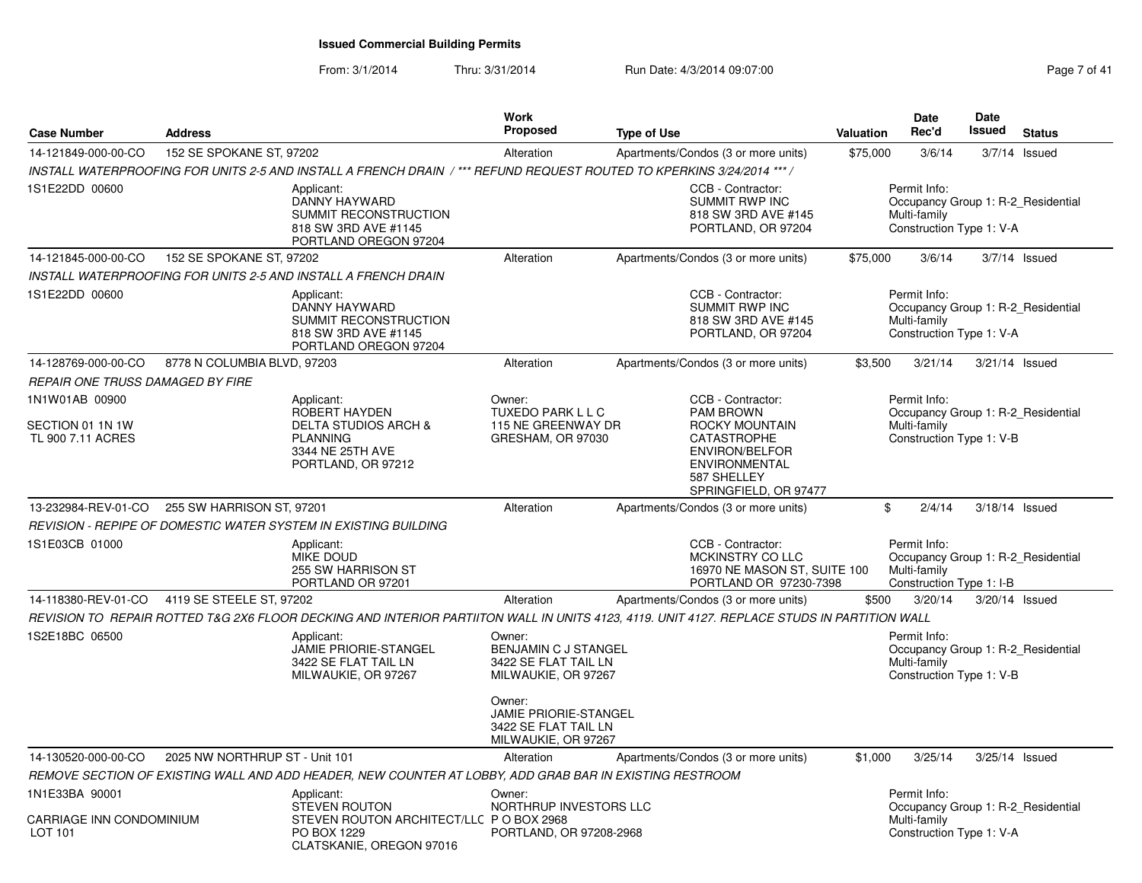| <b>Case Number</b>                           | <b>Address</b>                 |                                                                                                                                             | <b>Work</b><br><b>Proposed</b>                                                 | <b>Type of Use</b> |                                                                                                      | Valuation | Date<br>Rec'd                                                                                  | Date<br><b>Issued</b> | <b>Status</b>   |
|----------------------------------------------|--------------------------------|---------------------------------------------------------------------------------------------------------------------------------------------|--------------------------------------------------------------------------------|--------------------|------------------------------------------------------------------------------------------------------|-----------|------------------------------------------------------------------------------------------------|-----------------------|-----------------|
| 14-121849-000-00-CO                          | 152 SE SPOKANE ST, 97202       |                                                                                                                                             | Alteration                                                                     |                    | Apartments/Condos (3 or more units)                                                                  | \$75,000  | 3/6/14                                                                                         |                       | $3/7/14$ Issued |
|                                              |                                | INSTALL WATERPROOFING FOR UNITS 2-5 AND INSTALL A FRENCH DRAIN /*** REFUND REQUEST ROUTED TO KPERKINS 3/24/2014 ***/                        |                                                                                |                    |                                                                                                      |           |                                                                                                |                       |                 |
| 1S1E22DD 00600                               |                                | Applicant:<br>DANNY HAYWARD<br><b>SUMMIT RECONSTRUCTION</b><br>818 SW 3RD AVE #1145<br>PORTLAND OREGON 97204                                |                                                                                |                    | CCB - Contractor:<br><b>SUMMIT RWP INC</b><br>818 SW 3RD AVE #145<br>PORTLAND, OR 97204              |           | Permit Info:<br>Occupancy Group 1: R-2_Residential<br>Multi-family<br>Construction Type 1: V-A |                       |                 |
| 14-121845-000-00-CO                          | 152 SE SPOKANE ST, 97202       |                                                                                                                                             | Alteration                                                                     |                    | Apartments/Condos (3 or more units)                                                                  | \$75,000  | 3/6/14                                                                                         |                       | $3/7/14$ Issued |
|                                              |                                | INSTALL WATERPROOFING FOR UNITS 2-5 AND INSTALL A FRENCH DRAIN                                                                              |                                                                                |                    |                                                                                                      |           |                                                                                                |                       |                 |
| 1S1E22DD 00600                               |                                | Applicant:<br>DANNY HAYWARD<br>SUMMIT RECONSTRUCTION<br>818 SW 3RD AVE #1145<br>PORTLAND OREGON 97204                                       |                                                                                |                    | CCB - Contractor:<br><b>SUMMIT RWP INC</b><br>818 SW 3RD AVE #145<br>PORTLAND, OR 97204              |           | Permit Info:<br>Occupancy Group 1: R-2_Residential<br>Multi-family<br>Construction Type 1: V-A |                       |                 |
| 14-128769-000-00-CO                          | 8778 N COLUMBIA BLVD, 97203    |                                                                                                                                             | Alteration                                                                     |                    | Apartments/Condos (3 or more units)                                                                  | \$3,500   | 3/21/14                                                                                        | 3/21/14 Issued        |                 |
| <b>REPAIR ONE TRUSS DAMAGED BY FIRE</b>      |                                |                                                                                                                                             |                                                                                |                    |                                                                                                      |           |                                                                                                |                       |                 |
| 1N1W01AB 00900<br>SECTION 01 1N 1W           |                                | Applicant:<br>ROBERT HAYDEN<br><b>DELTA STUDIOS ARCH &amp;</b>                                                                              | Owner:<br>TUXEDO PARK L L C<br>115 NE GREENWAY DR                              |                    | CCB - Contractor:<br><b>PAM BROWN</b><br>ROCKY MOUNTAIN                                              |           | Permit Info:<br>Occupancy Group 1: R-2_Residential<br>Multi-family                             |                       |                 |
| TL 900 7.11 ACRES                            |                                | <b>PLANNING</b><br>3344 NE 25TH AVE<br>PORTLAND, OR 97212                                                                                   | GRESHAM, OR 97030                                                              |                    | <b>CATASTROPHE</b><br><b>ENVIRON/BELFOR</b><br>ENVIRONMENTAL<br>587 SHELLEY<br>SPRINGFIELD, OR 97477 |           | Construction Type 1: V-B                                                                       |                       |                 |
| 13-232984-REV-01-CO                          | 255 SW HARRISON ST, 97201      |                                                                                                                                             | Alteration                                                                     |                    | Apartments/Condos (3 or more units)                                                                  |           | \$<br>2/4/14                                                                                   | 3/18/14 Issued        |                 |
|                                              |                                | REVISION - REPIPE OF DOMESTIC WATER SYSTEM IN EXISTING BUILDING                                                                             |                                                                                |                    |                                                                                                      |           |                                                                                                |                       |                 |
| 1S1E03CB 01000                               |                                | Applicant:<br><b>MIKE DOUD</b><br>255 SW HARRISON ST<br>PORTLAND OR 97201                                                                   |                                                                                |                    | CCB - Contractor:<br>MCKINSTRY CO LLC<br>16970 NE MASON ST, SUITE 100<br>PORTLAND OR 97230-7398      |           | Permit Info:<br>Occupancy Group 1: R-2_Residential<br>Multi-family<br>Construction Type 1: I-B |                       |                 |
| 14-118380-REV-01-CO 4119 SE STEELE ST, 97202 |                                |                                                                                                                                             | Alteration                                                                     |                    | Apartments/Condos (3 or more units)                                                                  | \$500     | 3/20/14                                                                                        | 3/20/14 Issued        |                 |
|                                              |                                | REVISION TO REPAIR ROTTED T&G 2X6 FLOOR DECKING AND INTERIOR PARTIITON WALL IN UNITS 4123, 4119. UNIT 4127. REPLACE STUDS IN PARTITION WALL |                                                                                |                    |                                                                                                      |           |                                                                                                |                       |                 |
| 1S2E18BC 06500                               |                                | Applicant:<br><b>JAMIE PRIORIE-STANGEL</b><br>3422 SE FLAT TAIL LN<br>MILWAUKIE, OR 97267                                                   | Owner:<br>BENJAMIN C J STANGEL<br>3422 SE FLAT TAIL LN<br>MILWAUKIE, OR 97267  |                    |                                                                                                      |           | Permit Info:<br>Occupancy Group 1: R-2 Residential<br>Multi-family<br>Construction Type 1: V-B |                       |                 |
|                                              |                                |                                                                                                                                             | Owner:<br>JAMIE PRIORIE-STANGEL<br>3422 SE FLAT TAIL LN<br>MILWAUKIE, OR 97267 |                    |                                                                                                      |           |                                                                                                |                       |                 |
| 14-130520-000-00-CO                          | 2025 NW NORTHRUP ST - Unit 101 |                                                                                                                                             | Alteration                                                                     |                    | Apartments/Condos (3 or more units)                                                                  | \$1,000   | 3/25/14                                                                                        | 3/25/14 Issued        |                 |
|                                              |                                | REMOVE SECTION OF EXISTING WALL AND ADD HEADER, NEW COUNTER AT LOBBY, ADD GRAB BAR IN EXISTING RESTROOM                                     |                                                                                |                    |                                                                                                      |           |                                                                                                |                       |                 |
| 1N1E33BA 90001                               |                                | Applicant:<br><b>STEVEN ROUTON</b>                                                                                                          | Owner:<br>NORTHRUP INVESTORS LLC                                               |                    |                                                                                                      |           | Permit Info:<br>Occupancy Group 1: R-2 Residential                                             |                       |                 |
| CARRIAGE INN CONDOMINIUM<br>LOT 101          |                                | STEVEN ROUTON ARCHITECT/LLC P O BOX 2968<br>PO BOX 1229<br>CLATSKANIE, OREGON 97016                                                         | PORTLAND, OR 97208-2968                                                        |                    |                                                                                                      |           | Multi-family<br>Construction Type 1: V-A                                                       |                       |                 |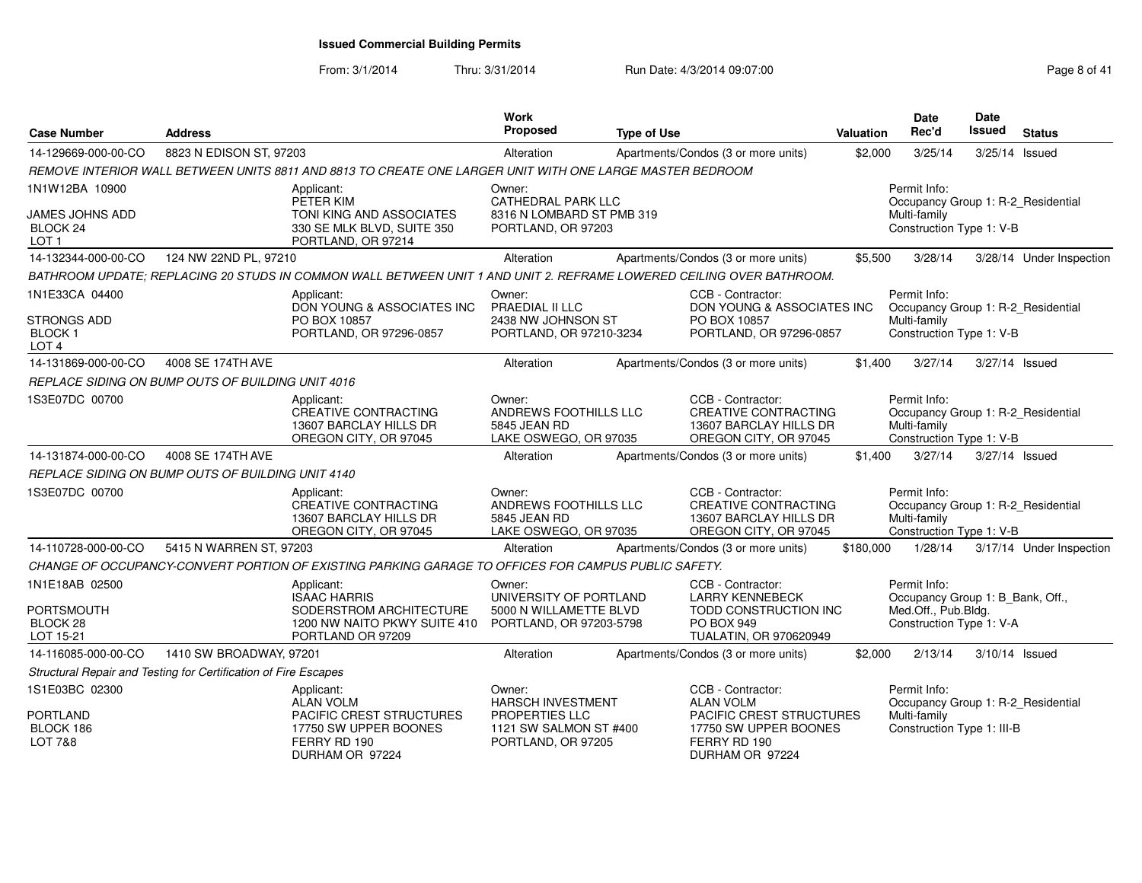From: 3/1/2014

Thru: 3/31/2014 Run Date: 4/3/2014 09:07:00

| <b>Case Number</b>                                 | <b>Address</b>                                                  |                                                                                                                      | Work<br>Proposed                                                         | <b>Type of Use</b> |                                                                                                     | <b>Valuation</b> | <b>Date</b><br>Rec'd                                                                           | <b>Date</b><br>Issued | <b>Status</b>            |
|----------------------------------------------------|-----------------------------------------------------------------|----------------------------------------------------------------------------------------------------------------------|--------------------------------------------------------------------------|--------------------|-----------------------------------------------------------------------------------------------------|------------------|------------------------------------------------------------------------------------------------|-----------------------|--------------------------|
| 14-129669-000-00-CO                                | 8823 N EDISON ST, 97203                                         |                                                                                                                      | Alteration                                                               |                    | Apartments/Condos (3 or more units)                                                                 | \$2,000          | 3/25/14                                                                                        | 3/25/14 Issued        |                          |
|                                                    |                                                                 | REMOVE INTERIOR WALL BETWEEN UNITS 8811 AND 8813 TO CREATE ONE LARGER UNIT WITH ONE LARGE MASTER BEDROOM             |                                                                          |                    |                                                                                                     |                  |                                                                                                |                       |                          |
| 1N1W12BA 10900                                     |                                                                 | Applicant:<br>PETER KIM                                                                                              | Owner:<br><b>CATHEDRAL PARK LLC</b>                                      |                    |                                                                                                     |                  | Permit Info:<br>Occupancy Group 1: R-2 Residential                                             |                       |                          |
| JAMES JOHNS ADD<br>BLOCK 24<br>LOT <sub>1</sub>    |                                                                 | TONI KING AND ASSOCIATES<br>330 SE MLK BLVD, SUITE 350<br>PORTLAND, OR 97214                                         | 8316 N LOMBARD ST PMB 319<br>PORTLAND, OR 97203                          |                    |                                                                                                     |                  | Multi-family<br>Construction Type 1: V-B                                                       |                       |                          |
| 14-132344-000-00-CO                                | 124 NW 22ND PL, 97210                                           |                                                                                                                      | Alteration                                                               |                    | Apartments/Condos (3 or more units)                                                                 | \$5,500          | 3/28/14                                                                                        |                       | 3/28/14 Under Inspection |
|                                                    |                                                                 | BATHROOM UPDATE; REPLACING 20 STUDS IN COMMON WALL BETWEEN UNIT 1 AND UNIT 2. REFRAME LOWERED CEILING OVER BATHROOM. |                                                                          |                    |                                                                                                     |                  |                                                                                                |                       |                          |
| 1N1E33CA 04400                                     |                                                                 | Applicant:<br>DON YOUNG & ASSOCIATES INC                                                                             | Owner:<br>PRAEDIAL II LLC                                                |                    | CCB - Contractor:<br>DON YOUNG & ASSOCIATES INC                                                     |                  | Permit Info:<br>Occupancy Group 1: R-2 Residential                                             |                       |                          |
| STRONGS ADD<br>BLOCK 1<br>LOT <sub>4</sub>         |                                                                 | PO BOX 10857<br>PORTLAND, OR 97296-0857                                                                              | 2438 NW JOHNSON ST<br>PORTLAND, OR 97210-3234                            |                    | PO BOX 10857<br>PORTLAND, OR 97296-0857                                                             |                  | Multi-family<br>Construction Type 1: V-B                                                       |                       |                          |
| 14-131869-000-00-CO                                | 4008 SE 174TH AVE                                               |                                                                                                                      | Alteration                                                               |                    | Apartments/Condos (3 or more units)                                                                 | \$1.400          | 3/27/14                                                                                        | 3/27/14 Issued        |                          |
|                                                    | REPLACE SIDING ON BUMP OUTS OF BUILDING UNIT 4016               |                                                                                                                      |                                                                          |                    |                                                                                                     |                  |                                                                                                |                       |                          |
| 1S3E07DC 00700                                     |                                                                 | Applicant:<br>CREATIVE CONTRACTING<br>13607 BARCLAY HILLS DR<br>OREGON CITY, OR 97045                                | Owner:<br>ANDREWS FOOTHILLS LLC<br>5845 JEAN RD<br>LAKE OSWEGO, OR 97035 |                    | CCB - Contractor:<br><b>CREATIVE CONTRACTING</b><br>13607 BARCLAY HILLS DR<br>OREGON CITY, OR 97045 |                  | Permit Info:<br>Occupancy Group 1: R-2_Residential<br>Multi-family<br>Construction Type 1: V-B |                       |                          |
| 14-131874-000-00-CO                                | 4008 SE 174TH AVE                                               |                                                                                                                      | Alteration                                                               |                    | Apartments/Condos (3 or more units)                                                                 | \$1,400          | 3/27/14                                                                                        | 3/27/14 Issued        |                          |
|                                                    | REPLACE SIDING ON BUMP OUTS OF BUILDING UNIT 4140               |                                                                                                                      |                                                                          |                    |                                                                                                     |                  |                                                                                                |                       |                          |
| 1S3E07DC 00700                                     |                                                                 | Applicant:<br>CREATIVE CONTRACTING<br>13607 BARCLAY HILLS DR<br>OREGON CITY, OR 97045                                | Owner:<br>ANDREWS FOOTHILLS LLC<br>5845 JEAN RD<br>LAKE OSWEGO, OR 97035 |                    | CCB - Contractor:<br>CREATIVE CONTRACTING<br>13607 BARCLAY HILLS DR<br>OREGON CITY, OR 97045        |                  | Permit Info:<br>Occupancy Group 1: R-2_Residential<br>Multi-family<br>Construction Type 1: V-B |                       |                          |
| 14-110728-000-00-CO                                | 5415 N WARREN ST, 97203                                         |                                                                                                                      | Alteration                                                               |                    | Apartments/Condos (3 or more units)                                                                 | \$180,000        | 1/28/14                                                                                        |                       | 3/17/14 Under Inspection |
|                                                    |                                                                 | CHANGE OF OCCUPANCY-CONVERT PORTION OF EXISTING PARKING GARAGE TO OFFICES FOR CAMPUS PUBLIC SAFETY.                  |                                                                          |                    |                                                                                                     |                  |                                                                                                |                       |                          |
| 1N1E18AB 02500<br><b>PORTSMOUTH</b>                |                                                                 | Applicant:<br><b>ISAAC HARRIS</b><br>SODERSTROM ARCHITECTURE                                                         | Owner:<br>UNIVERSITY OF PORTLAND<br>5000 N WILLAMETTE BLVD               |                    | CCB - Contractor:<br><b>LARRY KENNEBECK</b><br>TODD CONSTRUCTION INC                                |                  | Permit Info:<br>Occupancy Group 1: B_Bank, Off.,<br>Med.Off., Pub.Bldg.                        |                       |                          |
| BLOCK 28<br>LOT 15-21                              |                                                                 | 1200 NW NAITO PKWY SUITE 410<br>PORTLAND OR 97209                                                                    | PORTLAND, OR 97203-5798                                                  |                    | <b>PO BOX 949</b><br>TUALATIN, OR 970620949                                                         |                  | Construction Type 1: V-A                                                                       |                       |                          |
| 14-116085-000-00-CO                                | 1410 SW BROADWAY, 97201                                         |                                                                                                                      | Alteration                                                               |                    | Apartments/Condos (3 or more units)                                                                 | \$2,000          | 2/13/14                                                                                        | 3/10/14 Issued        |                          |
|                                                    | Structural Repair and Testing for Certification of Fire Escapes |                                                                                                                      |                                                                          |                    |                                                                                                     |                  |                                                                                                |                       |                          |
| 1S1E03BC 02300                                     |                                                                 | Applicant:<br><b>ALAN VOLM</b>                                                                                       | Owner:<br><b>HARSCH INVESTMENT</b>                                       |                    | CCB - Contractor:<br><b>ALAN VOLM</b>                                                               |                  | Permit Info:<br>Occupancy Group 1: R-2_Residential                                             |                       |                          |
| <b>PORTLAND</b><br>BLOCK 186<br><b>LOT 7&amp;8</b> |                                                                 | PACIFIC CREST STRUCTURES<br>17750 SW UPPER BOONES<br>FERRY RD 190<br>DURHAM OR 97224                                 | <b>PROPERTIES LLC</b><br>1121 SW SALMON ST #400<br>PORTLAND, OR 97205    |                    | PACIFIC CREST STRUCTURES<br>17750 SW UPPER BOONES<br>FERRY RD 190<br>DURHAM OR 97224                |                  | Multi-family<br>Construction Type 1: III-B                                                     |                       |                          |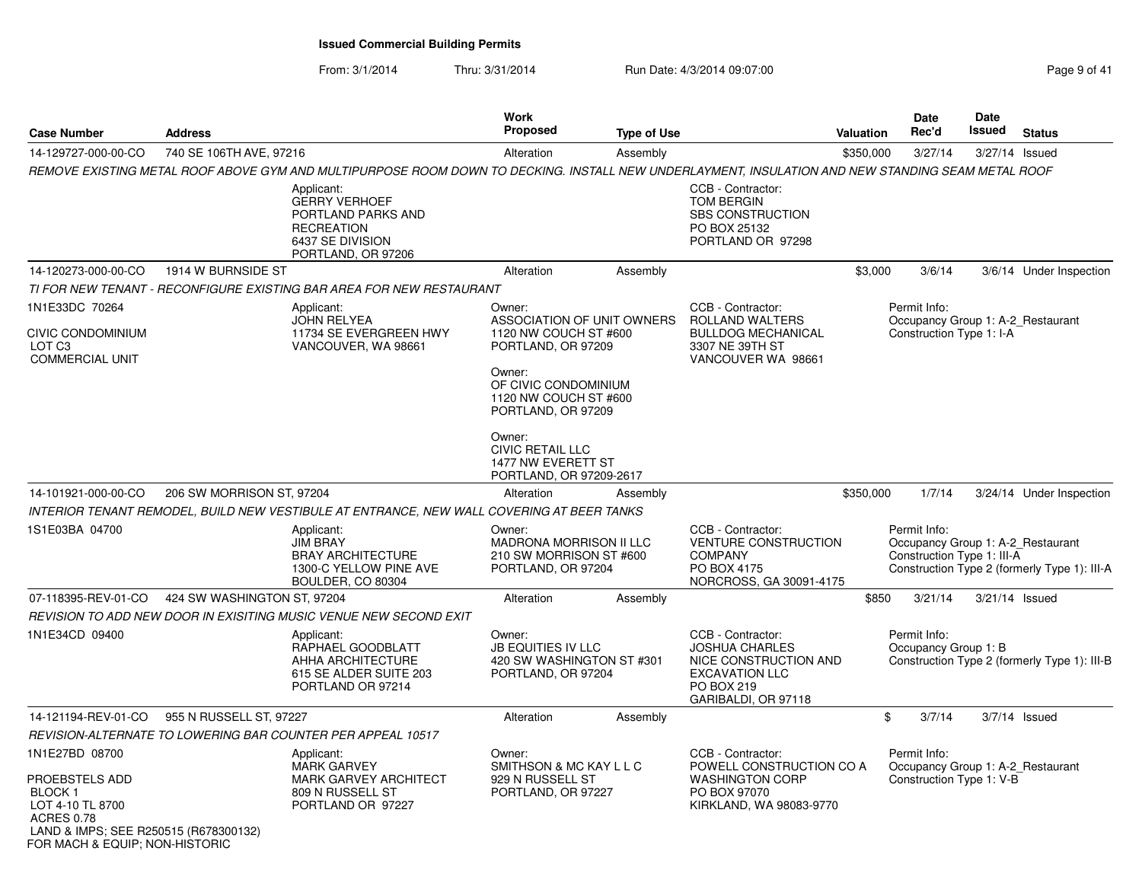#### From: 3/1/2014Thru: 3/31/2014 **Run Date: 4/3/2014 09:07:00 Pag Page 9 of A1**

| Page 9 of 41 |
|--------------|
|--------------|

| <b>Case Number</b>                                                                                                                                              | <b>Address</b>              |                                                                                                                                                   | Work<br><b>Proposed</b>                                                                                                                                              | <b>Type of Use</b> |                                                                                                                                   | Valuation      | Date<br>Rec'd                              | Date<br>Issued | <b>Status</b>                                                                     |
|-----------------------------------------------------------------------------------------------------------------------------------------------------------------|-----------------------------|---------------------------------------------------------------------------------------------------------------------------------------------------|----------------------------------------------------------------------------------------------------------------------------------------------------------------------|--------------------|-----------------------------------------------------------------------------------------------------------------------------------|----------------|--------------------------------------------|----------------|-----------------------------------------------------------------------------------|
| 14-129727-000-00-CO                                                                                                                                             | 740 SE 106TH AVE, 97216     |                                                                                                                                                   | Alteration                                                                                                                                                           | Assembly           |                                                                                                                                   | \$350,000      | 3/27/14                                    | 3/27/14        | Issued                                                                            |
|                                                                                                                                                                 |                             | REMOVE EXISTING METAL ROOF ABOVE GYM AND MULTIPURPOSE ROOM DOWN TO DECKING. INSTALL NEW UNDERLAYMENT, INSULATION AND NEW STANDING SEAM METAL ROOF |                                                                                                                                                                      |                    |                                                                                                                                   |                |                                            |                |                                                                                   |
|                                                                                                                                                                 |                             | Applicant:<br><b>GERRY VERHOEF</b><br>PORTLAND PARKS AND<br><b>RECREATION</b><br>6437 SE DIVISION<br>PORTLAND, OR 97206                           |                                                                                                                                                                      |                    | CCB - Contractor:<br><b>TOM BERGIN</b><br><b>SBS CONSTRUCTION</b><br>PO BOX 25132<br>PORTLAND OR 97298                            |                |                                            |                |                                                                                   |
| 14-120273-000-00-CO                                                                                                                                             | 1914 W BURNSIDE ST          |                                                                                                                                                   | Alteration                                                                                                                                                           | Assembly           |                                                                                                                                   | \$3,000        | 3/6/14                                     |                | 3/6/14 Under Inspection                                                           |
|                                                                                                                                                                 |                             | TI FOR NEW TENANT - RECONFIGURE EXISTING BAR AREA FOR NEW RESTAURANT                                                                              |                                                                                                                                                                      |                    |                                                                                                                                   |                |                                            |                |                                                                                   |
| 1N1E33DC 70264<br><b>CIVIC CONDOMINIUM</b><br>LOT <sub>C3</sub><br><b>COMMERCIAL UNIT</b>                                                                       |                             | Applicant:<br><b>JOHN RELYEA</b><br>11734 SE EVERGREEN HWY<br>VANCOUVER, WA 98661                                                                 | Owner:<br>ASSOCIATION OF UNIT OWNERS<br>1120 NW COUCH ST #600<br>PORTLAND, OR 97209<br>Owner:<br>OF CIVIC CONDOMINIUM<br>1120 NW COUCH ST #600<br>PORTLAND, OR 97209 |                    | CCB - Contractor:<br>ROLLAND WALTERS<br><b>BULLDOG MECHANICAL</b><br>3307 NE 39TH ST<br>VANCOUVER WA 98661                        |                | Permit Info:<br>Construction Type 1: I-A   |                | Occupancy Group 1: A-2 Restaurant                                                 |
|                                                                                                                                                                 |                             |                                                                                                                                                   | Owner:<br><b>CIVIC RETAIL LLC</b><br>1477 NW EVERETT ST<br>PORTLAND, OR 97209-2617                                                                                   |                    |                                                                                                                                   |                |                                            |                |                                                                                   |
| 14-101921-000-00-CO                                                                                                                                             | 206 SW MORRISON ST, 97204   |                                                                                                                                                   | Alteration                                                                                                                                                           | Assembly           |                                                                                                                                   | \$350,000      | 1/7/14                                     |                | 3/24/14 Under Inspection                                                          |
|                                                                                                                                                                 |                             | INTERIOR TENANT REMODEL, BUILD NEW VESTIBULE AT ENTRANCE, NEW WALL COVERING AT BEER TANKS                                                         |                                                                                                                                                                      |                    |                                                                                                                                   |                |                                            |                |                                                                                   |
| 1S1E03BA 04700                                                                                                                                                  |                             | Applicant:<br><b>JIM BRAY</b><br><b>BRAY ARCHITECTURE</b><br>1300-C YELLOW PINE AVE<br>BOULDER, CO 80304                                          | Owner:<br><b>MADRONA MORRISON II LLC</b><br>210 SW MORRISON ST #600<br>PORTLAND, OR 97204                                                                            |                    | CCB - Contractor:<br><b>VENTURE CONSTRUCTION</b><br><b>COMPANY</b><br>PO BOX 4175<br>NORCROSS, GA 30091-4175                      |                | Permit Info:<br>Construction Type 1: III-A |                | Occupancy Group 1: A-2_Restaurant<br>Construction Type 2 (formerly Type 1): III-A |
| 07-118395-REV-01-CO                                                                                                                                             | 424 SW WASHINGTON ST, 97204 |                                                                                                                                                   | Alteration                                                                                                                                                           | Assembly           |                                                                                                                                   | \$850          | 3/21/14                                    | 3/21/14 Issued |                                                                                   |
|                                                                                                                                                                 |                             | REVISION TO ADD NEW DOOR IN EXISITING MUSIC VENUE NEW SECOND EXIT                                                                                 |                                                                                                                                                                      |                    |                                                                                                                                   |                |                                            |                |                                                                                   |
| 1N1E34CD 09400                                                                                                                                                  |                             | Applicant:<br>RAPHAEL GOODBLATT<br>AHHA ARCHITECTURE<br>615 SE ALDER SUITE 203<br>PORTLAND OR 97214                                               | Owner:<br><b>JB EQUITIES IV LLC</b><br>420 SW WASHINGTON ST #301<br>PORTLAND, OR 97204                                                                               |                    | CCB - Contractor:<br><b>JOSHUA CHARLES</b><br>NICE CONSTRUCTION AND<br><b>EXCAVATION LLC</b><br>PO BOX 219<br>GARIBALDI, OR 97118 |                | Permit Info:<br>Occupancy Group 1: B       |                | Construction Type 2 (formerly Type 1): III-B                                      |
| 14-121194-REV-01-CO                                                                                                                                             | 955 N RUSSELL ST, 97227     |                                                                                                                                                   | Alteration                                                                                                                                                           | Assembly           |                                                                                                                                   | $\mathfrak{S}$ | 3/7/14                                     |                | $3/7/14$ Issued                                                                   |
|                                                                                                                                                                 |                             | REVISION-ALTERNATE TO LOWERING BAR COUNTER PER APPEAL 10517                                                                                       |                                                                                                                                                                      |                    |                                                                                                                                   |                |                                            |                |                                                                                   |
| 1N1E27BD 08700<br>PROEBSTELS ADD<br>BLOCK 1<br>LOT 4-10 TL 8700<br><b>ACRES 0.78</b><br>LAND & IMPS; SEE R250515 (R678300132)<br>FOR MACH & EQUIP; NON-HISTORIC |                             | Applicant:<br><b>MARK GARVEY</b><br>MARK GARVEY ARCHITECT<br>809 N RUSSELL ST<br>PORTLAND OR 97227                                                | Owner:<br>SMITHSON & MC KAY L L C<br>929 N RUSSELL ST<br>PORTLAND, OR 97227                                                                                          |                    | CCB - Contractor:<br>POWELL CONSTRUCTION CO A<br><b>WASHINGTON CORP</b><br>PO BOX 97070<br>KIRKLAND, WA 98083-9770                |                | Permit Info:<br>Construction Type 1: V-B   |                | Occupancy Group 1: A-2_Restaurant                                                 |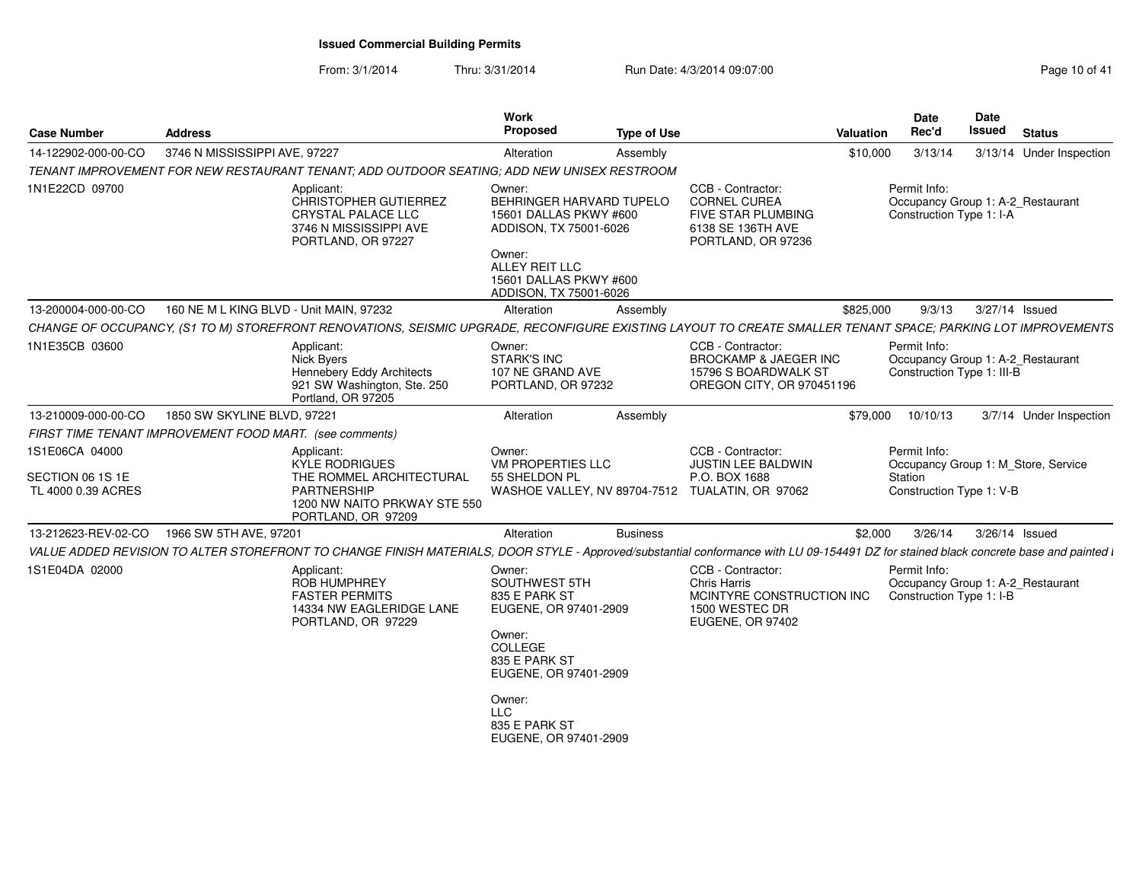| <b>Case Number</b>                 | <b>Address</b>                                          |                                                                                                                                                                                       | Work<br><b>Proposed</b>                                                                                                                                  | <b>Type of Use</b> |                                                                                                                    | <b>Valuation</b> | <b>Date</b><br>Rec'd                     | Date<br>Issued                                                  | <b>Status</b>                       |
|------------------------------------|---------------------------------------------------------|---------------------------------------------------------------------------------------------------------------------------------------------------------------------------------------|----------------------------------------------------------------------------------------------------------------------------------------------------------|--------------------|--------------------------------------------------------------------------------------------------------------------|------------------|------------------------------------------|-----------------------------------------------------------------|-------------------------------------|
| 14-122902-000-00-CO                | 3746 N MISSISSIPPI AVE, 97227                           |                                                                                                                                                                                       | Alteration                                                                                                                                               | Assembly           |                                                                                                                    | \$10,000         | 3/13/14                                  |                                                                 | 3/13/14 Under Inspection            |
|                                    |                                                         | TENANT IMPROVEMENT FOR NEW RESTAURANT TENANT; ADD OUTDOOR SEATING; ADD NEW UNISEX RESTROOM                                                                                            |                                                                                                                                                          |                    |                                                                                                                    |                  |                                          |                                                                 |                                     |
| 1N1E22CD 09700                     |                                                         | Applicant:<br><b>CHRISTOPHER GUTIERREZ</b><br>CRYSTAL PALACE LLC<br>3746 N MISSISSIPPI AVE<br>PORTLAND, OR 97227                                                                      | Owner:<br>BEHRINGER HARVARD TUPELO<br>15601 DALLAS PKWY #600<br>ADDISON, TX 75001-6026<br>Owner:                                                         |                    | CCB - Contractor:<br><b>CORNEL CUREA</b><br><b>FIVE STAR PLUMBING</b><br>6138 SE 136TH AVE<br>PORTLAND, OR 97236   |                  | Permit Info:<br>Construction Type 1: I-A | Occupancy Group 1: A-2_Restaurant                               |                                     |
|                                    |                                                         |                                                                                                                                                                                       | ALLEY REIT LLC<br>15601 DALLAS PKWY #600<br>ADDISON, TX 75001-6026                                                                                       |                    |                                                                                                                    |                  |                                          |                                                                 |                                     |
| 13-200004-000-00-CO                | 160 NE M L KING BLVD - Unit MAIN, 97232                 |                                                                                                                                                                                       | Alteration                                                                                                                                               | Assembly           |                                                                                                                    | \$825,000        | 9/3/13                                   | 3/27/14 Issued                                                  |                                     |
|                                    |                                                         | CHANGE OF OCCUPANCY, (S1 TO M) STOREFRONT RENOVATIONS, SEISMIC UPGRADE, RECONFIGURE EXISTING LAYOUT TO CREATE SMALLER TENANT SPACE; PARKING LOT IMPROVEMENTS                          |                                                                                                                                                          |                    |                                                                                                                    |                  |                                          |                                                                 |                                     |
| 1N1E35CB 03600                     |                                                         | Applicant:<br>Nick Byers<br>Hennebery Eddy Architects<br>921 SW Washington, Ste. 250<br>Portland, OR 97205                                                                            | Owner:<br><b>STARK'S INC</b><br>107 NE GRAND AVE<br>PORTLAND, OR 97232                                                                                   |                    | CCB - Contractor:<br><b>BROCKAMP &amp; JAEGER INC</b><br>15796 S BOARDWALK ST<br>OREGON CITY, OR 970451196         |                  | Permit Info:                             | Occupancy Group 1: A-2_Restaurant<br>Construction Type 1: III-B |                                     |
| 13-210009-000-00-CO                | 1850 SW SKYLINE BLVD, 97221                             |                                                                                                                                                                                       | Alteration                                                                                                                                               | Assembly           |                                                                                                                    | \$79,000         | 10/10/13                                 |                                                                 | 3/7/14 Under Inspection             |
|                                    | FIRST TIME TENANT IMPROVEMENT FOOD MART. (see comments) |                                                                                                                                                                                       |                                                                                                                                                          |                    |                                                                                                                    |                  |                                          |                                                                 |                                     |
| 1S1E06CA 04000<br>SECTION 06 1S 1E |                                                         | Applicant:<br>KYLE RODRIGUES<br>THE ROMMEL ARCHITECTURAL                                                                                                                              | Owner:<br><b>VM PROPERTIES LLC</b><br>55 SHELDON PL                                                                                                      |                    | CCB - Contractor:<br>JUSTIN LEE BALDWIN<br>P.O. BOX 1688                                                           |                  | Permit Info:<br>Station                  |                                                                 | Occupancy Group 1: M_Store, Service |
| TL 4000 0.39 ACRES                 |                                                         | <b>PARTNERSHIP</b><br>1200 NW NAITO PRKWAY STE 550<br>PORTLAND, OR 97209                                                                                                              |                                                                                                                                                          |                    | WASHOE VALLEY, NV 89704-7512 TUALATIN, OR 97062                                                                    |                  |                                          | Construction Type 1: V-B                                        |                                     |
| 13-212623-REV-02-CO                | 1966 SW 5TH AVE, 97201                                  |                                                                                                                                                                                       | Alteration                                                                                                                                               | <b>Business</b>    |                                                                                                                    | \$2,000          | 3/26/14                                  | 3/26/14 Issued                                                  |                                     |
|                                    |                                                         | VALUE ADDED REVISION TO ALTER STOREFRONT TO CHANGE FINISH MATERIALS, DOOR STYLE - Approved/substantial conformance with LU 09-154491 DZ for stained black concrete base and painted i |                                                                                                                                                          |                    |                                                                                                                    |                  |                                          |                                                                 |                                     |
| 1S1E04DA 02000                     |                                                         | Applicant:<br>ROB HUMPHREY<br><b>FASTER PERMITS</b><br>14334 NW EAGLERIDGE LANE<br>PORTLAND, OR 97229                                                                                 | Owner:<br>SOUTHWEST 5TH<br>835 E PARK ST<br>EUGENE, OR 97401-2909<br>Owner:<br>COLLEGE<br>835 E PARK ST<br>EUGENE, OR 97401-2909<br>Owner:<br><b>LLC</b> |                    | CCB - Contractor:<br><b>Chris Harris</b><br>MCINTYRE CONSTRUCTION INC<br>1500 WESTEC DR<br><b>EUGENE, OR 97402</b> |                  | Permit Info:<br>Construction Type 1: I-B | Occupancy Group 1: A-2_Restaurant                               |                                     |
|                                    |                                                         |                                                                                                                                                                                       | 835 E PARK ST<br>EUGENE, OR 97401-2909                                                                                                                   |                    |                                                                                                                    |                  |                                          |                                                                 |                                     |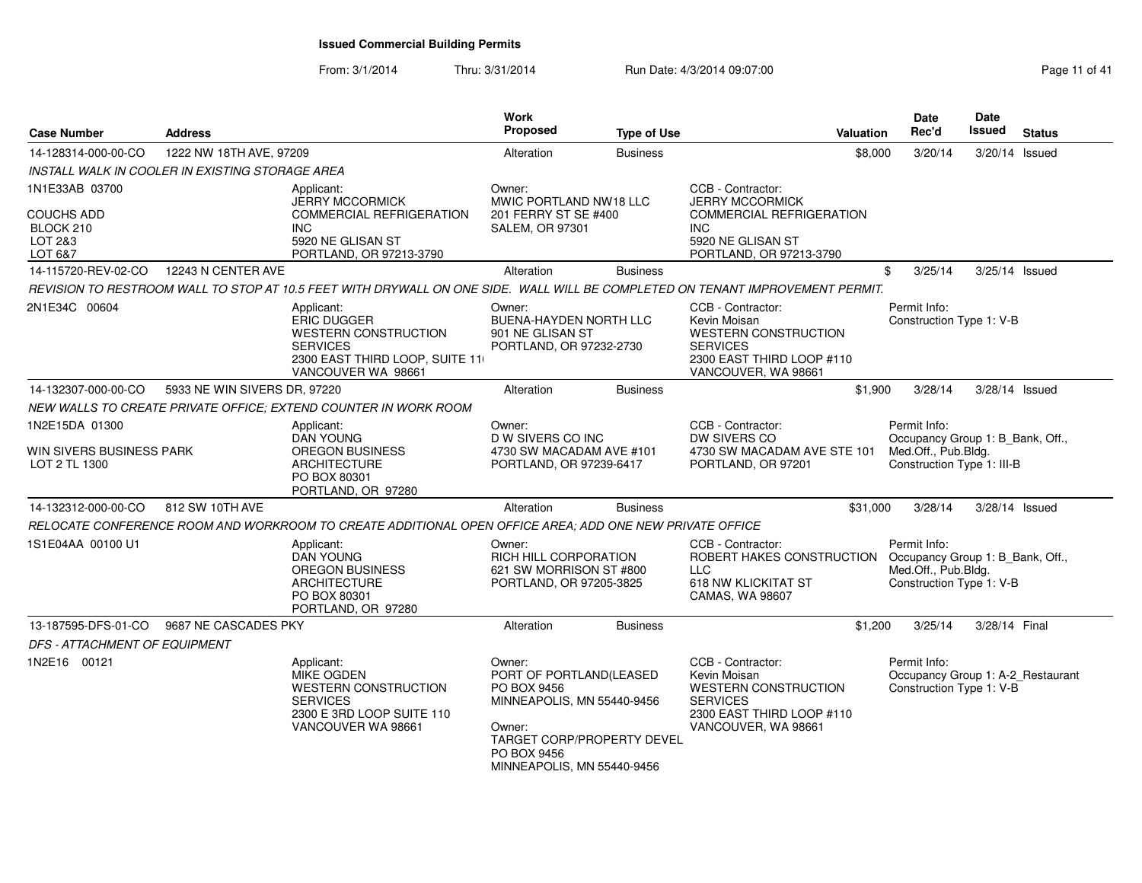| <b>Case Number</b>                                          | <b>Address</b>                                  |                                                                                                                                      | Work<br>Proposed                                                                                                                                                           | <b>Type of Use</b> | <b>Valuation</b>                                                                                                                        | <b>Date</b><br>Rec'd                                                                                  | <b>Date</b><br>Issued | <b>Status</b>  |
|-------------------------------------------------------------|-------------------------------------------------|--------------------------------------------------------------------------------------------------------------------------------------|----------------------------------------------------------------------------------------------------------------------------------------------------------------------------|--------------------|-----------------------------------------------------------------------------------------------------------------------------------------|-------------------------------------------------------------------------------------------------------|-----------------------|----------------|
| 14-128314-000-00-CO                                         | 1222 NW 18TH AVE, 97209                         |                                                                                                                                      | Alteration                                                                                                                                                                 | <b>Business</b>    | \$8,000                                                                                                                                 | 3/20/14                                                                                               | 3/20/14 Issued        |                |
|                                                             | INSTALL WALK IN COOLER IN EXISTING STORAGE AREA |                                                                                                                                      |                                                                                                                                                                            |                    |                                                                                                                                         |                                                                                                       |                       |                |
| 1N1E33AB 03700                                              |                                                 | Applicant:<br><b>JERRY MCCORMICK</b>                                                                                                 | Owner:<br>MWIC PORTLAND NW18 LLC                                                                                                                                           |                    | CCB - Contractor:<br><b>JERRY MCCORMICK</b>                                                                                             |                                                                                                       |                       |                |
| <b>COUCHS ADD</b><br>BLOCK 210<br>LOT 2&3<br>LOT 6&7        |                                                 | <b>COMMERCIAL REFRIGERATION</b><br><b>INC</b><br>5920 NE GLISAN ST<br>PORTLAND, OR 97213-3790                                        | 201 FERRY ST SE #400<br><b>SALEM, OR 97301</b>                                                                                                                             |                    | <b>COMMERCIAL REFRIGERATION</b><br><b>INC</b><br>5920 NE GLISAN ST<br>PORTLAND, OR 97213-3790                                           |                                                                                                       |                       |                |
| 14-115720-REV-02-CO                                         | 12243 N CENTER AVE                              |                                                                                                                                      | Alteration                                                                                                                                                                 | <b>Business</b>    |                                                                                                                                         | \$<br>3/25/14                                                                                         |                       | 3/25/14 Issued |
|                                                             |                                                 | REVISION TO RESTROOM WALL TO STOP AT 10.5 FEET WITH DRYWALL ON ONE SIDE. WALL WILL BE COMPLETED ON TENANT IMPROVEMENT PERMIT.        |                                                                                                                                                                            |                    |                                                                                                                                         |                                                                                                       |                       |                |
| 2N1E34C 00604                                               |                                                 | Applicant:<br><b>ERIC DUGGER</b><br>WESTERN CONSTRUCTION<br><b>SERVICES</b><br>2300 EAST THIRD LOOP, SUITE 11<br>VANCOUVER WA 98661  | Owner:<br>BUENA-HAYDEN NORTH LLC<br>901 NE GLISAN ST<br>PORTLAND, OR 97232-2730                                                                                            |                    | CCB - Contractor:<br>Kevin Moisan<br><b>WESTERN CONSTRUCTION</b><br><b>SERVICES</b><br>2300 EAST THIRD LOOP #110<br>VANCOUVER, WA 98661 | Permit Info:<br>Construction Type 1: V-B                                                              |                       |                |
| 14-132307-000-00-CO                                         | 5933 NE WIN SIVERS DR, 97220                    |                                                                                                                                      | Alteration                                                                                                                                                                 | <b>Business</b>    | \$1,900                                                                                                                                 | 3/28/14                                                                                               |                       | 3/28/14 Issued |
|                                                             |                                                 | NEW WALLS TO CREATE PRIVATE OFFICE; EXTEND COUNTER IN WORK ROOM                                                                      |                                                                                                                                                                            |                    |                                                                                                                                         |                                                                                                       |                       |                |
| 1N2E15DA 01300<br>WIN SIVERS BUSINESS PARK<br>LOT 2 TL 1300 |                                                 | Applicant:<br><b>DAN YOUNG</b><br><b>OREGON BUSINESS</b><br><b>ARCHITECTURE</b><br>PO BOX 80301<br>PORTLAND, OR 97280                | Owner:<br>D W SIVERS CO INC<br>4730 SW MACADAM AVE #101<br>PORTLAND, OR 97239-6417                                                                                         |                    | CCB - Contractor:<br>DW SIVERS CO<br>4730 SW MACADAM AVE STE 101<br>PORTLAND, OR 97201                                                  | Permit Info:<br>Occupancy Group 1: B_Bank, Off.,<br>Med.Off., Pub.Bldg.<br>Construction Type 1: III-B |                       |                |
| 14-132312-000-00-CO                                         | 812 SW 10TH AVE                                 |                                                                                                                                      | Alteration                                                                                                                                                                 | <b>Business</b>    | \$31,000                                                                                                                                | 3/28/14                                                                                               | 3/28/14 Issued        |                |
|                                                             |                                                 | RELOCATE CONFERENCE ROOM AND WORKROOM TO CREATE ADDITIONAL OPEN OFFICE AREA: ADD ONE NEW PRIVATE OFFICE                              |                                                                                                                                                                            |                    |                                                                                                                                         |                                                                                                       |                       |                |
| 1S1E04AA 00100 U1                                           |                                                 | Applicant:<br><b>DAN YOUNG</b><br><b>OREGON BUSINESS</b><br><b>ARCHITECTURE</b><br>PO BOX 80301<br>PORTLAND, OR 97280                | Owner:<br>RICH HILL CORPORATION<br>621 SW MORRISON ST #800<br>PORTLAND, OR 97205-3825                                                                                      |                    | CCB - Contractor:<br>ROBERT HAKES CONSTRUCTION Occupancy Group 1: B_Bank, Off.,<br>LLC<br>618 NW KLICKITAT ST<br>CAMAS, WA 98607        | Permit Info:<br>Med.Off., Pub.Bldg.<br>Construction Type 1: V-B                                       |                       |                |
| 13-187595-DFS-01-CO                                         | 9687 NE CASCADES PKY                            |                                                                                                                                      | Alteration                                                                                                                                                                 | <b>Business</b>    | \$1,200                                                                                                                                 | 3/25/14                                                                                               | 3/28/14 Final         |                |
| DFS - ATTACHMENT OF EQUIPMENT                               |                                                 |                                                                                                                                      |                                                                                                                                                                            |                    |                                                                                                                                         |                                                                                                       |                       |                |
| 1N2E16 00121                                                |                                                 | Applicant:<br><b>MIKE OGDEN</b><br><b>WESTERN CONSTRUCTION</b><br><b>SERVICES</b><br>2300 E 3RD LOOP SUITE 110<br>VANCOUVER WA 98661 | Owner:<br>PORT OF PORTLAND(LEASED<br>PO BOX 9456<br>MINNEAPOLIS, MN 55440-9456<br>Owner:<br><b>TARGET CORP/PROPERTY DEVEL</b><br>PO BOX 9456<br>MINNEAPOLIS, MN 55440-9456 |                    | CCB - Contractor:<br>Kevin Moisan<br><b>WESTERN CONSTRUCTION</b><br><b>SERVICES</b><br>2300 EAST THIRD LOOP #110<br>VANCOUVER, WA 98661 | Permit Info:<br>Occupancy Group 1: A-2_Restaurant<br>Construction Type 1: V-B                         |                       |                |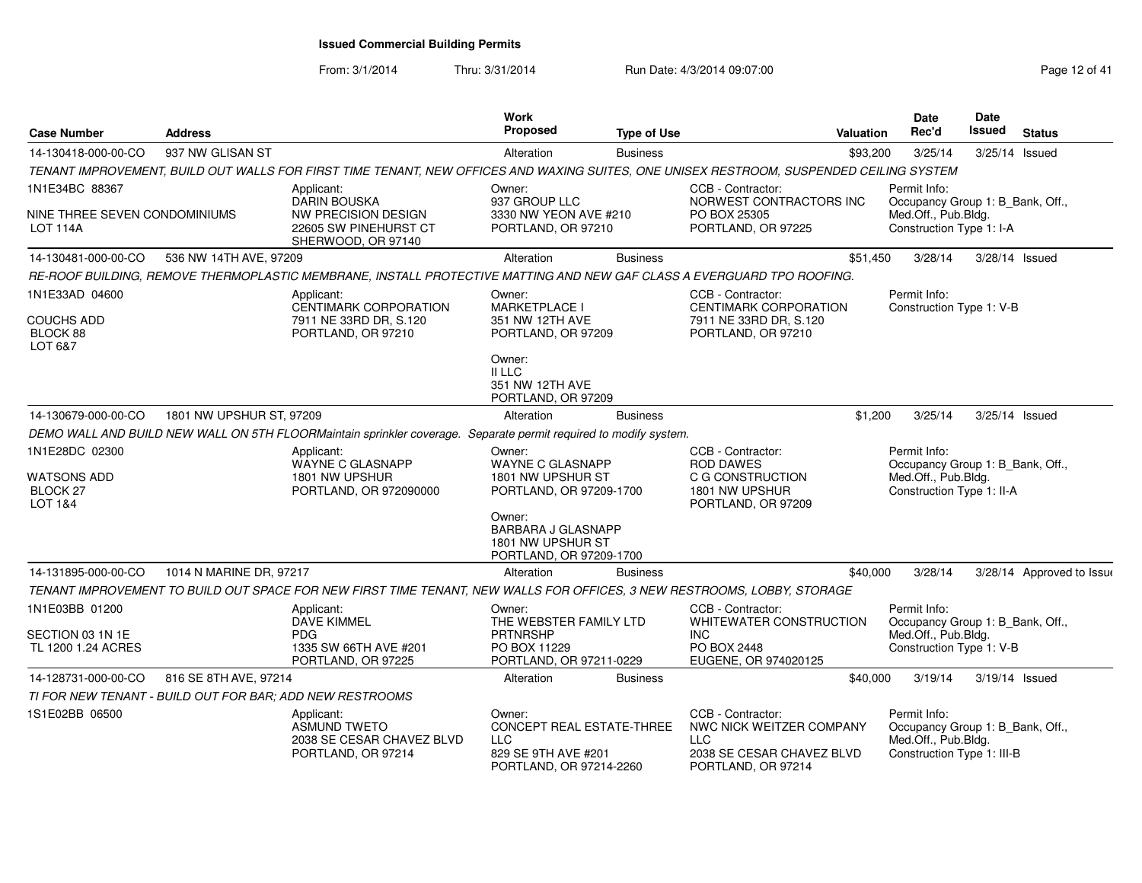| <b>Case Number</b>                                          | <b>Address</b>           |                                                                                                                                         | Work<br>Proposed                                                                                    | <b>Type of Use</b> |                                                                                                         | <b>Valuation</b> | Date<br>Rec'd                                                                                         | <b>Date</b><br><b>Issued</b> | <b>Status</b>             |
|-------------------------------------------------------------|--------------------------|-----------------------------------------------------------------------------------------------------------------------------------------|-----------------------------------------------------------------------------------------------------|--------------------|---------------------------------------------------------------------------------------------------------|------------------|-------------------------------------------------------------------------------------------------------|------------------------------|---------------------------|
| 14-130418-000-00-CO                                         | 937 NW GLISAN ST         |                                                                                                                                         | Alteration                                                                                          | <b>Business</b>    |                                                                                                         | \$93,200         | 3/25/14                                                                                               | 3/25/14 Issued               |                           |
|                                                             |                          | TENANT IMPROVEMENT, BUILD OUT WALLS FOR FIRST TIME TENANT, NEW OFFICES AND WAXING SUITES, ONE UNISEX RESTROOM, SUSPENDED CEILING SYSTEM |                                                                                                     |                    |                                                                                                         |                  |                                                                                                       |                              |                           |
| 1N1E34BC 88367                                              |                          | Applicant:<br><b>DARIN BOUSKA</b>                                                                                                       | Owner:<br>937 GROUP LLC                                                                             |                    | CCB - Contractor:<br>NORWEST CONTRACTORS INC                                                            |                  | Permit Info:<br>Occupancy Group 1: B Bank, Off.,                                                      |                              |                           |
| NINE THREE SEVEN CONDOMINIUMS<br><b>LOT 114A</b>            |                          | <b>NW PRECISION DESIGN</b><br>22605 SW PINEHURST CT<br>SHERWOOD, OR 97140                                                               | 3330 NW YEON AVE #210<br>PORTLAND, OR 97210                                                         |                    | PO BOX 25305<br>PORTLAND, OR 97225                                                                      |                  | Med.Off., Pub.Bldg.<br>Construction Type 1: I-A                                                       |                              |                           |
| 14-130481-000-00-CO                                         | 536 NW 14TH AVE, 97209   |                                                                                                                                         | Alteration                                                                                          | <b>Business</b>    |                                                                                                         | \$51,450         | 3/28/14                                                                                               | 3/28/14 Issued               |                           |
|                                                             |                          | RE-ROOF BUILDING, REMOVE THERMOPLASTIC MEMBRANE, INSTALL PROTECTIVE MATTING AND NEW GAF CLASS A EVERGUARD TPO ROOFING.                  |                                                                                                     |                    |                                                                                                         |                  |                                                                                                       |                              |                           |
| 1N1E33AD 04600<br><b>COUCHS ADD</b><br>BLOCK 88             |                          | Applicant:<br>CENTIMARK CORPORATION<br>7911 NE 33RD DR, S.120<br>PORTLAND, OR 97210                                                     | Owner:<br><b>MARKETPLACE I</b><br>351 NW 12TH AVE<br>PORTLAND, OR 97209                             |                    | CCB - Contractor:<br><b>CENTIMARK CORPORATION</b><br>7911 NE 33RD DR, S.120<br>PORTLAND, OR 97210       |                  | Permit Info:<br>Construction Type 1: V-B                                                              |                              |                           |
| LOT 6&7                                                     |                          |                                                                                                                                         | Owner:<br>II LLC<br>351 NW 12TH AVE<br>PORTLAND, OR 97209                                           |                    |                                                                                                         |                  |                                                                                                       |                              |                           |
| 14-130679-000-00-CO                                         | 1801 NW UPSHUR ST, 97209 |                                                                                                                                         | Alteration                                                                                          | <b>Business</b>    |                                                                                                         | \$1,200          | 3/25/14                                                                                               | 3/25/14 Issued               |                           |
|                                                             |                          | DEMO WALL AND BUILD NEW WALL ON 5TH FLOORMaintain sprinkler coverage. Separate permit required to modify system.                        |                                                                                                     |                    |                                                                                                         |                  |                                                                                                       |                              |                           |
| 1N1E28DC 02300<br><b>WATSONS ADD</b><br>BLOCK 27<br>LOT 1&4 |                          | Applicant:<br>WAYNE C GLASNAPP<br>1801 NW UPSHUR<br>PORTLAND, OR 972090000                                                              | Owner:<br><b>WAYNE C GLASNAPP</b><br>1801 NW UPSHUR ST<br>PORTLAND, OR 97209-1700                   |                    | CCB - Contractor:<br><b>ROD DAWES</b><br>C G CONSTRUCTION<br>1801 NW UPSHUR<br>PORTLAND, OR 97209       |                  | Permit Info:<br>Occupancy Group 1: B_Bank, Off.,<br>Med.Off., Pub.Bldg.<br>Construction Type 1: II-A  |                              |                           |
|                                                             |                          |                                                                                                                                         | Owner:<br><b>BARBARA J GLASNAPP</b><br>1801 NW UPSHUR ST<br>PORTLAND, OR 97209-1700                 |                    |                                                                                                         |                  |                                                                                                       |                              |                           |
| 14-131895-000-00-CO                                         | 1014 N MARINE DR, 97217  |                                                                                                                                         | Alteration                                                                                          | <b>Business</b>    |                                                                                                         | \$40,000         | 3/28/14                                                                                               |                              | 3/28/14 Approved to Issue |
|                                                             |                          | TENANT IMPROVEMENT TO BUILD OUT SPACE FOR NEW FIRST TIME TENANT, NEW WALLS FOR OFFICES, 3 NEW RESTROOMS, LOBBY, STORAGE                 |                                                                                                     |                    |                                                                                                         |                  |                                                                                                       |                              |                           |
| 1N1E03BB 01200                                              |                          | Applicant:<br><b>DAVE KIMMEL</b>                                                                                                        | Owner:<br>THE WEBSTER FAMILY LTD                                                                    |                    | CCB - Contractor:<br>WHITEWATER CONSTRUCTION                                                            |                  | Permit Info:<br>Occupancy Group 1: B_Bank, Off.,                                                      |                              |                           |
| SECTION 03 1N 1E<br>TL 1200 1.24 ACRES                      |                          | <b>PDG</b><br>1335 SW 66TH AVE #201<br>PORTLAND, OR 97225                                                                               | <b>PRTNRSHP</b><br>PO BOX 11229<br>PORTLAND, OR 97211-0229                                          |                    | <b>INC</b><br>PO BOX 2448<br>EUGENE, OR 974020125                                                       |                  | Med.Off., Pub.Bldg.<br>Construction Type 1: V-B                                                       |                              |                           |
| 14-128731-000-00-CO                                         | 816 SE 8TH AVE, 97214    |                                                                                                                                         | Alteration                                                                                          | <b>Business</b>    |                                                                                                         | \$40,000         | 3/19/14                                                                                               | 3/19/14 Issued               |                           |
|                                                             |                          | TI FOR NEW TENANT - BUILD OUT FOR BAR: ADD NEW RESTROOMS                                                                                |                                                                                                     |                    |                                                                                                         |                  |                                                                                                       |                              |                           |
| 1S1E02BB 06500                                              |                          | Applicant:<br>ASMUND TWETO<br>2038 SE CESAR CHAVEZ BLVD<br>PORTLAND, OR 97214                                                           | Owner:<br>CONCEPT REAL ESTATE-THREE<br><b>LLC</b><br>829 SE 9TH AVE #201<br>PORTLAND, OR 97214-2260 |                    | CCB - Contractor:<br>NWC NICK WEITZER COMPANY<br>LLC<br>2038 SE CESAR CHAVEZ BLVD<br>PORTLAND, OR 97214 |                  | Permit Info:<br>Occupancy Group 1: B_Bank, Off.,<br>Med.Off., Pub.Bldg.<br>Construction Type 1: III-B |                              |                           |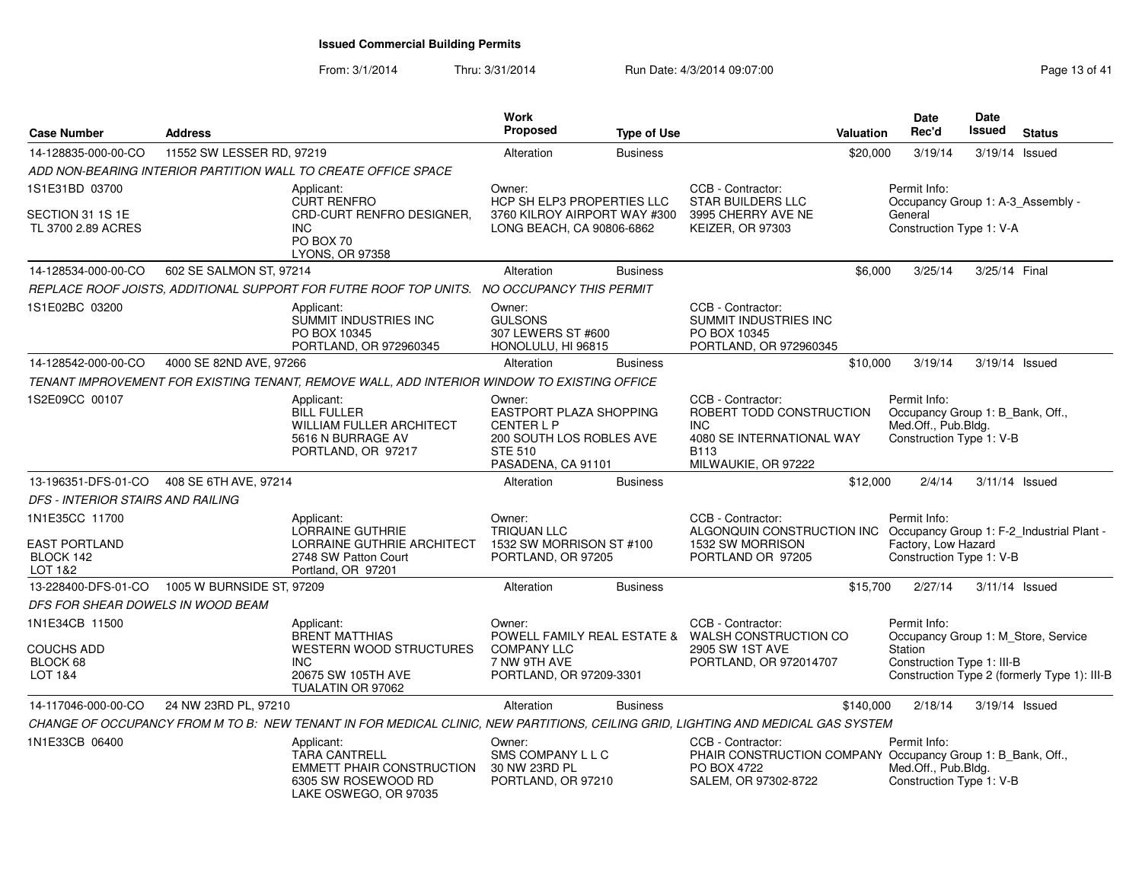| <b>Case Number</b>                                             | <b>Address</b>            |                                                                                                                                  | <b>Work</b><br>Proposed                                                                                                    | <b>Type of Use</b> |                                                                                                                                | Valuation | Date<br>Rec'd                                                                                       | Date<br>Issued | <b>Status</b>                                |
|----------------------------------------------------------------|---------------------------|----------------------------------------------------------------------------------------------------------------------------------|----------------------------------------------------------------------------------------------------------------------------|--------------------|--------------------------------------------------------------------------------------------------------------------------------|-----------|-----------------------------------------------------------------------------------------------------|----------------|----------------------------------------------|
| 14-128835-000-00-CO                                            | 11552 SW LESSER RD, 97219 |                                                                                                                                  | Alteration                                                                                                                 | <b>Business</b>    |                                                                                                                                | \$20,000  | 3/19/14                                                                                             | 3/19/14        | Issued                                       |
|                                                                |                           | ADD NON-BEARING INTERIOR PARTITION WALL TO CREATE OFFICE SPACE                                                                   |                                                                                                                            |                    |                                                                                                                                |           |                                                                                                     |                |                                              |
| 1S1E31BD 03700                                                 |                           | Applicant:<br><b>CURT RENFRO</b>                                                                                                 | Owner:<br>HCP SH ELP3 PROPERTIES LLC                                                                                       |                    | CCB - Contractor:<br><b>STAR BUILDERS LLC</b>                                                                                  |           | Permit Info:<br>Occupancy Group 1: A-3_Assembly -                                                   |                |                                              |
| SECTION 31 1S 1E<br>TL 3700 2.89 ACRES                         |                           | CRD-CURT RENFRO DESIGNER,<br><b>INC</b><br>PO BOX 70<br>LYONS, OR 97358                                                          | 3760 KILROY AIRPORT WAY #300<br>LONG BEACH, CA 90806-6862                                                                  |                    | 3995 CHERRY AVE NE<br>KEIZER, OR 97303                                                                                         |           | General<br>Construction Type 1: V-A                                                                 |                |                                              |
| 14-128534-000-00-CO                                            | 602 SE SALMON ST, 97214   |                                                                                                                                  | Alteration                                                                                                                 | <b>Business</b>    |                                                                                                                                | \$6,000   | 3/25/14                                                                                             | 3/25/14 Final  |                                              |
|                                                                |                           | REPLACE ROOF JOISTS, ADDITIONAL SUPPORT FOR FUTRE ROOF TOP UNITS. NO OCCUPANCY THIS PERMIT                                       |                                                                                                                            |                    |                                                                                                                                |           |                                                                                                     |                |                                              |
| 1S1E02BC 03200                                                 |                           | Applicant:<br><b>SUMMIT INDUSTRIES INC</b><br>PO BOX 10345<br>PORTLAND, OR 972960345                                             | Owner:<br><b>GULSONS</b><br>307 LEWERS ST #600<br>HONOLULU, HI 96815                                                       |                    | CCB - Contractor:<br>SUMMIT INDUSTRIES INC<br>PO BOX 10345<br>PORTLAND, OR 972960345                                           |           |                                                                                                     |                |                                              |
| 14-128542-000-00-CO                                            | 4000 SE 82ND AVE, 97266   |                                                                                                                                  | Alteration                                                                                                                 | <b>Business</b>    |                                                                                                                                | \$10,000  | 3/19/14                                                                                             | 3/19/14 Issued |                                              |
|                                                                |                           | TENANT IMPROVEMENT FOR EXISTING TENANT, REMOVE WALL, ADD INTERIOR WINDOW TO EXISTING OFFICE                                      |                                                                                                                            |                    |                                                                                                                                |           |                                                                                                     |                |                                              |
| 1S2E09CC 00107                                                 |                           | Applicant:<br><b>BILL FULLER</b><br><b>WILLIAM FULLER ARCHITECT</b><br>5616 N BURRAGE AV<br>PORTLAND, OR 97217                   | Owner:<br>EASTPORT PLAZA SHOPPING<br><b>CENTER L P</b><br>200 SOUTH LOS ROBLES AVE<br><b>STE 510</b><br>PASADENA, CA 91101 |                    | CCB - Contractor:<br>ROBERT TODD CONSTRUCTION<br><b>INC</b><br>4080 SE INTERNATIONAL WAY<br><b>B113</b><br>MILWAUKIE, OR 97222 |           | Permit Info:<br>Occupancy Group 1: B_Bank, Off.,<br>Med.Off., Pub.Bldg.<br>Construction Type 1: V-B |                |                                              |
| 13-196351-DFS-01-CO                                            | 408 SE 6TH AVE, 97214     |                                                                                                                                  | Alteration                                                                                                                 | <b>Business</b>    |                                                                                                                                | \$12,000  | 2/4/14                                                                                              | 3/11/14 Issued |                                              |
| <b>DFS - INTERIOR STAIRS AND RAILING</b>                       |                           |                                                                                                                                  |                                                                                                                            |                    |                                                                                                                                |           |                                                                                                     |                |                                              |
| 1N1E35CC 11700<br><b>EAST PORTLAND</b><br>BLOCK 142<br>LOT 1&2 |                           | Applicant:<br>LORRAINE GUTHRIE<br>LORRAINE GUTHRIE ARCHITECT<br>2748 SW Patton Court<br>Portland, OR 97201                       | Owner:<br><b>TRIQUAN LLC</b><br>1532 SW MORRISON ST #100<br>PORTLAND, OR 97205                                             |                    | CCB - Contractor:<br>ALGONQUIN CONSTRUCTION INC<br>1532 SW MORRISON<br>PORTLAND OR 97205                                       |           | Permit Info:<br>Factory, Low Hazard<br>Construction Type 1: V-B                                     |                | Occupancy Group 1: F-2_Industrial Plant -    |
| 13-228400-DFS-01-CO                                            | 1005 W BURNSIDE ST, 97209 |                                                                                                                                  | Alteration                                                                                                                 | <b>Business</b>    |                                                                                                                                | \$15,700  | 2/27/14                                                                                             | 3/11/14 Issued |                                              |
| DFS FOR SHEAR DOWELS IN WOOD BEAM                              |                           |                                                                                                                                  |                                                                                                                            |                    |                                                                                                                                |           |                                                                                                     |                |                                              |
| 1N1E34CB 11500                                                 |                           | Applicant:<br><b>BRENT MATTHIAS</b>                                                                                              | Owner:                                                                                                                     |                    | CCB - Contractor:<br>POWELL FAMILY REAL ESTATE & WALSH CONSTRUCTION CO                                                         |           | Permit Info:                                                                                        |                | Occupancy Group 1: M_Store, Service          |
| <b>COUCHS ADD</b><br>BLOCK 68<br>LOT 1&4                       |                           | <b>WESTERN WOOD STRUCTURES</b><br><b>INC</b><br>20675 SW 105TH AVE<br>TUALATIN OR 97062                                          | <b>COMPANY LLC</b><br>7 NW 9TH AVE<br>PORTLAND, OR 97209-3301                                                              |                    | 2905 SW 1ST AVE<br>PORTLAND, OR 972014707                                                                                      |           | Station<br>Construction Type 1: III-B                                                               |                | Construction Type 2 (formerly Type 1): III-B |
| 14-117046-000-00-CO                                            | 24 NW 23RD PL, 97210      |                                                                                                                                  | Alteration                                                                                                                 | <b>Business</b>    |                                                                                                                                | \$140,000 | 2/18/14                                                                                             | 3/19/14 Issued |                                              |
|                                                                |                           | CHANGE OF OCCUPANCY FROM M TO B: NEW TENANT IN FOR MEDICAL CLINIC, NEW PARTITIONS, CEILING GRID, LIGHTING AND MEDICAL GAS SYSTEM |                                                                                                                            |                    |                                                                                                                                |           |                                                                                                     |                |                                              |
| 1N1E33CB 06400                                                 |                           | Applicant:<br><b>TARA CANTRELL</b><br><b>EMMETT PHAIR CONSTRUCTION</b><br>6305 SW ROSEWOOD RD<br>LAKE OSWEGO, OR 97035           | Owner:<br>SMS COMPANY L L C<br>30 NW 23RD PL<br>PORTLAND, OR 97210                                                         |                    | CCB - Contractor:<br>PHAIR CONSTRUCTION COMPANY Occupancy Group 1: B_Bank, Off.,<br>PO BOX 4722<br>SALEM, OR 97302-8722        |           | Permit Info:<br>Med.Off., Pub.Bldg.<br>Construction Type 1: V-B                                     |                |                                              |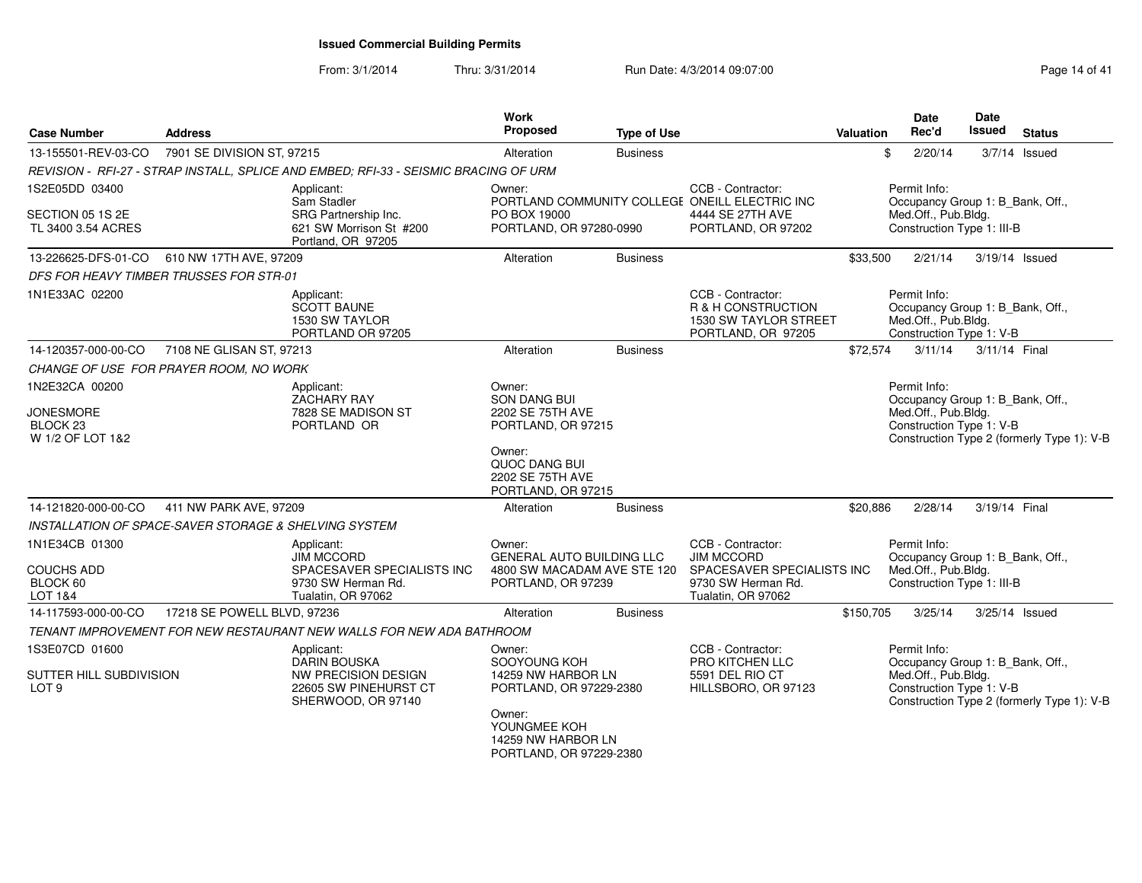| <b>Case Number</b>                                            | <b>Address</b>              |                                                                                                         | <b>Work</b><br>Proposed                                                 | <b>Type of Use</b> |                                                                                                                                                                                                                                                                                                                                                                                                                                                                                                                                                                                                                                                                                                                                                                                                                                                            |  | Date<br>Rec'd | Date<br><b>Issued</b> | <b>Status</b> |
|---------------------------------------------------------------|-----------------------------|---------------------------------------------------------------------------------------------------------|-------------------------------------------------------------------------|--------------------|------------------------------------------------------------------------------------------------------------------------------------------------------------------------------------------------------------------------------------------------------------------------------------------------------------------------------------------------------------------------------------------------------------------------------------------------------------------------------------------------------------------------------------------------------------------------------------------------------------------------------------------------------------------------------------------------------------------------------------------------------------------------------------------------------------------------------------------------------------|--|---------------|-----------------------|---------------|
| 13-155501-REV-03-CO                                           | 7901 SE DIVISION ST, 97215  |                                                                                                         | Alteration                                                              | <b>Business</b>    |                                                                                                                                                                                                                                                                                                                                                                                                                                                                                                                                                                                                                                                                                                                                                                                                                                                            |  | 2/20/14       |                       |               |
|                                                               |                             | REVISION - RFI-27 - STRAP INSTALL, SPLICE AND EMBED; RFI-33 - SEISMIC BRACING OF URM                    |                                                                         |                    |                                                                                                                                                                                                                                                                                                                                                                                                                                                                                                                                                                                                                                                                                                                                                                                                                                                            |  |               |                       |               |
| 1S2E05DD 03400<br>SECTION 05 1S 2E<br>TL 3400 3.54 ACRES      |                             | Applicant:<br>Sam Stadler<br>SRG Partnership Inc.<br>621 SW Morrison St #200<br>Portland, OR 97205      | Owner:<br>PO BOX 19000<br>PORTLAND, OR 97280-0990                       |                    | CCB - Contractor:<br>PORTLAND COMMUNITY COLLEGE ONEILL ELECTRIC INC<br>4444 SE 27TH AVE<br>PORTLAND, OR 97202                                                                                                                                                                                                                                                                                                                                                                                                                                                                                                                                                                                                                                                                                                                                              |  |               |                       |               |
| 13-226625-DFS-01-CO                                           | 610 NW 17TH AVE, 97209      |                                                                                                         | Alteration                                                              | <b>Business</b>    |                                                                                                                                                                                                                                                                                                                                                                                                                                                                                                                                                                                                                                                                                                                                                                                                                                                            |  | 2/21/14       |                       |               |
| DFS FOR HEAVY TIMBER TRUSSES FOR STR-01                       |                             |                                                                                                         |                                                                         |                    |                                                                                                                                                                                                                                                                                                                                                                                                                                                                                                                                                                                                                                                                                                                                                                                                                                                            |  |               |                       |               |
| 1N1E33AC 02200                                                |                             | Applicant:<br><b>SCOTT BAUNE</b><br>1530 SW TAYLOR<br>PORTLAND OR 97205                                 |                                                                         |                    | CCB - Contractor:<br><b>R &amp; H CONSTRUCTION</b><br>PORTLAND, OR 97205                                                                                                                                                                                                                                                                                                                                                                                                                                                                                                                                                                                                                                                                                                                                                                                   |  |               |                       |               |
| 14-120357-000-00-CO                                           | 7108 NE GLISAN ST, 97213    |                                                                                                         | Alteration                                                              | <b>Business</b>    |                                                                                                                                                                                                                                                                                                                                                                                                                                                                                                                                                                                                                                                                                                                                                                                                                                                            |  | 3/11/14       |                       |               |
| CHANGE OF USE FOR PRAYER ROOM, NO WORK                        |                             |                                                                                                         |                                                                         |                    |                                                                                                                                                                                                                                                                                                                                                                                                                                                                                                                                                                                                                                                                                                                                                                                                                                                            |  |               |                       |               |
| 1N2E32CA 00200                                                |                             | Applicant:<br>ZACHARY RAY                                                                               | Owner:<br><b>SON DANG BUI</b>                                           |                    |                                                                                                                                                                                                                                                                                                                                                                                                                                                                                                                                                                                                                                                                                                                                                                                                                                                            |  |               |                       |               |
| <b>JONESMORE</b><br>BLOCK <sub>23</sub><br>W 1/2 OF LOT 1&2   |                             | 7828 SE MADISON ST<br>PORTLAND OR                                                                       | 2202 SE 75TH AVE<br>PORTLAND, OR 97215                                  |                    |                                                                                                                                                                                                                                                                                                                                                                                                                                                                                                                                                                                                                                                                                                                                                                                                                                                            |  |               |                       |               |
|                                                               |                             |                                                                                                         | Owner:<br>QUOC DANG BUI<br>2202 SE 75TH AVE<br>PORTLAND, OR 97215       |                    |                                                                                                                                                                                                                                                                                                                                                                                                                                                                                                                                                                                                                                                                                                                                                                                                                                                            |  |               |                       |               |
| 14-121820-000-00-CO                                           | 411 NW PARK AVE, 97209      |                                                                                                         | Alteration                                                              | <b>Business</b>    |                                                                                                                                                                                                                                                                                                                                                                                                                                                                                                                                                                                                                                                                                                                                                                                                                                                            |  | 2/28/14       |                       |               |
| INSTALLATION OF SPACE-SAVER STORAGE & SHELVING SYSTEM         |                             |                                                                                                         |                                                                         |                    |                                                                                                                                                                                                                                                                                                                                                                                                                                                                                                                                                                                                                                                                                                                                                                                                                                                            |  |               |                       |               |
| 1N1E34CB 01300                                                |                             | Applicant:<br><b>JIM MCCORD</b>                                                                         | Owner:<br><b>GENERAL AUTO BUILDING LLC</b>                              |                    | CCB - Contractor:<br><b>JIM MCCORD</b>                                                                                                                                                                                                                                                                                                                                                                                                                                                                                                                                                                                                                                                                                                                                                                                                                     |  |               |                       |               |
| <b>COUCHS ADD</b><br>BLOCK 60<br>LOT 1&4                      |                             | SPACESAVER SPECIALISTS INC<br>9730 SW Herman Rd.<br>Tualatin, OR 97062                                  | 4800 SW MACADAM AVE STE 120<br>PORTLAND, OR 97239                       |                    | 9730 SW Herman Rd.<br>Tualatin, OR 97062                                                                                                                                                                                                                                                                                                                                                                                                                                                                                                                                                                                                                                                                                                                                                                                                                   |  |               |                       |               |
| 14-117593-000-00-CO                                           | 17218 SE POWELL BLVD, 97236 |                                                                                                         | Alteration                                                              | <b>Business</b>    |                                                                                                                                                                                                                                                                                                                                                                                                                                                                                                                                                                                                                                                                                                                                                                                                                                                            |  | 3/25/14       |                       |               |
|                                                               |                             | TENANT IMPROVEMENT FOR NEW RESTAURANT NEW WALLS FOR NEW ADA BATHROOM                                    |                                                                         |                    |                                                                                                                                                                                                                                                                                                                                                                                                                                                                                                                                                                                                                                                                                                                                                                                                                                                            |  |               |                       |               |
| 1S3E07CD 01600<br>SUTTER HILL SUBDIVISION<br>LOT <sub>9</sub> |                             | Applicant:<br><b>DARIN BOUSKA</b><br>NW PRECISION DESIGN<br>22605 SW PINEHURST CT<br>SHERWOOD, OR 97140 | Owner:<br>SOOYOUNG KOH<br>14259 NW HARBOR LN<br>PORTLAND, OR 97229-2380 |                    | CCB - Contractor:<br>PRO KITCHEN LLC<br>5591 DEL RIO CT<br>HILLSBORO, OR 97123                                                                                                                                                                                                                                                                                                                                                                                                                                                                                                                                                                                                                                                                                                                                                                             |  |               |                       |               |
|                                                               |                             |                                                                                                         | Owner:<br>YOUNGMEE KOH<br>14259 NW HARBOR LN<br>PORTLAND, OR 97229-2380 |                    | <b>Valuation</b><br>$3/7/14$ Issued<br>\$<br>Permit Info:<br>Occupancy Group 1: B_Bank, Off.,<br>Med.Off., Pub.Bldg.<br>Construction Type 1: III-B<br>\$33,500<br>3/19/14 Issued<br>Permit Info:<br>Occupancy Group 1: B_Bank, Off.,<br>Med.Off., Pub.Bldg.<br>1530 SW TAYLOR STREET<br>Construction Type 1: V-B<br>\$72,574<br>3/11/14 Final<br>Permit Info:<br>Occupancy Group 1: B_Bank, Off.,<br>Med.Off., Pub.Bldg.<br>Construction Type 1: V-B<br>Construction Type 2 (formerly Type 1): V-B<br>\$20.886<br>3/19/14 Final<br>Permit Info:<br>Occupancy Group 1: B_Bank, Off.,<br>SPACESAVER SPECIALISTS INC<br>Med.Off., Pub.Bldg.<br>Construction Type 1: III-B<br>\$150,705<br>3/25/14 Issued<br>Permit Info:<br>Occupancy Group 1: B_Bank, Off.,<br>Med.Off., Pub.Bldg.<br>Construction Type 1: V-B<br>Construction Type 2 (formerly Type 1): V-B |  |               |                       |               |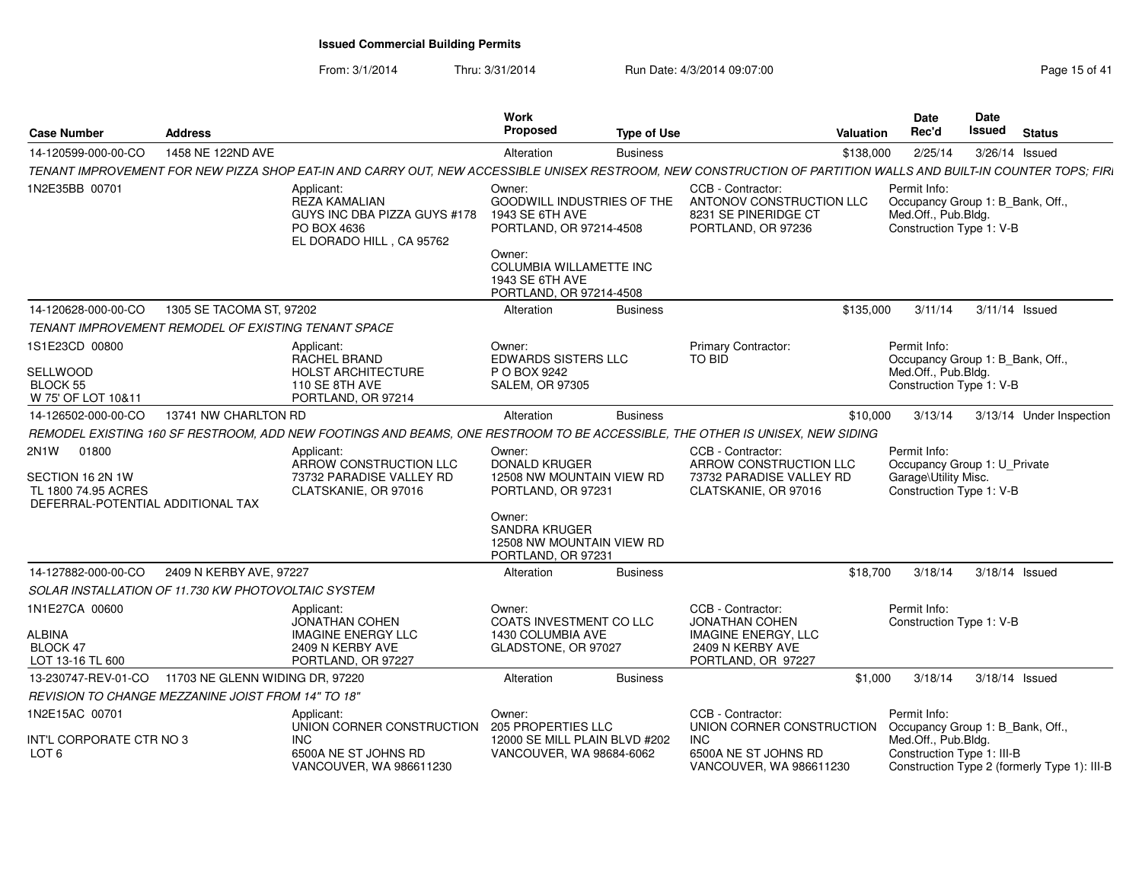| <b>Case Number</b>                                                                                         | <b>Address</b>                  |                                                                                                                                                                 | Work<br><b>Proposed</b>                                                           | <b>Type of Use</b> |                                                                                                 | <b>Valuation</b> | Date<br>Rec'd                                                                                    | <b>Date</b><br><b>Issued</b> | <b>Status</b>                                |
|------------------------------------------------------------------------------------------------------------|---------------------------------|-----------------------------------------------------------------------------------------------------------------------------------------------------------------|-----------------------------------------------------------------------------------|--------------------|-------------------------------------------------------------------------------------------------|------------------|--------------------------------------------------------------------------------------------------|------------------------------|----------------------------------------------|
| 14-120599-000-00-CO                                                                                        | 1458 NE 122ND AVE               |                                                                                                                                                                 | Alteration                                                                        | <b>Business</b>    |                                                                                                 | \$138,000        | 2/25/14                                                                                          |                              | 3/26/14 Issued                               |
|                                                                                                            |                                 | TENANT IMPROVEMENT FOR NEW PIZZA SHOP EAT-IN AND CARRY OUT, NEW ACCESSIBLE UNISEX RESTROOM, NEW CONSTRUCTION OF PARTITION WALLS AND BUILT-IN COUNTER TOPS; FIRI |                                                                                   |                    |                                                                                                 |                  |                                                                                                  |                              |                                              |
| 1N2E35BB 00701                                                                                             |                                 | Applicant:                                                                                                                                                      | Owner:                                                                            |                    | CCB - Contractor:                                                                               |                  | Permit Info:                                                                                     |                              |                                              |
|                                                                                                            |                                 | <b>REZA KAMALIAN</b><br>GUYS INC DBA PIZZA GUYS #178<br>PO BOX 4636<br>EL DORADO HILL, CA 95762                                                                 | <b>GOODWILL INDUSTRIES OF THE</b><br>1943 SE 6TH AVE<br>PORTLAND, OR 97214-4508   |                    | ANTONOV CONSTRUCTION LLC<br>8231 SE PINERIDGE CT<br>PORTLAND, OR 97236                          |                  | Occupancy Group 1: B_Bank, Off.,<br>Med.Off., Pub.Bldg.<br>Construction Type 1: V-B              |                              |                                              |
|                                                                                                            |                                 |                                                                                                                                                                 | Owner:<br>COLUMBIA WILLAMETTE INC<br>1943 SE 6TH AVE<br>PORTLAND, OR 97214-4508   |                    |                                                                                                 |                  |                                                                                                  |                              |                                              |
| 14-120628-000-00-CO                                                                                        | 1305 SE TACOMA ST, 97202        |                                                                                                                                                                 | Alteration                                                                        | <b>Business</b>    |                                                                                                 | \$135,000        | 3/11/14                                                                                          |                              | 3/11/14 Issued                               |
| TENANT IMPROVEMENT REMODEL OF EXISTING TENANT SPACE                                                        |                                 |                                                                                                                                                                 |                                                                                   |                    |                                                                                                 |                  |                                                                                                  |                              |                                              |
| 1S1E23CD 00800                                                                                             |                                 | Applicant:                                                                                                                                                      | Owner:                                                                            |                    | <b>Primary Contractor:</b>                                                                      |                  | Permit Info:                                                                                     |                              |                                              |
| SELLWOOD<br><b>BLOCK 55</b><br>W 75' OF LOT 10&11                                                          |                                 | <b>RACHEL BRAND</b><br><b>HOLST ARCHITECTURE</b><br>110 SE 8TH AVE<br>PORTLAND, OR 97214                                                                        | <b>EDWARDS SISTERS LLC</b><br>P O BOX 9242<br><b>SALEM, OR 97305</b>              |                    | TO BID                                                                                          |                  | Occupancy Group 1: B_Bank, Off.,<br>Med.Off., Pub.Bldg.<br>Construction Type 1: V-B              |                              |                                              |
| 14-126502-000-00-CO                                                                                        | 13741 NW CHARLTON RD            |                                                                                                                                                                 | Alteration                                                                        | <b>Business</b>    |                                                                                                 | \$10,000         | 3/13/14                                                                                          |                              | 3/13/14 Under Inspection                     |
|                                                                                                            |                                 | REMODEL EXISTING 160 SF RESTROOM, ADD NEW FOOTINGS AND BEAMS, ONE RESTROOM TO BE ACCESSIBLE, THE OTHER IS UNISEX, NEW SIDING                                    |                                                                                   |                    |                                                                                                 |                  |                                                                                                  |                              |                                              |
| 2N <sub>1</sub> W<br>01800<br>SECTION 16 2N 1W<br>TL 1800 74.95 ACRES<br>DEFERRAL-POTENTIAL ADDITIONAL TAX |                                 | Applicant:<br>ARROW CONSTRUCTION LLC<br>73732 PARADISE VALLEY RD<br>CLATSKANIE, OR 97016                                                                        | Owner:<br><b>DONALD KRUGER</b><br>12508 NW MOUNTAIN VIEW RD<br>PORTLAND, OR 97231 |                    | CCB - Contractor:<br>ARROW CONSTRUCTION LLC<br>73732 PARADISE VALLEY RD<br>CLATSKANIE, OR 97016 |                  | Permit Info:<br>Occupancy Group 1: U Private<br>Garage\Utility Misc.<br>Construction Type 1: V-B |                              |                                              |
|                                                                                                            |                                 |                                                                                                                                                                 | Owner:<br>SANDRA KRUGER<br>12508 NW MOUNTAIN VIEW RD<br>PORTLAND, OR 97231        |                    |                                                                                                 |                  |                                                                                                  |                              |                                              |
| 14-127882-000-00-CO                                                                                        | 2409 N KERBY AVE, 97227         |                                                                                                                                                                 | Alteration                                                                        | <b>Business</b>    |                                                                                                 | \$18,700         | 3/18/14                                                                                          |                              | 3/18/14 Issued                               |
| SOLAR INSTALLATION OF 11.730 KW PHOTOVOLTAIC SYSTEM                                                        |                                 |                                                                                                                                                                 |                                                                                   |                    |                                                                                                 |                  |                                                                                                  |                              |                                              |
| 1N1E27CA 00600                                                                                             |                                 | Applicant:<br><b>JONATHAN COHEN</b>                                                                                                                             | Owner:<br>COATS INVESTMENT CO LLC                                                 |                    | CCB - Contractor:<br><b>JONATHAN COHEN</b>                                                      |                  | Permit Info:<br>Construction Type 1: V-B                                                         |                              |                                              |
| ALBINA<br>BLOCK 47<br>LOT 13-16 TL 600                                                                     |                                 | <b>IMAGINE ENERGY LLC</b><br>2409 N KERBY AVE<br>PORTLAND, OR 97227                                                                                             | 1430 COLUMBIA AVE<br>GLADSTONE, OR 97027                                          |                    | <b>IMAGINE ENERGY, LLC</b><br>2409 N KERBY AVE<br>PORTLAND, OR 97227                            |                  |                                                                                                  |                              |                                              |
| 13-230747-REV-01-CO                                                                                        | 11703 NE GLENN WIDING DR, 97220 |                                                                                                                                                                 | Alteration                                                                        | <b>Business</b>    |                                                                                                 | \$1,000          | 3/18/14                                                                                          |                              | 3/18/14 Issued                               |
| <b>REVISION TO CHANGE MEZZANINE JOIST FROM 14" TO 18"</b>                                                  |                                 |                                                                                                                                                                 |                                                                                   |                    |                                                                                                 |                  |                                                                                                  |                              |                                              |
| 1N2E15AC 00701                                                                                             |                                 | Applicant:<br>UNION CORNER CONSTRUCTION                                                                                                                         | Owner:<br>205 PROPERTIES LLC                                                      |                    | CCB - Contractor:<br>UNION CORNER CONSTRUCTION                                                  |                  | Permit Info:<br>Occupancy Group 1: B_Bank, Off.,                                                 |                              |                                              |
| INT'L CORPORATE CTR NO 3<br>LOT 6                                                                          |                                 | <b>INC</b><br>6500A NE ST JOHNS RD<br>VANCOUVER, WA 986611230                                                                                                   | 12000 SE MILL PLAIN BLVD #202<br>VANCOUVER, WA 98684-6062                         |                    | <b>INC</b><br>6500A NE ST JOHNS RD<br>VANCOUVER, WA 986611230                                   |                  | Med.Off., Pub.Bldg.<br>Construction Type 1: III-B                                                |                              | Construction Type 2 (formerly Type 1): III-B |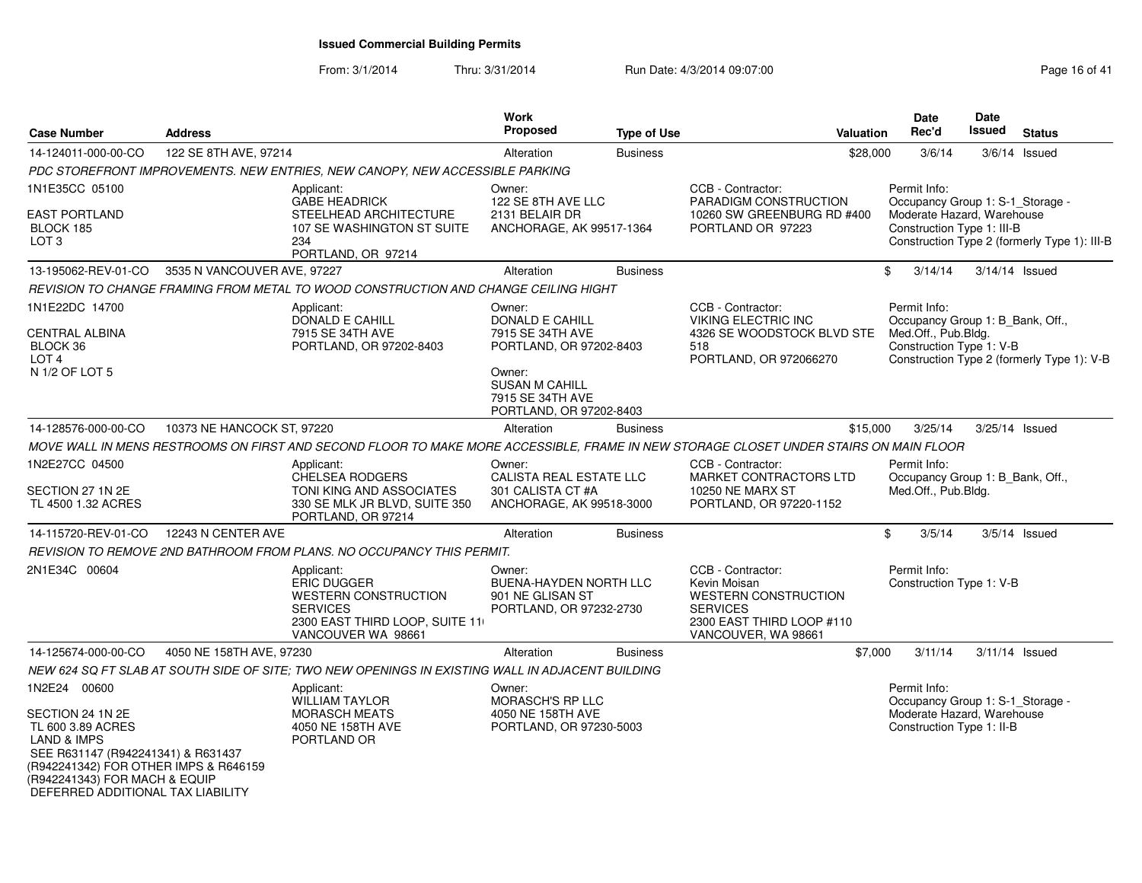| <b>Case Number</b>                                                                                                                                  | <b>Address</b>              |                                                                                                                                       | <b>Work</b><br><b>Proposed</b>                                                         | <b>Type of Use</b> | Valuation                                                                                                                        | <b>Date</b><br>Rec'd                | Date<br>Issued                                                                               | <b>Status</b>                                |
|-----------------------------------------------------------------------------------------------------------------------------------------------------|-----------------------------|---------------------------------------------------------------------------------------------------------------------------------------|----------------------------------------------------------------------------------------|--------------------|----------------------------------------------------------------------------------------------------------------------------------|-------------------------------------|----------------------------------------------------------------------------------------------|----------------------------------------------|
| 14-124011-000-00-CO                                                                                                                                 | 122 SE 8TH AVE, 97214       |                                                                                                                                       | Alteration                                                                             | <b>Business</b>    | \$28,000                                                                                                                         | 3/6/14                              |                                                                                              | $3/6/14$ Issued                              |
|                                                                                                                                                     |                             | PDC STOREFRONT IMPROVEMENTS. NEW ENTRIES, NEW CANOPY, NEW ACCESSIBLE PARKING                                                          |                                                                                        |                    |                                                                                                                                  |                                     |                                                                                              |                                              |
| 1N1E35CC 05100                                                                                                                                      |                             | Applicant:                                                                                                                            | Owner:                                                                                 |                    | CCB - Contractor:                                                                                                                | Permit Info:                        |                                                                                              |                                              |
| <b>EAST PORTLAND</b><br>BLOCK 185<br>LOT <sub>3</sub>                                                                                               |                             | <b>GABE HEADRICK</b><br>STEELHEAD ARCHITECTURE<br>107 SE WASHINGTON ST SUITE<br>234<br>PORTLAND, OR 97214                             | 122 SE 8TH AVE LLC<br>2131 BELAIR DR<br>ANCHORAGE, AK 99517-1364                       |                    | PARADIGM CONSTRUCTION<br>10260 SW GREENBURG RD #400<br>PORTLAND OR 97223                                                         |                                     | Occupancy Group 1: S-1_Storage -<br>Moderate Hazard, Warehouse<br>Construction Type 1: III-B | Construction Type 2 (formerly Type 1): III-B |
| 13-195062-REV-01-CO                                                                                                                                 | 3535 N VANCOUVER AVE, 97227 |                                                                                                                                       | Alteration                                                                             | <b>Business</b>    |                                                                                                                                  | 3/14/14<br>\$                       |                                                                                              | 3/14/14 Issued                               |
|                                                                                                                                                     |                             | REVISION TO CHANGE FRAMING FROM METAL TO WOOD CONSTRUCTION AND CHANGE CEILING HIGHT                                                   |                                                                                        |                    |                                                                                                                                  |                                     |                                                                                              |                                              |
| 1N1E22DC 14700                                                                                                                                      |                             | Applicant:<br>DONALD E CAHILL                                                                                                         | Owner:<br>DONALD E CAHILL                                                              |                    | CCB - Contractor:<br><b>VIKING ELECTRIC INC</b>                                                                                  | Permit Info:                        | Occupancy Group 1: B_Bank, Off.,                                                             |                                              |
| <b>CENTRAL ALBINA</b><br>BLOCK 36<br>LOT <sub>4</sub>                                                                                               |                             | 7915 SE 34TH AVE<br>PORTLAND, OR 97202-8403                                                                                           | 7915 SE 34TH AVE<br>PORTLAND, OR 97202-8403                                            |                    | 4326 SE WOODSTOCK BLVD STE<br>518<br>PORTLAND, OR 972066270                                                                      | Med.Off., Pub.Bldg.                 | Construction Type 1: V-B                                                                     | Construction Type 2 (formerly Type 1): V-B   |
| N 1/2 OF LOT 5                                                                                                                                      |                             |                                                                                                                                       | Owner:<br><b>SUSAN M CAHILL</b><br>7915 SE 34TH AVE<br>PORTLAND, OR 97202-8403         |                    |                                                                                                                                  |                                     |                                                                                              |                                              |
| 14-128576-000-00-CO                                                                                                                                 | 10373 NE HANCOCK ST, 97220  |                                                                                                                                       | Alteration                                                                             | <b>Business</b>    | \$15,000                                                                                                                         | 3/25/14                             |                                                                                              | 3/25/14 Issued                               |
|                                                                                                                                                     |                             | MOVE WALL IN MENS RESTROOMS ON FIRST AND SECOND FLOOR TO MAKE MORE ACCESSIBLE, FRAME IN NEW STORAGE CLOSET UNDER STAIRS ON MAIN FLOOR |                                                                                        |                    |                                                                                                                                  |                                     |                                                                                              |                                              |
| 1N2E27CC 04500<br>SECTION 27 1N 2E<br>TL 4500 1.32 ACRES                                                                                            |                             | Applicant:<br><b>CHELSEA RODGERS</b><br>TONI KING AND ASSOCIATES<br>330 SE MLK JR BLVD, SUITE 350<br>PORTLAND, OR 97214               | Owner:<br>CALISTA REAL ESTATE LLC<br>301 CALISTA CT #A<br>ANCHORAGE, AK 99518-3000     |                    | CCB - Contractor:<br>MARKET CONTRACTORS LTD<br><b>10250 NE MARX ST</b><br>PORTLAND, OR 97220-1152                                | Permit Info:<br>Med.Off., Pub.Bldg. | Occupancy Group 1: B_Bank, Off.,                                                             |                                              |
| 14-115720-REV-01-CO                                                                                                                                 | 12243 N CENTER AVE          |                                                                                                                                       | Alteration                                                                             | <b>Business</b>    |                                                                                                                                  | \$<br>3/5/14                        |                                                                                              | $3/5/14$ Issued                              |
|                                                                                                                                                     |                             | REVISION TO REMOVE 2ND BATHROOM FROM PLANS. NO OCCUPANCY THIS PERMIT.                                                                 |                                                                                        |                    |                                                                                                                                  |                                     |                                                                                              |                                              |
| 2N1E34C 00604                                                                                                                                       |                             | Applicant:<br><b>ERIC DUGGER</b><br>WESTERN CONSTRUCTION<br><b>SERVICES</b><br>2300 EAST THIRD LOOP, SUITE 11<br>VANCOUVER WA 98661   | Owner:<br><b>BUENA-HAYDEN NORTH LLC</b><br>901 NE GLISAN ST<br>PORTLAND, OR 97232-2730 |                    | CCB - Contractor:<br>Kevin Moisan<br>WESTERN CONSTRUCTION<br><b>SERVICES</b><br>2300 EAST THIRD LOOP #110<br>VANCOUVER, WA 98661 | Permit Info:                        | Construction Type 1: V-B                                                                     |                                              |
| 14-125674-000-00-CO                                                                                                                                 | 4050 NE 158TH AVE, 97230    |                                                                                                                                       | Alteration                                                                             | <b>Business</b>    | \$7,000                                                                                                                          | 3/11/14                             |                                                                                              | $3/11/14$ Issued                             |
|                                                                                                                                                     |                             | NEW 624 SQ FT SLAB AT SOUTH SIDE OF SITE: TWO NEW OPENINGS IN EXISTING WALL IN ADJACENT BUILDING                                      |                                                                                        |                    |                                                                                                                                  |                                     |                                                                                              |                                              |
| 1N2E24 00600<br>SECTION 24 1N 2E<br>TL 600 3.89 ACRES<br>LAND & IMPS<br>SEE R631147 (R942241341) & R631437<br>(R942241342) FOR OTHER IMPS & R646159 |                             | Applicant:<br>WILLIAM TAYLOR<br><b>MORASCH MEATS</b><br>4050 NE 158TH AVE<br>PORTLAND OR                                              | Owner:<br>MORASCH'S RP LLC<br>4050 NE 158TH AVE<br>PORTLAND, OR 97230-5003             |                    |                                                                                                                                  | Permit Info:                        | Occupancy Group 1: S-1_Storage -<br>Moderate Hazard, Warehouse<br>Construction Type 1: II-B  |                                              |
| (R942241343) FOR MACH & EQUIP<br>DEFERRED ADDITIONAL TAX LIABILITY                                                                                  |                             |                                                                                                                                       |                                                                                        |                    |                                                                                                                                  |                                     |                                                                                              |                                              |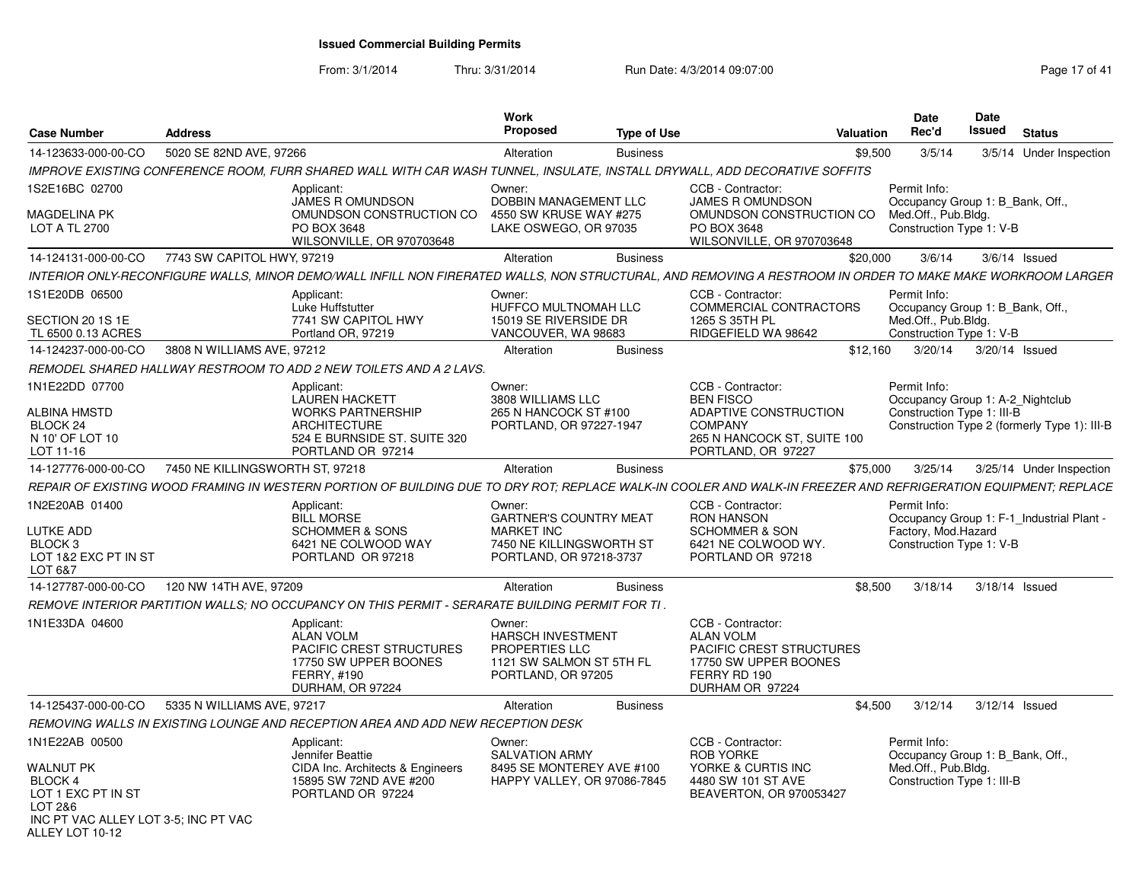From: 3/1/2014

Thru: 3/31/2014 Run Date: 4/3/2014 09:07:00

| <b>Case Number</b>                                                                                                                        | <b>Address</b>                                                                                                                                                 | <b>Work</b><br><b>Proposed</b>                                                                                      | <b>Type of Use</b> |                                                                                                                                       | <b>Valuation</b> | Date<br>Rec'd                                                                                         | Date<br>Issued | <b>Status</b>                                |
|-------------------------------------------------------------------------------------------------------------------------------------------|----------------------------------------------------------------------------------------------------------------------------------------------------------------|---------------------------------------------------------------------------------------------------------------------|--------------------|---------------------------------------------------------------------------------------------------------------------------------------|------------------|-------------------------------------------------------------------------------------------------------|----------------|----------------------------------------------|
| 14-123633-000-00-CO                                                                                                                       | 5020 SE 82ND AVE, 97266                                                                                                                                        | Alteration                                                                                                          | <b>Business</b>    |                                                                                                                                       | \$9,500          | 3/5/14                                                                                                |                | 3/5/14 Under Inspection                      |
|                                                                                                                                           | IMPROVE EXISTING CONFERENCE ROOM. FURR SHARED WALL WITH CAR WASH TUNNEL, INSULATE, INSTALL DRYWALL, ADD DECORATIVE SOFFITS                                     |                                                                                                                     |                    |                                                                                                                                       |                  |                                                                                                       |                |                                              |
| 1S2E16BC 02700<br><b>MAGDELINA PK</b><br><b>LOT A TL 2700</b>                                                                             | Applicant:<br><b>JAMES R OMUNDSON</b><br>OMUNDSON CONSTRUCTION CO<br>PO BOX 3648<br>WILSONVILLE, OR 970703648                                                  | Owner:<br>DOBBIN MANAGEMENT LLC<br>4550 SW KRUSE WAY #275<br>LAKE OSWEGO, OR 97035                                  |                    | CCB - Contractor:<br>JAMES R OMUNDSON<br>OMUNDSON CONSTRUCTION CO<br>PO BOX 3648<br>WILSONVILLE, OR 970703648                         |                  | Permit Info:<br>Occupancy Group 1: B_Bank, Off.,<br>Med.Off., Pub.Bldg.<br>Construction Type 1: V-B   |                |                                              |
| 14-124131-000-00-CO                                                                                                                       | 7743 SW CAPITOL HWY, 97219                                                                                                                                     | Alteration                                                                                                          | <b>Business</b>    |                                                                                                                                       | \$20,000         | 3/6/14                                                                                                |                | $3/6/14$ Issued                              |
|                                                                                                                                           | INTERIOR ONLY-RECONFIGURE WALLS, MINOR DEMO/WALL INFILL NON FIRERATED WALLS, NON STRUCTURAL, AND REMOVING A RESTROOM IN ORDER TO MAKE MAKE WORKROOM LARGER     |                                                                                                                     |                    |                                                                                                                                       |                  |                                                                                                       |                |                                              |
| 1S1E20DB 06500<br>SECTION 20 1S 1E                                                                                                        | Applicant:<br>Luke Huffstutter<br>7741 SW CAPITOL HWY                                                                                                          | Owner:<br>HUFFCO MULTNOMAH LLC<br>15019 SE RIVERSIDE DR                                                             |                    | CCB - Contractor:<br>COMMERCIAL CONTRACTORS<br>1265 S 35TH PL                                                                         |                  | Permit Info:<br>Occupancy Group 1: B Bank, Off.,<br>Med.Off., Pub.Bldg.                               |                |                                              |
| TL 6500 0.13 ACRES                                                                                                                        | Portland OR, 97219                                                                                                                                             | VANCOUVER, WA 98683                                                                                                 |                    | RIDGEFIELD WA 98642                                                                                                                   |                  | Construction Type 1: V-B                                                                              |                |                                              |
| 14-124237-000-00-CO                                                                                                                       | 3808 N WILLIAMS AVE, 97212                                                                                                                                     | Alteration                                                                                                          | <b>Business</b>    |                                                                                                                                       | \$12,160         | 3/20/14                                                                                               | 3/20/14 Issued |                                              |
|                                                                                                                                           | REMODEL SHARED HALLWAY RESTROOM TO ADD 2 NEW TOILETS AND A 2 LAVS.                                                                                             |                                                                                                                     |                    |                                                                                                                                       |                  |                                                                                                       |                |                                              |
| 1N1E22DD 07700<br><b>ALBINA HMSTD</b><br>BLOCK <sub>24</sub><br>N 10' OF LOT 10<br>LOT 11-16                                              | Applicant:<br><b>LAUREN HACKETT</b><br><b>WORKS PARTNERSHIP</b><br><b>ARCHITECTURE</b><br>524 E BURNSIDE ST. SUITE 320<br>PORTLAND OR 97214                    | Owner:<br>3808 WILLIAMS LLC<br>265 N HANCOCK ST #100<br>PORTLAND, OR 97227-1947                                     |                    | CCB - Contractor:<br><b>BEN FISCO</b><br>ADAPTIVE CONSTRUCTION<br><b>COMPANY</b><br>265 N HANCOCK ST, SUITE 100<br>PORTLAND, OR 97227 |                  | Permit Info:<br>Occupancy Group 1: A-2_Nightclub<br>Construction Type 1: III-B                        |                | Construction Type 2 (formerly Type 1): III-B |
| 14-127776-000-00-CO                                                                                                                       | 7450 NE KILLINGSWORTH ST, 97218                                                                                                                                | Alteration                                                                                                          | <b>Business</b>    |                                                                                                                                       | \$75,000         | 3/25/14                                                                                               |                | 3/25/14 Under Inspection                     |
|                                                                                                                                           | REPAIR OF EXISTING WOOD FRAMING IN WESTERN PORTION OF BUILDING DUE TO DRY ROT: REPLACE WALK-IN COOLER AND WALK-IN FREEZER AND REFRIGERATION EQUIPMENT: REPLACE |                                                                                                                     |                    |                                                                                                                                       |                  |                                                                                                       |                |                                              |
| 1N2E20AB 01400<br><b>LUTKE ADD</b><br>BLOCK <sub>3</sub><br>LOT 1&2 EXC PT IN ST<br>LOT 6&7                                               | Applicant:<br><b>BILL MORSE</b><br><b>SCHOMMER &amp; SONS</b><br>6421 NE COLWOOD WAY<br>PORTLAND OR 97218                                                      | Owner:<br><b>GARTNER'S COUNTRY MEAT</b><br><b>MARKET INC</b><br>7450 NE KILLINGSWORTH ST<br>PORTLAND, OR 97218-3737 |                    | CCB - Contractor:<br><b>RON HANSON</b><br><b>SCHOMMER &amp; SON</b><br>6421 NE COLWOOD WY.<br>PORTLAND OR 97218                       |                  | Permit Info:<br>Factory, Mod.Hazard<br>Construction Type 1: V-B                                       |                | Occupancy Group 1: F-1 Industrial Plant -    |
| 14-127787-000-00-CO                                                                                                                       | 120 NW 14TH AVE, 97209                                                                                                                                         | Alteration                                                                                                          | <b>Business</b>    |                                                                                                                                       | \$8,500          | 3/18/14                                                                                               | 3/18/14 Issued |                                              |
|                                                                                                                                           | REMOVE INTERIOR PARTITION WALLS; NO OCCUPANCY ON THIS PERMIT - SERARATE BUILDING PERMIT FOR TI.                                                                |                                                                                                                     |                    |                                                                                                                                       |                  |                                                                                                       |                |                                              |
| 1N1E33DA 04600                                                                                                                            | Applicant:<br><b>ALAN VOLM</b><br>PACIFIC CREST STRUCTURES<br>17750 SW UPPER BOONES<br>FERRY, #190<br>DURHAM, OR 97224                                         | Owner:<br>HARSCH INVESTMENT<br>PROPERTIES LLC<br>1121 SW SALMON ST 5TH FL<br>PORTLAND, OR 97205                     |                    | CCB - Contractor:<br><b>ALAN VOLM</b><br>PACIFIC CREST STRUCTURES<br>17750 SW UPPER BOONES<br>FERRY RD 190<br>DURHAM OR 97224         |                  |                                                                                                       |                |                                              |
| 14-125437-000-00-CO                                                                                                                       | 5335 N WILLIAMS AVE, 97217                                                                                                                                     | Alteration                                                                                                          | <b>Business</b>    |                                                                                                                                       | \$4,500          | 3/12/14                                                                                               | 3/12/14 Issued |                                              |
|                                                                                                                                           | REMOVING WALLS IN EXISTING LOUNGE AND RECEPTION AREA AND ADD NEW RECEPTION DESK                                                                                |                                                                                                                     |                    |                                                                                                                                       |                  |                                                                                                       |                |                                              |
| 1N1E22AB 00500<br><b>WALNUT PK</b><br>BLOCK 4<br>LOT 1 EXC PT IN ST<br>LOT 2&6<br>INC PT VAC ALLEY LOT 3-5; INC PT VAC<br>ALLEY LOT 10-12 | Applicant:<br>Jennifer Beattie<br>CIDA Inc. Architects & Engineers<br>15895 SW 72ND AVE #200<br>PORTLAND OR 97224                                              | Owner:<br><b>SALVATION ARMY</b><br>8495 SE MONTEREY AVE #100<br>HAPPY VALLEY, OR 97086-7845                         |                    | CCB - Contractor:<br><b>ROB YORKE</b><br>YORKE & CURTIS INC<br>4480 SW 101 ST AVE<br>BEAVERTON, OR 970053427                          |                  | Permit Info:<br>Occupancy Group 1: B Bank, Off.,<br>Med.Off., Pub.Bldg.<br>Construction Type 1: III-B |                |                                              |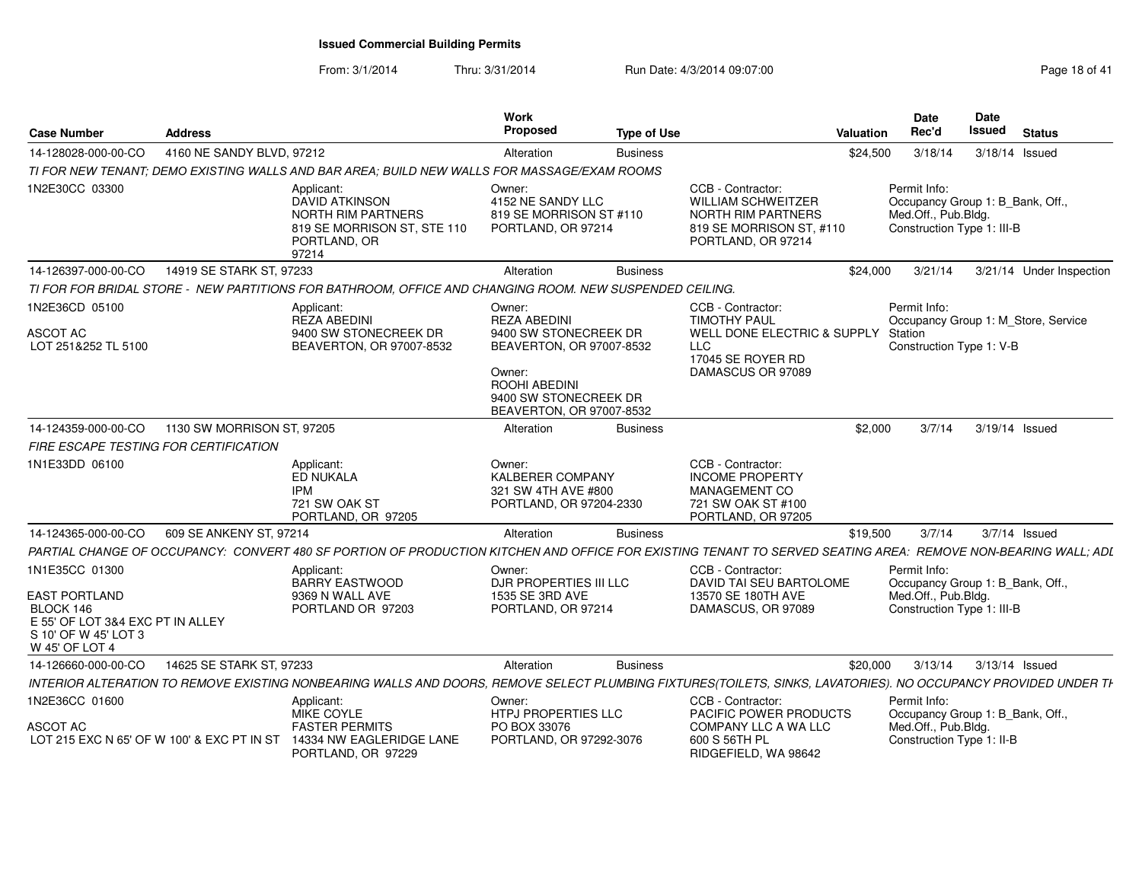From: 3/1/2014Thru: 3/31/2014 **Run Date: 4/3/2014 09:07:00** Rege 18 of 41

| <b>Case Number</b>                                                                                                                | <b>Address</b>             |                                                                                                                                                                | Work<br><b>Proposed</b>                                                                                                                                            | <b>Type of Use</b> |                                                                                                                                 | Valuation | Date<br>Rec'd                                                                                         | <b>Date</b><br>Issued | <b>Status</b>                       |
|-----------------------------------------------------------------------------------------------------------------------------------|----------------------------|----------------------------------------------------------------------------------------------------------------------------------------------------------------|--------------------------------------------------------------------------------------------------------------------------------------------------------------------|--------------------|---------------------------------------------------------------------------------------------------------------------------------|-----------|-------------------------------------------------------------------------------------------------------|-----------------------|-------------------------------------|
| 14-128028-000-00-CO                                                                                                               | 4160 NE SANDY BLVD, 97212  |                                                                                                                                                                | Alteration                                                                                                                                                         | <b>Business</b>    |                                                                                                                                 | \$24,500  | 3/18/14                                                                                               | 3/18/14 Issued        |                                     |
|                                                                                                                                   |                            | TI FOR NEW TENANT: DEMO EXISTING WALLS AND BAR AREA: BUILD NEW WALLS FOR MASSAGE/EXAM ROOMS                                                                    |                                                                                                                                                                    |                    |                                                                                                                                 |           |                                                                                                       |                       |                                     |
| 1N2E30CC 03300                                                                                                                    |                            | Applicant:<br><b>DAVID ATKINSON</b><br>NORTH RIM PARTNERS<br>819 SE MORRISON ST, STE 110<br>PORTLAND, OR<br>97214                                              | Owner:<br>4152 NE SANDY LLC<br>819 SE MORRISON ST #110<br>PORTLAND, OR 97214                                                                                       |                    | CCB - Contractor:<br><b>WILLIAM SCHWEITZER</b><br><b>NORTH RIM PARTNERS</b><br>819 SE MORRISON ST, #110<br>PORTLAND, OR 97214   |           | Permit Info:<br>Occupancy Group 1: B_Bank, Off.,<br>Med.Off., Pub.Bldg.<br>Construction Type 1: III-B |                       |                                     |
| 14-126397-000-00-CO                                                                                                               | 14919 SE STARK ST, 97233   |                                                                                                                                                                | Alteration                                                                                                                                                         | <b>Business</b>    |                                                                                                                                 | \$24,000  | 3/21/14                                                                                               |                       | 3/21/14 Under Inspection            |
|                                                                                                                                   |                            | TI FOR FOR BRIDAL STORE - NEW PARTITIONS FOR BATHROOM, OFFICE AND CHANGING ROOM. NEW SUSPENDED CEILING.                                                        |                                                                                                                                                                    |                    |                                                                                                                                 |           |                                                                                                       |                       |                                     |
| 1N2E36CD 05100<br>ASCOT AC<br>LOT 251&252 TL 5100                                                                                 |                            | Applicant:<br><b>REZA ABEDINI</b><br>9400 SW STONECREEK DR<br>BEAVERTON, OR 97007-8532                                                                         | Owner:<br><b>REZA ABEDINI</b><br>9400 SW STONECREEK DR<br>BEAVERTON, OR 97007-8532<br>Owner:<br>ROOHI ABEDINI<br>9400 SW STONECREEK DR<br>BEAVERTON, OR 97007-8532 |                    | CCB - Contractor:<br><b>TIMOTHY PAUL</b><br>WELL DONE ELECTRIC & SUPPLY<br><b>LLC</b><br>17045 SE ROYER RD<br>DAMASCUS OR 97089 |           | Permit Info:<br>Station<br>Construction Type 1: V-B                                                   |                       | Occupancy Group 1: M_Store, Service |
| 14-124359-000-00-CO                                                                                                               | 1130 SW MORRISON ST, 97205 |                                                                                                                                                                | Alteration                                                                                                                                                         | <b>Business</b>    |                                                                                                                                 | \$2,000   | 3/7/14                                                                                                |                       | 3/19/14 Issued                      |
| <b>FIRE ESCAPE TESTING FOR CERTIFICATION</b>                                                                                      |                            |                                                                                                                                                                |                                                                                                                                                                    |                    |                                                                                                                                 |           |                                                                                                       |                       |                                     |
| 1N1E33DD 06100                                                                                                                    |                            | Applicant:<br>ED NUKALA<br><b>IPM</b><br>721 SW OAK ST<br>PORTLAND, OR 97205                                                                                   | Owner:<br>KALBERER COMPANY<br>321 SW 4TH AVE #800<br>PORTLAND, OR 97204-2330                                                                                       |                    | CCB - Contractor:<br><b>INCOME PROPERTY</b><br><b>MANAGEMENT CO</b><br>721 SW OAK ST #100<br>PORTLAND, OR 97205                 |           |                                                                                                       |                       |                                     |
| 14-124365-000-00-CO                                                                                                               | 609 SE ANKENY ST, 97214    |                                                                                                                                                                | Alteration                                                                                                                                                         | <b>Business</b>    |                                                                                                                                 | \$19,500  | 3/7/14                                                                                                |                       | 3/7/14 Issued                       |
|                                                                                                                                   |                            | PARTIAL CHANGE OF OCCUPANCY: CONVERT 480 SF PORTION OF PRODUCTION KITCHEN AND OFFICE FOR EXISTING TENANT TO SERVED SEATING AREA: REMOVE NON-BEARING WALL; ADL  |                                                                                                                                                                    |                    |                                                                                                                                 |           |                                                                                                       |                       |                                     |
| 1N1E35CC 01300<br><b>EAST PORTLAND</b><br>BLOCK 146<br>E 55' OF LOT 3&4 EXC PT IN ALLEY<br>S 10' OF W 45' LOT 3<br>W 45' OF LOT 4 |                            | Applicant:<br>BARRY EASTWOOD<br>9369 N WALL AVE<br>PORTLAND OR 97203                                                                                           | Owner:<br>DJR PROPERTIES III LLC<br>1535 SE 3RD AVE<br>PORTLAND, OR 97214                                                                                          |                    | CCB - Contractor:<br>DAVID TAI SEU BARTOLOME<br>13570 SE 180TH AVE<br>DAMASCUS, OR 97089                                        |           | Permit Info:<br>Occupancy Group 1: B_Bank, Off.,<br>Med.Off., Pub.Bldg.<br>Construction Type 1: III-B |                       |                                     |
| 14-126660-000-00-CO                                                                                                               | 14625 SE STARK ST, 97233   |                                                                                                                                                                | Alteration                                                                                                                                                         | <b>Business</b>    |                                                                                                                                 | \$20,000  | 3/13/14                                                                                               | 3/13/14 Issued        |                                     |
|                                                                                                                                   |                            | INTERIOR ALTERATION TO REMOVE EXISTING NONBEARING WALLS AND DOORS, REMOVE SELECT PLUMBING FIXTURES(TOILETS, SINKS, LAVATORIES). NO OCCUPANCY PROVIDED UNDER TH |                                                                                                                                                                    |                    |                                                                                                                                 |           |                                                                                                       |                       |                                     |
| 1N2E36CC 01600                                                                                                                    |                            | Applicant:<br>MIKE COYLE                                                                                                                                       | Owner:<br>HTPJ PROPERTIES LLC                                                                                                                                      |                    | CCB - Contractor:<br>PACIFIC POWER PRODUCTS                                                                                     |           | Permit Info:<br>Occupancy Group 1: B_Bank, Off.,                                                      |                       |                                     |
| ASCOT AC<br>LOT 215 EXC N 65' OF W 100' & EXC PT IN ST                                                                            |                            | <b>FASTER PERMITS</b><br>14334 NW EAGLERIDGE LANE<br>PORTLAND, OR 97229                                                                                        | PO BOX 33076<br>PORTLAND, OR 97292-3076                                                                                                                            |                    | COMPANY LLC A WA LLC<br>600 S 56TH PL<br>RIDGEFIELD, WA 98642                                                                   |           | Med.Off., Pub.Bldg.<br>Construction Type 1: II-B                                                      |                       |                                     |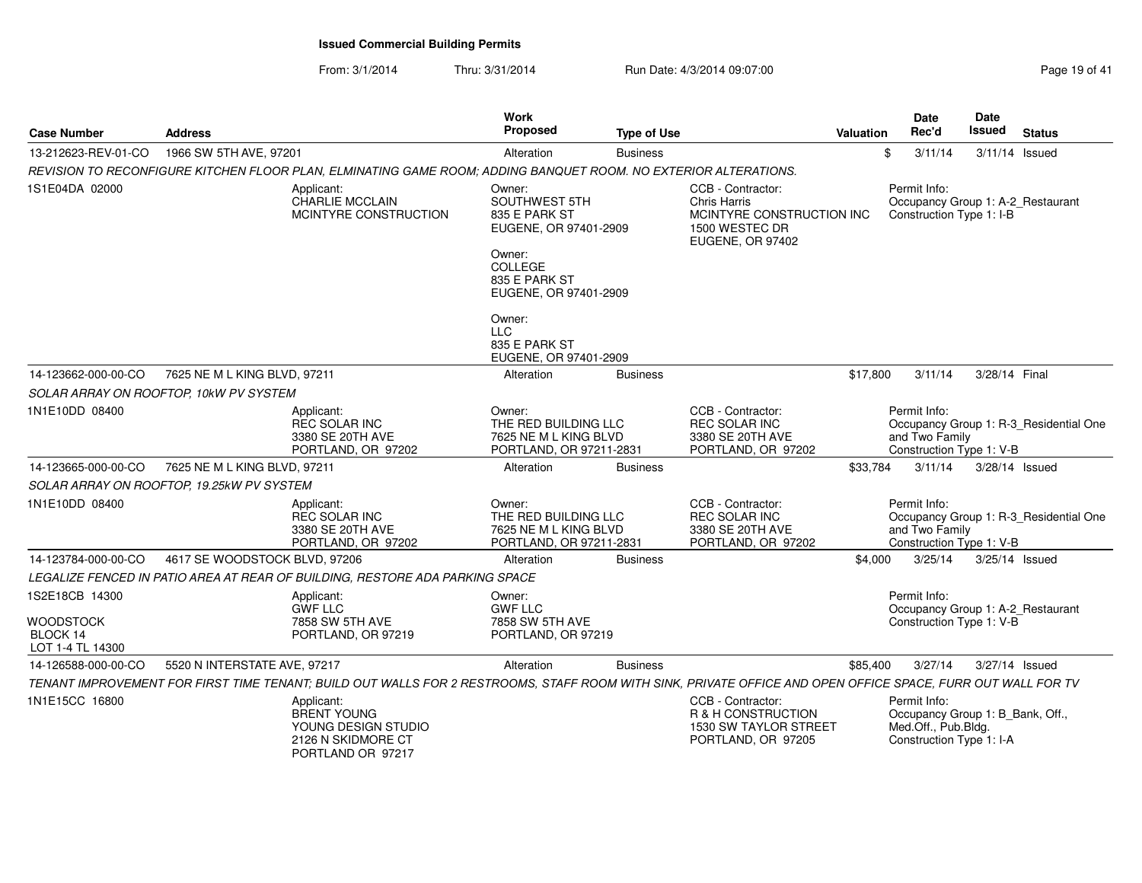| <b>Case Number</b>                               | <b>Address</b>                            |                                                                                                                                                             | <b>Work</b><br>Proposed                                                                                        | <b>Type of Use</b> |                                                                                                             | Valuation | <b>Date</b><br>Rec'd                                                                                | <b>Date</b><br><b>Issued</b> | <b>Status</b>                          |
|--------------------------------------------------|-------------------------------------------|-------------------------------------------------------------------------------------------------------------------------------------------------------------|----------------------------------------------------------------------------------------------------------------|--------------------|-------------------------------------------------------------------------------------------------------------|-----------|-----------------------------------------------------------------------------------------------------|------------------------------|----------------------------------------|
| 13-212623-REV-01-CO                              | 1966 SW 5TH AVE, 97201                    |                                                                                                                                                             | Alteration                                                                                                     | <b>Business</b>    |                                                                                                             |           | \$<br>3/11/14                                                                                       | 3/11/14 Issued               |                                        |
|                                                  |                                           | REVISION TO RECONFIGURE KITCHEN FLOOR PLAN, ELMINATING GAME ROOM; ADDING BANQUET ROOM. NO EXTERIOR ALTERATIONS.                                             |                                                                                                                |                    |                                                                                                             |           |                                                                                                     |                              |                                        |
| 1S1E04DA 02000                                   |                                           | Applicant:<br><b>CHARLIE MCCLAIN</b><br>MCINTYRE CONSTRUCTION                                                                                               | Owner:<br>SOUTHWEST 5TH<br>835 E PARK ST<br>EUGENE, OR 97401-2909<br>Owner:<br><b>COLLEGE</b><br>835 E PARK ST |                    | CCB - Contractor:<br><b>Chris Harris</b><br>MCINTYRE CONSTRUCTION INC<br>1500 WESTEC DR<br>EUGENE, OR 97402 |           | Permit Info:<br>Occupancy Group 1: A-2_Restaurant<br>Construction Type 1: I-B                       |                              |                                        |
|                                                  |                                           |                                                                                                                                                             | EUGENE, OR 97401-2909                                                                                          |                    |                                                                                                             |           |                                                                                                     |                              |                                        |
|                                                  |                                           |                                                                                                                                                             | Owner:<br><b>LLC</b><br>835 E PARK ST<br>EUGENE, OR 97401-2909                                                 |                    |                                                                                                             |           |                                                                                                     |                              |                                        |
| 14-123662-000-00-CO                              | 7625 NE M L KING BLVD, 97211              |                                                                                                                                                             | Alteration                                                                                                     | <b>Business</b>    |                                                                                                             | \$17,800  | 3/11/14                                                                                             | 3/28/14 Final                |                                        |
|                                                  | SOLAR ARRAY ON ROOFTOP, 10kW PV SYSTEM    |                                                                                                                                                             |                                                                                                                |                    |                                                                                                             |           |                                                                                                     |                              |                                        |
| 1N1E10DD 08400                                   |                                           | Applicant:<br><b>REC SOLAR INC</b><br>3380 SE 20TH AVE<br>PORTLAND, OR 97202                                                                                | Owner:<br>THE RED BUILDING LLC<br>7625 NE M L KING BLVD<br>PORTLAND, OR 97211-2831                             |                    | CCB - Contractor:<br><b>REC SOLAR INC</b><br>3380 SE 20TH AVE<br>PORTLAND, OR 97202                         |           | Permit Info:<br>and Two Family<br>Construction Type 1: V-B                                          |                              | Occupancy Group 1: R-3 Residential One |
| 14-123665-000-00-CO                              | 7625 NE M L KING BLVD, 97211              |                                                                                                                                                             | Alteration                                                                                                     | <b>Business</b>    |                                                                                                             | \$33,784  | 3/11/14                                                                                             | 3/28/14 Issued               |                                        |
|                                                  | SOLAR ARRAY ON ROOFTOP, 19.25kW PV SYSTEM |                                                                                                                                                             |                                                                                                                |                    |                                                                                                             |           |                                                                                                     |                              |                                        |
| 1N1E10DD 08400                                   |                                           | Applicant:<br><b>REC SOLAR INC</b><br>3380 SE 20TH AVE<br>PORTLAND, OR 97202                                                                                | Owner:<br>THE RED BUILDING LLC<br>7625 NE M L KING BLVD<br>PORTLAND, OR 97211-2831                             |                    | CCB - Contractor:<br><b>REC SOLAR INC</b><br>3380 SE 20TH AVE<br>PORTLAND, OR 97202                         |           | Permit Info:<br>and Two Family<br>Construction Type 1: V-B                                          |                              | Occupancy Group 1: R-3 Residential One |
| 14-123784-000-00-CO                              | 4617 SE WOODSTOCK BLVD, 97206             |                                                                                                                                                             | Alteration                                                                                                     | <b>Business</b>    |                                                                                                             | \$4,000   | 3/25/14                                                                                             | 3/25/14 Issued               |                                        |
|                                                  |                                           | LEGALIZE FENCED IN PATIO AREA AT REAR OF BUILDING, RESTORE ADA PARKING SPACE                                                                                |                                                                                                                |                    |                                                                                                             |           |                                                                                                     |                              |                                        |
| 1S2E18CB 14300                                   |                                           | Applicant:<br><b>GWF LLC</b>                                                                                                                                | Owner:<br><b>GWF LLC</b>                                                                                       |                    |                                                                                                             |           | Permit Info:<br>Occupancy Group 1: A-2_Restaurant                                                   |                              |                                        |
| <b>WOODSTOCK</b><br>BLOCK 14<br>LOT 1-4 TL 14300 |                                           | 7858 SW 5TH AVE<br>PORTLAND, OR 97219                                                                                                                       | 7858 SW 5TH AVE<br>PORTLAND, OR 97219                                                                          |                    |                                                                                                             |           | Construction Type 1: V-B                                                                            |                              |                                        |
| 14-126588-000-00-CO                              | 5520 N INTERSTATE AVE, 97217              |                                                                                                                                                             | Alteration                                                                                                     | <b>Business</b>    |                                                                                                             | \$85,400  | 3/27/14                                                                                             | 3/27/14 Issued               |                                        |
|                                                  |                                           | TENANT IMPROVEMENT FOR FIRST TIME TENANT; BUILD OUT WALLS FOR 2 RESTROOMS, STAFF ROOM WITH SINK, PRIVATE OFFICE AND OPEN OFFICE SPACE, FURR OUT WALL FOR TV |                                                                                                                |                    |                                                                                                             |           |                                                                                                     |                              |                                        |
| 1N1E15CC 16800                                   |                                           | Applicant:<br><b>BRENT YOUNG</b><br>YOUNG DESIGN STUDIO<br>2126 N SKIDMORE CT<br>PORTLAND OR 97217                                                          |                                                                                                                |                    | CCB - Contractor:<br>R & H CONSTRUCTION<br>1530 SW TAYLOR STREET<br>PORTLAND, OR 97205                      |           | Permit Info:<br>Occupancy Group 1: B_Bank, Off.,<br>Med.Off., Pub.Bldg.<br>Construction Type 1: I-A |                              |                                        |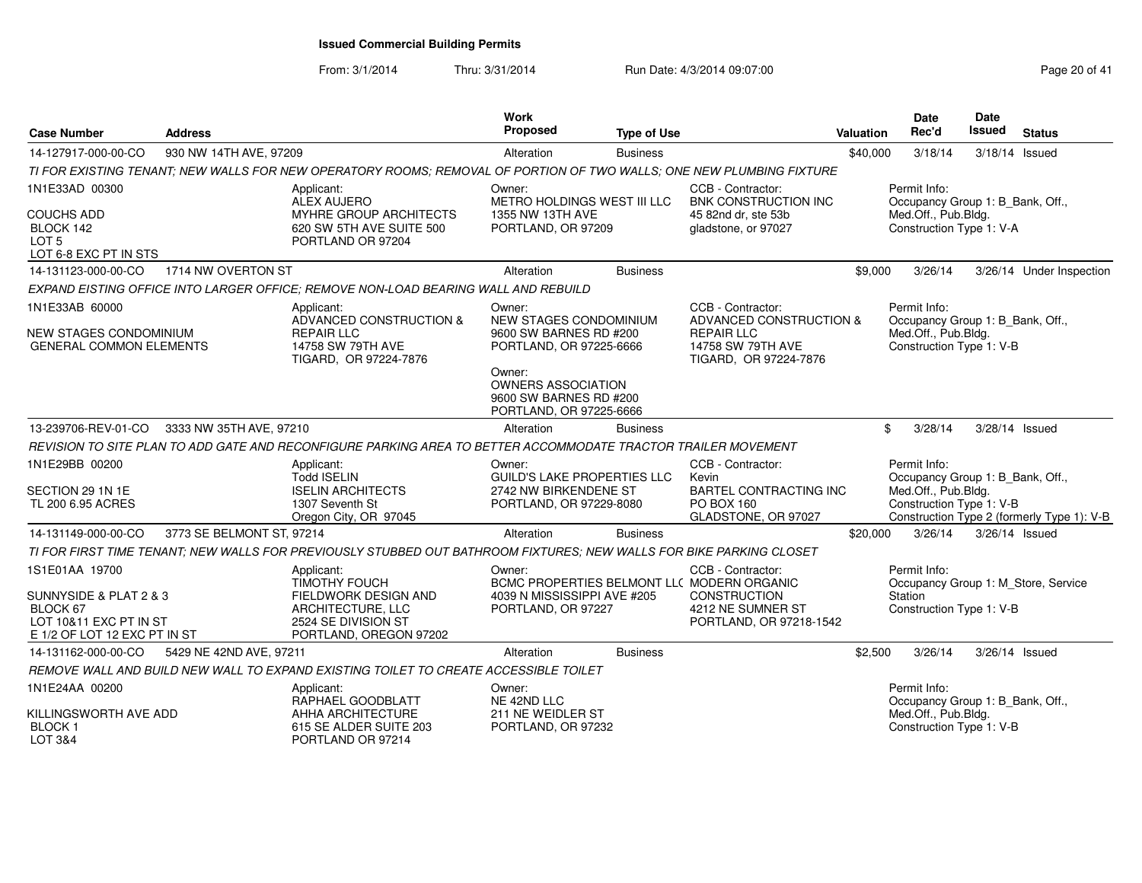| <b>Case Number</b>                                                                                             | <b>Address</b>            |                                                                                                                                  | <b>Work</b><br>Proposed                                                                                                                                | <b>Type of Use</b> |                                                                                                                                        | <b>Valuation</b> | <b>Date</b><br>Rec'd                                                                                | Date<br>Issued | <b>Status</b>                              |
|----------------------------------------------------------------------------------------------------------------|---------------------------|----------------------------------------------------------------------------------------------------------------------------------|--------------------------------------------------------------------------------------------------------------------------------------------------------|--------------------|----------------------------------------------------------------------------------------------------------------------------------------|------------------|-----------------------------------------------------------------------------------------------------|----------------|--------------------------------------------|
| 14-127917-000-00-CO                                                                                            | 930 NW 14TH AVE, 97209    |                                                                                                                                  | Alteration                                                                                                                                             | <b>Business</b>    |                                                                                                                                        | \$40,000         | 3/18/14                                                                                             |                | 3/18/14 Issued                             |
|                                                                                                                |                           | TI FOR EXISTING TENANT; NEW WALLS FOR NEW OPERATORY ROOMS; REMOVAL OF PORTION OF TWO WALLS; ONE NEW PLUMBING FIXTURE             |                                                                                                                                                        |                    |                                                                                                                                        |                  |                                                                                                     |                |                                            |
| 1N1E33AD 00300<br>COUCHS ADD<br>BLOCK 142<br>LOT <sub>5</sub>                                                  |                           | Applicant:<br><b>ALEX AUJERO</b><br>MYHRE GROUP ARCHITECTS<br>620 SW 5TH AVE SUITE 500<br>PORTLAND OR 97204                      | Owner:<br>METRO HOLDINGS WEST III LLC<br>1355 NW 13TH AVE<br>PORTLAND, OR 97209                                                                        |                    | CCB - Contractor:<br>BNK CONSTRUCTION INC<br>45 82nd dr. ste 53b<br>gladstone, or 97027                                                |                  | Permit Info:<br>Occupancy Group 1: B_Bank, Off.,<br>Med.Off., Pub.Bldg.<br>Construction Type 1: V-A |                |                                            |
| LOT 6-8 EXC PT IN STS                                                                                          |                           |                                                                                                                                  |                                                                                                                                                        |                    |                                                                                                                                        |                  |                                                                                                     |                |                                            |
| 14-131123-000-00-CO                                                                                            | 1714 NW OVERTON ST        |                                                                                                                                  | Alteration                                                                                                                                             | <b>Business</b>    |                                                                                                                                        | \$9,000          | 3/26/14                                                                                             |                | 3/26/14 Under Inspection                   |
|                                                                                                                |                           | EXPAND EISTING OFFICE INTO LARGER OFFICE; REMOVE NON-LOAD BEARING WALL AND REBUILD                                               |                                                                                                                                                        |                    |                                                                                                                                        |                  |                                                                                                     |                |                                            |
| 1N1E33AB 60000<br>NEW STAGES CONDOMINIUM<br><b>GENERAL COMMON ELEMENTS</b>                                     |                           | Applicant:<br>ADVANCED CONSTRUCTION &<br><b>REPAIR LLC</b><br>14758 SW 79TH AVE<br>TIGARD, OR 97224-7876                         | Owner:<br>NEW STAGES CONDOMINIUM<br>9600 SW BARNES RD #200<br>PORTLAND, OR 97225-6666<br>Owner:<br><b>OWNERS ASSOCIATION</b><br>9600 SW BARNES RD #200 |                    | CCB - Contractor:<br>ADVANCED CONSTRUCTION &<br><b>REPAIR LLC</b><br>14758 SW 79TH AVE<br>TIGARD, OR 97224-7876                        |                  | Permit Info:<br>Occupancy Group 1: B_Bank, Off.,<br>Med.Off., Pub.Bldg.<br>Construction Type 1: V-B |                |                                            |
|                                                                                                                |                           |                                                                                                                                  | PORTLAND, OR 97225-6666                                                                                                                                |                    |                                                                                                                                        |                  |                                                                                                     |                |                                            |
| 13-239706-REV-01-CO                                                                                            | 3333 NW 35TH AVE, 97210   |                                                                                                                                  | Alteration                                                                                                                                             | <b>Business</b>    |                                                                                                                                        |                  | \$<br>3/28/14                                                                                       |                | 3/28/14 Issued                             |
|                                                                                                                |                           | REVISION TO SITE PLAN TO ADD GATE AND RECONFIGURE PARKING AREA TO BETTER ACCOMMODATE TRACTOR TRAILER MOVEMENT                    |                                                                                                                                                        |                    |                                                                                                                                        |                  |                                                                                                     |                |                                            |
| 1N1E29BB 00200<br>SECTION 29 1N 1E<br>TL 200 6.95 ACRES                                                        |                           | Applicant:<br><b>Todd ISELIN</b><br><b>ISELIN ARCHITECTS</b><br>1307 Seventh St<br>Oregon City, OR 97045                         | Owner:<br><b>GUILD'S LAKE PROPERTIES LLC</b><br>2742 NW BIRKENDENE ST<br>PORTLAND, OR 97229-8080                                                       |                    | CCB - Contractor:<br>Kevin<br><b>BARTEL CONTRACTING INC</b><br>PO BOX 160<br>GLADSTONE, OR 97027                                       |                  | Permit Info:<br>Occupancy Group 1: B_Bank, Off.,<br>Med.Off., Pub.Bldg.<br>Construction Type 1: V-B |                | Construction Type 2 (formerly Type 1): V-B |
| 14-131149-000-00-CO                                                                                            | 3773 SE BELMONT ST, 97214 |                                                                                                                                  | Alteration                                                                                                                                             | <b>Business</b>    |                                                                                                                                        | \$20,000         | 3/26/14                                                                                             | 3/26/14 Issued |                                            |
|                                                                                                                |                           | TI FOR FIRST TIME TENANT; NEW WALLS FOR PREVIOUSLY STUBBED OUT BATHROOM FIXTURES; NEW WALLS FOR BIKE PARKING CLOSET              |                                                                                                                                                        |                    |                                                                                                                                        |                  |                                                                                                     |                |                                            |
| 1S1E01AA 19700<br>SUNNYSIDE & PLAT 2 & 3<br>BLOCK 67<br>LOT 10&11 EXC PT IN ST<br>E 1/2 OF LOT 12 EXC PT IN ST |                           | Applicant:<br><b>TIMOTHY FOUCH</b><br>FIELDWORK DESIGN AND<br>ARCHITECTURE, LLC<br>2524 SE DIVISION ST<br>PORTLAND, OREGON 97202 | Owner:<br>4039 N MISSISSIPPI AVE #205<br>PORTLAND, OR 97227                                                                                            |                    | CCB - Contractor:<br>BCMC PROPERTIES BELMONT LLC MODERN ORGANIC<br><b>CONSTRUCTION</b><br>4212 NE SUMNER ST<br>PORTLAND, OR 97218-1542 |                  | Permit Info:<br>Station<br>Construction Type 1: V-B                                                 |                | Occupancy Group 1: M_Store, Service        |
| 14-131162-000-00-CO                                                                                            | 5429 NE 42ND AVE, 97211   |                                                                                                                                  | Alteration                                                                                                                                             | <b>Business</b>    |                                                                                                                                        | \$2,500          | 3/26/14                                                                                             |                | 3/26/14 Issued                             |
|                                                                                                                |                           | REMOVE WALL AND BUILD NEW WALL TO EXPAND EXISTING TOILET TO CREATE ACCESSIBLE TOILET                                             |                                                                                                                                                        |                    |                                                                                                                                        |                  |                                                                                                     |                |                                            |
| 1N1E24AA 00200<br>KILLINGSWORTH AVE ADD<br><b>BLOCK1</b>                                                       |                           | Applicant:<br>RAPHAEL GOODBLATT<br>AHHA ARCHITECTURE<br>615 SE ALDER SUITE 203                                                   | Owner:<br>NE 42ND LLC<br>211 NE WEIDLER ST<br>PORTLAND, OR 97232                                                                                       |                    |                                                                                                                                        |                  | Permit Info:<br>Occupancy Group 1: B_Bank, Off.,<br>Med.Off., Pub.Bldg.<br>Construction Type 1: V-B |                |                                            |
| LOT 3&4                                                                                                        |                           | PORTLAND OR 97214                                                                                                                |                                                                                                                                                        |                    |                                                                                                                                        |                  |                                                                                                     |                |                                            |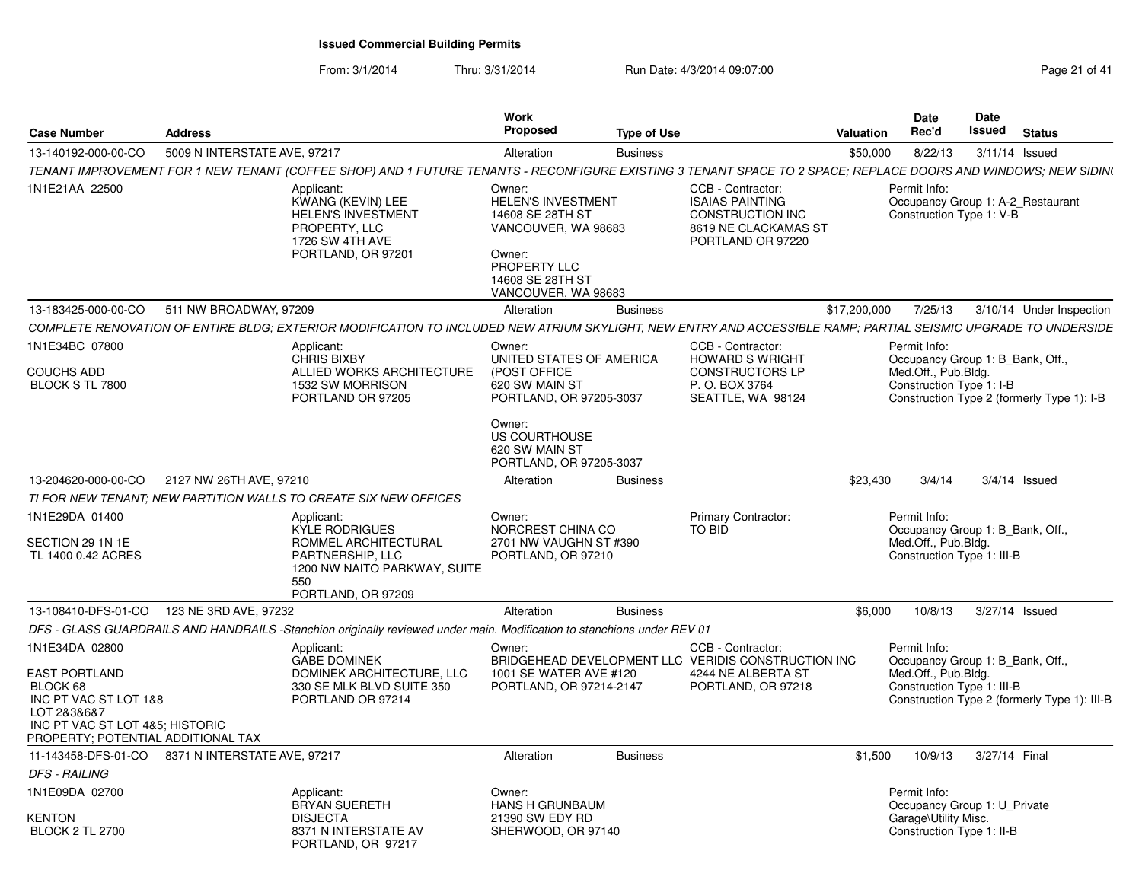| <b>Case Number</b>                                                                                                                                | <b>Address</b>                                   |                                                                                                                                                                | Work<br><b>Proposed</b>                                                                                                                             | <b>Type of Use</b> |                                                                                                                     | <b>Valuation</b> | Date<br>Rec'd                                                                                         | Date<br>Issued | <b>Status</b>                                |
|---------------------------------------------------------------------------------------------------------------------------------------------------|--------------------------------------------------|----------------------------------------------------------------------------------------------------------------------------------------------------------------|-----------------------------------------------------------------------------------------------------------------------------------------------------|--------------------|---------------------------------------------------------------------------------------------------------------------|------------------|-------------------------------------------------------------------------------------------------------|----------------|----------------------------------------------|
| 13-140192-000-00-CO                                                                                                                               | 5009 N INTERSTATE AVE, 97217                     |                                                                                                                                                                | Alteration                                                                                                                                          | <b>Business</b>    |                                                                                                                     | \$50,000         | 8/22/13                                                                                               | 3/11/14 Issued |                                              |
|                                                                                                                                                   |                                                  | TENANT IMPROVEMENT FOR 1 NEW TENANT (COFFEE SHOP) AND 1 FUTURE TENANTS - RECONFIGURE EXISTING 3 TENANT SPACE TO 2 SPACE; REPLACE DOORS AND WINDOWS; NEW SIDIN( |                                                                                                                                                     |                    |                                                                                                                     |                  |                                                                                                       |                |                                              |
| 1N1E21AA 22500                                                                                                                                    |                                                  | Applicant:<br><b>KWANG (KEVIN) LEE</b><br><b>HELEN'S INVESTMENT</b><br>PROPERTY, LLC<br>1726 SW 4TH AVE<br>PORTLAND, OR 97201                                  | Owner:<br><b>HELEN'S INVESTMENT</b><br>14608 SE 28TH ST<br>VANCOUVER, WA 98683<br>Owner:<br>PROPERTY LLC<br>14608 SE 28TH ST<br>VANCOUVER, WA 98683 |                    | CCB - Contractor:<br><b>ISAIAS PAINTING</b><br><b>CONSTRUCTION INC</b><br>8619 NE CLACKAMAS ST<br>PORTLAND OR 97220 |                  | Permit Info:<br>Occupancy Group 1: A-2_Restaurant<br>Construction Type 1: V-B                         |                |                                              |
| 13-183425-000-00-CO                                                                                                                               | 511 NW BROADWAY, 97209                           |                                                                                                                                                                | Alteration                                                                                                                                          | <b>Business</b>    |                                                                                                                     | \$17,200,000     | 7/25/13                                                                                               |                | 3/10/14 Under Inspection                     |
|                                                                                                                                                   |                                                  | COMPLETE RENOVATION OF ENTIRE BLDG: EXTERIOR MODIFICATION TO INCLUDED NEW ATRIUM SKYLIGHT. NEW ENTRY AND ACCESSIBLE RAMP: PARTIAL SEISMIC UPGRADE TO UNDERSIDE |                                                                                                                                                     |                    |                                                                                                                     |                  |                                                                                                       |                |                                              |
| 1N1E34BC 07800<br><b>COUCHS ADD</b><br>BLOCK S TL 7800                                                                                            |                                                  | Applicant:<br>CHRIS BIXBY<br>ALLIED WORKS ARCHITECTURE<br>1532 SW MORRISON<br>PORTLAND OR 97205                                                                | Owner:<br>UNITED STATES OF AMERICA<br>(POST OFFICE<br>620 SW MAIN ST<br>PORTLAND, OR 97205-3037                                                     |                    | CCB - Contractor:<br><b>HOWARD S WRIGHT</b><br><b>CONSTRUCTORS LP</b><br>P.O. BOX 3764<br>SEATTLE, WA 98124         |                  | Permit Info:<br>Occupancy Group 1: B_Bank, Off.,<br>Med.Off., Pub.Bldg.<br>Construction Type 1: I-B   |                | Construction Type 2 (formerly Type 1): I-B   |
|                                                                                                                                                   |                                                  |                                                                                                                                                                | Owner:<br>US COURTHOUSE<br>620 SW MAIN ST<br>PORTLAND, OR 97205-3037                                                                                |                    |                                                                                                                     |                  |                                                                                                       |                |                                              |
| 13-204620-000-00-CO                                                                                                                               | 2127 NW 26TH AVE, 97210                          |                                                                                                                                                                | Alteration                                                                                                                                          | <b>Business</b>    |                                                                                                                     | \$23,430         | 3/4/14                                                                                                |                | $3/4/14$ Issued                              |
|                                                                                                                                                   |                                                  | TI FOR NEW TENANT: NEW PARTITION WALLS TO CREATE SIX NEW OFFICES                                                                                               |                                                                                                                                                     |                    |                                                                                                                     |                  |                                                                                                       |                |                                              |
| 1N1E29DA 01400<br>SECTION 29 1N 1E<br>TL 1400 0.42 ACRES                                                                                          |                                                  | Applicant:<br>KYLE RODRIGUES<br>ROMMEL ARCHITECTURAL<br><b>PARTNERSHIP, LLC</b><br>1200 NW NAITO PARKWAY, SUITE<br>550<br>PORTLAND, OR 97209                   | Owner:<br>NORCREST CHINA CO<br>2701 NW VAUGHN ST #390<br>PORTLAND, OR 97210                                                                         |                    | Primary Contractor:<br>TO BID                                                                                       |                  | Permit Info:<br>Occupancy Group 1: B Bank, Off.,<br>Med.Off., Pub.Bldg.<br>Construction Type 1: III-B |                |                                              |
|                                                                                                                                                   | 13-108410-DFS-01-CO  123 NE 3RD AVE, 97232       |                                                                                                                                                                | Alteration                                                                                                                                          | <b>Business</b>    |                                                                                                                     | \$6,000          | 10/8/13                                                                                               | 3/27/14 Issued |                                              |
|                                                                                                                                                   |                                                  | DFS - GLASS GUARDRAILS AND HANDRAILS -Stanchion originally reviewed under main. Modification to stanchions under REV 01                                        |                                                                                                                                                     |                    |                                                                                                                     |                  |                                                                                                       |                |                                              |
| 1N1E34DA 02800                                                                                                                                    |                                                  | Applicant:<br><b>GABE DOMINEK</b>                                                                                                                              | Owner:                                                                                                                                              |                    | CCB - Contractor:<br>BRIDGEHEAD DEVELOPMENT LLC VERIDIS CONSTRUCTION INC                                            |                  | Permit Info:<br>Occupancy Group 1: B Bank, Off.,                                                      |                |                                              |
| <b>EAST PORTLAND</b><br>BLOCK 68<br>INC PT VAC ST LOT 1&8<br>LOT 2&3&6&7<br>INC PT VAC ST LOT 4&5; HISTORIC<br>PROPERTY: POTENTIAL ADDITIONAL TAX |                                                  | DOMINEK ARCHITECTURE, LLC<br>330 SE MLK BLVD SUITE 350<br>PORTLAND OR 97214                                                                                    | 1001 SE WATER AVE #120<br>PORTLAND, OR 97214-2147                                                                                                   |                    | 4244 NE ALBERTA ST<br>PORTLAND, OR 97218                                                                            |                  | Med.Off., Pub.Bldg.<br>Construction Type 1: III-B                                                     |                | Construction Type 2 (formerly Type 1): III-B |
|                                                                                                                                                   | 11-143458-DFS-01-CO 8371 N INTERSTATE AVE, 97217 |                                                                                                                                                                | Alteration                                                                                                                                          | <b>Business</b>    |                                                                                                                     | \$1,500          | 10/9/13                                                                                               | 3/27/14 Final  |                                              |
| <b>DFS - RAILING</b>                                                                                                                              |                                                  |                                                                                                                                                                |                                                                                                                                                     |                    |                                                                                                                     |                  |                                                                                                       |                |                                              |
| 1N1E09DA 02700<br>KENTON                                                                                                                          |                                                  | Applicant:<br><b>BRYAN SUERETH</b>                                                                                                                             | Owner:<br>HANS H GRUNBAUM                                                                                                                           |                    |                                                                                                                     |                  | Permit Info:<br>Occupancy Group 1: U Private                                                          |                |                                              |
| <b>BLOCK 2 TL 2700</b>                                                                                                                            |                                                  | <b>DISJECTA</b><br>8371 N INTERSTATE AV<br>PORTLAND, OR 97217                                                                                                  | 21390 SW EDY RD<br>SHERWOOD, OR 97140                                                                                                               |                    |                                                                                                                     |                  | Garage\Utility Misc.<br>Construction Type 1: II-B                                                     |                |                                              |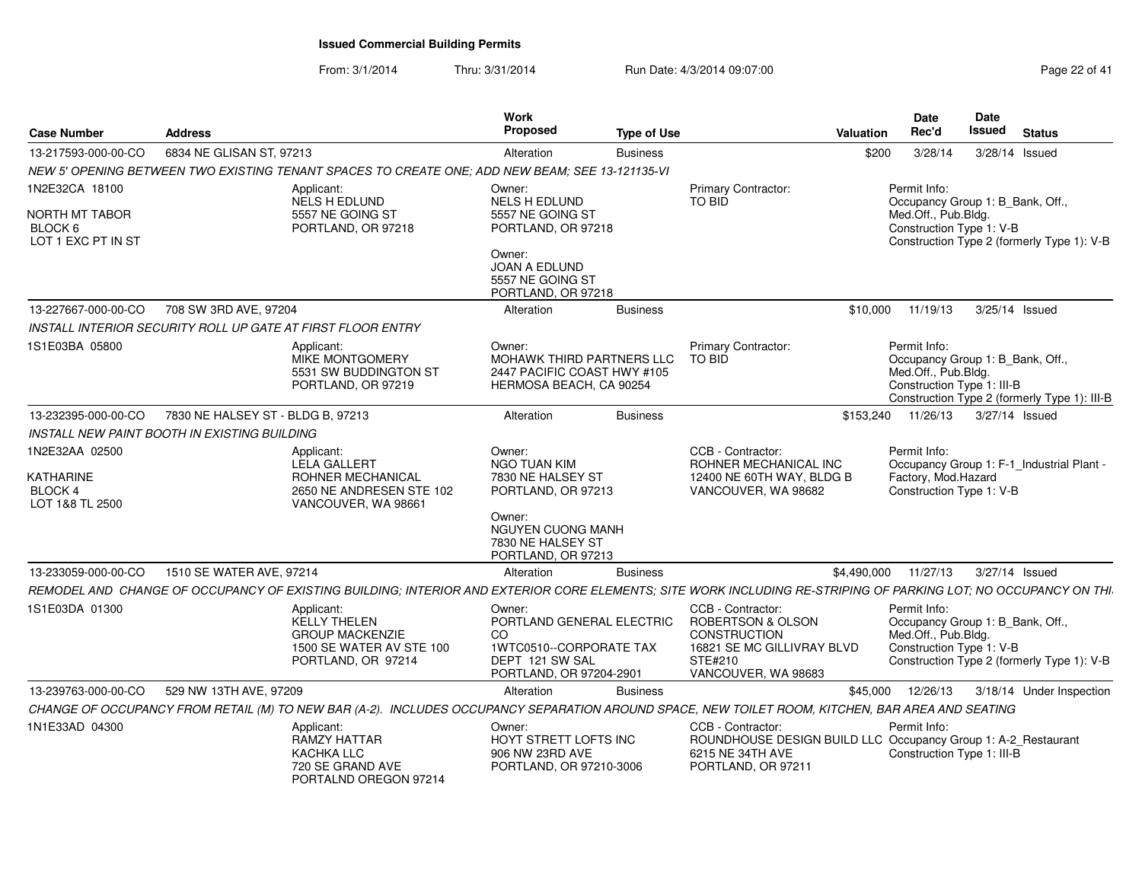| <b>Case Number</b>                                        | <b>Address</b>                               |                                                                                                                                                                | Work<br>Proposed                                                                                                   | <b>Type of Use</b> |                                                                                                                               | Valuation   | <b>Date</b><br>Rec'd                                                                                  | <b>Date</b><br>Issued | <b>Status</b>                                |
|-----------------------------------------------------------|----------------------------------------------|----------------------------------------------------------------------------------------------------------------------------------------------------------------|--------------------------------------------------------------------------------------------------------------------|--------------------|-------------------------------------------------------------------------------------------------------------------------------|-------------|-------------------------------------------------------------------------------------------------------|-----------------------|----------------------------------------------|
| 13-217593-000-00-CO                                       | 6834 NE GLISAN ST, 97213                     |                                                                                                                                                                | Alteration                                                                                                         | <b>Business</b>    |                                                                                                                               | \$200       | 3/28/14                                                                                               |                       | 3/28/14 Issued                               |
|                                                           |                                              | NEW 5' OPENING BETWEEN TWO EXISTING TENANT SPACES TO CREATE ONE; ADD NEW BEAM; SEE 13-121135-VI                                                                |                                                                                                                    |                    |                                                                                                                               |             |                                                                                                       |                       |                                              |
| 1N2E32CA 18100                                            |                                              | Applicant:                                                                                                                                                     | Owner:                                                                                                             |                    | Primary Contractor:                                                                                                           |             | Permit Info:                                                                                          |                       |                                              |
| NORTH MT TABOR<br>BLOCK 6<br>LOT 1 EXC PT IN ST           |                                              | NELS H EDLUND<br>5557 NE GOING ST<br>PORTLAND, OR 97218                                                                                                        | <b>NELS H EDLUND</b><br>5557 NE GOING ST<br>PORTLAND, OR 97218<br>Owner:<br><b>JOAN A EDLUND</b>                   |                    | TO BID                                                                                                                        |             | Occupancy Group 1: B_Bank, Off.,<br>Med.Off., Pub.Bldg.<br>Construction Type 1: V-B                   |                       | Construction Type 2 (formerly Type 1): V-B   |
|                                                           |                                              |                                                                                                                                                                | 5557 NE GOING ST<br>PORTLAND, OR 97218                                                                             |                    |                                                                                                                               |             |                                                                                                       |                       |                                              |
| 13-227667-000-00-CO                                       | 708 SW 3RD AVE, 97204                        |                                                                                                                                                                | Alteration                                                                                                         | <b>Business</b>    |                                                                                                                               | \$10,000    | 11/19/13                                                                                              |                       | 3/25/14 Issued                               |
|                                                           |                                              | INSTALL INTERIOR SECURITY ROLL UP GATE AT FIRST FLOOR ENTRY                                                                                                    |                                                                                                                    |                    |                                                                                                                               |             |                                                                                                       |                       |                                              |
| 1S1E03BA 05800                                            |                                              | Applicant:<br>MIKE MONTGOMERY<br>5531 SW BUDDINGTON ST<br>PORTLAND, OR 97219                                                                                   | Owner:<br>MOHAWK THIRD PARTNERS LLC<br>2447 PACIFIC COAST HWY #105<br>HERMOSA BEACH, CA 90254                      |                    | Primary Contractor:<br><b>TO BID</b>                                                                                          |             | Permit Info:<br>Occupancy Group 1: B Bank, Off.,<br>Med.Off., Pub.Bldg.<br>Construction Type 1: III-B |                       | Construction Type 2 (formerly Type 1): III-B |
| 13-232395-000-00-CO                                       | 7830 NE HALSEY ST - BLDG B, 97213            |                                                                                                                                                                | Alteration                                                                                                         | <b>Business</b>    |                                                                                                                               | \$153,240   | 11/26/13                                                                                              |                       | 3/27/14 Issued                               |
|                                                           | INSTALL NEW PAINT BOOTH IN EXISTING BUILDING |                                                                                                                                                                |                                                                                                                    |                    |                                                                                                                               |             |                                                                                                       |                       |                                              |
| 1N2E32AA 02500<br>KATHARINE<br>BLOCK 4<br>LOT 1&8 TL 2500 |                                              | Applicant:<br>LELA GALLERT<br>ROHNER MECHANICAL<br>2650 NE ANDRESEN STE 102<br>VANCOUVER, WA 98661                                                             | Owner:<br>NGO TUAN KIM<br>7830 NE HALSEY ST<br>PORTLAND, OR 97213                                                  |                    | CCB - Contractor:<br>ROHNER MECHANICAL INC<br>12400 NE 60TH WAY, BLDG B<br>VANCOUVER, WA 98682                                |             | Permit Info:<br>Factory, Mod.Hazard<br>Construction Type 1: V-B                                       |                       | Occupancy Group 1: F-1_Industrial Plant -    |
|                                                           |                                              |                                                                                                                                                                | Owner:<br><b>NGUYEN CUONG MANH</b><br>7830 NE HALSEY ST<br>PORTLAND, OR 97213                                      |                    |                                                                                                                               |             |                                                                                                       |                       |                                              |
| 13-233059-000-00-CO                                       | 1510 SE WATER AVE, 97214                     |                                                                                                                                                                | Alteration                                                                                                         | <b>Business</b>    |                                                                                                                               | \$4,490,000 | 11/27/13                                                                                              |                       | 3/27/14 Issued                               |
|                                                           |                                              | REMODEL AND CHANGE OF OCCUPANCY OF EXISTING BUILDING; INTERIOR AND EXTERIOR CORE ELEMENTS; SITE WORK INCLUDING RE-STRIPING OF PARKING LOT; NO OCCUPANCY ON THI |                                                                                                                    |                    |                                                                                                                               |             |                                                                                                       |                       |                                              |
| 1S1E03DA 01300                                            |                                              | Applicant:<br>KELLY THELEN<br><b>GROUP MACKENZIE</b><br>1500 SE WATER AV STE 100<br>PORTLAND, OR 97214                                                         | Owner:<br>PORTLAND GENERAL ELECTRIC<br>CO<br>1WTC0510--CORPORATE TAX<br>DEPT 121 SW SAL<br>PORTLAND, OR 97204-2901 |                    | CCB - Contractor:<br>ROBERTSON & OLSON<br><b>CONSTRUCTION</b><br>16821 SE MC GILLIVRAY BLVD<br>STE#210<br>VANCOUVER, WA 98683 |             | Permit Info:<br>Occupancy Group 1: B_Bank, Off.,<br>Med.Off., Pub.Bldg.<br>Construction Type 1: V-B   |                       | Construction Type 2 (formerly Type 1): V-B   |
| 13-239763-000-00-CO                                       | 529 NW 13TH AVE, 97209                       |                                                                                                                                                                | Alteration                                                                                                         | <b>Business</b>    |                                                                                                                               | \$45,000    | 12/26/13                                                                                              |                       | 3/18/14 Under Inspection                     |
|                                                           |                                              | CHANGE OF OCCUPANCY FROM RETAIL (M) TO NEW BAR (A-2). INCLUDES OCCUPANCY SEPARATION AROUND SPACE, NEW TOILET ROOM, KITCHEN, BAR AREA AND SEATING               |                                                                                                                    |                    |                                                                                                                               |             |                                                                                                       |                       |                                              |
| 1N1E33AD 04300                                            |                                              | Applicant:<br><b>RAMZY HATTAR</b><br><b>KACHKA LLC</b><br>720 SE GRAND AVE<br>PORTAL ND OREGON 97214                                                           | Owner:<br>HOYT STRETT LOFTS INC<br>906 NW 23RD AVE<br>PORTLAND, OR 97210-3006                                      |                    | CCB - Contractor:<br>ROUNDHOUSE DESIGN BUILD LLC Occupancy Group 1: A-2_Restaurant<br>6215 NE 34TH AVE<br>PORTLAND, OR 97211  |             | Permit Info:<br>Construction Type 1: III-B                                                            |                       |                                              |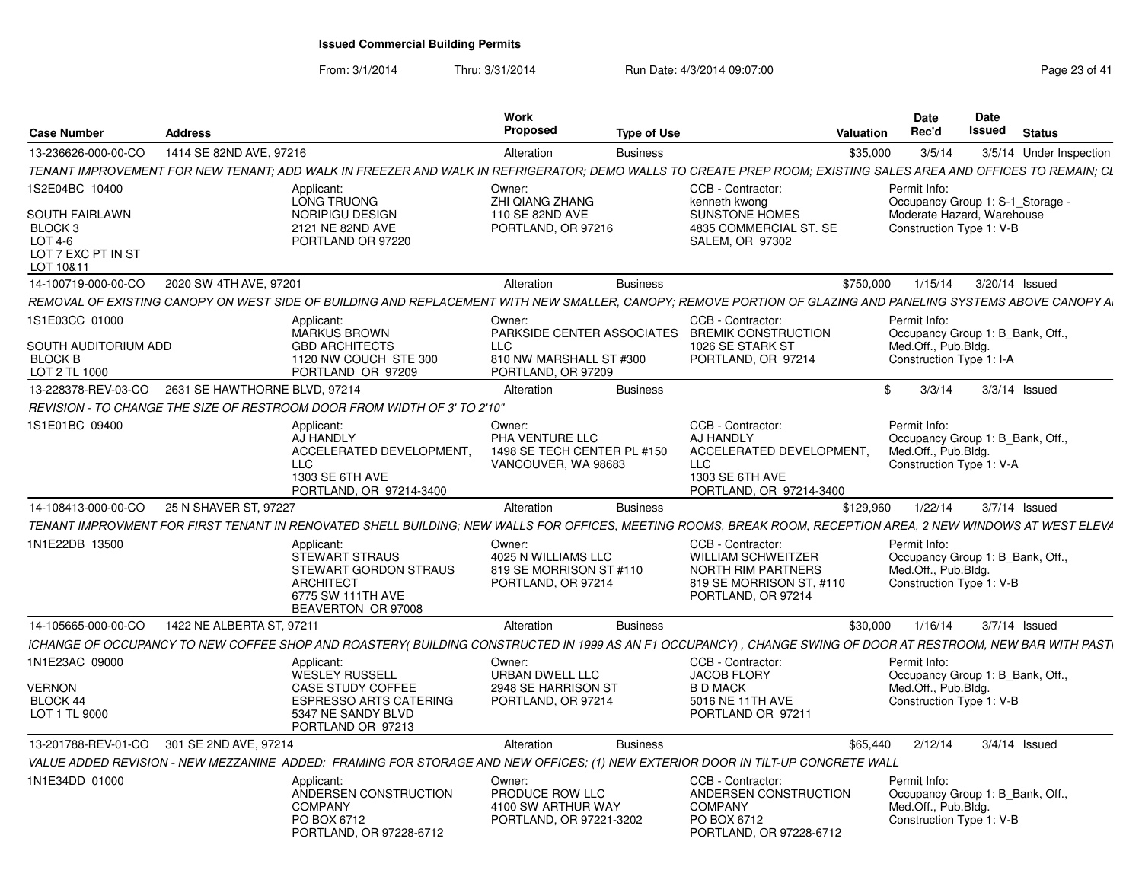| <b>Case Number</b>                                                                                          | <b>Address</b>            |                                                                                                                                                                | Work<br><b>Proposed</b>                                                                             | <b>Type of Use</b> |                                                                                                                               | Valuation | <b>Date</b><br>Rec'd                                                                                       | Date<br>Issued  | <b>Status</b> |                         |
|-------------------------------------------------------------------------------------------------------------|---------------------------|----------------------------------------------------------------------------------------------------------------------------------------------------------------|-----------------------------------------------------------------------------------------------------|--------------------|-------------------------------------------------------------------------------------------------------------------------------|-----------|------------------------------------------------------------------------------------------------------------|-----------------|---------------|-------------------------|
| 13-236626-000-00-CO                                                                                         | 1414 SE 82ND AVE, 97216   |                                                                                                                                                                | Alteration                                                                                          | <b>Business</b>    |                                                                                                                               | \$35,000  | 3/5/14                                                                                                     |                 |               | 3/5/14 Under Inspection |
|                                                                                                             |                           | TENANT IMPROVEMENT FOR NEW TENANT; ADD WALK IN FREEZER AND WALK IN REFRIGERATOR; DEMO WALLS TO CREATE PREP ROOM; EXISTING SALES AREA AND OFFICES TO REMAIN; CL |                                                                                                     |                    |                                                                                                                               |           |                                                                                                            |                 |               |                         |
| 1S2E04BC 10400<br><b>SOUTH FAIRLAWN</b><br>BLOCK <sub>3</sub><br>LOT 4-6<br>LOT 7 EXC PT IN ST<br>LOT 10&11 |                           | Applicant:<br>LONG TRUONG<br><b>NORIPIGU DESIGN</b><br>2121 NE 82ND AVE<br>PORTLAND OR 97220                                                                   | Owner:<br>ZHI QIANG ZHANG<br>110 SE 82ND AVE<br>PORTLAND, OR 97216                                  |                    | CCB - Contractor:<br>kenneth kwong<br><b>SUNSTONE HOMES</b><br>4835 COMMERCIAL ST. SE<br><b>SALEM, OR 97302</b>               |           | Permit Info:<br>Occupancy Group 1: S-1 Storage -<br>Moderate Hazard, Warehouse<br>Construction Type 1: V-B |                 |               |                         |
| 14-100719-000-00-CO                                                                                         | 2020 SW 4TH AVE, 97201    |                                                                                                                                                                | Alteration                                                                                          | <b>Business</b>    |                                                                                                                               | \$750,000 | 1/15/14                                                                                                    | 3/20/14 Issued  |               |                         |
|                                                                                                             |                           | REMOVAL OF EXISTING CANOPY ON WEST SIDE OF BUILDING AND REPLACEMENT WITH NEW SMALLER, CANOPY; REMOVE PORTION OF GLAZING AND PANELING SYSTEMS ABOVE CANOPY A    |                                                                                                     |                    |                                                                                                                               |           |                                                                                                            |                 |               |                         |
| 1S1E03CC 01000<br>SOUTH AUDITORIUM ADD<br><b>BLOCK B</b><br>LOT 2 TL 1000                                   |                           | Applicant:<br><b>MARKUS BROWN</b><br><b>GBD ARCHITECTS</b><br>1120 NW COUCH STE 300<br>PORTLAND OR 97209                                                       | Owner:<br>PARKSIDE CENTER ASSOCIATES<br><b>LLC</b><br>810 NW MARSHALL ST #300<br>PORTLAND, OR 97209 |                    | CCB - Contractor:<br><b>BREMIK CONSTRUCTION</b><br>1026 SE STARK ST<br>PORTLAND, OR 97214                                     |           | Permit Info:<br>Occupancy Group 1: B Bank, Off.<br>Med.Off., Pub.Bldg.<br>Construction Type 1: I-A         |                 |               |                         |
| 13-228378-REV-03-CO   2631 SE HAWTHORNE BLVD, 97214                                                         |                           |                                                                                                                                                                | Alteration                                                                                          | <b>Business</b>    |                                                                                                                               | \$        | 3/3/14                                                                                                     | $3/3/14$ Issued |               |                         |
|                                                                                                             |                           | REVISION - TO CHANGE THE SIZE OF RESTROOM DOOR FROM WIDTH OF 3' TO 2'10"                                                                                       |                                                                                                     |                    |                                                                                                                               |           |                                                                                                            |                 |               |                         |
| 1S1E01BC 09400                                                                                              |                           | Applicant:<br>AJ HANDLY<br>ACCELERATED DEVELOPMENT,<br>LLC.<br>1303 SE 6TH AVE<br>PORTLAND, OR 97214-3400                                                      | Owner:<br>PHA VENTURE LLC<br>1498 SE TECH CENTER PL #150<br>VANCOUVER, WA 98683                     |                    | CCB - Contractor:<br>AJ HANDLY<br>ACCELERATED DEVELOPMENT,<br>LLC<br>1303 SE 6TH AVE<br>PORTLAND, OR 97214-3400               |           | Permit Info:<br>Occupancy Group 1: B Bank, Off.,<br>Med.Off., Pub.Bldg.<br>Construction Type 1: V-A        |                 |               |                         |
| 14-108413-000-00-CO                                                                                         | 25 N SHAVER ST, 97227     |                                                                                                                                                                | Alteration                                                                                          | <b>Business</b>    |                                                                                                                               | \$129.960 | 1/22/14                                                                                                    | 3/7/14 Issued   |               |                         |
|                                                                                                             |                           | TENANT IMPROVMENT FOR FIRST TENANT IN RENOVATED SHELL BUILDING; NEW WALLS FOR OFFICES, MEETING ROOMS, BREAK ROOM, RECEPTION AREA, 2 NEW WINDOWS AT WEST ELEV/  |                                                                                                     |                    |                                                                                                                               |           |                                                                                                            |                 |               |                         |
| 1N1E22DB 13500                                                                                              |                           | Applicant:<br>STEWART STRAUS<br><b>STEWART GORDON STRAUS</b><br><b>ARCHITECT</b><br>6775 SW 111TH AVE<br>BEAVERTON OR 97008                                    | Owner:<br>4025 N WILLIAMS LLC<br>819 SE MORRISON ST #110<br>PORTLAND, OR 97214                      |                    | CCB - Contractor:<br><b>WILLIAM SCHWEITZER</b><br><b>NORTH RIM PARTNERS</b><br>819 SE MORRISON ST, #110<br>PORTLAND, OR 97214 |           | Permit Info:<br>Occupancy Group 1: B Bank, Off.,<br>Med.Off., Pub.Bldg.<br>Construction Type 1: V-B        |                 |               |                         |
| 14-105665-000-00-CO                                                                                         | 1422 NE ALBERTA ST. 97211 |                                                                                                                                                                | Alteration                                                                                          | <b>Business</b>    |                                                                                                                               | \$30,000  | 1/16/14                                                                                                    | $3/7/14$ Issued |               |                         |
|                                                                                                             |                           | ICHANGE OF OCCUPANCY TO NEW COFFEE SHOP AND ROASTERY( BUILDING CONSTRUCTED IN 1999 AS AN F1 OCCUPANCY), CHANGE SWING OF DOOR AT RESTROOM, NEW BAR WITH PASTI   |                                                                                                     |                    |                                                                                                                               |           |                                                                                                            |                 |               |                         |
| 1N1E23AC 09000                                                                                              |                           | Applicant:<br><b>WESLEY RUSSELL</b>                                                                                                                            | Owner:<br>URBAN DWELL LLC                                                                           |                    | CCB - Contractor:<br><b>JACOB FLORY</b>                                                                                       |           | Permit Info:<br>Occupancy Group 1: B Bank, Off.,                                                           |                 |               |                         |
| VERNON                                                                                                      |                           | <b>CASE STUDY COFFEE</b>                                                                                                                                       | 2948 SE HARRISON ST                                                                                 |                    | <b>B D MACK</b>                                                                                                               |           | Med.Off., Pub.Bldg.                                                                                        |                 |               |                         |
| BLOCK 44<br>LOT 1 TL 9000                                                                                   |                           | ESPRESSO ARTS CATERING<br>5347 NE SANDY BLVD<br>PORTLAND OR 97213                                                                                              | PORTLAND, OR 97214                                                                                  |                    | 5016 NE 11TH AVE<br>PORTLAND OR 97211                                                                                         |           | Construction Type 1: V-B                                                                                   |                 |               |                         |
| 13-201788-REV-01-CO 301 SE 2ND AVE, 97214                                                                   |                           |                                                                                                                                                                | Alteration                                                                                          | <b>Business</b>    |                                                                                                                               | \$65.440  | 2/12/14                                                                                                    | $3/4/14$ Issued |               |                         |
|                                                                                                             |                           | VALUE ADDED REVISION - NEW MEZZANINE  ADDED:  FRAMING FOR STORAGE AND NEW OFFICES; (1) NEW EXTERIOR DOOR IN TILT-UP CONCRETE WALL                              |                                                                                                     |                    |                                                                                                                               |           |                                                                                                            |                 |               |                         |
| 1N1E34DD 01000                                                                                              |                           | Applicant:<br>ANDERSEN CONSTRUCTION<br><b>COMPANY</b><br>PO BOX 6712<br>PORTLAND, OR 97228-6712                                                                | Owner:<br>PRODUCE ROW LLC<br>4100 SW ARTHUR WAY<br>PORTLAND, OR 97221-3202                          |                    | CCB - Contractor:<br>ANDERSEN CONSTRUCTION<br><b>COMPANY</b><br>PO BOX 6712<br>PORTLAND, OR 97228-6712                        |           | Permit Info:<br>Occupancy Group 1: B Bank, Off.<br>Med.Off., Pub.Bldg.<br>Construction Type 1: V-B         |                 |               |                         |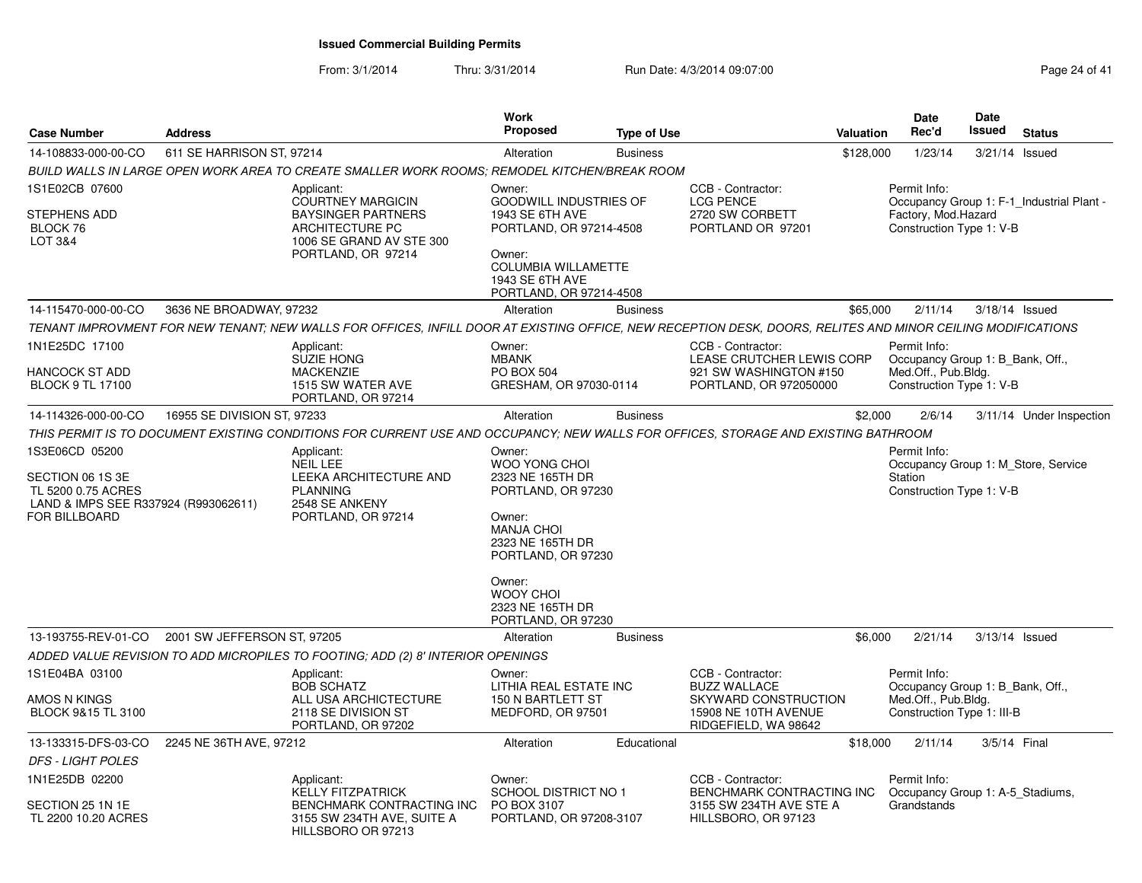| <b>Case Number</b>                                                                                                | <b>Address</b>              |                                                                                                                                                             | Work<br><b>Proposed</b>                                                                                                                                                                                            | <b>Type of Use</b> |                                                                                                    | <b>Valuation</b> | Date<br>Rec'd                                                                                       | <b>Date</b><br><b>Issued</b> | <b>Status</b>                             |
|-------------------------------------------------------------------------------------------------------------------|-----------------------------|-------------------------------------------------------------------------------------------------------------------------------------------------------------|--------------------------------------------------------------------------------------------------------------------------------------------------------------------------------------------------------------------|--------------------|----------------------------------------------------------------------------------------------------|------------------|-----------------------------------------------------------------------------------------------------|------------------------------|-------------------------------------------|
| 14-108833-000-00-CO                                                                                               | 611 SE HARRISON ST, 97214   |                                                                                                                                                             | Alteration                                                                                                                                                                                                         | <b>Business</b>    |                                                                                                    | \$128,000        | 1/23/14                                                                                             | 3/21/14 Issued               |                                           |
|                                                                                                                   |                             | BUILD WALLS IN LARGE OPEN WORK AREA TO CREATE SMALLER WORK ROOMS; REMODEL KITCHEN/BREAK ROOM                                                                |                                                                                                                                                                                                                    |                    |                                                                                                    |                  |                                                                                                     |                              |                                           |
| 1S1E02CB 07600<br>STEPHENS ADD<br>BLOCK 76<br><b>LOT 3&amp;4</b>                                                  |                             | Applicant:<br><b>COURTNEY MARGICIN</b><br><b>BAYSINGER PARTNERS</b><br><b>ARCHITECTURE PC</b><br>1006 SE GRAND AV STE 300<br>PORTLAND, OR 97214             | Owner:<br><b>GOODWILL INDUSTRIES OF</b><br>1943 SE 6TH AVE<br>PORTLAND, OR 97214-4508<br>Owner:<br><b>COLUMBIA WILLAMETTE</b><br>1943 SE 6TH AVE<br>PORTLAND, OR 97214-4508                                        |                    | CCB - Contractor:<br><b>LCG PENCE</b><br>2720 SW CORBETT<br>PORTLAND OR 97201                      |                  | Permit Info:<br>Factory, Mod.Hazard<br>Construction Type 1: V-B                                     |                              | Occupancy Group 1: F-1_Industrial Plant - |
| 14-115470-000-00-CO                                                                                               | 3636 NE BROADWAY, 97232     |                                                                                                                                                             | Alteration                                                                                                                                                                                                         | <b>Business</b>    |                                                                                                    | \$65,000         | 2/11/14                                                                                             | 3/18/14 Issued               |                                           |
|                                                                                                                   |                             | TENANT IMPROVMENT FOR NEW TENANT; NEW WALLS FOR OFFICES, INFILL DOOR AT EXISTING OFFICE, NEW RECEPTION DESK, DOORS, RELITES AND MINOR CEILING MODIFICATIONS |                                                                                                                                                                                                                    |                    |                                                                                                    |                  |                                                                                                     |                              |                                           |
| 1N1E25DC 17100<br><b>HANCOCK ST ADD</b><br><b>BLOCK 9 TL 17100</b>                                                |                             | Applicant:<br><b>SUZIE HONG</b><br><b>MACKENZIE</b><br>1515 SW WATER AVE<br>PORTLAND, OR 97214                                                              | Owner:<br><b>MBANK</b><br>PO BOX 504<br>GRESHAM, OR 97030-0114                                                                                                                                                     |                    | CCB - Contractor:<br>LEASE CRUTCHER LEWIS CORP<br>921 SW WASHINGTON #150<br>PORTLAND, OR 972050000 |                  | Permit Info:<br>Occupancy Group 1: B_Bank, Off.,<br>Med.Off., Pub.Bldg.<br>Construction Type 1: V-B |                              |                                           |
| 14-114326-000-00-CO                                                                                               | 16955 SE DIVISION ST, 97233 |                                                                                                                                                             | Alteration                                                                                                                                                                                                         | <b>Business</b>    |                                                                                                    | \$2,000          | 2/6/14                                                                                              |                              | 3/11/14 Under Inspection                  |
|                                                                                                                   |                             | THIS PERMIT IS TO DOCUMENT EXISTING CONDITIONS FOR CURRENT USE AND OCCUPANCY: NEW WALLS FOR OFFICES, STORAGE AND EXISTING BATHROOM                          |                                                                                                                                                                                                                    |                    |                                                                                                    |                  |                                                                                                     |                              |                                           |
| 1S3E06CD 05200<br>SECTION 06 1S 3E<br>TL 5200 0.75 ACRES<br>LAND & IMPS SEE R337924 (R993062611)<br>FOR BILLBOARD |                             | Applicant:<br><b>NEIL LEE</b><br>LEEKA ARCHITECTURE AND<br><b>PLANNING</b><br>2548 SE ANKENY<br>PORTLAND, OR 97214                                          | Owner:<br>WOO YONG CHOI<br>2323 NE 165TH DR<br>PORTLAND, OR 97230<br>Owner:<br><b>MANJA CHOI</b><br>2323 NE 165TH DR<br>PORTLAND, OR 97230<br>Owner:<br><b>WOOY CHOI</b><br>2323 NE 165TH DR<br>PORTLAND, OR 97230 |                    |                                                                                                    |                  | Permit Info:<br>Occupancy Group 1: M Store, Service<br>Station<br>Construction Type 1: V-B          |                              |                                           |
| 13-193755-REV-01-CO                                                                                               | 2001 SW JEFFERSON ST, 97205 |                                                                                                                                                             | Alteration                                                                                                                                                                                                         | <b>Business</b>    |                                                                                                    | \$6,000          | 2/21/14                                                                                             | 3/13/14 Issued               |                                           |
| 1S1E04BA 03100                                                                                                    |                             | ADDED VALUE REVISION TO ADD MICROPILES TO FOOTING; ADD (2) 8' INTERIOR OPENINGS<br>Applicant:                                                               | Owner:                                                                                                                                                                                                             |                    | CCB - Contractor:                                                                                  |                  | Permit Info:                                                                                        |                              |                                           |
| AMOS N KINGS<br>BLOCK 9&15 TL 3100                                                                                |                             | <b>BOB SCHATZ</b><br>ALL USA ARCHICTECTURE<br>2118 SE DIVISION ST<br>PORTLAND, OR 97202                                                                     | LITHIA REAL ESTATE INC<br>150 N BARTLETT ST<br>MEDFORD, OR 97501                                                                                                                                                   |                    | <b>BUZZ WALLACE</b><br>SKYWARD CONSTRUCTION<br>15908 NE 10TH AVENUE<br>RIDGEFIELD, WA 98642        |                  | Occupancy Group 1: B_Bank, Off.,<br>Med.Off., Pub.Bldg.<br>Construction Type 1: III-B               |                              |                                           |
| 13-133315-DFS-03-CO                                                                                               | 2245 NE 36TH AVE, 97212     |                                                                                                                                                             | Alteration                                                                                                                                                                                                         | Educational        |                                                                                                    | \$18,000         | 2/11/14                                                                                             | 3/5/14 Final                 |                                           |
| <b>DFS - LIGHT POLES</b>                                                                                          |                             |                                                                                                                                                             |                                                                                                                                                                                                                    |                    |                                                                                                    |                  |                                                                                                     |                              |                                           |
| 1N1E25DB 02200                                                                                                    |                             | Applicant:<br><b>KELLY FITZPATRICK</b>                                                                                                                      | Owner:<br><b>SCHOOL DISTRICT NO 1</b>                                                                                                                                                                              |                    | CCB - Contractor:<br>BENCHMARK CONTRACTING INC                                                     |                  | Permit Info:<br>Occupancy Group 1: A-5 Stadiums,                                                    |                              |                                           |
| SECTION 25 1N 1E<br>TL 2200 10.20 ACRES                                                                           |                             | BENCHMARK CONTRACTING INC<br>3155 SW 234TH AVE, SUITE A<br>HILLSBORO OR 97213                                                                               | PO BOX 3107<br>PORTLAND, OR 97208-3107                                                                                                                                                                             |                    | 3155 SW 234TH AVE STE A<br>HILLSBORO, OR 97123                                                     |                  | Grandstands                                                                                         |                              |                                           |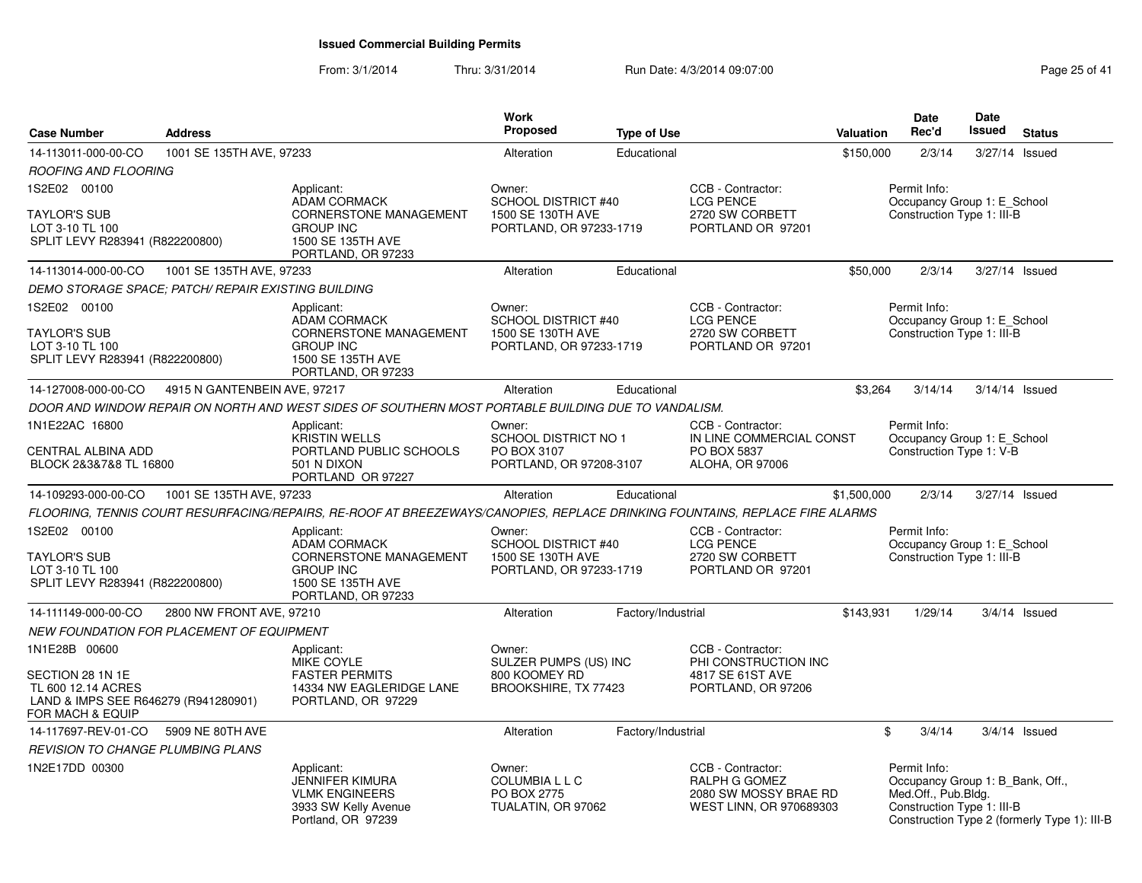| <b>Case Number</b>                                                                                                  | <b>Address</b>                                      |                                                                                                                                   | <b>Work</b><br><b>Proposed</b>                                                       | <b>Type of Use</b> |                                                                                               | Valuation   | <b>Date</b><br>Rec'd                                                                                  | <b>Date</b><br>Issued | <b>Status</b>                                |
|---------------------------------------------------------------------------------------------------------------------|-----------------------------------------------------|-----------------------------------------------------------------------------------------------------------------------------------|--------------------------------------------------------------------------------------|--------------------|-----------------------------------------------------------------------------------------------|-------------|-------------------------------------------------------------------------------------------------------|-----------------------|----------------------------------------------|
| 14-113011-000-00-CO                                                                                                 | 1001 SE 135TH AVE, 97233                            |                                                                                                                                   | Alteration                                                                           | Educational        |                                                                                               | \$150,000   | 2/3/14                                                                                                | 3/27/14 Issued        |                                              |
| ROOFING AND FLOORING                                                                                                |                                                     |                                                                                                                                   |                                                                                      |                    |                                                                                               |             |                                                                                                       |                       |                                              |
| 1S2E02 00100<br><b>TAYLOR'S SUB</b><br>LOT 3-10 TL 100<br>SPLIT LEVY R283941 (R822200800)                           |                                                     | Applicant:<br><b>ADAM CORMACK</b><br><b>CORNERSTONE MANAGEMENT</b><br><b>GROUP INC</b><br>1500 SE 135TH AVE<br>PORTLAND, OR 97233 | Owner:<br><b>SCHOOL DISTRICT #40</b><br>1500 SE 130TH AVE<br>PORTLAND, OR 97233-1719 |                    | CCB - Contractor:<br><b>LCG PENCE</b><br>2720 SW CORBETT<br>PORTLAND OR 97201                 |             | Permit Info:<br>Occupancy Group 1: E School<br>Construction Type 1: III-B                             |                       |                                              |
| 14-113014-000-00-CO                                                                                                 | 1001 SE 135TH AVE, 97233                            |                                                                                                                                   | Alteration                                                                           | Educational        |                                                                                               | \$50,000    | 2/3/14                                                                                                | 3/27/14 Issued        |                                              |
|                                                                                                                     | DEMO STORAGE SPACE; PATCH/ REPAIR EXISTING BUILDING |                                                                                                                                   |                                                                                      |                    |                                                                                               |             |                                                                                                       |                       |                                              |
| 1S2E02 00100<br><b>TAYLOR'S SUB</b><br>LOT 3-10 TL 100<br>SPLIT LEVY R283941 (R822200800)                           |                                                     | Applicant:<br><b>ADAM CORMACK</b><br><b>CORNERSTONE MANAGEMENT</b><br><b>GROUP INC</b><br>1500 SE 135TH AVE<br>PORTLAND, OR 97233 | Owner:<br><b>SCHOOL DISTRICT #40</b><br>1500 SE 130TH AVE<br>PORTLAND, OR 97233-1719 |                    | CCB - Contractor:<br><b>LCG PENCE</b><br>2720 SW CORBETT<br>PORTLAND OR 97201                 |             | Permit Info:<br>Occupancy Group 1: E_School<br>Construction Type 1: III-B                             |                       |                                              |
| 14-127008-000-00-CO                                                                                                 | 4915 N GANTENBEIN AVE, 97217                        |                                                                                                                                   | Alteration                                                                           | Educational        |                                                                                               | \$3,264     | 3/14/14                                                                                               | 3/14/14 Issued        |                                              |
|                                                                                                                     |                                                     | DOOR AND WINDOW REPAIR ON NORTH AND WEST SIDES OF SOUTHERN MOST PORTABLE BUILDING DUE TO VANDALISM.                               |                                                                                      |                    |                                                                                               |             |                                                                                                       |                       |                                              |
| 1N1E22AC 16800<br>CENTRAL ALBINA ADD<br>BLOCK 2&3&7&8 TL 16800                                                      |                                                     | Applicant:<br>KRISTIN WELLS<br>PORTLAND PUBLIC SCHOOLS<br>501 N DIXON<br>PORTLAND OR 97227                                        | Owner:<br><b>SCHOOL DISTRICT NO 1</b><br>PO BOX 3107<br>PORTLAND, OR 97208-3107      |                    | CCB - Contractor:<br>IN LINE COMMERCIAL CONST<br>PO BOX 5837<br>ALOHA, OR 97006               |             | Permit Info:<br>Occupancy Group 1: E_School<br>Construction Type 1: V-B                               |                       |                                              |
| 14-109293-000-00-CO                                                                                                 | 1001 SE 135TH AVE, 97233                            |                                                                                                                                   | Alteration                                                                           | Educational        |                                                                                               | \$1,500,000 | 2/3/14                                                                                                |                       | 3/27/14 Issued                               |
|                                                                                                                     |                                                     | FLOORING, TENNIS COURT RESURFACING/REPAIRS, RE-ROOF AT BREEZEWAYS/CANOPIES, REPLACE DRINKING FOUNTAINS, REPLACE FIRE ALARMS       |                                                                                      |                    |                                                                                               |             |                                                                                                       |                       |                                              |
| 1S2E02 00100<br><b>TAYLOR'S SUB</b><br>LOT 3-10 TL 100<br>SPLIT LEVY R283941 (R822200800)                           |                                                     | Applicant:<br><b>ADAM CORMACK</b><br><b>CORNERSTONE MANAGEMENT</b><br><b>GROUP INC</b><br>1500 SE 135TH AVE<br>PORTLAND, OR 97233 | Owner:<br>SCHOOL DISTRICT #40<br>1500 SE 130TH AVE<br>PORTLAND, OR 97233-1719        |                    | CCB - Contractor:<br><b>LCG PENCE</b><br>2720 SW CORBETT<br>PORTLAND OR 97201                 |             | Permit Info:<br>Occupancy Group 1: E_School<br>Construction Type 1: III-B                             |                       |                                              |
| 14-111149-000-00-CO                                                                                                 | 2800 NW FRONT AVE, 97210                            |                                                                                                                                   | Alteration                                                                           | Factory/Industrial |                                                                                               | \$143,931   | 1/29/14                                                                                               |                       | $3/4/14$ Issued                              |
|                                                                                                                     | NEW FOUNDATION FOR PLACEMENT OF EQUIPMENT           |                                                                                                                                   |                                                                                      |                    |                                                                                               |             |                                                                                                       |                       |                                              |
| 1N1E28B 00600<br>SECTION 28 1N 1E<br>TL 600 12.14 ACRES<br>LAND & IMPS SEE R646279 (R941280901)<br>FOR MACH & EQUIP |                                                     | Applicant:<br>MIKE COYLE<br><b>FASTER PERMITS</b><br>14334 NW EAGLERIDGE LANE<br>PORTLAND, OR 97229                               | Owner:<br>SULZER PUMPS (US) INC<br>800 KOOMEY RD<br>BROOKSHIRE, TX 77423             |                    | CCB - Contractor:<br>PHI CONSTRUCTION INC<br>4817 SE 61ST AVE<br>PORTLAND, OR 97206           |             |                                                                                                       |                       |                                              |
| 14-117697-REV-01-CO                                                                                                 | 5909 NE 80TH AVE                                    |                                                                                                                                   | Alteration                                                                           | Factory/Industrial |                                                                                               | \$          | 3/4/14                                                                                                |                       | $3/4/14$ Issued                              |
| <i><b>REVISION TO CHANGE PLUMBING PLANS</b></i>                                                                     |                                                     |                                                                                                                                   |                                                                                      |                    |                                                                                               |             |                                                                                                       |                       |                                              |
| 1N2E17DD 00300                                                                                                      |                                                     | Applicant:<br>JENNIFER KIMURA<br><b>VLMK ENGINEERS</b><br>3933 SW Kelly Avenue<br>Portland, OR 97239                              | Owner:<br><b>COLUMBIALLC</b><br>PO BOX 2775<br>TUALATIN, OR 97062                    |                    | CCB - Contractor:<br><b>RALPH G GOMEZ</b><br>2080 SW MOSSY BRAE RD<br>WEST LINN, OR 970689303 |             | Permit Info:<br>Occupancy Group 1: B_Bank, Off.,<br>Med.Off., Pub.Bldg.<br>Construction Type 1: III-B |                       | Construction Type 2 (formerly Type 1): III-B |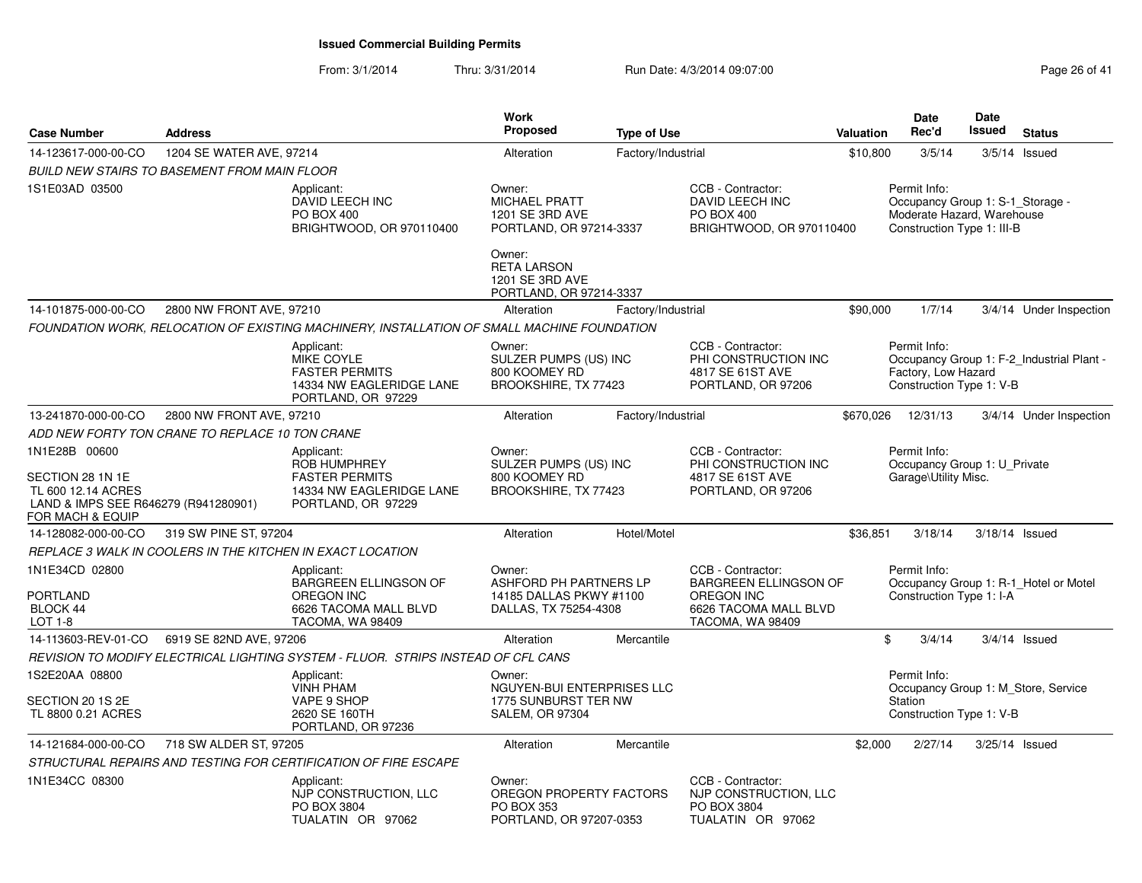| <b>Case Number</b>                                                                                                  | <b>Address</b>                                      |                                                                                                              | <b>Work</b><br>Proposed                                                              | <b>Type of Use</b> |                                                                                                                     | Valuation | <b>Date</b><br>Rec'd                                                                                         | <b>Date</b><br><b>Issued</b> | <b>Status</b>                             |
|---------------------------------------------------------------------------------------------------------------------|-----------------------------------------------------|--------------------------------------------------------------------------------------------------------------|--------------------------------------------------------------------------------------|--------------------|---------------------------------------------------------------------------------------------------------------------|-----------|--------------------------------------------------------------------------------------------------------------|------------------------------|-------------------------------------------|
| 14-123617-000-00-CO                                                                                                 | 1204 SE WATER AVE, 97214                            |                                                                                                              | Alteration                                                                           | Factory/Industrial |                                                                                                                     | \$10,800  | 3/5/14                                                                                                       |                              | $3/5/14$ Issued                           |
|                                                                                                                     | <b>BUILD NEW STAIRS TO BASEMENT FROM MAIN FLOOR</b> |                                                                                                              |                                                                                      |                    |                                                                                                                     |           |                                                                                                              |                              |                                           |
| 1S1E03AD 03500                                                                                                      |                                                     | Applicant:<br>DAVID LEECH INC<br>PO BOX 400<br>BRIGHTWOOD, OR 970110400                                      | Owner:<br><b>MICHAEL PRATT</b><br>1201 SE 3RD AVE<br>PORTLAND, OR 97214-3337         |                    | CCB - Contractor:<br>DAVID LEECH INC<br><b>PO BOX 400</b><br>BRIGHTWOOD, OR 970110400                               |           | Permit Info:<br>Occupancy Group 1: S-1_Storage -<br>Moderate Hazard, Warehouse<br>Construction Type 1: III-B |                              |                                           |
|                                                                                                                     |                                                     |                                                                                                              | Owner:<br><b>RETA LARSON</b><br>1201 SE 3RD AVE<br>PORTLAND, OR 97214-3337           |                    |                                                                                                                     |           |                                                                                                              |                              |                                           |
| 14-101875-000-00-CO                                                                                                 | 2800 NW FRONT AVE, 97210                            |                                                                                                              | Alteration                                                                           | Factory/Industrial |                                                                                                                     | \$90,000  | 1/7/14                                                                                                       |                              | 3/4/14 Under Inspection                   |
|                                                                                                                     |                                                     | FOUNDATION WORK, RELOCATION OF EXISTING MACHINERY, INSTALLATION OF SMALL MACHINE FOUNDATION                  |                                                                                      |                    |                                                                                                                     |           |                                                                                                              |                              |                                           |
|                                                                                                                     |                                                     | Applicant:<br>MIKE COYLE<br><b>FASTER PERMITS</b><br>14334 NW EAGLERIDGE LANE<br>PORTLAND, OR 97229          | Owner:<br>SULZER PUMPS (US) INC<br>800 KOOMEY RD<br>BROOKSHIRE, TX 77423             |                    | CCB - Contractor:<br>PHI CONSTRUCTION INC<br>4817 SE 61ST AVE<br>PORTLAND, OR 97206                                 |           | Permit Info:<br>Factory, Low Hazard<br>Construction Type 1: V-B                                              |                              | Occupancy Group 1: F-2_Industrial Plant - |
| 13-241870-000-00-CO                                                                                                 | 2800 NW FRONT AVE, 97210                            |                                                                                                              | Alteration                                                                           | Factory/Industrial |                                                                                                                     | \$670,026 | 12/31/13                                                                                                     |                              | 3/4/14 Under Inspection                   |
|                                                                                                                     | ADD NEW FORTY TON CRANE TO REPLACE 10 TON CRANE     |                                                                                                              |                                                                                      |                    |                                                                                                                     |           |                                                                                                              |                              |                                           |
| 1N1E28B 00600<br>SECTION 28 1N 1E<br>TL 600 12.14 ACRES<br>LAND & IMPS SEE R646279 (R941280901)<br>FOR MACH & EQUIP |                                                     | Applicant:<br><b>ROB HUMPHREY</b><br><b>FASTER PERMITS</b><br>14334 NW EAGLERIDGE LANE<br>PORTLAND, OR 97229 | Owner:<br>SULZER PUMPS (US) INC<br>800 KOOMEY RD<br>BROOKSHIRE, TX 77423             |                    | CCB - Contractor:<br>PHI CONSTRUCTION INC<br>4817 SE 61ST AVE<br>PORTLAND, OR 97206                                 |           | Permit Info:<br>Occupancy Group 1: U Private<br>Garage\Utility Misc.                                         |                              |                                           |
| 14-128082-000-00-CO                                                                                                 | 319 SW PINE ST, 97204                               |                                                                                                              | Alteration                                                                           | Hotel/Motel        |                                                                                                                     | \$36,851  | 3/18/14                                                                                                      |                              | 3/18/14 Issued                            |
|                                                                                                                     |                                                     | REPLACE 3 WALK IN COOLERS IN THE KITCHEN IN EXACT LOCATION                                                   |                                                                                      |                    |                                                                                                                     |           |                                                                                                              |                              |                                           |
| 1N1E34CD 02800<br><b>PORTLAND</b><br>BLOCK 44<br>LOT 1-8                                                            |                                                     | Applicant:<br>BARGREEN ELLINGSON OF<br>OREGON INC<br>6626 TACOMA MALL BLVD<br>TACOMA, WA 98409               | Owner:<br>ASHFORD PH PARTNERS LP<br>14185 DALLAS PKWY #1100<br>DALLAS, TX 75254-4308 |                    | CCB - Contractor:<br><b>BARGREEN ELLINGSON OF</b><br><b>OREGON INC</b><br>6626 TACOMA MALL BLVD<br>TACOMA, WA 98409 |           | Permit Info:<br>Construction Type 1: I-A                                                                     |                              | Occupancy Group 1: R-1_Hotel or Motel     |
| 14-113603-REV-01-CO                                                                                                 | 6919 SE 82ND AVE, 97206                             |                                                                                                              | Alteration                                                                           | Mercantile         |                                                                                                                     | \$        | 3/4/14                                                                                                       |                              | $3/4/14$ Issued                           |
|                                                                                                                     |                                                     | REVISION TO MODIFY ELECTRICAL LIGHTING SYSTEM - FLUOR. STRIPS INSTEAD OF CFL CANS                            |                                                                                      |                    |                                                                                                                     |           |                                                                                                              |                              |                                           |
| 1S2E20AA 08800                                                                                                      |                                                     | Applicant:                                                                                                   | Owner:                                                                               |                    |                                                                                                                     |           | Permit Info:                                                                                                 |                              |                                           |
| SECTION 20 1S 2E<br>TL 8800 0.21 ACRES                                                                              |                                                     | <b>VINH PHAM</b><br>VAPE 9 SHOP<br>2620 SE 160TH<br>PORTLAND, OR 97236                                       | NGUYEN-BUI ENTERPRISES LLC<br>1775 SUNBURST TER NW<br><b>SALEM, OR 97304</b>         |                    |                                                                                                                     |           | Station<br>Construction Type 1: V-B                                                                          |                              | Occupancy Group 1: M Store, Service       |
| 14-121684-000-00-CO                                                                                                 | 718 SW ALDER ST, 97205                              |                                                                                                              | Alteration                                                                           | Mercantile         |                                                                                                                     | \$2,000   | 2/27/14                                                                                                      |                              | 3/25/14 Issued                            |
|                                                                                                                     |                                                     | STRUCTURAL REPAIRS AND TESTING FOR CERTIFICATION OF FIRE ESCAPE                                              |                                                                                      |                    |                                                                                                                     |           |                                                                                                              |                              |                                           |
| 1N1E34CC 08300                                                                                                      |                                                     | Applicant:<br>NJP CONSTRUCTION, LLC<br>PO BOX 3804<br>TUALATIN OR 97062                                      | Owner:<br>OREGON PROPERTY FACTORS<br>PO BOX 353<br>PORTLAND, OR 97207-0353           |                    | CCB - Contractor:<br>NJP CONSTRUCTION, LLC<br>PO BOX 3804<br>TUALATIN OR 97062                                      |           |                                                                                                              |                              |                                           |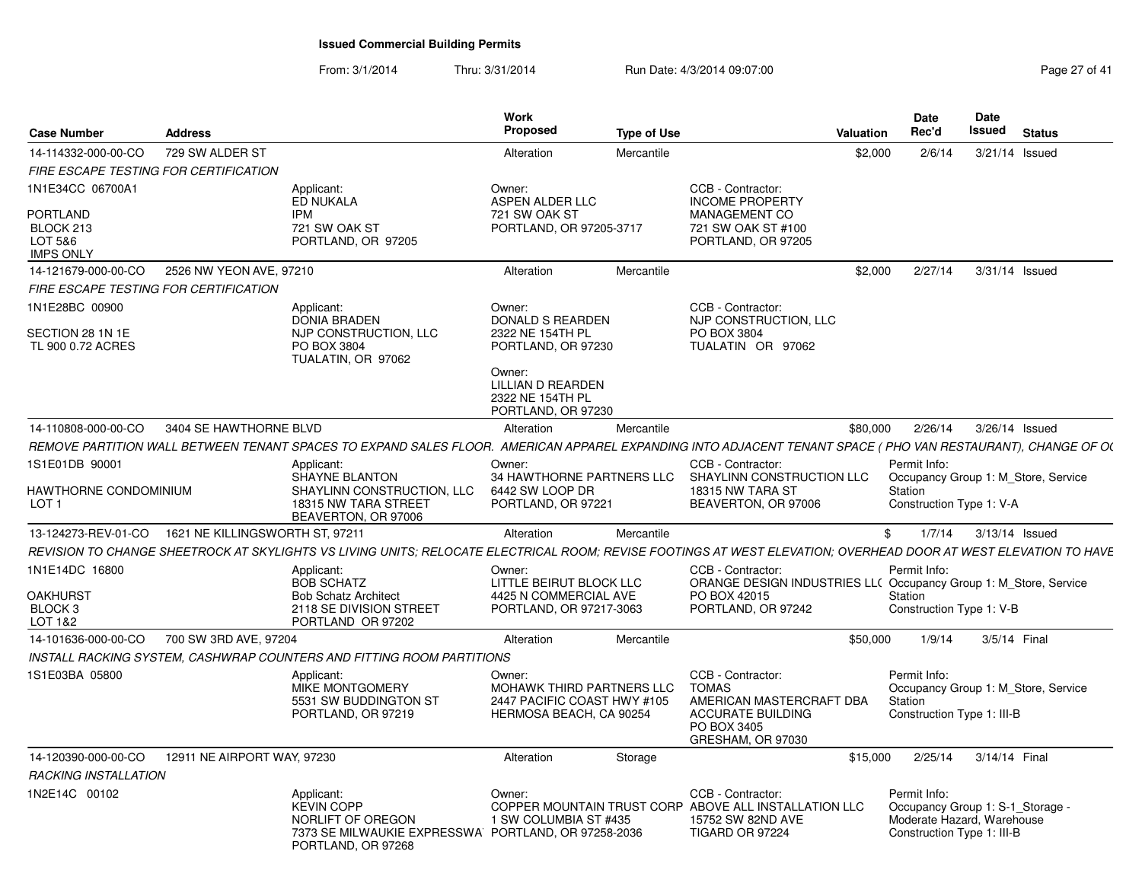| <b>Case Number</b>                                      | <b>Address</b>                 |                                                                                                                                                                 | Work<br><b>Proposed</b>                                                                       | <b>Type of Use</b> |                                                                                                                               | Valuation | Date<br>Rec'd                                                                                                | Date<br>Issued | <b>Status</b> |  |
|---------------------------------------------------------|--------------------------------|-----------------------------------------------------------------------------------------------------------------------------------------------------------------|-----------------------------------------------------------------------------------------------|--------------------|-------------------------------------------------------------------------------------------------------------------------------|-----------|--------------------------------------------------------------------------------------------------------------|----------------|---------------|--|
| 14-114332-000-00-CO                                     | 729 SW ALDER ST                |                                                                                                                                                                 | Alteration                                                                                    | Mercantile         |                                                                                                                               | \$2,000   | 2/6/14                                                                                                       | 3/21/14 Issued |               |  |
| FIRE ESCAPE TESTING FOR CERTIFICATION                   |                                |                                                                                                                                                                 |                                                                                               |                    |                                                                                                                               |           |                                                                                                              |                |               |  |
| 1N1E34CC 06700A1                                        |                                | Applicant:                                                                                                                                                      | Owner:                                                                                        |                    | CCB - Contractor:                                                                                                             |           |                                                                                                              |                |               |  |
| PORTLAND<br>BLOCK 213<br>LOT 5&6                        |                                | ED NUKALA<br><b>IPM</b><br>721 SW OAK ST<br>PORTLAND, OR 97205                                                                                                  | ASPEN ALDER LLC<br>721 SW OAK ST<br>PORTLAND, OR 97205-3717                                   |                    | <b>INCOME PROPERTY</b><br>MANAGEMENT CO<br>721 SW OAK ST #100<br>PORTLAND, OR 97205                                           |           |                                                                                                              |                |               |  |
| <b>IMPS ONLY</b>                                        |                                |                                                                                                                                                                 |                                                                                               |                    |                                                                                                                               |           |                                                                                                              |                |               |  |
| 14-121679-000-00-CO                                     | 2526 NW YEON AVE, 97210        |                                                                                                                                                                 | Alteration                                                                                    | Mercantile         |                                                                                                                               | \$2.000   | 2/27/14                                                                                                      | 3/31/14 Issued |               |  |
| FIRE ESCAPE TESTING FOR CERTIFICATION                   |                                |                                                                                                                                                                 |                                                                                               |                    |                                                                                                                               |           |                                                                                                              |                |               |  |
| 1N1E28BC 00900<br>SECTION 28 1N 1E<br>TL 900 0.72 ACRES |                                | Applicant:<br><b>DONIA BRADEN</b><br>NJP CONSTRUCTION, LLC<br>PO BOX 3804<br>TUALATIN, OR 97062                                                                 | Owner:<br><b>DONALD S REARDEN</b><br>2322 NE 154TH PL<br>PORTLAND, OR 97230                   |                    | CCB - Contractor:<br>NJP CONSTRUCTION, LLC<br>PO BOX 3804<br>TUALATIN OR 97062                                                |           |                                                                                                              |                |               |  |
|                                                         |                                |                                                                                                                                                                 | Owner:<br><b>LILLIAN D REARDEN</b><br>2322 NE 154TH PL<br>PORTLAND, OR 97230                  |                    |                                                                                                                               |           |                                                                                                              |                |               |  |
| 14-110808-000-00-CO                                     | 3404 SE HAWTHORNE BLVD         |                                                                                                                                                                 | Alteration                                                                                    | Mercantile         |                                                                                                                               | \$80,000  | 2/26/14                                                                                                      | 3/26/14 Issued |               |  |
|                                                         |                                | REMOVE PARTITION WALL BETWEEN TENANT SPACES TO EXPAND SALES FLOOR. AMERICAN APPAREL EXPANDING INTO ADJACENT TENANT SPACE (PHO VAN RESTAURANT), CHANGE OF OL     |                                                                                               |                    |                                                                                                                               |           |                                                                                                              |                |               |  |
| 1S1E01DB 90001                                          |                                | Applicant:                                                                                                                                                      | Owner:                                                                                        |                    | CCB - Contractor:                                                                                                             |           | Permit Info:                                                                                                 |                |               |  |
| HAWTHORNE CONDOMINIUM<br>LOT 1                          |                                | <b>SHAYNE BLANTON</b><br>SHAYLINN CONSTRUCTION, LLC<br>18315 NW TARA STREET<br>BEAVERTON, OR 97006                                                              | 34 HAWTHORNE PARTNERS LLC<br>6442 SW LOOP DR<br>PORTLAND, OR 97221                            |                    | SHAYLINN CONSTRUCTION LLC<br>18315 NW TARA ST<br>BEAVERTON, OR 97006                                                          |           | Occupancy Group 1: M_Store, Service<br>Station<br>Construction Type 1: V-A                                   |                |               |  |
| 13-124273-REV-01-CO                                     | 1621 NE KILLINGSWORTH ST, 9721 |                                                                                                                                                                 | Alteration                                                                                    | Mercantile         |                                                                                                                               | \$        | 1/7/14                                                                                                       | 3/13/14 Issued |               |  |
|                                                         |                                | REVISION TO CHANGE SHEETROCK AT SKYLIGHTS VS LIVING UNITS: RELOCATE ELECTRICAL ROOM: REVISE FOOTINGS AT WEST ELEVATION: OVERHEAD DOOR AT WEST ELEVATION TO HAVE |                                                                                               |                    |                                                                                                                               |           |                                                                                                              |                |               |  |
| 1N1E14DC 16800                                          |                                | Applicant:                                                                                                                                                      | Owner:                                                                                        |                    | CCB - Contractor:                                                                                                             |           | Permit Info:                                                                                                 |                |               |  |
| <b>OAKHURST</b><br>BLOCK <sub>3</sub><br>LOT 1&2        |                                | <b>BOB SCHATZ</b><br><b>Bob Schatz Architect</b><br>2118 SE DIVISION STREET<br>PORTLAND OR 97202                                                                | LITTLE BEIRUT BLOCK LLC<br>4425 N COMMERCIAL AVE<br>PORTLAND, OR 97217-3063                   |                    | ORANGE DESIGN INDUSTRIES LL( Occupancy Group 1: M_Store, Service<br>PO BOX 42015<br>PORTLAND, OR 97242                        |           | Station<br>Construction Type 1: V-B                                                                          |                |               |  |
| 14-101636-000-00-CO                                     | 700 SW 3RD AVE, 97204          |                                                                                                                                                                 | Alteration                                                                                    | Mercantile         |                                                                                                                               | \$50,000  | 1/9/14                                                                                                       | 3/5/14 Final   |               |  |
|                                                         |                                | INSTALL RACKING SYSTEM, CASHWRAP COUNTERS AND FITTING ROOM PARTITIONS                                                                                           |                                                                                               |                    |                                                                                                                               |           |                                                                                                              |                |               |  |
| 1S1E03BA 05800                                          |                                | Applicant:<br>MIKE MONTGOMERY<br>5531 SW BUDDINGTON ST<br>PORTLAND, OR 97219                                                                                    | Owner:<br>MOHAWK THIRD PARTNERS LLC<br>2447 PACIFIC COAST HWY #105<br>HERMOSA BEACH, CA 90254 |                    | CCB - Contractor:<br><b>TOMAS</b><br>AMERICAN MASTERCRAFT DBA<br><b>ACCURATE BUILDING</b><br>PO BOX 3405<br>GRESHAM, OR 97030 |           | Permit Info:<br>Occupancy Group 1: M_Store, Service<br>Station<br>Construction Type 1: III-B                 |                |               |  |
| 14-120390-000-00-CO                                     | 12911 NE AIRPORT WAY, 97230    |                                                                                                                                                                 | Alteration                                                                                    | Storage            |                                                                                                                               | \$15,000  | 2/25/14                                                                                                      | 3/14/14 Final  |               |  |
| <b>RACKING INSTALLATION</b>                             |                                |                                                                                                                                                                 |                                                                                               |                    |                                                                                                                               |           |                                                                                                              |                |               |  |
| 1N2E14C 00102                                           |                                | Applicant:<br><b>KEVIN COPP</b><br>NORLIFT OF OREGON<br>7373 SE MILWAUKIE EXPRESSWA PORTLAND, OR 97258-2036<br>PORTLAND, OR 97268                               | Owner:<br>1 SW COLUMBIA ST #435                                                               |                    | CCB - Contractor:<br>COPPER MOUNTAIN TRUST CORP ABOVE ALL INSTALLATION LLC<br>15752 SW 82ND AVE<br>TIGARD OR 97224            |           | Permit Info:<br>Occupancy Group 1: S-1_Storage -<br>Moderate Hazard, Warehouse<br>Construction Type 1: III-B |                |               |  |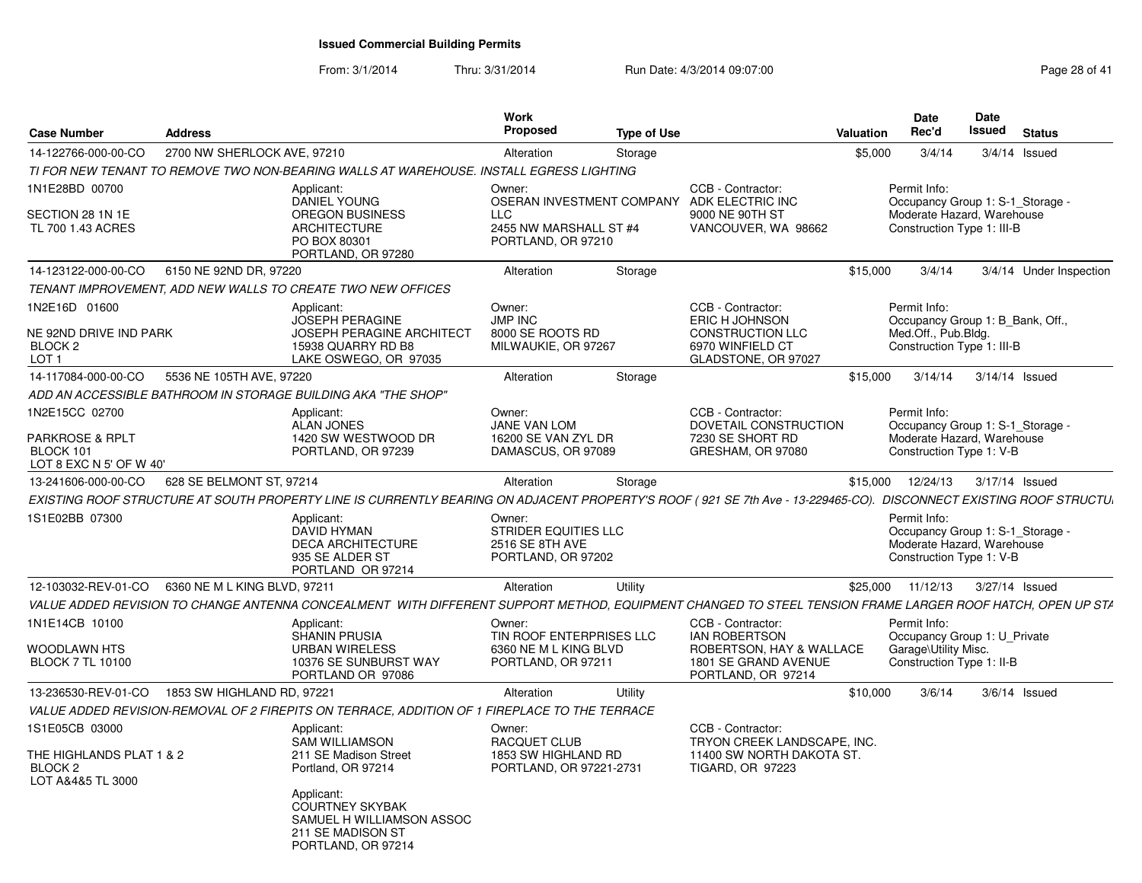From: 3/1/2014

Thru: 3/31/2014 Run Date: 4/3/2014 09:07:00

| <b>Case Number</b>                                        | <b>Address</b>               |                                                                                                                                                                   | Work<br><b>Proposed</b>                                                        | <b>Type of Use</b> |                                                                                                           | Valuation | <b>Date</b><br>Rec'd                                                                                         | Date<br>Issued | <b>Status</b>   |                         |
|-----------------------------------------------------------|------------------------------|-------------------------------------------------------------------------------------------------------------------------------------------------------------------|--------------------------------------------------------------------------------|--------------------|-----------------------------------------------------------------------------------------------------------|-----------|--------------------------------------------------------------------------------------------------------------|----------------|-----------------|-------------------------|
| 14-122766-000-00-CO                                       | 2700 NW SHERLOCK AVE, 97210  |                                                                                                                                                                   | Alteration                                                                     | Storage            |                                                                                                           | \$5,000   | 3/4/14                                                                                                       | 3/4/14 Issued  |                 |                         |
|                                                           |                              | TI FOR NEW TENANT TO REMOVE TWO NON-BEARING WALLS AT WAREHOUSE. INSTALL EGRESS LIGHTING                                                                           |                                                                                |                    |                                                                                                           |           |                                                                                                              |                |                 |                         |
| 1N1E28BD 00700<br>SECTION 28 1N 1E<br>TL 700 1.43 ACRES   |                              | Applicant:<br><b>DANIEL YOUNG</b><br><b>OREGON BUSINESS</b><br><b>ARCHITECTURE</b><br>PO BOX 80301<br>PORTLAND, OR 97280                                          | Owner:<br><b>LLC</b><br>2455 NW MARSHALL ST #4<br>PORTLAND, OR 97210           |                    | CCB - Contractor:<br>OSERAN INVESTMENT COMPANY ADK ELECTRIC INC<br>9000 NE 90TH ST<br>VANCOUVER, WA 98662 |           | Permit Info:<br>Occupancy Group 1: S-1_Storage -<br>Moderate Hazard, Warehouse<br>Construction Type 1: III-B |                |                 |                         |
| 14-123122-000-00-CO                                       | 6150 NE 92ND DR, 97220       |                                                                                                                                                                   | Alteration                                                                     | Storage            |                                                                                                           | \$15,000  | 3/4/14                                                                                                       |                |                 | 3/4/14 Under Inspection |
|                                                           |                              | TENANT IMPROVEMENT, ADD NEW WALLS TO CREATE TWO NEW OFFICES                                                                                                       |                                                                                |                    |                                                                                                           |           |                                                                                                              |                |                 |                         |
| 1N2E16D 01600                                             |                              | Applicant:                                                                                                                                                        | Owner:                                                                         |                    | CCB - Contractor:                                                                                         |           | Permit Info:                                                                                                 |                |                 |                         |
| NE 92ND DRIVE IND PARK<br>BLOCK <sub>2</sub><br>LOT 1     |                              | <b>JOSEPH PERAGINE</b><br><b>JOSEPH PERAGINE ARCHITECT</b><br>15938 QUARRY RD B8<br>LAKE OSWEGO, OR 97035                                                         | <b>JMP INC</b><br>8000 SE ROOTS RD<br>MILWAUKIE, OR 97267                      |                    | <b>ERIC H JOHNSON</b><br><b>CONSTRUCTION LLC</b><br>6970 WINFIELD CT<br>GLADSTONE, OR 97027               |           | Occupancy Group 1: B Bank, Off.,<br>Med.Off., Pub.Bldg.<br>Construction Type 1: III-B                        |                |                 |                         |
| 14-117084-000-00-CO                                       | 5536 NE 105TH AVE, 97220     |                                                                                                                                                                   | Alteration                                                                     | Storage            |                                                                                                           | \$15,000  | 3/14/14                                                                                                      | 3/14/14 Issued |                 |                         |
|                                                           |                              | ADD AN ACCESSIBLE BATHROOM IN STORAGE BUILDING AKA "THE SHOP"                                                                                                     |                                                                                |                    |                                                                                                           |           |                                                                                                              |                |                 |                         |
| 1N2E15CC 02700<br><b>PARKROSE &amp; RPLT</b><br>BLOCK 101 |                              | Applicant:<br>ALAN JONES<br>1420 SW WESTWOOD DR<br>PORTLAND, OR 97239                                                                                             | Owner:<br><b>JANE VAN LOM</b><br>16200 SE VAN ZYL DR<br>DAMASCUS, OR 97089     |                    | CCB - Contractor:<br>DOVETAIL CONSTRUCTION<br>7230 SE SHORT RD<br>GRESHAM, OR 97080                       |           | Permit Info:<br>Occupancy Group 1: S-1 Storage -<br>Moderate Hazard, Warehouse<br>Construction Type 1: V-B   |                |                 |                         |
| LOT 8 EXC N 5' OF W 40'                                   |                              |                                                                                                                                                                   |                                                                                |                    |                                                                                                           |           |                                                                                                              |                |                 |                         |
| 13-241606-000-00-CO                                       | 628 SE BELMONT ST, 97214     |                                                                                                                                                                   | Alteration                                                                     | Storage            |                                                                                                           | \$15,000  | 12/24/13                                                                                                     | 3/17/14 Issued |                 |                         |
|                                                           |                              | EXISTING ROOF STRUCTURE AT SOUTH PROPERTY LINE IS CURRENTLY BEARING ON ADJACENT PROPERTY'S ROOF (921 SE 7th Ave - 13-229465-CO). DISCONNECT EXISTING ROOF STRUCTU |                                                                                |                    |                                                                                                           |           |                                                                                                              |                |                 |                         |
| 1S1E02BB 07300                                            |                              | Applicant:<br><b>DAVID HYMAN</b><br><b>DECA ARCHITECTURE</b><br>935 SE ALDER ST<br>PORTLAND OR 97214                                                              | Owner:<br><b>STRIDER EQUITIES LLC</b><br>2516 SE 8TH AVE<br>PORTLAND, OR 97202 |                    |                                                                                                           |           | Permit Info:<br>Occupancy Group 1: S-1_Storage -<br>Moderate Hazard, Warehouse<br>Construction Type 1: V-B   |                |                 |                         |
| 12-103032-REV-01-CO                                       | 6360 NE M L KING BLVD, 97211 |                                                                                                                                                                   | Alteration                                                                     | Utility            |                                                                                                           | \$25,000  | 11/12/13                                                                                                     | 3/27/14 Issued |                 |                         |
|                                                           |                              | VALUE ADDED REVISION TO CHANGE ANTENNA CONCEALMENT WITH DIFFERENT SUPPORT METHOD, EQUIPMENT CHANGED TO STEEL TENSION FRAME LARGER ROOF HATCH, OPEN UP ST/         |                                                                                |                    |                                                                                                           |           |                                                                                                              |                |                 |                         |
| 1N1E14CB 10100<br><b>WOODLAWN HTS</b>                     |                              | Applicant:<br><b>SHANIN PRUSIA</b><br><b>URBAN WIRELESS</b>                                                                                                       | Owner:<br>TIN ROOF ENTERPRISES LLC<br>6360 NE M L KING BLVD                    |                    | CCB - Contractor:<br><b>IAN ROBERTSON</b><br>ROBERTSON, HAY & WALLACE                                     |           | Permit Info:<br>Occupancy Group 1: U Private<br>Garage\Utility Misc.                                         |                |                 |                         |
| <b>BLOCK 7 TL 10100</b>                                   |                              | 10376 SE SUNBURST WAY<br>PORTLAND OR 97086                                                                                                                        | PORTLAND, OR 97211                                                             |                    | 1801 SE GRAND AVENUE<br>PORTLAND, OR 97214                                                                |           | Construction Type 1: II-B                                                                                    |                |                 |                         |
| 13-236530-REV-01-CO                                       | 1853 SW HIGHLAND RD, 97221   |                                                                                                                                                                   | Alteration                                                                     | Utility            |                                                                                                           | \$10,000  | 3/6/14                                                                                                       |                | $3/6/14$ Issued |                         |
|                                                           |                              | VALUE ADDED REVISION-REMOVAL OF 2 FIREPITS ON TERRACE, ADDITION OF 1 FIREPLACE TO THE TERRACE                                                                     |                                                                                |                    |                                                                                                           |           |                                                                                                              |                |                 |                         |
| 1S1E05CB 03000<br>THE HIGHLANDS PLAT 1 & 2                |                              | Applicant:<br><b>SAM WILLIAMSON</b><br>211 SE Madison Street                                                                                                      | Owner:<br><b>RACQUET CLUB</b><br>1853 SW HIGHLAND RD                           |                    | CCB - Contractor:<br>TRYON CREEK LANDSCAPE, INC.<br>11400 SW NORTH DAKOTA ST.                             |           |                                                                                                              |                |                 |                         |
| BLOCK <sub>2</sub><br>LOT A&4&5 TL 3000                   |                              | Portland, OR 97214                                                                                                                                                | PORTLAND, OR 97221-2731                                                        |                    | <b>TIGARD, OR 97223</b>                                                                                   |           |                                                                                                              |                |                 |                         |
|                                                           |                              | Applicant:<br><b>COURTNEY SKYBAK</b><br>SAMUEL H WILLIAMSON ASSOC<br>211 SE MADISON ST<br>PORTLAND, OR 97214                                                      |                                                                                |                    |                                                                                                           |           |                                                                                                              |                |                 |                         |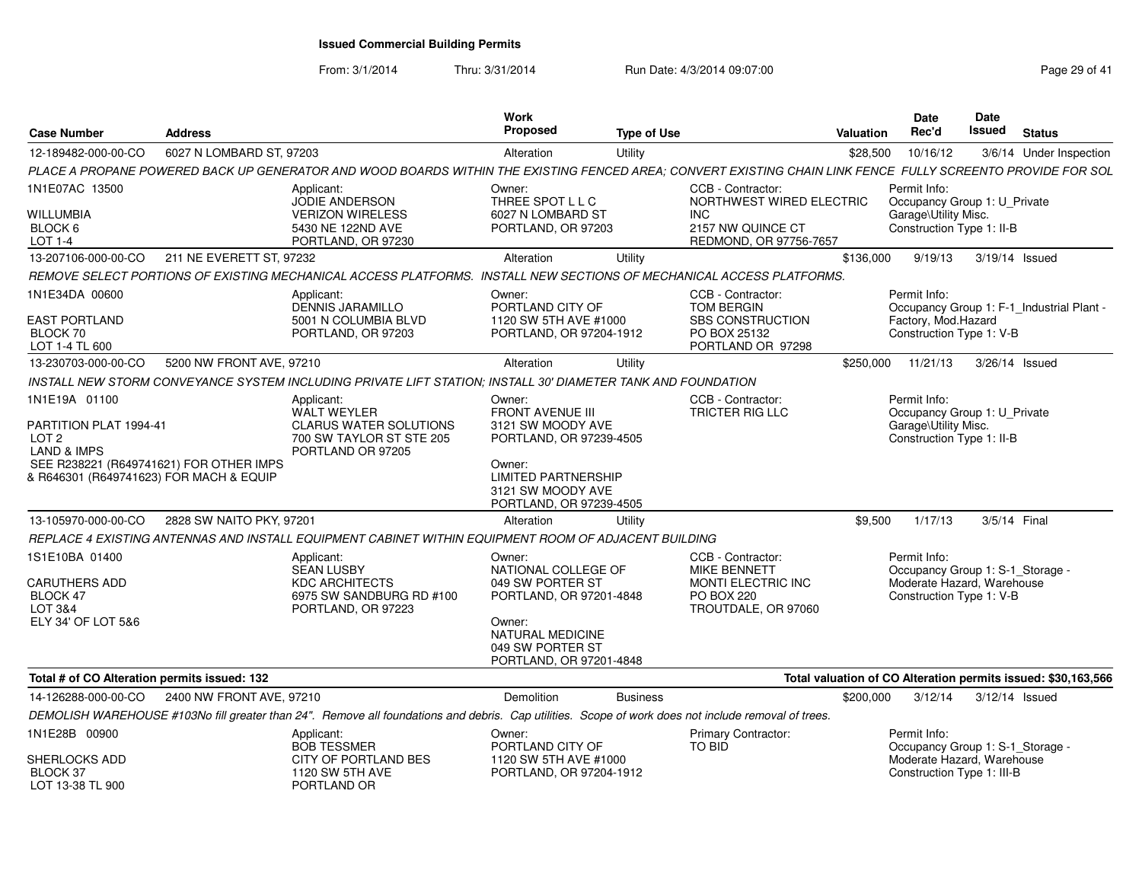From: 3/1/2014

Thru: 3/31/2014 Run Date: 4/3/2014 09:07:00

| <b>Case Number</b>                                                                 | <b>Address</b>           |                                                                                                                                                             | Work<br>Proposed                                                                     | <b>Type of Use</b> |                                                         | Valuation | Date<br>Rec'd                                            | Date<br>Issued | <b>Status</b>                                                 |
|------------------------------------------------------------------------------------|--------------------------|-------------------------------------------------------------------------------------------------------------------------------------------------------------|--------------------------------------------------------------------------------------|--------------------|---------------------------------------------------------|-----------|----------------------------------------------------------|----------------|---------------------------------------------------------------|
| 12-189482-000-00-CO                                                                | 6027 N LOMBARD ST, 97203 |                                                                                                                                                             | Alteration                                                                           | Utility            |                                                         | \$28,500  | 10/16/12                                                 |                | 3/6/14 Under Inspection                                       |
|                                                                                    |                          | PLACE A PROPANE POWERED BACK UP GENERATOR AND WOOD BOARDS WITHIN THE EXISTING FENCED AREA: CONVERT EXISTING CHAIN LINK FENCE FULLY SCREENTO PROVIDE FOR SOL |                                                                                      |                    |                                                         |           |                                                          |                |                                                               |
| 1N1E07AC 13500                                                                     |                          | Applicant:                                                                                                                                                  | Owner:                                                                               |                    | CCB - Contractor:                                       |           | Permit Info:                                             |                |                                                               |
| <b>WILLUMBIA</b>                                                                   |                          | <b>JODIE ANDERSON</b><br><b>VERIZON WIRELESS</b>                                                                                                            | THREE SPOT L L C<br>6027 N LOMBARD ST                                                |                    | NORTHWEST WIRED ELECTRIC<br><b>INC</b>                  |           | Occupancy Group 1: U_Private<br>Garage\Utility Misc.     |                |                                                               |
| BLOCK 6<br>LOT 1-4                                                                 |                          | 5430 NE 122ND AVE<br>PORTLAND, OR 97230                                                                                                                     | PORTLAND, OR 97203                                                                   |                    | 2157 NW QUINCE CT<br>REDMOND, OR 97756-7657             |           | Construction Type 1: II-B                                |                |                                                               |
| 13-207106-000-00-CO                                                                | 211 NE EVERETT ST. 97232 |                                                                                                                                                             | Alteration                                                                           | Utility            |                                                         | \$136,000 | 9/19/13                                                  |                | 3/19/14 Issued                                                |
|                                                                                    |                          | REMOVE SELECT PORTIONS OF EXISTING MECHANICAL ACCESS PLATFORMS. INSTALL NEW SECTIONS OF MECHANICAL ACCESS PLATFORMS.                                        |                                                                                      |                    |                                                         |           |                                                          |                |                                                               |
| 1N1E34DA 00600                                                                     |                          | Applicant:<br><b>DENNIS JARAMILLO</b>                                                                                                                       | Owner:<br>PORTLAND CITY OF                                                           |                    | CCB - Contractor:<br>TOM BERGIN                         |           | Permit Info:                                             |                | Occupancy Group 1: F-1_Industrial Plant -                     |
| <b>EAST PORTLAND</b><br>BLOCK 70<br>LOT 1-4 TL 600                                 |                          | 5001 N COLUMBIA BLVD<br>PORTLAND, OR 97203                                                                                                                  | 1120 SW 5TH AVE #1000<br>PORTLAND, OR 97204-1912                                     |                    | SBS CONSTRUCTION<br>PO BOX 25132<br>PORTLAND OR 97298   |           | Factory, Mod.Hazard<br>Construction Type 1: V-B          |                |                                                               |
| 13-230703-000-00-CO                                                                | 5200 NW FRONT AVE, 97210 |                                                                                                                                                             | Alteration                                                                           | Utility            |                                                         | \$250,000 | 11/21/13                                                 |                | 3/26/14 Issued                                                |
|                                                                                    |                          | INSTALL NEW STORM CONVEYANCE SYSTEM INCLUDING PRIVATE LIFT STATION; INSTALL 30' DIAMETER TANK AND FOUNDATION                                                |                                                                                      |                    |                                                         |           |                                                          |                |                                                               |
| 1N1E19A 01100                                                                      |                          | Applicant:<br>WALT WEYLER                                                                                                                                   | Owner:<br>FRONT AVENUE III                                                           |                    | CCB - Contractor:<br>TRICTER RIG LLC                    |           | Permit Info:<br>Occupancy Group 1: U_Private             |                |                                                               |
| PARTITION PLAT 1994-41<br>LOT <sub>2</sub><br><b>LAND &amp; IMPS</b>               |                          | <b>CLARUS WATER SOLUTIONS</b><br>700 SW TAYLOR ST STE 205<br>PORTLAND OR 97205                                                                              | 3121 SW MOODY AVE<br>PORTLAND, OR 97239-4505                                         |                    |                                                         |           | Garage\Utility Misc.<br>Construction Type 1: II-B        |                |                                                               |
| SEE R238221 (R649741621) FOR OTHER IMPS<br>& R646301 (R649741623) FOR MACH & EQUIP |                          |                                                                                                                                                             | Owner:<br><b>LIMITED PARTNERSHIP</b><br>3121 SW MOODY AVE<br>PORTLAND, OR 97239-4505 |                    |                                                         |           |                                                          |                |                                                               |
| 13-105970-000-00-CO                                                                | 2828 SW NAITO PKY, 97201 |                                                                                                                                                             | Alteration                                                                           | Utility            |                                                         | \$9.500   | 1/17/13                                                  |                | 3/5/14 Final                                                  |
|                                                                                    |                          | REPLACE 4 EXISTING ANTENNAS AND INSTALL EQUIPMENT CABINET WITHIN EQUIPMENT ROOM OF ADJACENT BUILDING                                                        |                                                                                      |                    |                                                         |           |                                                          |                |                                                               |
| 1S1E10BA 01400                                                                     |                          | Applicant:<br><b>SEAN LUSBY</b>                                                                                                                             | Owner:<br>NATIONAL COLLEGE OF                                                        |                    | CCB - Contractor:<br><b>MIKE BENNETT</b>                |           | Permit Info:<br>Occupancy Group 1: S-1_Storage -         |                |                                                               |
| CARUTHERS ADD<br>BLOCK 47<br>LOT 3&4                                               |                          | <b>KDC ARCHITECTS</b><br>6975 SW SANDBURG RD #100<br>PORTLAND, OR 97223                                                                                     | 049 SW PORTER ST<br>PORTLAND, OR 97201-4848                                          |                    | MONTI ELECTRIC INC<br>PO BOX 220<br>TROUTDALE, OR 97060 |           | Moderate Hazard, Warehouse<br>Construction Type 1: V-B   |                |                                                               |
| ELY 34' OF LOT 5&6                                                                 |                          |                                                                                                                                                             | Owner:<br>NATURAL MEDICINE<br>049 SW PORTER ST<br>PORTLAND, OR 97201-4848            |                    |                                                         |           |                                                          |                |                                                               |
| Total # of CO Alteration permits issued: 132                                       |                          |                                                                                                                                                             |                                                                                      |                    |                                                         |           |                                                          |                | Total valuation of CO Alteration permits issued: \$30,163,566 |
| 14-126288-000-00-CO                                                                | 2400 NW FRONT AVE, 97210 |                                                                                                                                                             | Demolition                                                                           | <b>Business</b>    |                                                         | \$200,000 | 3/12/14                                                  |                | 3/12/14 Issued                                                |
|                                                                                    |                          | DEMOLISH WAREHOUSE #103No fill greater than 24". Remove all foundations and debris. Cap utilities. Scope of work does not include removal of trees.         |                                                                                      |                    |                                                         |           |                                                          |                |                                                               |
| 1N1E28B 00900                                                                      |                          | Applicant:<br><b>BOB TESSMER</b>                                                                                                                            | Owner:<br>PORTLAND CITY OF                                                           |                    | Primary Contractor:<br>TO BID                           |           | Permit Info:<br>Occupancy Group 1: S-1_Storage -         |                |                                                               |
| <b>SHERLOCKS ADD</b><br>BLOCK 37<br>LOT 13-38 TL 900                               |                          | CITY OF PORTLAND BES<br>1120 SW 5TH AVE<br>PORTLAND OR                                                                                                      | 1120 SW 5TH AVE #1000<br>PORTLAND, OR 97204-1912                                     |                    |                                                         |           | Moderate Hazard, Warehouse<br>Construction Type 1: III-B |                |                                                               |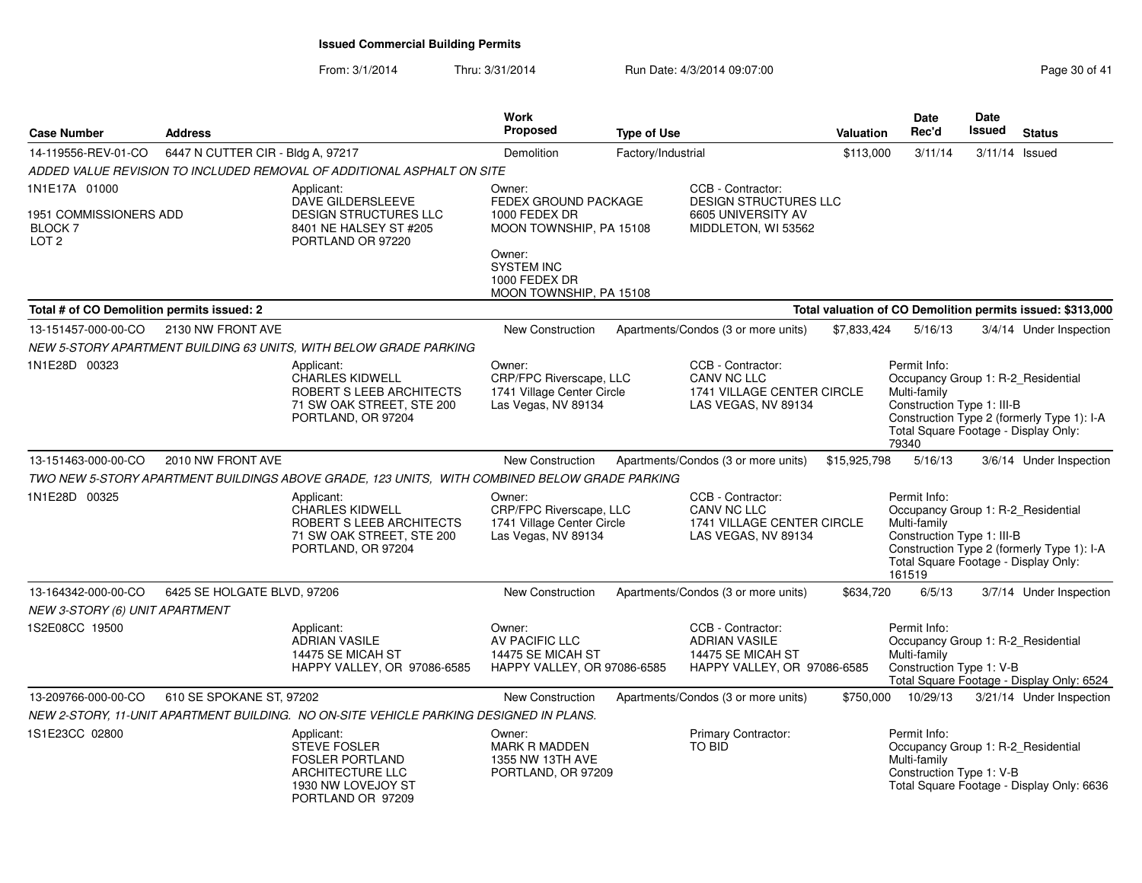| <b>Case Number</b>                                                            | <b>Address</b>                    |                                                                                                                            | Work<br><b>Proposed</b>                                                                | <b>Type of Use</b> |                                                                                               | Valuation    | <b>Date</b><br>Rec'd                                                                                                                               | Date<br><b>Issued</b> | <b>Status</b>                                              |
|-------------------------------------------------------------------------------|-----------------------------------|----------------------------------------------------------------------------------------------------------------------------|----------------------------------------------------------------------------------------|--------------------|-----------------------------------------------------------------------------------------------|--------------|----------------------------------------------------------------------------------------------------------------------------------------------------|-----------------------|------------------------------------------------------------|
| 14-119556-REV-01-CO                                                           | 6447 N CUTTER CIR - Bldg A, 97217 |                                                                                                                            | Demolition                                                                             | Factory/Industrial |                                                                                               | \$113,000    | 3/11/14                                                                                                                                            | 3/11/14               | Issued                                                     |
|                                                                               |                                   | ADDED VALUE REVISION TO INCLUDED REMOVAL OF ADDITIONAL ASPHALT ON SITE                                                     |                                                                                        |                    |                                                                                               |              |                                                                                                                                                    |                       |                                                            |
| 1N1E17A 01000<br>1951 COMMISSIONERS ADD<br><b>BLOCK 7</b><br>LOT <sub>2</sub> |                                   | Applicant:<br>DAVE GILDERSLEEVE<br>DESIGN STRUCTURES LLC<br>8401 NE HALSEY ST #205<br>PORTLAND OR 97220                    | Owner:<br>FEDEX GROUND PACKAGE<br>1000 FEDEX DR<br>MOON TOWNSHIP, PA 15108<br>Owner:   |                    | CCB - Contractor:<br>DESIGN STRUCTURES LLC<br>6605 UNIVERSITY AV<br>MIDDLETON, WI 53562       |              |                                                                                                                                                    |                       |                                                            |
|                                                                               |                                   |                                                                                                                            | <b>SYSTEM INC</b><br>1000 FEDEX DR<br>MOON TOWNSHIP, PA 15108                          |                    |                                                                                               |              |                                                                                                                                                    |                       |                                                            |
| Total # of CO Demolition permits issued: 2                                    |                                   |                                                                                                                            |                                                                                        |                    |                                                                                               |              |                                                                                                                                                    |                       | Total valuation of CO Demolition permits issued: \$313,000 |
| 13-151457-000-00-CO                                                           | 2130 NW FRONT AVE                 |                                                                                                                            | <b>New Construction</b>                                                                |                    | Apartments/Condos (3 or more units)                                                           | \$7,833,424  | 5/16/13                                                                                                                                            |                       | 3/4/14 Under Inspection                                    |
|                                                                               |                                   | NEW 5-STORY APARTMENT BUILDING 63 UNITS. WITH BELOW GRADE PARKING                                                          |                                                                                        |                    |                                                                                               |              |                                                                                                                                                    |                       |                                                            |
| 1N1E28D 00323                                                                 |                                   | Applicant:<br><b>CHARLES KIDWELL</b><br>ROBERT S LEEB ARCHITECTS<br>71 SW OAK STREET, STE 200<br>PORTLAND, OR 97204        | Owner:<br>CRP/FPC Riverscape, LLC<br>1741 Village Center Circle<br>Las Vegas, NV 89134 |                    | CCB - Contractor:<br><b>CANV NC LLC</b><br>1741 VILLAGE CENTER CIRCLE<br>LAS VEGAS, NV 89134  |              | Permit Info:<br>Occupancy Group 1: R-2_Residential<br>Multi-family<br>Construction Type 1: III-B<br>Total Square Footage - Display Only:<br>79340  |                       | Construction Type 2 (formerly Type 1): I-A                 |
| 13-151463-000-00-CO                                                           | 2010 NW FRONT AVE                 |                                                                                                                            | New Construction                                                                       |                    | Apartments/Condos (3 or more units)                                                           | \$15,925,798 | 5/16/13                                                                                                                                            |                       | 3/6/14 Under Inspection                                    |
|                                                                               |                                   | TWO NEW 5-STORY APARTMENT BUILDINGS ABOVE GRADE, 123 UNITS, WITH COMBINED BELOW GRADE PARKING                              |                                                                                        |                    |                                                                                               |              |                                                                                                                                                    |                       |                                                            |
| 1N1E28D 00325                                                                 |                                   | Applicant:<br><b>CHARLES KIDWELL</b><br>ROBERT S LEEB ARCHITECTS<br>71 SW OAK STREET, STE 200<br>PORTLAND, OR 97204        | Owner:<br>CRP/FPC Riverscape, LLC<br>1741 Village Center Circle<br>Las Vegas, NV 89134 |                    | CCB - Contractor:<br>CANV NC LLC<br>1741 VILLAGE CENTER CIRCLE<br>LAS VEGAS, NV 89134         |              | Permit Info:<br>Occupancy Group 1: R-2_Residential<br>Multi-family<br>Construction Type 1: III-B<br>Total Square Footage - Display Only:<br>161519 |                       | Construction Type 2 (formerly Type 1): I-A                 |
| 13-164342-000-00-CO<br>NEW 3-STORY (6) UNIT APARTMENT                         | 6425 SE HOLGATE BLVD, 97206       |                                                                                                                            | New Construction                                                                       |                    | Apartments/Condos (3 or more units)                                                           | \$634,720    | 6/5/13                                                                                                                                             |                       | 3/7/14 Under Inspection                                    |
| 1S2E08CC 19500                                                                |                                   | Applicant:<br><b>ADRIAN VASILE</b><br>14475 SE MICAH ST<br>HAPPY VALLEY, OR 97086-6585                                     | Owner:<br>AV PACIFIC LLC<br>14475 SE MICAH ST<br>HAPPY VALLEY, OR 97086-6585           |                    | CCB - Contractor:<br><b>ADRIAN VASILE</b><br>14475 SE MICAH ST<br>HAPPY VALLEY, OR 97086-6585 |              | Permit Info:<br>Occupancy Group 1: R-2_Residential<br>Multi-family<br>Construction Type 1: V-B                                                     |                       | Total Square Footage - Display Only: 6524                  |
| 13-209766-000-00-CO                                                           | 610 SE SPOKANE ST, 97202          |                                                                                                                            | <b>New Construction</b>                                                                |                    | Apartments/Condos (3 or more units)                                                           | \$750,000    | 10/29/13                                                                                                                                           |                       | 3/21/14 Under Inspection                                   |
|                                                                               |                                   | NEW 2-STORY, 11-UNIT APARTMENT BUILDING. NO ON-SITE VEHICLE PARKING DESIGNED IN PLANS.                                     |                                                                                        |                    |                                                                                               |              |                                                                                                                                                    |                       |                                                            |
| 1S1E23CC 02800                                                                |                                   | Applicant:<br><b>STEVE FOSLER</b><br><b>FOSLER PORTLAND</b><br>ARCHITECTURE LLC<br>1930 NW LOVEJOY ST<br>PORTLAND OR 97209 | Owner:<br><b>MARK R MADDEN</b><br>1355 NW 13TH AVE<br>PORTLAND, OR 97209               |                    | Primary Contractor:<br><b>TO BID</b>                                                          |              | Permit Info:<br>Occupancy Group 1: R-2_Residential<br>Multi-family<br>Construction Type 1: V-B                                                     |                       | Total Square Footage - Display Only: 6636                  |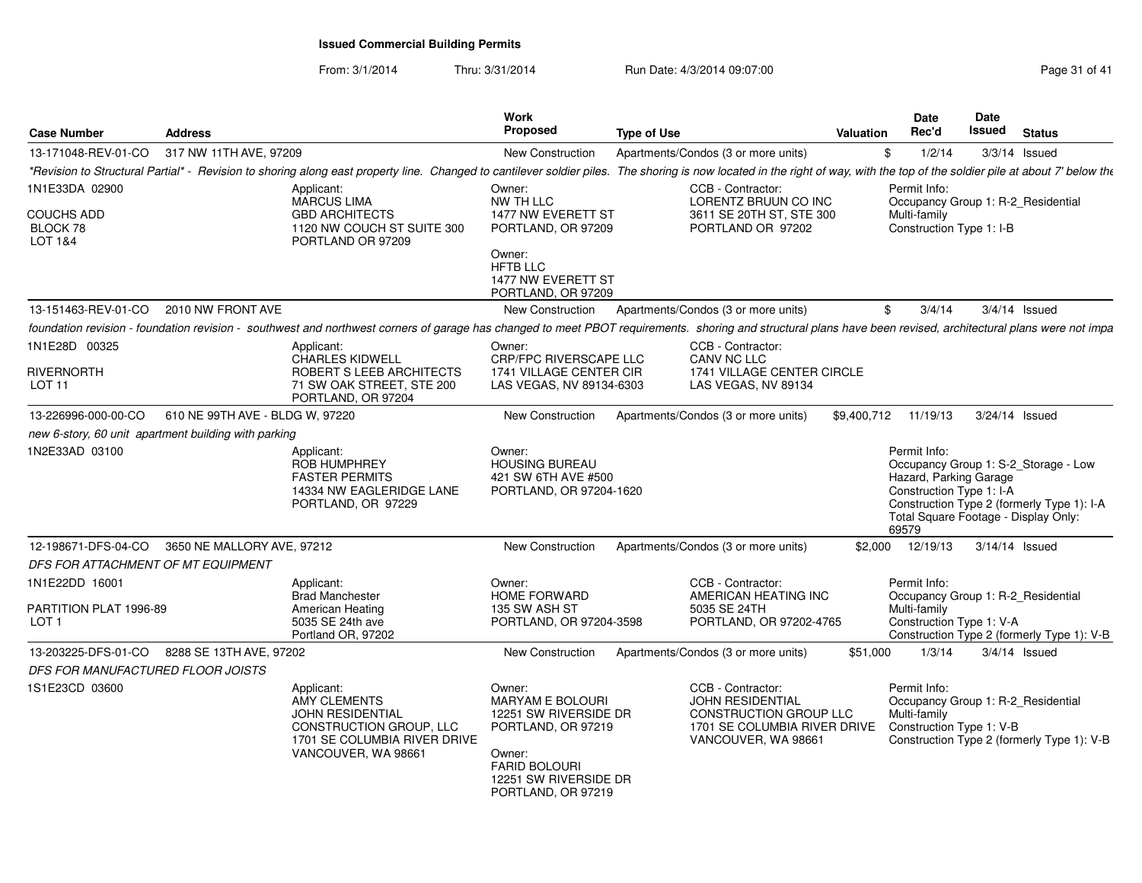| <b>Case Number</b>                                           | <b>Address</b>                                                                                                                                                                                                               | <b>Work</b><br>Proposed                                                                                                                                    | <b>Type of Use</b>                                                                                                     | <b>Valuation</b> | Date<br>Rec'd                                                               | Date<br>Issued | <b>Status</b>                                                                                                              |
|--------------------------------------------------------------|------------------------------------------------------------------------------------------------------------------------------------------------------------------------------------------------------------------------------|------------------------------------------------------------------------------------------------------------------------------------------------------------|------------------------------------------------------------------------------------------------------------------------|------------------|-----------------------------------------------------------------------------|----------------|----------------------------------------------------------------------------------------------------------------------------|
| 13-171048-REV-01-CO                                          | 317 NW 11TH AVE, 97209                                                                                                                                                                                                       | New Construction                                                                                                                                           | Apartments/Condos (3 or more units)                                                                                    | \$               | 1/2/14                                                                      |                | $3/3/14$ Issued                                                                                                            |
|                                                              | *Revision to Structural Partial* - Revision to shoring along east property line. Changed to cantilever soldier piles. The shoring is now located in the right of way, with the top of the soldier pile at about 7' below the |                                                                                                                                                            |                                                                                                                        |                  |                                                                             |                |                                                                                                                            |
| 1N1E33DA 02900                                               | Applicant:<br>MARCUS LIMA                                                                                                                                                                                                    | Owner:<br>NW TH LLC                                                                                                                                        | CCB - Contractor:<br>LORENTZ BRUUN CO INC                                                                              |                  | Permit Info:                                                                |                | Occupancy Group 1: R-2_Residential                                                                                         |
| <b>COUCHS ADD</b><br>BLOCK 78<br><b>LOT 1&amp;4</b>          | <b>GBD ARCHITECTS</b><br>1120 NW COUCH ST SUITE 300<br>PORTLAND OR 97209                                                                                                                                                     | 1477 NW EVERETT ST<br>PORTLAND, OR 97209<br>Owner:<br><b>HFTB LLC</b><br>1477 NW EVERETT ST                                                                | 3611 SE 20TH ST, STE 300<br>PORTLAND OR 97202                                                                          |                  | Multi-family<br>Construction Type 1: I-B                                    |                |                                                                                                                            |
| 13-151463-REV-01-CO                                          | 2010 NW FRONT AVE                                                                                                                                                                                                            | PORTLAND, OR 97209<br>New Construction                                                                                                                     | Apartments/Condos (3 or more units)                                                                                    | \$               | 3/4/14                                                                      |                | $3/4/14$ Issued                                                                                                            |
|                                                              |                                                                                                                                                                                                                              |                                                                                                                                                            |                                                                                                                        |                  |                                                                             |                |                                                                                                                            |
| 1N1E28D 00325                                                | foundation revision - foundation revision - southwest and northwest corners of garage has changed to meet PBOT requirements. shoring and structural plans have been revised, architectural plans were not impa<br>Applicant: | Owner:                                                                                                                                                     | CCB - Contractor:                                                                                                      |                  |                                                                             |                |                                                                                                                            |
| RIVERNORTH<br>LOT 11                                         | <b>CHARLES KIDWELL</b><br>ROBERT S LEEB ARCHITECTS<br>71 SW OAK STREET, STE 200<br>PORTLAND, OR 97204                                                                                                                        | CRP/FPC RIVERSCAPE LLC<br>1741 VILLAGE CENTER CIR<br>LAS VEGAS, NV 89134-6303                                                                              | CANV NC LLC<br>1741 VILLAGE CENTER CIRCLE<br>LAS VEGAS, NV 89134                                                       |                  |                                                                             |                |                                                                                                                            |
| 13-226996-000-00-CO                                          | 610 NE 99TH AVE - BLDG W, 97220                                                                                                                                                                                              | New Construction                                                                                                                                           | Apartments/Condos (3 or more units)                                                                                    |                  | \$9.400.712 11/19/13                                                        |                | 3/24/14 Issued                                                                                                             |
|                                                              | new 6-story, 60 unit apartment building with parking                                                                                                                                                                         |                                                                                                                                                            |                                                                                                                        |                  |                                                                             |                |                                                                                                                            |
| 1N2E33AD 03100                                               | Applicant:<br><b>ROB HUMPHREY</b><br><b>FASTER PERMITS</b><br>14334 NW EAGLERIDGE LANE<br>PORTLAND, OR 97229                                                                                                                 | Owner:<br><b>HOUSING BUREAU</b><br>421 SW 6TH AVE #500<br>PORTLAND, OR 97204-1620                                                                          |                                                                                                                        |                  | Permit Info:<br>Hazard, Parking Garage<br>Construction Type 1: I-A<br>69579 |                | Occupancy Group 1: S-2_Storage - Low<br>Construction Type 2 (formerly Type 1): I-A<br>Total Square Footage - Display Only: |
| 12-198671-DFS-04-CO                                          | 3650 NE MALLORY AVE, 97212                                                                                                                                                                                                   | New Construction                                                                                                                                           | Apartments/Condos (3 or more units)                                                                                    | \$2,000          | 12/19/13                                                                    |                | 3/14/14 Issued                                                                                                             |
| DFS FOR ATTACHMENT OF MT EQUIPMENT                           |                                                                                                                                                                                                                              |                                                                                                                                                            |                                                                                                                        |                  |                                                                             |                |                                                                                                                            |
| 1N1E22DD 16001<br>PARTITION PLAT 1996-89<br>LOT <sub>1</sub> | Applicant:<br><b>Brad Manchester</b><br>American Heating<br>5035 SE 24th ave<br>Portland OR, 97202                                                                                                                           | Owner:<br><b>HOME FORWARD</b><br>135 SW ASH ST<br>PORTLAND, OR 97204-3598                                                                                  | CCB - Contractor:<br>AMERICAN HEATING INC<br>5035 SE 24TH<br>PORTLAND, OR 97202-4765                                   |                  | Permit Info:<br>Multi-family<br>Construction Type 1: V-A                    |                | Occupancy Group 1: R-2_Residential<br>Construction Type 2 (formerly Type 1): V-B                                           |
| 13-203225-DFS-01-CO                                          | 8288 SE 13TH AVE, 97202                                                                                                                                                                                                      | New Construction                                                                                                                                           | Apartments/Condos (3 or more units)                                                                                    | \$51,000         | 1/3/14                                                                      |                | $3/4/14$ Issued                                                                                                            |
| DFS FOR MANUFACTURED FLOOR JOISTS                            |                                                                                                                                                                                                                              |                                                                                                                                                            |                                                                                                                        |                  |                                                                             |                |                                                                                                                            |
| 1S1E23CD 03600                                               | Applicant:<br><b>AMY CLEMENTS</b><br><b>JOHN RESIDENTIAL</b><br>CONSTRUCTION GROUP, LLC<br>1701 SE COLUMBIA RIVER DRIVE<br>VANCOUVER, WA 98661                                                                               | Owner:<br>MARYAM E BOLOURI<br>12251 SW RIVERSIDE DR<br>PORTLAND, OR 97219<br>Owner:<br><b>FARID BOLOURI</b><br>12251 SW RIVERSIDE DR<br>PORTLAND, OR 97219 | CCB - Contractor:<br>JOHN RESIDENTIAL<br>CONSTRUCTION GROUP LLC<br>1701 SE COLUMBIA RIVER DRIVE<br>VANCOUVER, WA 98661 |                  | Permit Info:<br>Multi-family<br>Construction Type 1: V-B                    |                | Occupancy Group 1: R-2_Residential<br>Construction Type 2 (formerly Type 1): V-B                                           |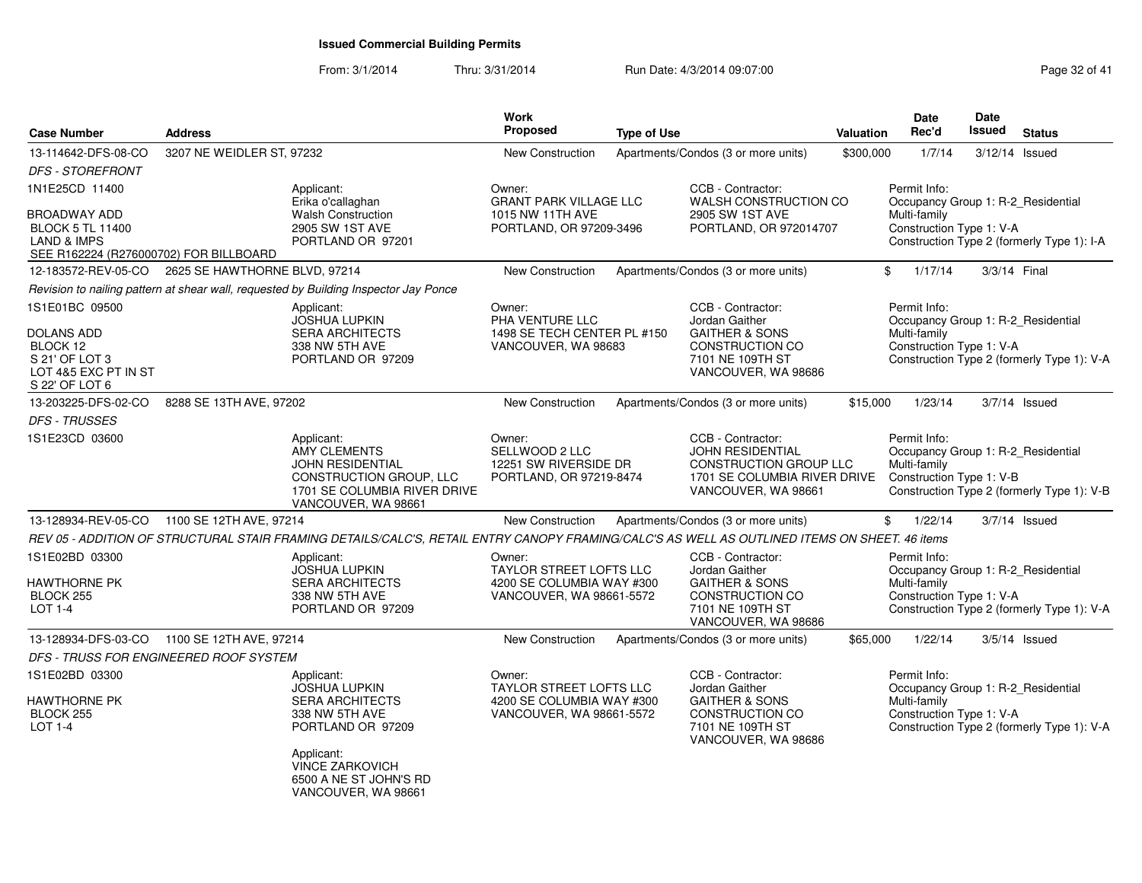| <b>Case Number</b>                                                                                          | <b>Address</b>                |                                                                                                                                                | Work<br><b>Proposed</b>                                                                           | <b>Type of Use</b> |                                                                                                                                      | Valuation | Date<br>Rec'd                                                                                  | Date<br>Issued | <b>Status</b>                              |
|-------------------------------------------------------------------------------------------------------------|-------------------------------|------------------------------------------------------------------------------------------------------------------------------------------------|---------------------------------------------------------------------------------------------------|--------------------|--------------------------------------------------------------------------------------------------------------------------------------|-----------|------------------------------------------------------------------------------------------------|----------------|--------------------------------------------|
| 13-114642-DFS-08-CO                                                                                         | 3207 NE WEIDLER ST, 97232     |                                                                                                                                                | New Construction                                                                                  |                    | Apartments/Condos (3 or more units)                                                                                                  | \$300,000 | 1/7/14                                                                                         | 3/12/14        | Issued                                     |
| <b>DFS - STOREFRONT</b>                                                                                     |                               |                                                                                                                                                |                                                                                                   |                    |                                                                                                                                      |           |                                                                                                |                |                                            |
| 1N1E25CD 11400                                                                                              |                               | Applicant:<br>Erika o'callaghan                                                                                                                | Owner:<br><b>GRANT PARK VILLAGE LLC</b>                                                           |                    | CCB - Contractor:<br>WALSH CONSTRUCTION CO                                                                                           |           | Permit Info:<br>Occupancy Group 1: R-2_Residential                                             |                |                                            |
| <b>BROADWAY ADD</b><br><b>BLOCK 5 TL 11400</b><br>LAND & IMPS<br>SEE R162224 (R276000702) FOR BILLBOARD     |                               | <b>Walsh Construction</b><br>2905 SW 1ST AVE<br>PORTLAND OR 97201                                                                              | 1015 NW 11TH AVE<br>PORTLAND, OR 97209-3496                                                       |                    | 2905 SW 1ST AVE<br>PORTLAND, OR 972014707                                                                                            |           | Multi-family<br>Construction Type 1: V-A                                                       |                | Construction Type 2 (formerly Type 1): I-A |
| 12-183572-REV-05-CO                                                                                         | 2625 SE HAWTHORNE BLVD, 97214 |                                                                                                                                                | New Construction                                                                                  |                    | Apartments/Condos (3 or more units)                                                                                                  |           | \$<br>1/17/14                                                                                  |                | 3/3/14 Final                               |
|                                                                                                             |                               | Revision to nailing pattern at shear wall, requested by Building Inspector Jay Ponce                                                           |                                                                                                   |                    |                                                                                                                                      |           |                                                                                                |                |                                            |
| 1S1E01BC 09500<br><b>DOLANS ADD</b><br>BLOCK 12<br>S 21' OF LOT 3<br>LOT 4&5 EXC PT IN ST<br>S 22' OF LOT 6 |                               | Applicant:<br><b>JOSHUA LUPKIN</b><br><b>SERA ARCHITECTS</b><br>338 NW 5TH AVE<br>PORTLAND OR 97209                                            | Owner:<br>PHA VENTURE LLC<br>1498 SE TECH CENTER PL #150<br>VANCOUVER, WA 98683                   |                    | CCB - Contractor:<br>Jordan Gaither<br><b>GAITHER &amp; SONS</b><br>CONSTRUCTION CO<br>7101 NE 109TH ST<br>VANCOUVER, WA 98686       |           | Permit Info:<br>Occupancy Group 1: R-2_Residential<br>Multi-family<br>Construction Type 1: V-A |                | Construction Type 2 (formerly Type 1): V-A |
| 13-203225-DFS-02-CO                                                                                         | 8288 SE 13TH AVE, 97202       |                                                                                                                                                | New Construction                                                                                  |                    | Apartments/Condos (3 or more units)                                                                                                  | \$15,000  | 1/23/14                                                                                        |                | $3/7/14$ Issued                            |
| <b>DFS - TRUSSES</b>                                                                                        |                               |                                                                                                                                                |                                                                                                   |                    |                                                                                                                                      |           |                                                                                                |                |                                            |
| 1S1E23CD 03600                                                                                              |                               | Applicant:<br><b>AMY CLEMENTS</b><br><b>JOHN RESIDENTIAL</b><br>CONSTRUCTION GROUP, LLC<br>1701 SE COLUMBIA RIVER DRIVE<br>VANCOUVER, WA 98661 | Owner:<br>SELLWOOD 2 LLC<br>12251 SW RIVERSIDE DR<br>PORTLAND, OR 97219-8474                      |                    | CCB - Contractor:<br><b>JOHN RESIDENTIAL</b><br><b>CONSTRUCTION GROUP LLC</b><br>1701 SE COLUMBIA RIVER DRIVE<br>VANCOUVER, WA 98661 |           | Permit Info:<br>Occupancy Group 1: R-2_Residential<br>Multi-family<br>Construction Type 1: V-B |                | Construction Type 2 (formerly Type 1): V-B |
| 13-128934-REV-05-CO                                                                                         | 1100 SE 12TH AVE, 97214       |                                                                                                                                                | New Construction                                                                                  |                    | Apartments/Condos (3 or more units)                                                                                                  |           | \$<br>1/22/14                                                                                  |                | $3/7/14$ Issued                            |
|                                                                                                             |                               | REV 05 - ADDITION OF STRUCTURAL STAIR FRAMING DETAILS/CALC'S, RETAIL ENTRY CANOPY FRAMING/CALC'S AS WELL AS OUTLINED ITEMS ON SHEET. 46 items  |                                                                                                   |                    |                                                                                                                                      |           |                                                                                                |                |                                            |
| 1S1E02BD 03300<br><b>HAWTHORNE PK</b><br><b>BLOCK 255</b><br>LOT 1-4                                        |                               | Applicant:<br><b>JOSHUA LUPKIN</b><br><b>SERA ARCHITECTS</b><br>338 NW 5TH AVE<br>PORTLAND OR 97209                                            | Owner:<br>TAYLOR STREET LOFTS LLC<br>4200 SE COLUMBIA WAY #300<br>VANCOUVER, WA 98661-5572        |                    | CCB - Contractor:<br>Jordan Gaither<br><b>GAITHER &amp; SONS</b><br>CONSTRUCTION CO<br>7101 NE 109TH ST<br>VANCOUVER, WA 98686       |           | Permit Info:<br>Occupancy Group 1: R-2_Residential<br>Multi-family<br>Construction Type 1: V-A |                | Construction Type 2 (formerly Type 1): V-A |
| 13-128934-DFS-03-CO                                                                                         | 1100 SE 12TH AVE, 97214       |                                                                                                                                                | New Construction                                                                                  |                    | Apartments/Condos (3 or more units)                                                                                                  | \$65,000  | 1/22/14                                                                                        |                | $3/5/14$ Issued                            |
| DFS - TRUSS FOR ENGINEERED ROOF SYSTEM                                                                      |                               |                                                                                                                                                |                                                                                                   |                    |                                                                                                                                      |           |                                                                                                |                |                                            |
| 1S1E02BD 03300<br><b>HAWTHORNE PK</b><br>BLOCK 255<br>LOT 1-4                                               |                               | Applicant:<br><b>JOSHUA LUPKIN</b><br><b>SERA ARCHITECTS</b><br>338 NW 5TH AVE<br>PORTLAND OR 97209                                            | Owner:<br><b>TAYLOR STREET LOFTS LLC</b><br>4200 SE COLUMBIA WAY #300<br>VANCOUVER, WA 98661-5572 |                    | CCB - Contractor:<br>Jordan Gaither<br><b>GAITHER &amp; SONS</b><br>CONSTRUCTION CO<br>7101 NE 109TH ST<br>VANCOUVER, WA 98686       |           | Permit Info:<br>Occupancy Group 1: R-2_Residential<br>Multi-family<br>Construction Type 1: V-A |                | Construction Type 2 (formerly Type 1): V-A |
|                                                                                                             |                               | Applicant:<br>VINCE ZARKOVICH<br>6500 A NE ST JOHN'S RD<br>VANCOUVER, WA 98661                                                                 |                                                                                                   |                    |                                                                                                                                      |           |                                                                                                |                |                                            |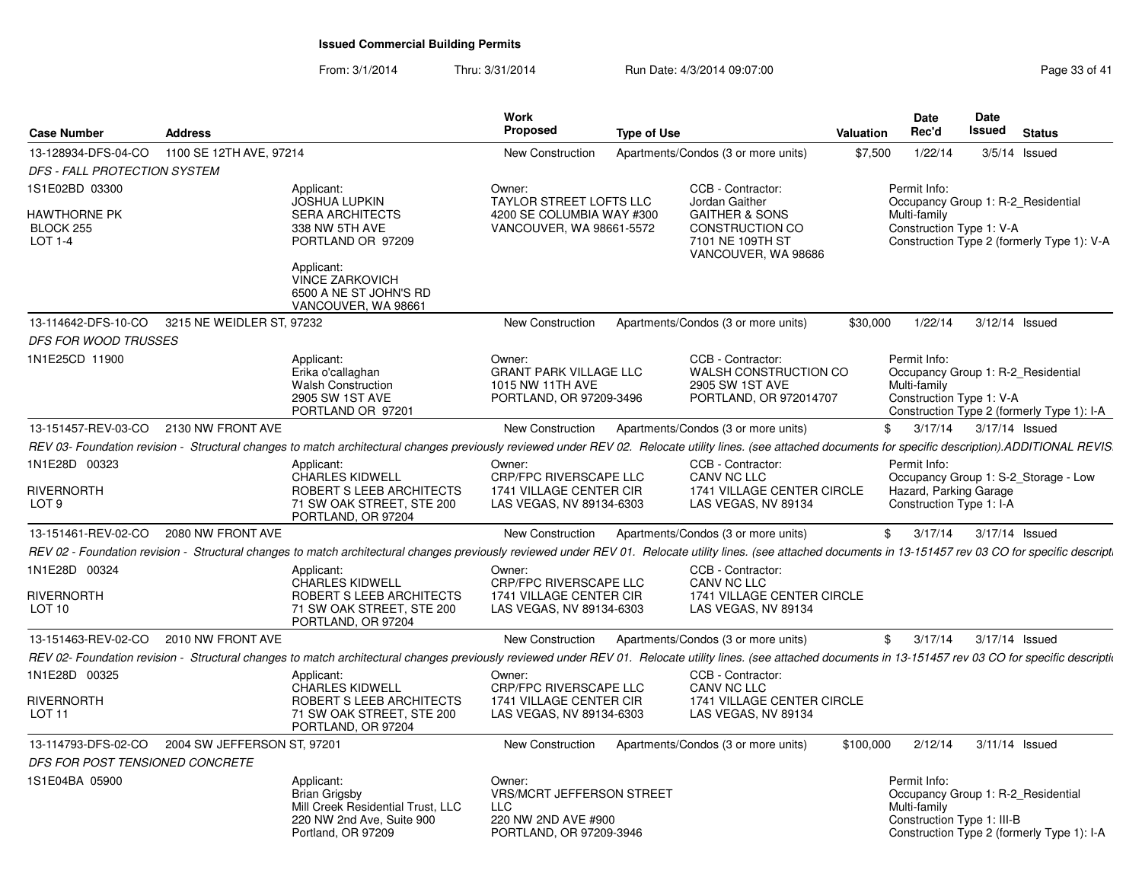| <b>Case Number</b>                          | <b>Address</b>              |                                                                                                                                                                                                                           | Work<br><b>Proposed</b>                                                                                    | <b>Type of Use</b> |                                                                                         | <b>Valuation</b> | Date<br>Rec'd                                              | Date<br>Issued | <b>Status</b>                                                                    |
|---------------------------------------------|-----------------------------|---------------------------------------------------------------------------------------------------------------------------------------------------------------------------------------------------------------------------|------------------------------------------------------------------------------------------------------------|--------------------|-----------------------------------------------------------------------------------------|------------------|------------------------------------------------------------|----------------|----------------------------------------------------------------------------------|
| 13-128934-DFS-04-CO                         | 1100 SE 12TH AVE, 97214     |                                                                                                                                                                                                                           | <b>New Construction</b>                                                                                    |                    | Apartments/Condos (3 or more units)                                                     | \$7,500          | 1/22/14                                                    |                | $3/5/14$ Issued                                                                  |
| DFS - FALL PROTECTION SYSTEM                |                             |                                                                                                                                                                                                                           |                                                                                                            |                    |                                                                                         |                  |                                                            |                |                                                                                  |
| 1S1E02BD 03300<br>HAWTHORNE PK<br>BLOCK 255 |                             | Applicant:<br><b>JOSHUA LUPKIN</b><br><b>SERA ARCHITECTS</b><br>338 NW 5TH AVE                                                                                                                                            | Owner:<br><b>TAYLOR STREET LOFTS LLC</b><br>4200 SE COLUMBIA WAY #300<br>VANCOUVER, WA 98661-5572          |                    | CCB - Contractor:<br>Jordan Gaither<br><b>GAITHER &amp; SONS</b><br>CONSTRUCTION CO     |                  | Permit Info:<br>Multi-family<br>Construction Type 1: V-A   |                | Occupancy Group 1: R-2 Residential                                               |
| LOT 1-4                                     |                             | PORTLAND OR 97209<br>Applicant:                                                                                                                                                                                           |                                                                                                            |                    | 7101 NE 109TH ST<br>VANCOUVER, WA 98686                                                 |                  |                                                            |                | Construction Type 2 (formerly Type 1): V-A                                       |
|                                             |                             | VINCE ZARKOVICH<br>6500 A NE ST JOHN'S RD<br>VANCOUVER, WA 98661                                                                                                                                                          |                                                                                                            |                    |                                                                                         |                  |                                                            |                |                                                                                  |
| 13-114642-DFS-10-CO                         | 3215 NE WEIDLER ST, 97232   |                                                                                                                                                                                                                           | <b>New Construction</b>                                                                                    |                    | Apartments/Condos (3 or more units)                                                     | \$30,000         | 1/22/14                                                    |                | 3/12/14 Issued                                                                   |
| DFS FOR WOOD TRUSSES                        |                             |                                                                                                                                                                                                                           |                                                                                                            |                    |                                                                                         |                  |                                                            |                |                                                                                  |
| 1N1E25CD 11900                              |                             | Applicant:<br>Erika o'callaghan<br><b>Walsh Construction</b><br>2905 SW 1ST AVE<br>PORTLAND OR 97201                                                                                                                      | Owner:<br><b>GRANT PARK VILLAGE LLC</b><br>1015 NW 11TH AVE<br>PORTLAND, OR 97209-3496                     |                    | CCB - Contractor:<br>WALSH CONSTRUCTION CO<br>2905 SW 1ST AVE<br>PORTLAND, OR 972014707 |                  | Permit Info:<br>Multi-family<br>Construction Type 1: V-A   |                | Occupancy Group 1: R-2 Residential<br>Construction Type 2 (formerly Type 1): I-A |
| 13-151457-REV-03-CO                         | 2130 NW FRONT AVE           |                                                                                                                                                                                                                           | <b>New Construction</b>                                                                                    |                    | Apartments/Condos (3 or more units)                                                     | $\mathbb{S}$     | 3/17/14                                                    |                | 3/17/14 Issued                                                                   |
|                                             |                             | REV 03- Foundation revision - Structural changes to match architectural changes previously reviewed under REV 02. Relocate utility lines. (see attached documents for specific description).ADDITIONAL REVIS.             |                                                                                                            |                    |                                                                                         |                  |                                                            |                |                                                                                  |
| 1N1E28D 00323<br><b>RIVERNORTH</b>          |                             | Applicant:<br>CHARLES KIDWELL                                                                                                                                                                                             | Owner:<br>CRP/FPC RIVERSCAPE LLC<br>1741 VILLAGE CENTER CIR                                                |                    | CCB - Contractor:<br>CANV NC LLC<br>1741 VILLAGE CENTER CIRCLE                          |                  | Permit Info:                                               |                | Occupancy Group 1: S-2_Storage - Low                                             |
| LOT 9                                       |                             | ROBERT S LEEB ARCHITECTS<br>71 SW OAK STREET, STE 200<br>PORTLAND, OR 97204                                                                                                                                               | LAS VEGAS, NV 89134-6303                                                                                   |                    | LAS VEGAS, NV 89134                                                                     |                  | Hazard, Parking Garage<br>Construction Type 1: I-A         |                |                                                                                  |
| 13-151461-REV-02-CO 2080 NW FRONT AVE       |                             |                                                                                                                                                                                                                           | New Construction                                                                                           |                    | Apartments/Condos (3 or more units)                                                     | \$               | 3/17/14                                                    |                | 3/17/14 Issued                                                                   |
|                                             |                             | REV 02 - Foundation revision - Structural changes to match architectural changes previously reviewed under REV 01. Relocate utility lines. (see attached documents in 13-151457 rev 03 CO for specific descript.          |                                                                                                            |                    |                                                                                         |                  |                                                            |                |                                                                                  |
| 1N1E28D 00324                               |                             | Applicant:<br><b>CHARLES KIDWELL</b>                                                                                                                                                                                      | Owner:<br><b>CRP/FPC RIVERSCAPE LLC</b>                                                                    |                    | CCB - Contractor:<br>CANV NC LLC                                                        |                  |                                                            |                |                                                                                  |
| RIVERNORTH<br>LOT 10                        |                             | ROBERT S LEEB ARCHITECTS<br>71 SW OAK STREET, STE 200<br>PORTLAND, OR 97204                                                                                                                                               | 1741 VILLAGE CENTER CIR<br>LAS VEGAS, NV 89134-6303                                                        |                    | 1741 VILLAGE CENTER CIRCLE<br>LAS VEGAS, NV 89134                                       |                  |                                                            |                |                                                                                  |
| 13-151463-REV-02-CO                         | 2010 NW FRONT AVE           |                                                                                                                                                                                                                           | New Construction                                                                                           |                    | Apartments/Condos (3 or more units)                                                     | \$               | 3/17/14                                                    |                | 3/17/14 Issued                                                                   |
|                                             |                             | REV 02- Foundation revision - Structural changes to match architectural changes previously reviewed under REV 01. Relocate utility lines. (see attached documents in 13-151457 rev 03 CO for specific descriptional step- |                                                                                                            |                    |                                                                                         |                  |                                                            |                |                                                                                  |
| 1N1E28D 00325                               |                             | Applicant:<br><b>CHARLES KIDWELL</b>                                                                                                                                                                                      | Owner:<br><b>CRP/FPC RIVERSCAPE LLC</b>                                                                    |                    | CCB - Contractor:<br>CANV NC LLC                                                        |                  |                                                            |                |                                                                                  |
| Rivernorth<br>LOT 11                        |                             | ROBERT S LEEB ARCHITECTS<br>71 SW OAK STREET, STE 200<br>PORTLAND, OR 97204                                                                                                                                               | 1741 VILLAGE CENTER CIR<br>LAS VEGAS, NV 89134-6303                                                        |                    | 1741 VILLAGE CENTER CIRCLE<br>LAS VEGAS, NV 89134                                       |                  |                                                            |                |                                                                                  |
| 13-114793-DFS-02-CO                         | 2004 SW JEFFERSON ST, 97201 |                                                                                                                                                                                                                           | New Construction                                                                                           |                    | Apartments/Condos (3 or more units)                                                     | \$100,000        | 2/12/14                                                    |                | 3/11/14 Issued                                                                   |
| DFS FOR POST TENSIONED CONCRETE             |                             |                                                                                                                                                                                                                           |                                                                                                            |                    |                                                                                         |                  |                                                            |                |                                                                                  |
| 1S1E04BA 05900                              |                             | Applicant:<br>Brian Grigsby<br>Mill Creek Residential Trust, LLC<br>220 NW 2nd Ave, Suite 900<br>Portland, OR 97209                                                                                                       | Owner:<br><b>VRS/MCRT JEFFERSON STREET</b><br><b>LLC</b><br>220 NW 2ND AVE #900<br>PORTLAND, OR 97209-3946 |                    |                                                                                         |                  | Permit Info:<br>Multi-family<br>Construction Type 1: III-B |                | Occupancy Group 1: R-2_Residential<br>Construction Type 2 (formerly Type 1): I-A |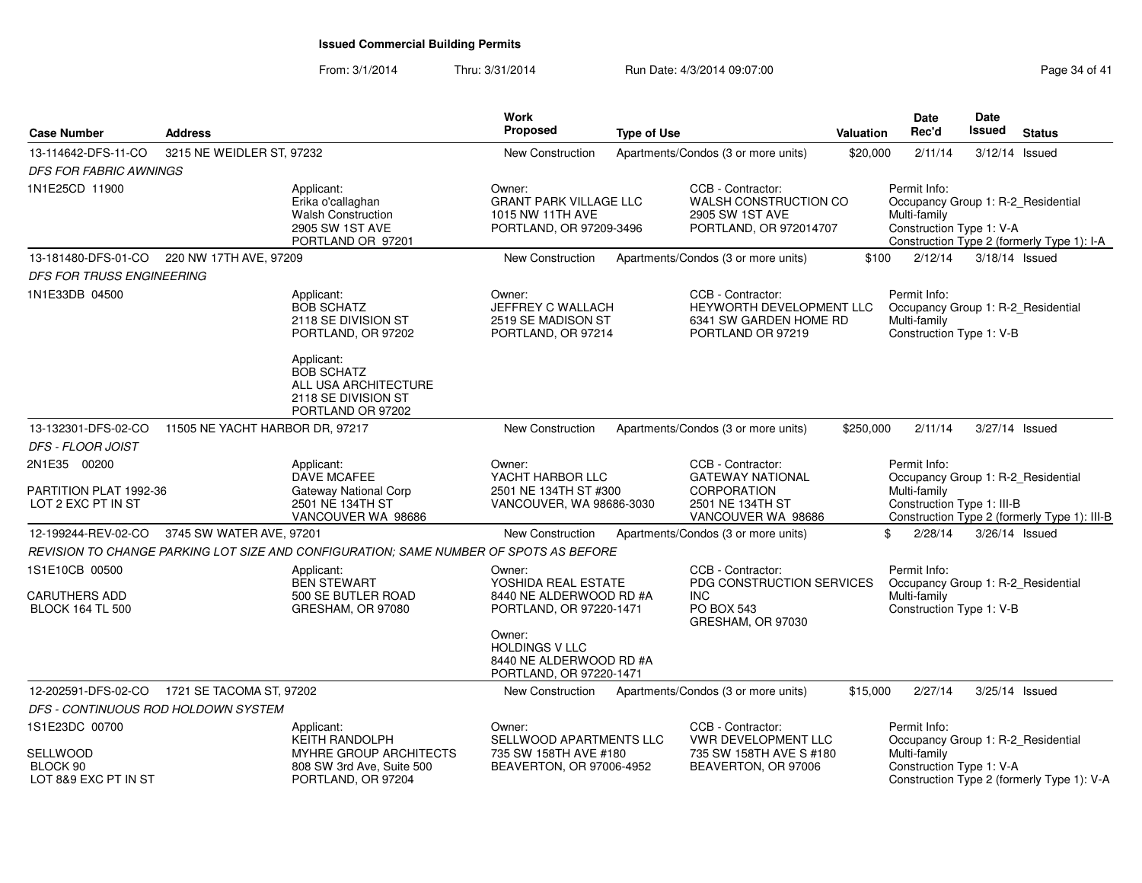| <b>Case Number</b>                                                | <b>Address</b>                      |                                                                                                                                                                | <b>Type of Use</b>                                                                     |  | <b>Valuation</b>                                                                                             | Date<br>Rec'd | Date<br>Issued                                                                                   | <b>Status</b>  |                                              |
|-------------------------------------------------------------------|-------------------------------------|----------------------------------------------------------------------------------------------------------------------------------------------------------------|----------------------------------------------------------------------------------------|--|--------------------------------------------------------------------------------------------------------------|---------------|--------------------------------------------------------------------------------------------------|----------------|----------------------------------------------|
| 13-114642-DFS-11-CO                                               | 3215 NE WEIDLER ST, 97232           |                                                                                                                                                                | <b>New Construction</b>                                                                |  | Apartments/Condos (3 or more units)                                                                          | \$20,000      | 2/11/14                                                                                          | 3/12/14 Issued |                                              |
| <b>DFS FOR FABRIC AWNINGS</b>                                     |                                     |                                                                                                                                                                |                                                                                        |  |                                                                                                              |               |                                                                                                  |                |                                              |
| 1N1E25CD 11900                                                    |                                     | Applicant:<br>Erika o'callaghan<br><b>Walsh Construction</b><br>2905 SW 1ST AVE<br>PORTLAND OR 97201                                                           | Owner:<br><b>GRANT PARK VILLAGE LLC</b><br>1015 NW 11TH AVE<br>PORTLAND, OR 97209-3496 |  | CCB - Contractor:<br>WALSH CONSTRUCTION CO<br>2905 SW 1ST AVE<br>PORTLAND, OR 972014707                      |               | Permit Info:<br>Occupancy Group 1: R-2_Residential<br>Multi-family<br>Construction Type 1: V-A   |                | Construction Type 2 (formerly Type 1): I-A   |
| 13-181480-DFS-01-CO                                               | 220 NW 17TH AVE, 97209              |                                                                                                                                                                | New Construction                                                                       |  | Apartments/Condos (3 or more units)                                                                          | \$100         | 2/12/14                                                                                          | 3/18/14 Issued |                                              |
| DFS FOR TRUSS ENGINEERING                                         |                                     |                                                                                                                                                                |                                                                                        |  |                                                                                                              |               |                                                                                                  |                |                                              |
| 1N1E33DB 04500                                                    |                                     | Applicant:<br><b>BOB SCHATZ</b><br>2118 SE DIVISION ST<br>PORTLAND, OR 97202<br>Applicant:<br><b>BOB SCHATZ</b><br>ALL USA ARCHITECTURE<br>2118 SE DIVISION ST | Owner:<br>JEFFREY C WALLACH<br>2519 SE MADISON ST<br>PORTLAND, OR 97214                |  | CCB - Contractor:<br><b>HEYWORTH DEVELOPMENT LLC</b><br>6341 SW GARDEN HOME RD<br>PORTLAND OR 97219          |               | Permit Info:<br>Occupancy Group 1: R-2_Residential<br>Multi-family<br>Construction Type 1: V-B   |                |                                              |
|                                                                   |                                     | PORTLAND OR 97202                                                                                                                                              |                                                                                        |  |                                                                                                              |               |                                                                                                  |                |                                              |
| 13-132301-DFS-02-CO                                               | 11505 NE YACHT HARBOR DR, 97217     |                                                                                                                                                                | New Construction                                                                       |  | Apartments/Condos (3 or more units)                                                                          | \$250,000     | 2/11/14                                                                                          | 3/27/14 Issued |                                              |
| DFS - FLOOR JOIST                                                 |                                     |                                                                                                                                                                |                                                                                        |  |                                                                                                              |               |                                                                                                  |                |                                              |
| 2N1E35 00200<br>PARTITION PLAT 1992-36<br>LOT 2 EXC PT IN ST      |                                     | Applicant:<br>DAVE MCAFEE<br>Gateway National Corp<br>2501 NE 134TH ST<br>VANCOUVER WA 98686                                                                   | Owner:<br>YACHT HARBOR LLC<br>2501 NE 134TH ST #300<br>VANCOUVER, WA 98686-3030        |  | CCB - Contractor:<br><b>GATEWAY NATIONAL</b><br><b>CORPORATION</b><br>2501 NE 134TH ST<br>VANCOUVER WA 98686 |               | Permit Info:<br>Occupancy Group 1: R-2_Residential<br>Multi-family<br>Construction Type 1: III-B |                | Construction Type 2 (formerly Type 1): III-B |
| 12-199244-REV-02-CO                                               | 3745 SW WATER AVE, 97201            |                                                                                                                                                                | New Construction                                                                       |  | Apartments/Condos (3 or more units)                                                                          |               | \$<br>2/28/14                                                                                    | 3/26/14 Issued |                                              |
|                                                                   |                                     | REVISION TO CHANGE PARKING LOT SIZE AND CONFIGURATION: SAME NUMBER OF SPOTS AS BEFORE                                                                          |                                                                                        |  |                                                                                                              |               |                                                                                                  |                |                                              |
| 1S1E10CB 00500<br><b>CARUTHERS ADD</b><br><b>BLOCK 164 TL 500</b> |                                     | Applicant:<br><b>BEN STEWART</b><br>500 SE BUTLER ROAD<br>GRESHAM, OR 97080                                                                                    | Owner:<br>YOSHIDA REAL ESTATE<br>8440 NE ALDERWOOD RD #A<br>PORTLAND, OR 97220-1471    |  | CCB - Contractor:<br>PDG CONSTRUCTION SERVICES<br><b>INC</b><br>PO BOX 543<br>GRESHAM, OR 97030              |               | Permit Info:<br>Occupancy Group 1: R-2_Residential<br>Multi-family<br>Construction Type 1: V-B   |                |                                              |
|                                                                   |                                     |                                                                                                                                                                | Owner:<br><b>HOLDINGS V LLC</b><br>8440 NE ALDERWOOD RD #A<br>PORTLAND, OR 97220-1471  |  |                                                                                                              |               |                                                                                                  |                |                                              |
| 12-202591-DFS-02-CO                                               | 1721 SE TACOMA ST, 97202            |                                                                                                                                                                | New Construction                                                                       |  | Apartments/Condos (3 or more units)                                                                          | \$15,000      | 2/27/14                                                                                          | 3/25/14 Issued |                                              |
|                                                                   | DFS - CONTINUOUS ROD HOLDOWN SYSTEM |                                                                                                                                                                |                                                                                        |  |                                                                                                              |               |                                                                                                  |                |                                              |
| 1S1E23DC 00700                                                    |                                     | Applicant:<br><b>KEITH RANDOLPH</b>                                                                                                                            | Owner:<br>SELLWOOD APARTMENTS LLC                                                      |  | CCB - Contractor:<br><b>VWR DEVELOPMENT LLC</b>                                                              |               | Permit Info:<br>Occupancy Group 1: R-2_Residential                                               |                |                                              |
| SELLWOOD<br>BLOCK 90<br>LOT 8&9 EXC PT IN ST                      |                                     | MYHRE GROUP ARCHITECTS<br>808 SW 3rd Ave, Suite 500<br>PORTLAND, OR 97204                                                                                      | 735 SW 158TH AVE #180<br>BEAVERTON, OR 97006-4952                                      |  | 735 SW 158TH AVE S #180<br>BEAVERTON, OR 97006                                                               |               | Multi-family<br>Construction Type 1: V-A                                                         |                | Construction Type 2 (formerly Type 1): V-A   |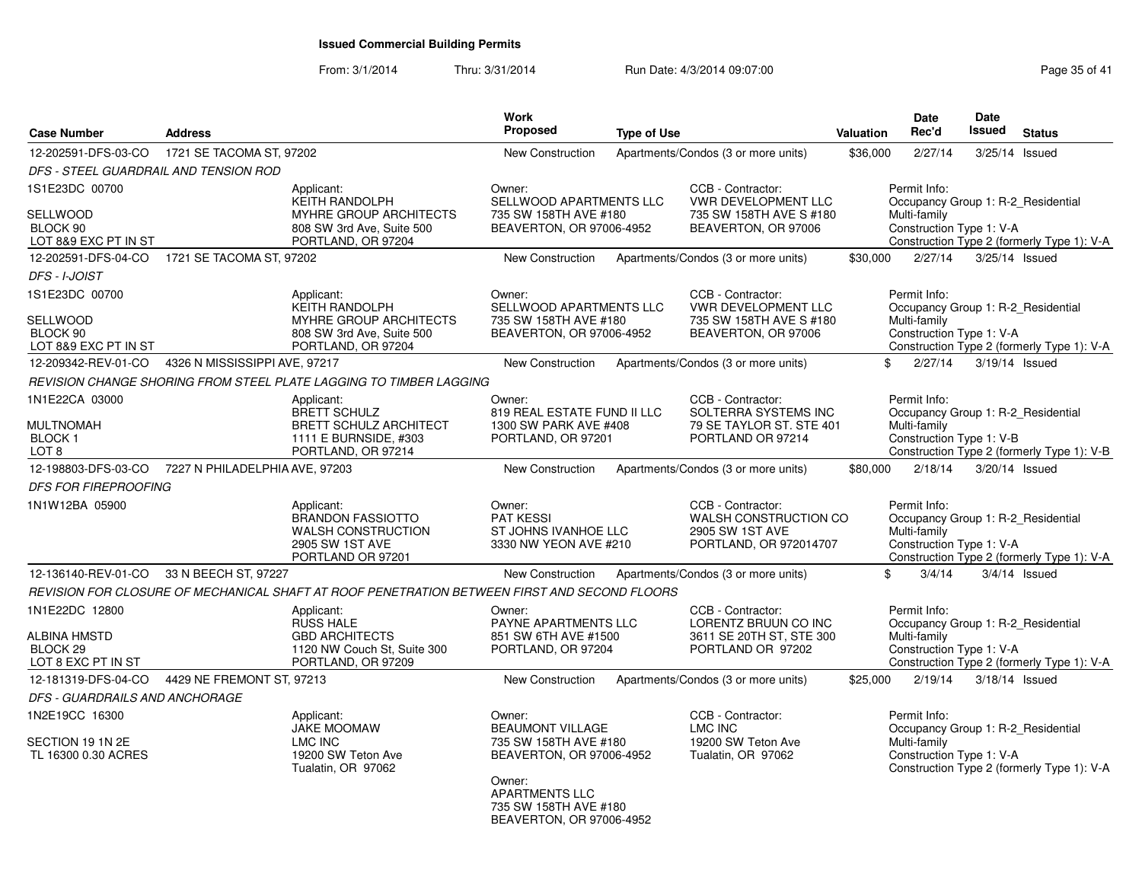#### From: 3/1/2014Thru: 3/31/2014 Run Date: 4/3/2014 09:07:00 Research 2010 Page 35 of 41

| <b>Case Number</b>                                               | <b>Address</b>                |                                                                                                             | Work<br>Proposed                                                                       | <b>Type of Use</b> |                                                                                                | <b>Valuation</b> | <b>Date</b><br>Rec'd                                                                           | <b>Date</b><br>Issued | <b>Status</b>                              |
|------------------------------------------------------------------|-------------------------------|-------------------------------------------------------------------------------------------------------------|----------------------------------------------------------------------------------------|--------------------|------------------------------------------------------------------------------------------------|------------------|------------------------------------------------------------------------------------------------|-----------------------|--------------------------------------------|
| 12-202591-DFS-03-CO                                              | 1721 SE TACOMA ST, 97202      |                                                                                                             | <b>New Construction</b>                                                                |                    | Apartments/Condos (3 or more units)                                                            | \$36,000         | 2/27/14                                                                                        | 3/25/14               | Issued                                     |
| <i>DFS - STEEL GUARDRAIL AND TENSION ROD</i>                     |                               |                                                                                                             |                                                                                        |                    |                                                                                                |                  |                                                                                                |                       |                                            |
| 1S1E23DC 00700                                                   |                               | Applicant:<br><b>KEITH RANDOLPH</b>                                                                         | Owner:<br>SELLWOOD APARTMENTS LLC                                                      |                    | CCB - Contractor:<br><b>VWR DEVELOPMENT LLC</b>                                                |                  | Permit Info:<br>Occupancy Group 1: R-2 Residential                                             |                       |                                            |
| SELLWOOD<br>BLOCK 90<br>LOT 8&9 EXC PT IN ST                     |                               | MYHRE GROUP ARCHITECTS<br>808 SW 3rd Ave, Suite 500<br>PORTLAND, OR 97204                                   | 735 SW 158TH AVE #180<br>BEAVERTON, OR 97006-4952                                      |                    | 735 SW 158TH AVE S #180<br>BEAVERTON, OR 97006                                                 |                  | Multi-family<br>Construction Type 1: V-A                                                       |                       | Construction Type 2 (formerly Type 1): V-A |
| 12-202591-DFS-04-CO                                              | 1721 SE TACOMA ST, 97202      |                                                                                                             | <b>New Construction</b>                                                                |                    | Apartments/Condos (3 or more units)                                                            | \$30,000         | 2/27/14                                                                                        | 3/25/14 Issued        |                                            |
| <b>DFS - I-JOIST</b>                                             |                               |                                                                                                             |                                                                                        |                    |                                                                                                |                  |                                                                                                |                       |                                            |
| 1S1E23DC 00700<br>SELLWOOD                                       |                               | Applicant:<br><b>KEITH RANDOLPH</b><br>MYHRE GROUP ARCHITECTS                                               | Owner:<br>SELLWOOD APARTMENTS LLC<br>735 SW 158TH AVE #180                             |                    | CCB - Contractor:<br><b>VWR DEVELOPMENT LLC</b><br>735 SW 158TH AVE S #180                     |                  | Permit Info:<br>Occupancy Group 1: R-2 Residential<br>Multi-family                             |                       |                                            |
| BLOCK 90<br>LOT 8&9 EXC PT IN ST                                 |                               | 808 SW 3rd Ave, Suite 500<br>PORTLAND, OR 97204                                                             | BEAVERTON, OR 97006-4952                                                               |                    | BEAVERTON, OR 97006                                                                            |                  | Construction Type 1: V-A                                                                       |                       | Construction Type 2 (formerly Type 1): V-A |
| 12-209342-REV-01-CO                                              | 4326 N MISSISSIPPI AVE, 97217 |                                                                                                             | <b>New Construction</b>                                                                |                    | Apartments/Condos (3 or more units)                                                            | \$               | 2/27/14                                                                                        | 3/19/14 Issued        |                                            |
|                                                                  |                               | REVISION CHANGE SHORING FROM STEEL PLATE LAGGING TO TIMBER LAGGING                                          |                                                                                        |                    |                                                                                                |                  |                                                                                                |                       |                                            |
| 1N1E22CA 03000                                                   |                               | Applicant:<br><b>BRETT SCHULZ</b>                                                                           | Owner:<br>819 REAL ESTATE FUND II LLC                                                  |                    | CCB - Contractor:<br>SOLTERRA SYSTEMS INC                                                      |                  | Permit Info:<br>Occupancy Group 1: R-2 Residential                                             |                       |                                            |
| MULTNOMAH<br><b>BLOCK1</b><br>LOT 8                              |                               | <b>BRETT SCHULZ ARCHITECT</b><br>1111 E BURNSIDE, #303<br>PORTLAND, OR 97214                                | 1300 SW PARK AVE #408<br>PORTLAND, OR 97201                                            |                    | 79 SE TAYLOR ST. STE 401<br>PORTLAND OR 97214                                                  |                  | Multi-family<br>Construction Type 1: V-B                                                       |                       | Construction Type 2 (formerly Type 1): V-B |
| 12-198803-DFS-03-CO 7227 N PHILADELPHIA AVE, 97203               |                               |                                                                                                             | New Construction                                                                       |                    | Apartments/Condos (3 or more units)                                                            | \$80,000         | 2/18/14                                                                                        | 3/20/14 Issued        |                                            |
| <b>DFS FOR FIREPROOFING</b>                                      |                               |                                                                                                             |                                                                                        |                    |                                                                                                |                  |                                                                                                |                       |                                            |
| 1N1W12BA 05900                                                   |                               | Applicant:<br><b>BRANDON FASSIOTTO</b><br><b>WALSH CONSTRUCTION</b><br>2905 SW 1ST AVE<br>PORTLAND OR 97201 | Owner:<br><b>PAT KESSI</b><br>ST JOHNS IVANHOE LLC<br>3330 NW YEON AVE #210            |                    | CCB - Contractor:<br><b>WALSH CONSTRUCTION CO</b><br>2905 SW 1ST AVE<br>PORTLAND, OR 972014707 |                  | Permit Info:<br>Occupancy Group 1: R-2_Residential<br>Multi-family<br>Construction Type 1: V-A |                       | Construction Type 2 (formerly Type 1): V-A |
| 12-136140-REV-01-CO 33 N BEECH ST, 97227                         |                               |                                                                                                             | <b>New Construction</b>                                                                |                    | Apartments/Condos (3 or more units)                                                            | \$               | 3/4/14                                                                                         |                       | $3/4/14$ Issued                            |
|                                                                  |                               | REVISION FOR CLOSURE OF MECHANICAL SHAFT AT ROOF PENETRATION BETWEEN FIRST AND SECOND FLOORS                |                                                                                        |                    |                                                                                                |                  |                                                                                                |                       |                                            |
| 1N1E22DC 12800                                                   |                               | Applicant:<br><b>RUSS HALE</b>                                                                              | Owner:<br>PAYNE APARTMENTS LLC                                                         |                    | CCB - Contractor:<br>LORENTZ BRUUN CO INC                                                      |                  | Permit Info:<br>Occupancy Group 1: R-2_Residential                                             |                       |                                            |
| <b>ALBINA HMSTD</b><br>BLOCK <sub>29</sub><br>LOT 8 EXC PT IN ST |                               | <b>GBD ARCHITECTS</b><br>1120 NW Couch St, Suite 300<br>PORTLAND, OR 97209                                  | 851 SW 6TH AVE #1500<br>PORTLAND, OR 97204                                             |                    | 3611 SE 20TH ST, STE 300<br>PORTLAND OR 97202                                                  |                  | Multi-family<br>Construction Type 1: V-A                                                       |                       | Construction Type 2 (formerly Type 1): V-A |
| 12-181319-DFS-04-CO                                              | 4429 NE FREMONT ST, 97213     |                                                                                                             | <b>New Construction</b>                                                                |                    | Apartments/Condos (3 or more units)                                                            | \$25,000         | 2/19/14                                                                                        | 3/18/14 Issued        |                                            |
| <b>DFS - GUARDRAILS AND ANCHORAGE</b>                            |                               |                                                                                                             |                                                                                        |                    |                                                                                                |                  |                                                                                                |                       |                                            |
| 1N2E19CC 16300<br>SECTION 19 1N 2E<br>TL 16300 0.30 ACRES        |                               | Applicant:<br><b>JAKE MOOMAW</b><br><b>LMC INC</b><br>19200 SW Teton Ave<br>Tualatin, OR 97062              | Owner:<br><b>BEAUMONT VILLAGE</b><br>735 SW 158TH AVE #180<br>BEAVERTON, OR 97006-4952 |                    | CCB - Contractor:<br><b>LMC INC</b><br>19200 SW Teton Ave<br>Tualatin, OR 97062                |                  | Permit Info:<br>Occupancy Group 1: R-2_Residential<br>Multi-family<br>Construction Type 1: V-A |                       | Construction Type 2 (formerly Type 1): V-A |
|                                                                  |                               |                                                                                                             | Owner:<br><b>APARTMENTS LLC</b><br>735 SW 158TH AVE #180<br>BEAVERTON, OR 97006-4952   |                    |                                                                                                |                  |                                                                                                |                       |                                            |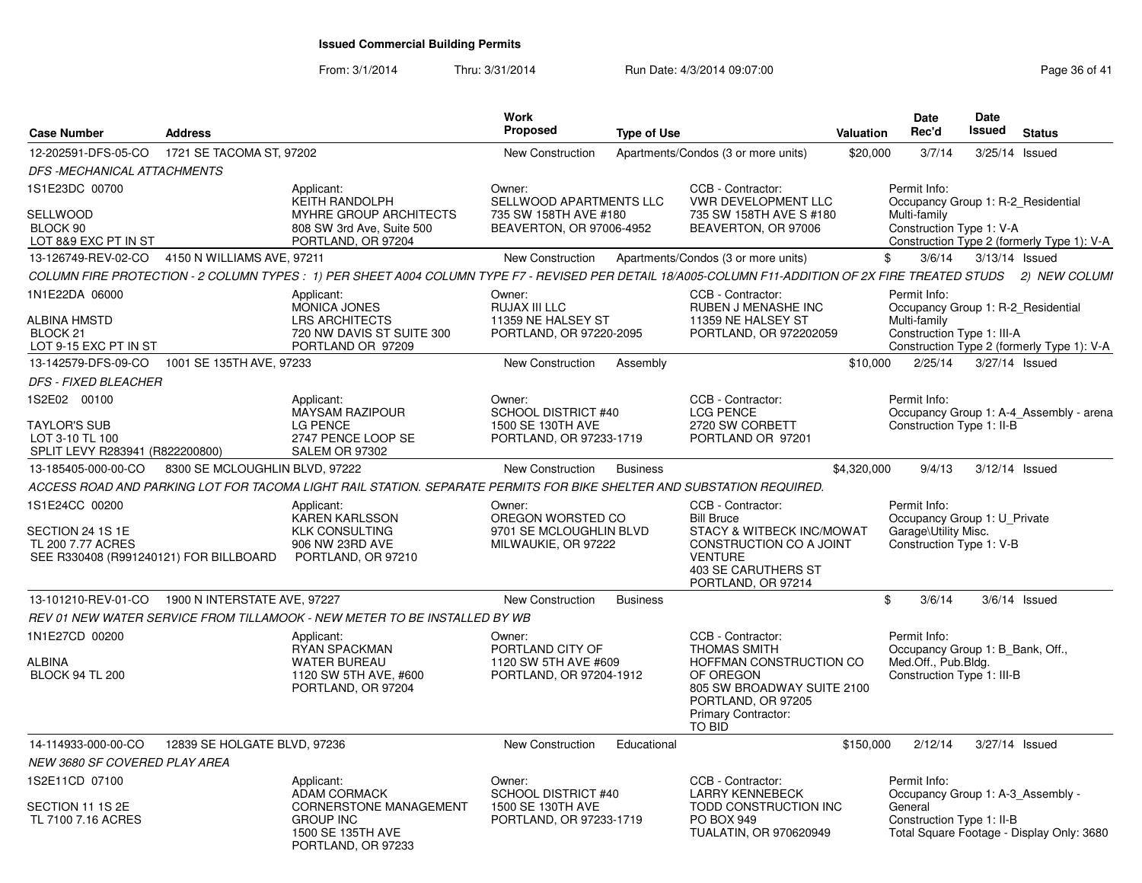| <b>Case Number</b>                                                              | <b>Address</b>                 |                                                                                                                                                                    | Work<br>Proposed                                                    | <b>Type of Use</b> |                                                                                                                                          | Valuation   | <b>Date</b><br>Rec'd                                                             | Date<br><b>Issued</b> | <b>Status</b>                              |
|---------------------------------------------------------------------------------|--------------------------------|--------------------------------------------------------------------------------------------------------------------------------------------------------------------|---------------------------------------------------------------------|--------------------|------------------------------------------------------------------------------------------------------------------------------------------|-------------|----------------------------------------------------------------------------------|-----------------------|--------------------------------------------|
| 12-202591-DFS-05-CO                                                             | 1721 SE TACOMA ST, 97202       |                                                                                                                                                                    | <b>New Construction</b>                                             |                    | Apartments/Condos (3 or more units)                                                                                                      | \$20,000    | 3/7/14                                                                           | 3/25/14 Issued        |                                            |
| DFS-MECHANICAL ATTACHMENTS                                                      |                                |                                                                                                                                                                    |                                                                     |                    |                                                                                                                                          |             |                                                                                  |                       |                                            |
| 1S1E23DC 00700                                                                  |                                | Applicant:<br><b>KEITH RANDOLPH</b>                                                                                                                                | Owner:<br>SELLWOOD APARTMENTS LLC                                   |                    | CCB - Contractor:<br><b>VWR DEVELOPMENT LLC</b>                                                                                          |             | Permit Info:<br>Occupancy Group 1: R-2 Residential                               |                       |                                            |
| <b>SELLWOOD</b><br>BLOCK 90                                                     |                                | MYHRE GROUP ARCHITECTS<br>808 SW 3rd Ave, Suite 500                                                                                                                | 735 SW 158TH AVE #180<br>BEAVERTON, OR 97006-4952                   |                    | 735 SW 158TH AVE S #180<br>BEAVERTON, OR 97006                                                                                           |             | Multi-family<br>Construction Type 1: V-A                                         |                       |                                            |
| LOT 8&9 EXC PT IN ST<br>13-126749-REV-02-CO 4150 N WILLIAMS AVE, 97211          |                                | PORTLAND, OR 97204                                                                                                                                                 | New Construction                                                    |                    | Apartments/Condos (3 or more units)                                                                                                      | \$          | 3/6/14                                                                           | $3/13/14$ Issued      | Construction Type 2 (formerly Type 1): V-A |
|                                                                                 |                                | COLUMN FIRE PROTECTION - 2 COLUMN TYPES : 1) PER SHEET A004 COLUMN TYPE F7 - REVISED PER DETAIL 18/A005-COLUMN F11-ADDITION OF 2X FIRE TREATED STUDS 2) NEW COLUMI |                                                                     |                    |                                                                                                                                          |             |                                                                                  |                       |                                            |
| 1N1E22DA 06000                                                                  |                                | Applicant:                                                                                                                                                         | Owner:                                                              |                    | CCB - Contractor:                                                                                                                        |             | Permit Info:                                                                     |                       |                                            |
|                                                                                 |                                | MONICA JONES                                                                                                                                                       | RUJAX III LLC                                                       |                    | RUBEN J MENASHE INC                                                                                                                      |             | Occupancy Group 1: R-2 Residential                                               |                       |                                            |
| <b>ALBINA HMSTD</b><br>BLOCK <sub>21</sub><br>LOT 9-15 EXC PT IN ST             |                                | <b>LRS ARCHITECTS</b><br>720 NW DAVIS ST SUITE 300<br>PORTLAND OR 97209                                                                                            | 11359 NE HALSEY ST<br>PORTLAND, OR 97220-2095                       |                    | 11359 NE HALSEY ST<br>PORTLAND, OR 972202059                                                                                             |             | Multi-family<br>Construction Type 1: III-A                                       |                       | Construction Type 2 (formerly Type 1): V-A |
| 13-142579-DFS-09-CO                                                             | 1001 SE 135TH AVE, 97233       |                                                                                                                                                                    | New Construction                                                    | Assembly           |                                                                                                                                          | \$10,000    | 2/25/14                                                                          | 3/27/14 Issued        |                                            |
| <b>DFS - FIXED BLEACHER</b>                                                     |                                |                                                                                                                                                                    |                                                                     |                    |                                                                                                                                          |             |                                                                                  |                       |                                            |
| 1S2E02 00100                                                                    |                                | Applicant:<br><b>MAYSAM RAZIPOUR</b>                                                                                                                               | Owner:<br><b>SCHOOL DISTRICT #40</b>                                |                    | CCB - Contractor:<br><b>LCG PENCE</b>                                                                                                    |             | Permit Info:                                                                     |                       | Occupancy Group 1: A-4_Assembly - arena    |
| <b>TAYLOR'S SUB</b><br>LOT 3-10 TL 100<br>SPLIT LEVY R283941 (R822200800)       |                                | LG PENCE<br>2747 PENCE LOOP SE<br>SALEM OR 97302                                                                                                                   | 1500 SE 130TH AVE<br>PORTLAND, OR 97233-1719                        |                    | 2720 SW CORBETT<br>PORTLAND OR 97201                                                                                                     |             | Construction Type 1: II-B                                                        |                       |                                            |
| 13-185405-000-00-CO                                                             | 8300 SE MCLOUGHLIN BLVD, 97222 |                                                                                                                                                                    | <b>New Construction</b>                                             | <b>Business</b>    |                                                                                                                                          | \$4,320,000 | 9/4/13                                                                           | 3/12/14 Issued        |                                            |
|                                                                                 |                                | ACCESS ROAD AND PARKING LOT FOR TACOMA LIGHT RAIL STATION. SEPARATE PERMITS FOR BIKE SHELTER AND SUBSTATION REQUIRED.                                              |                                                                     |                    |                                                                                                                                          |             |                                                                                  |                       |                                            |
| 1S1E24CC 00200                                                                  |                                | Applicant:                                                                                                                                                         | Owner:                                                              |                    | CCB - Contractor:                                                                                                                        |             | Permit Info:                                                                     |                       |                                            |
| SECTION 24 1S 1E<br>TL 200 7.77 ACRES<br>SEE R330408 (R991240121) FOR BILLBOARD |                                | <b>KAREN KARLSSON</b><br><b>KLK CONSULTING</b><br>906 NW 23RD AVE<br>PORTLAND, OR 97210                                                                            | OREGON WORSTED CO<br>9701 SE MCLOUGHLIN BLVD<br>MILWAUKIE, OR 97222 |                    | <b>Bill Bruce</b><br>STACY & WITBECK INC/MOWAT<br>CONSTRUCTION CO A JOINT<br><b>VENTURE</b><br>403 SE CARUTHERS ST<br>PORTLAND, OR 97214 |             | Occupancy Group 1: U_Private<br>Garage\Utility Misc.<br>Construction Type 1: V-B |                       |                                            |
| 13-101210-REV-01-CO                                                             | 1900 N INTERSTATE AVE, 97227   |                                                                                                                                                                    | <b>New Construction</b>                                             | <b>Business</b>    |                                                                                                                                          | \$          | 3/6/14                                                                           |                       | $3/6/14$ Issued                            |
|                                                                                 |                                | REV 01 NEW WATER SERVICE FROM TILLAMOOK - NEW METER TO BE INSTALLED BY WB                                                                                          |                                                                     |                    |                                                                                                                                          |             |                                                                                  |                       |                                            |
| 1N1E27CD 00200                                                                  |                                | Applicant:<br><b>RYAN SPACKMAN</b>                                                                                                                                 | Owner:<br>PORTLAND CITY OF                                          |                    | CCB - Contractor:<br><b>THOMAS SMITH</b>                                                                                                 |             | Permit Info:<br>Occupancy Group 1: B Bank, Off.,                                 |                       |                                            |
| ALBINA<br><b>BLOCK 94 TL 200</b>                                                |                                | <b>WATER BUREAU</b><br>1120 SW 5TH AVE, #600<br>PORTLAND, OR 97204                                                                                                 | 1120 SW 5TH AVE #609<br>PORTLAND, OR 97204-1912                     |                    | HOFFMAN CONSTRUCTION CO<br>OF OREGON<br>805 SW BROADWAY SUITE 2100<br>PORTLAND, OR 97205<br><b>Primary Contractor:</b><br><b>TO BID</b>  |             | Med.Off., Pub.Bldg.<br>Construction Type 1: III-B                                |                       |                                            |
| 14-114933-000-00-CO                                                             | 12839 SE HOLGATE BLVD, 97236   |                                                                                                                                                                    | <b>New Construction</b>                                             | Educational        |                                                                                                                                          | \$150,000   | 2/12/14                                                                          | 3/27/14 Issued        |                                            |
| NEW 3680 SF COVERED PLAY AREA                                                   |                                |                                                                                                                                                                    |                                                                     |                    |                                                                                                                                          |             |                                                                                  |                       |                                            |
| 1S2E11CD 07100                                                                  |                                | Applicant:<br><b>ADAM CORMACK</b>                                                                                                                                  | Owner:<br>SCHOOL DISTRICT #40                                       |                    | CCB - Contractor:<br><b>LARRY KENNEBECK</b>                                                                                              |             | Permit Info:<br>Occupancy Group 1: A-3_Assembly -                                |                       |                                            |
| SECTION 11 1S 2E<br>TL 7100 7.16 ACRES                                          |                                | <b>CORNERSTONE MANAGEMENT</b><br><b>GROUP INC</b><br>1500 SE 135TH AVE<br>PORTLAND, OR 97233                                                                       | 1500 SE 130TH AVE<br>PORTLAND, OR 97233-1719                        |                    | TODD CONSTRUCTION INC<br><b>PO BOX 949</b><br><b>TUALATIN, OR 970620949</b>                                                              |             | General<br>Construction Type 1: II-B                                             |                       | Total Square Footage - Display Only: 3680  |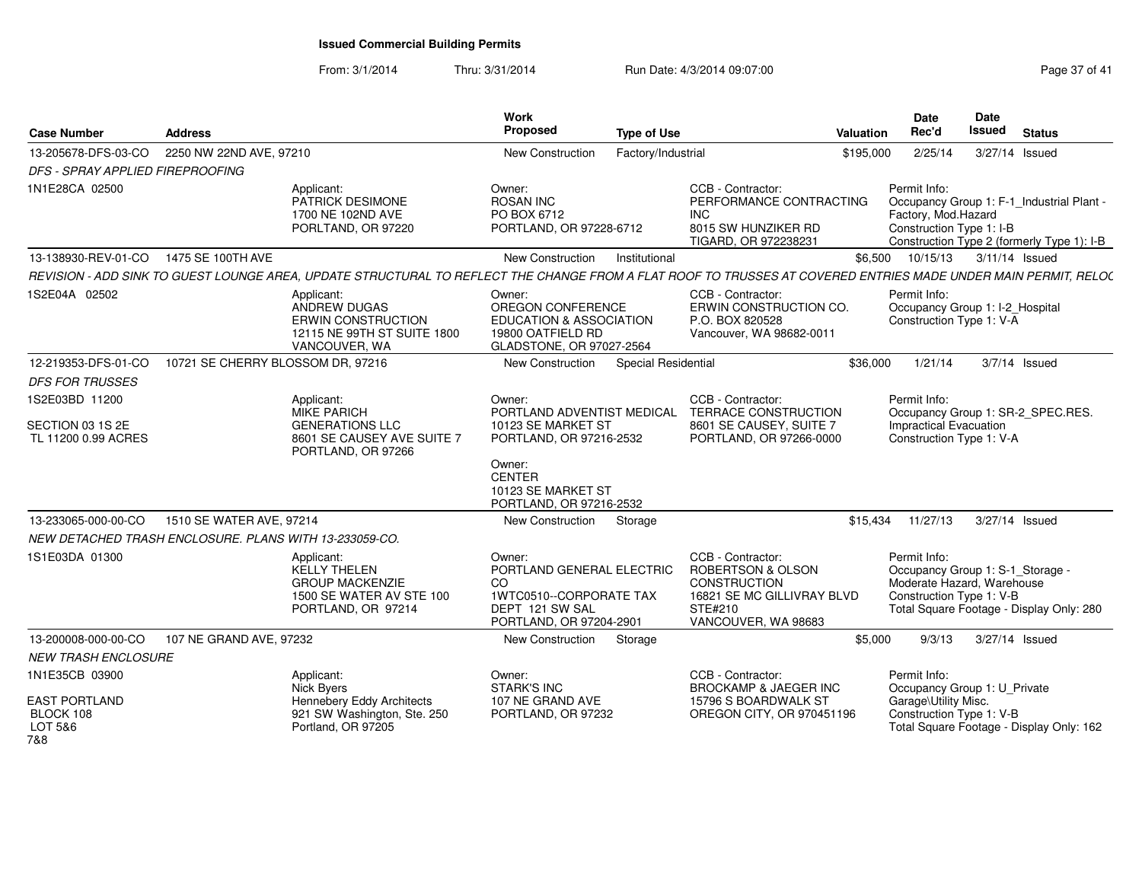| <b>Case Number</b>                                     | <b>Address</b>                    |                                                                                                                                                                | <b>Work</b><br>Proposed                                                                                            | <b>Type of Use</b>         |                                                                                                                               | <b>Valuation</b> | Date<br>Rec'd                                                                                              | Date<br><b>Issued</b> | <b>Status</b>                                                                           |
|--------------------------------------------------------|-----------------------------------|----------------------------------------------------------------------------------------------------------------------------------------------------------------|--------------------------------------------------------------------------------------------------------------------|----------------------------|-------------------------------------------------------------------------------------------------------------------------------|------------------|------------------------------------------------------------------------------------------------------------|-----------------------|-----------------------------------------------------------------------------------------|
| 13-205678-DFS-03-CO                                    | 2250 NW 22ND AVE, 97210           |                                                                                                                                                                | New Construction                                                                                                   | Factory/Industrial         |                                                                                                                               | \$195,000        | 2/25/14                                                                                                    | 3/27/14 Issued        |                                                                                         |
| <b>DFS - SPRAY APPLIED FIREPROOFING</b>                |                                   |                                                                                                                                                                |                                                                                                                    |                            |                                                                                                                               |                  |                                                                                                            |                       |                                                                                         |
| 1N1E28CA 02500                                         |                                   | Applicant:<br>PATRICK DESIMONE<br>1700 NE 102ND AVE<br>PORLTAND, OR 97220                                                                                      | Owner:<br><b>ROSAN INC</b><br>PO BOX 6712<br>PORTLAND, OR 97228-6712                                               |                            | CCB - Contractor:<br>PERFORMANCE CONTRACTING<br><b>INC</b><br>8015 SW HUNZIKER RD<br>TIGARD, OR 972238231                     |                  | Permit Info:<br>Factory, Mod.Hazard<br>Construction Type 1: I-B                                            |                       | Occupancy Group 1: F-1 Industrial Plant -<br>Construction Type 2 (formerly Type 1): I-B |
| 13-138930-REV-01-CO  1475 SE 100TH AVE                 |                                   |                                                                                                                                                                | <b>New Construction</b>                                                                                            | Institutional              |                                                                                                                               | \$6,500          | 10/15/13                                                                                                   | 3/11/14 Issued        |                                                                                         |
|                                                        |                                   | REVISION - ADD SINK TO GUEST LOUNGE AREA, UPDATE STRUCTURAL TO REFLECT THE CHANGE FROM A FLAT ROOF TO TRUSSES AT COVERED ENTRIES MADE UNDER MAIN PERMIT, RELO( |                                                                                                                    |                            |                                                                                                                               |                  |                                                                                                            |                       |                                                                                         |
| 1S2E04A 02502                                          |                                   | Applicant:<br>ANDREW DUGAS<br><b>ERWIN CONSTRUCTION</b><br>12115 NE 99TH ST SUITE 1800<br>VANCOUVER, WA                                                        | Owner:<br>OREGON CONFERENCE<br><b>EDUCATION &amp; ASSOCIATION</b><br>19800 OATFIELD RD<br>GLADSTONE, OR 97027-2564 |                            | CCB - Contractor:<br>ERWIN CONSTRUCTION CO.<br>P.O. BOX 820528<br>Vancouver, WA 98682-0011                                    |                  | Permit Info:<br>Occupancy Group 1: I-2_Hospital<br>Construction Type 1: V-A                                |                       |                                                                                         |
| 12-219353-DFS-01-CO                                    | 10721 SE CHERRY BLOSSOM DR, 97216 |                                                                                                                                                                | <b>New Construction</b>                                                                                            | <b>Special Residential</b> |                                                                                                                               | \$36,000         | 1/21/14                                                                                                    |                       | $3/7/14$ Issued                                                                         |
| <b>DFS FOR TRUSSES</b>                                 |                                   |                                                                                                                                                                |                                                                                                                    |                            |                                                                                                                               |                  |                                                                                                            |                       |                                                                                         |
| 1S2E03BD 11200                                         |                                   | Applicant:<br><b>MIKE PARICH</b>                                                                                                                               | Owner:<br>PORTLAND ADVENTIST MEDICAL                                                                               |                            | CCB - Contractor:<br>TERRACE CONSTRUCTION                                                                                     |                  | Permit Info:                                                                                               |                       | Occupancy Group 1: SR-2_SPEC.RES.                                                       |
| SECTION 03 1S 2E<br>TL 11200 0.99 ACRES                |                                   | <b>GENERATIONS LLC</b><br>8601 SE CAUSEY AVE SUITE 7<br>PORTLAND, OR 97266                                                                                     | 10123 SE MARKET ST<br>PORTLAND, OR 97216-2532                                                                      |                            | 8601 SE CAUSEY, SUITE 7<br>PORTLAND, OR 97266-0000                                                                            |                  | <b>Impractical Evacuation</b><br>Construction Type 1: V-A                                                  |                       |                                                                                         |
|                                                        |                                   |                                                                                                                                                                | Owner:<br><b>CENTER</b><br>10123 SE MARKET ST<br>PORTLAND, OR 97216-2532                                           |                            |                                                                                                                               |                  |                                                                                                            |                       |                                                                                         |
| 13-233065-000-00-CO                                    | 1510 SE WATER AVE, 97214          |                                                                                                                                                                | <b>New Construction</b>                                                                                            | Storage                    |                                                                                                                               | \$15.434         | 11/27/13                                                                                                   | 3/27/14 Issued        |                                                                                         |
| NEW DETACHED TRASH ENCLOSURE. PLANS WITH 13-233059-CO. |                                   |                                                                                                                                                                |                                                                                                                    |                            |                                                                                                                               |                  |                                                                                                            |                       |                                                                                         |
| 1S1E03DA 01300                                         |                                   | Applicant:<br><b>KELLY THELEN</b><br><b>GROUP MACKENZIE</b><br>1500 SE WATER AV STE 100<br>PORTLAND, OR 97214                                                  | Owner:<br>PORTLAND GENERAL ELECTRIC<br>CO<br>1WTC0510--CORPORATE TAX<br>DEPT 121 SW SAL<br>PORTLAND, OR 97204-2901 |                            | CCB - Contractor:<br>ROBERTSON & OLSON<br><b>CONSTRUCTION</b><br>16821 SE MC GILLIVRAY BLVD<br>STE#210<br>VANCOUVER, WA 98683 |                  | Permit Info:<br>Occupancy Group 1: S-1_Storage -<br>Moderate Hazard, Warehouse<br>Construction Type 1: V-B |                       | Total Square Footage - Display Only: 280                                                |
| 13-200008-000-00-CO                                    | 107 NE GRAND AVE, 97232           |                                                                                                                                                                | <b>New Construction</b>                                                                                            | Storage                    |                                                                                                                               | \$5,000          | 9/3/13                                                                                                     | 3/27/14 Issued        |                                                                                         |
| <b>NEW TRASH ENCLOSURE</b>                             |                                   |                                                                                                                                                                |                                                                                                                    |                            |                                                                                                                               |                  |                                                                                                            |                       |                                                                                         |
| 1N1E35CB 03900                                         |                                   | Applicant:<br>Nick Byers                                                                                                                                       | Owner:<br><b>STARK'S INC</b>                                                                                       |                            | CCB - Contractor:<br>BROCKAMP & JAEGER INC                                                                                    |                  | Permit Info:<br>Occupancy Group 1: U_Private                                                               |                       |                                                                                         |
| <b>EAST PORTLAND</b><br>BLOCK 108<br>LOT 5&6<br>7&8    |                                   | Hennebery Eddy Architects<br>921 SW Washington, Ste. 250<br>Portland, OR 97205                                                                                 | 107 NE GRAND AVE<br>PORTLAND, OR 97232                                                                             |                            | 15796 S BOARDWALK ST<br>OREGON CITY, OR 970451196                                                                             |                  | Garage\Utility Misc.<br>Construction Type 1: V-B                                                           |                       | Total Square Footage - Display Only: 162                                                |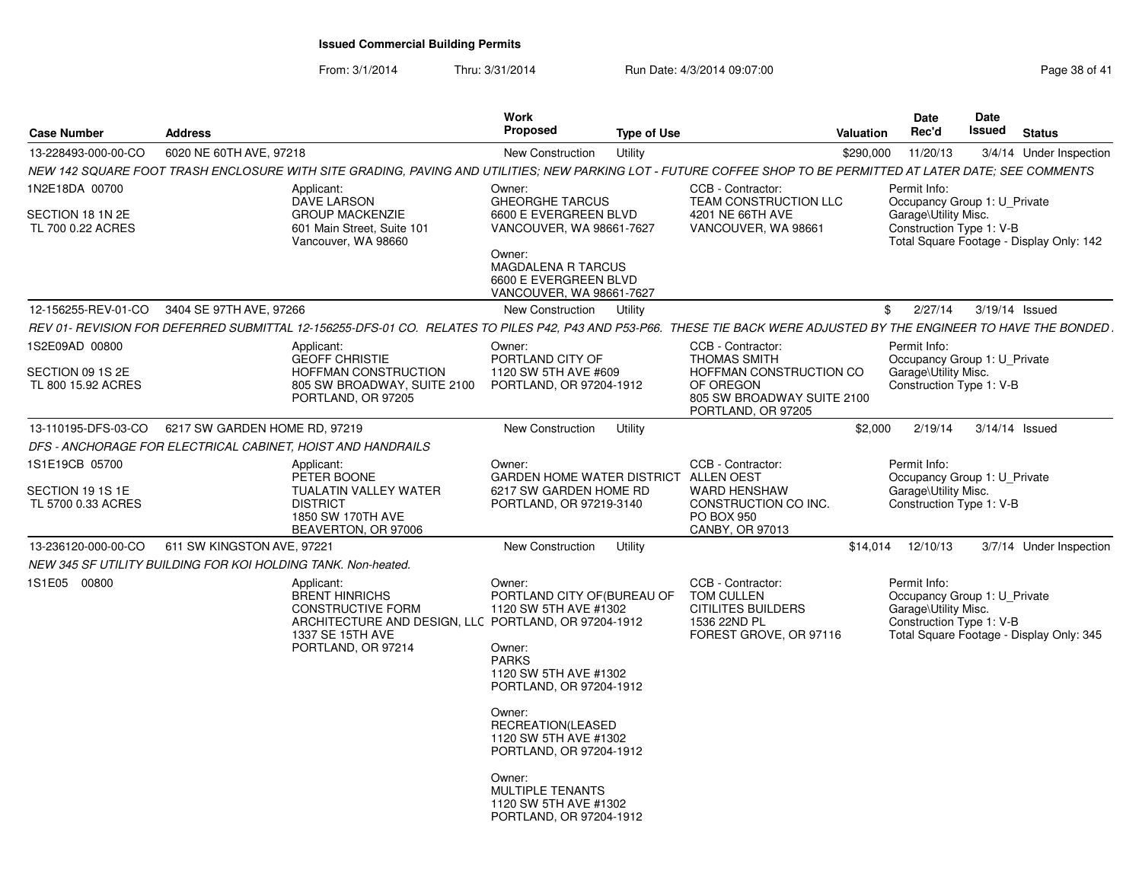| <b>Case Number</b>                                            | <b>Address</b>                |                                                                                                                                                                      | <b>Work</b><br>Proposed                                                                                                                                 | <b>Type of Use</b> |                                                                                                                 | Valuation  | Date<br>Rec'd                                                                                                                                | <b>Date</b><br><b>Issued</b> | <b>Status</b> |                         |
|---------------------------------------------------------------|-------------------------------|----------------------------------------------------------------------------------------------------------------------------------------------------------------------|---------------------------------------------------------------------------------------------------------------------------------------------------------|--------------------|-----------------------------------------------------------------------------------------------------------------|------------|----------------------------------------------------------------------------------------------------------------------------------------------|------------------------------|---------------|-------------------------|
| 13-228493-000-00-CO                                           | 6020 NE 60TH AVE, 97218       |                                                                                                                                                                      | New Construction                                                                                                                                        | Utility            |                                                                                                                 | \$290,000  | 11/20/13                                                                                                                                     |                              |               | 3/4/14 Under Inspection |
|                                                               |                               | NEW 142 SQUARE FOOT TRASH ENCLOSURE WITH SITE GRADING. PAVING AND UTILITIES: NEW PARKING LOT - FUTURE COFFEE SHOP TO BE PERMITTED AT LATER DATE: SEE COMMENTS        |                                                                                                                                                         |                    |                                                                                                                 |            |                                                                                                                                              |                              |               |                         |
| 1N2E18DA 00700<br>SECTION 18 1N 2E<br>TL 700 0.22 ACRES       |                               | Applicant:<br><b>DAVE LARSON</b><br><b>GROUP MACKENZIE</b><br>601 Main Street, Suite 101<br>Vancouver, WA 98660                                                      | Owner:<br><b>GHEORGHE TARCUS</b><br>6600 E EVERGREEN BLVD<br>VANCOUVER, WA 98661-7627<br>Owner:<br><b>MAGDALENA R TARCUS</b>                            |                    | CCB - Contractor:<br><b>TEAM CONSTRUCTION LLC</b><br>4201 NE 66TH AVE<br>VANCOUVER, WA 98661                    |            | Permit Info:<br>Occupancy Group 1: U_Private<br>Garage\Utility Misc.<br>Construction Type 1: V-B<br>Total Square Footage - Display Only: 142 |                              |               |                         |
|                                                               |                               |                                                                                                                                                                      | 6600 E EVERGREEN BLVD<br>VANCOUVER, WA 98661-7627                                                                                                       |                    |                                                                                                                 |            |                                                                                                                                              |                              |               |                         |
| 12-156255-REV-01-CO                                           | 3404 SE 97TH AVE, 97266       |                                                                                                                                                                      | New Construction                                                                                                                                        | Utility            |                                                                                                                 | $^{\circ}$ | 2/27/14                                                                                                                                      | 3/19/14 Issued               |               |                         |
|                                                               |                               | REV 01- REVISION FOR DEFERRED SUBMITTAL 12-156255-DFS-01 CO. RELATES TO PILES P42, P43 AND P53-P66. THESE TIE BACK WERE ADJUSTED BY THE ENGINEER TO HAVE THE BONDED. |                                                                                                                                                         |                    |                                                                                                                 |            |                                                                                                                                              |                              |               |                         |
| 1S2E09AD 00800                                                |                               | Applicant:                                                                                                                                                           | Owner:                                                                                                                                                  |                    | CCB - Contractor:                                                                                               |            | Permit Info:                                                                                                                                 |                              |               |                         |
| SECTION 09 1S 2E<br>TL 800 15.92 ACRES                        |                               | <b>GEOFF CHRISTIE</b><br><b>HOFFMAN CONSTRUCTION</b><br>805 SW BROADWAY, SUITE 2100<br>PORTLAND, OR 97205                                                            | PORTLAND CITY OF<br>1120 SW 5TH AVE #609<br>PORTLAND, OR 97204-1912                                                                                     |                    | <b>THOMAS SMITH</b><br>HOFFMAN CONSTRUCTION CO<br>OF OREGON<br>805 SW BROADWAY SUITE 2100<br>PORTLAND, OR 97205 |            | Occupancy Group 1: U Private<br>Garage\Utility Misc.<br>Construction Type 1: V-B                                                             |                              |               |                         |
| 13-110195-DFS-03-CO                                           | 6217 SW GARDEN HOME RD, 97219 |                                                                                                                                                                      | New Construction                                                                                                                                        | Utility            |                                                                                                                 | \$2,000    | 2/19/14                                                                                                                                      | $3/14/14$ Issued             |               |                         |
|                                                               |                               | DFS - ANCHORAGE FOR ELECTRICAL CABINET. HOIST AND HANDRAILS                                                                                                          |                                                                                                                                                         |                    |                                                                                                                 |            |                                                                                                                                              |                              |               |                         |
| 1S1E19CB 05700<br>SECTION 19 1S 1E<br>TL 5700 0.33 ACRES      |                               | Applicant:<br>PETER BOONE<br><b>TUALATIN VALLEY WATER</b><br><b>DISTRICT</b><br>1850 SW 170TH AVE<br>BEAVERTON, OR 97006                                             | Owner:<br>GARDEN HOME WATER DISTRICT ALLEN OEST<br>6217 SW GARDEN HOME RD<br>PORTLAND, OR 97219-3140                                                    |                    | CCB - Contractor:<br><b>WARD HENSHAW</b><br>CONSTRUCTION CO INC.<br><b>PO BOX 950</b><br>CANBY, OR 97013        |            | Permit Info:<br>Occupancy Group 1: U Private<br>Garage\Utility Misc.<br>Construction Type 1: V-B                                             |                              |               |                         |
| 13-236120-000-00-CO                                           | 611 SW KINGSTON AVE, 97221    |                                                                                                                                                                      | New Construction                                                                                                                                        | Utility            |                                                                                                                 | \$14.014   | 12/10/13                                                                                                                                     |                              |               | 3/7/14 Under Inspection |
| NEW 345 SF UTILITY BUILDING FOR KOI HOLDING TANK. Non-heated. |                               |                                                                                                                                                                      |                                                                                                                                                         |                    |                                                                                                                 |            |                                                                                                                                              |                              |               |                         |
| 1S1E05 00800                                                  |                               | Applicant:<br><b>BRENT HINRICHS</b><br><b>CONSTRUCTIVE FORM</b><br>ARCHITECTURE AND DESIGN, LLC PORTLAND, OR 97204-1912<br>1337 SE 15TH AVE<br>PORTLAND, OR 97214    | Owner:<br>PORTLAND CITY OF (BUREAU OF<br>1120 SW 5TH AVE #1302<br>Owner:<br><b>PARKS</b><br>1120 SW 5TH AVE #1302<br>PORTLAND, OR 97204-1912<br>Owner:  |                    | CCB - Contractor:<br><b>TOM CULLEN</b><br><b>CITILITES BUILDERS</b><br>1536 22ND PL<br>FOREST GROVE, OR 97116   |            | Permit Info:<br>Occupancy Group 1: U_Private<br>Garage\Utility Misc.<br>Construction Type 1: V-B<br>Total Square Footage - Display Only: 345 |                              |               |                         |
|                                                               |                               |                                                                                                                                                                      | RECREATION(LEASED<br>1120 SW 5TH AVE #1302<br>PORTLAND, OR 97204-1912<br>Owner:<br>MULTIPLE TENANTS<br>1120 SW 5TH AVE #1302<br>PORTLAND, OR 97204-1912 |                    |                                                                                                                 |            |                                                                                                                                              |                              |               |                         |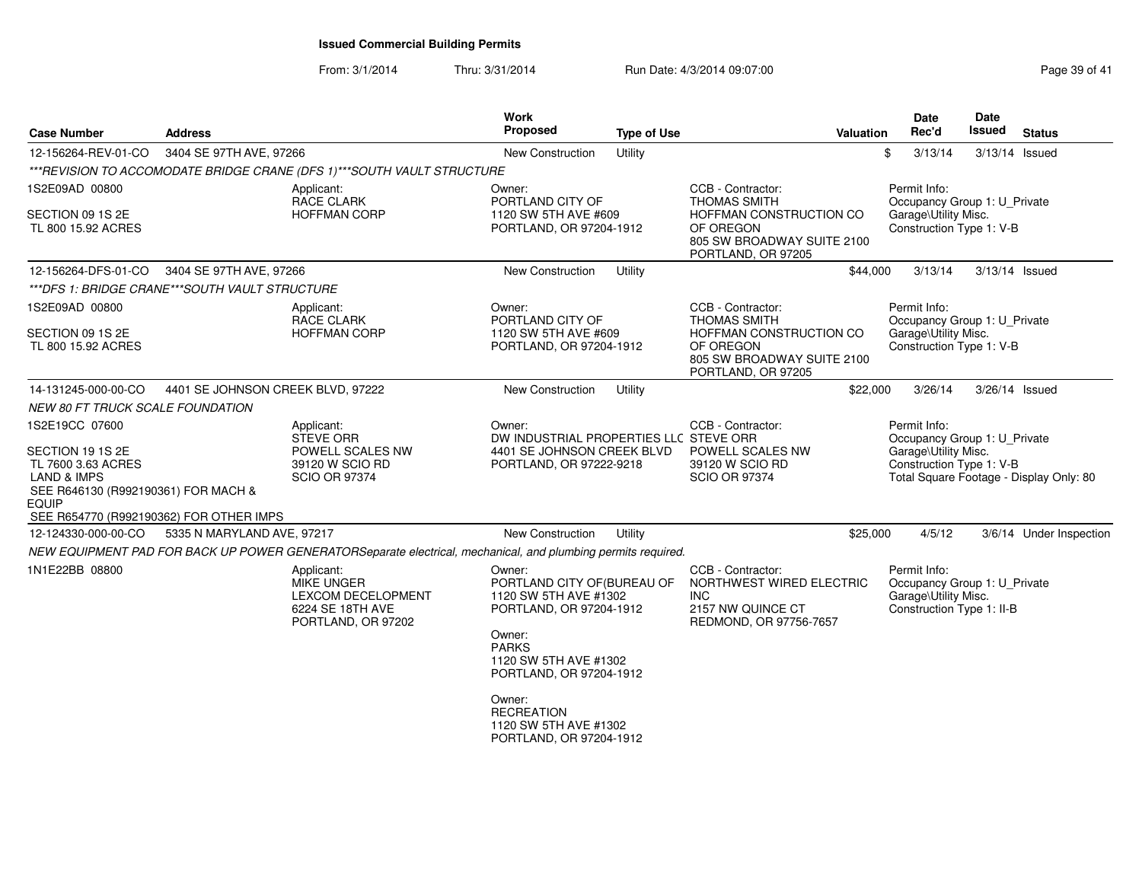| <b>Case Number</b>                                                                                                                        | <b>Address</b>                                                                                |                                                                                                              | Work<br>Proposed                                                                                                                                                        | <b>Type of Use</b> | Valuation                                                                                                                            |                                                                                                                                             | Date<br>Rec'd        | <b>Date</b><br>Issued                                     | <b>Status</b>           |
|-------------------------------------------------------------------------------------------------------------------------------------------|-----------------------------------------------------------------------------------------------|--------------------------------------------------------------------------------------------------------------|-------------------------------------------------------------------------------------------------------------------------------------------------------------------------|--------------------|--------------------------------------------------------------------------------------------------------------------------------------|---------------------------------------------------------------------------------------------------------------------------------------------|----------------------|-----------------------------------------------------------|-------------------------|
| 12-156264-REV-01-CO                                                                                                                       | 3404 SE 97TH AVE, 97266                                                                       |                                                                                                              | New Construction                                                                                                                                                        | Utility            |                                                                                                                                      | \$                                                                                                                                          | 3/13/14              | 3/13/14 Issued                                            |                         |
|                                                                                                                                           |                                                                                               | ***REVISION TO ACCOMODATE BRIDGE CRANE (DFS 1)***SOUTH VAULT STRUCTURE                                       |                                                                                                                                                                         |                    |                                                                                                                                      |                                                                                                                                             |                      |                                                           |                         |
| 1S2E09AD 00800<br>SECTION 09 1S 2E<br>TL 800 15.92 ACRES                                                                                  |                                                                                               | Applicant:<br>RACE CLARK<br><b>HOFFMAN CORP</b>                                                              | Owner:<br>PORTLAND CITY OF<br>1120 SW 5TH AVE #609<br>PORTLAND, OR 97204-1912                                                                                           |                    | CCB - Contractor:<br><b>THOMAS SMITH</b><br>HOFFMAN CONSTRUCTION CO<br>OF OREGON<br>805 SW BROADWAY SUITE 2100<br>PORTLAND, OR 97205 | Permit Info:                                                                                                                                | Garage\Utility Misc. | Occupancy Group 1: U_Private<br>Construction Type 1: V-B  |                         |
| 12-156264-DFS-01-CO                                                                                                                       | 3404 SE 97TH AVE, 97266                                                                       |                                                                                                              | New Construction                                                                                                                                                        | Utility            | \$44,000                                                                                                                             |                                                                                                                                             | 3/13/14              | 3/13/14 Issued                                            |                         |
| ***DFS 1: BRIDGE CRANE***SOUTH VAULT STRUCTURE                                                                                            |                                                                                               |                                                                                                              |                                                                                                                                                                         |                    |                                                                                                                                      |                                                                                                                                             |                      |                                                           |                         |
| 1S2E09AD 00800<br>SECTION 09 1S 2E<br>TL 800 15.92 ACRES                                                                                  |                                                                                               | Applicant:<br>RACE CLARK<br><b>HOFFMAN CORP</b>                                                              | Owner:<br>PORTLAND CITY OF<br>1120 SW 5TH AVE #609<br>PORTLAND, OR 97204-1912                                                                                           |                    | CCB - Contractor:<br>THOMAS SMITH<br>HOFFMAN CONSTRUCTION CO<br>OF OREGON<br>805 SW BROADWAY SUITE 2100<br>PORTLAND, OR 97205        | Permit Info:                                                                                                                                | Garage\Utility Misc. | Occupancy Group 1: U_Private<br>Construction Type 1: V-B  |                         |
| 14-131245-000-00-CO                                                                                                                       | 4401 SE JOHNSON CREEK BLVD, 97222                                                             |                                                                                                              | New Construction                                                                                                                                                        | Utility            | \$22,000                                                                                                                             |                                                                                                                                             | 3/26/14              | 3/26/14 Issued                                            |                         |
| <b>NEW 80 FT TRUCK SCALE FOUNDATION</b>                                                                                                   |                                                                                               |                                                                                                              |                                                                                                                                                                         |                    |                                                                                                                                      |                                                                                                                                             |                      |                                                           |                         |
| 1S2E19CC 07600<br>SECTION 19 1S 2E<br>TL 7600 3.63 ACRES<br><b>LAND &amp; IMPS</b><br>SEE R646130 (R992190361) FOR MACH &<br><b>EQUIP</b> | Applicant:<br><b>STEVE ORR</b><br>POWELL SCALES NW<br>39120 W SCIO RD<br><b>SCIO OR 97374</b> |                                                                                                              | Owner:<br>DW INDUSTRIAL PROPERTIES LLC STEVE ORR<br>4401 SE JOHNSON CREEK BLVD<br>PORTLAND, OR 97222-9218                                                               |                    | CCB - Contractor:<br>POWELL SCALES NW<br>39120 W SCIO RD<br><b>SCIO OR 97374</b>                                                     | Permit Info:<br>Occupancy Group 1: U_Private<br>Garage\Utility Misc.<br>Construction Type 1: V-B<br>Total Square Footage - Display Only: 80 |                      |                                                           |                         |
| SEE R654770 (R992190362) FOR OTHER IMPS                                                                                                   |                                                                                               |                                                                                                              |                                                                                                                                                                         |                    |                                                                                                                                      |                                                                                                                                             |                      |                                                           |                         |
| 12-124330-000-00-CO                                                                                                                       | 5335 N MARYLAND AVE, 97217                                                                    |                                                                                                              | New Construction                                                                                                                                                        | Utility            | \$25,000                                                                                                                             |                                                                                                                                             | 4/5/12               |                                                           | 3/6/14 Under Inspection |
|                                                                                                                                           |                                                                                               | NEW EQUIPMENT PAD FOR BACK UP POWER GENERATORSeparate electrical, mechanical, and plumbing permits required. |                                                                                                                                                                         |                    |                                                                                                                                      |                                                                                                                                             |                      |                                                           |                         |
| 1N1E22BB 08800                                                                                                                            |                                                                                               | Applicant:<br><b>MIKE UNGER</b><br>LEXCOM DECELOPMENT<br>6224 SE 18TH AVE<br>PORTLAND, OR 97202              | Owner:<br>PORTLAND CITY OF (BUREAU OF<br>1120 SW 5TH AVE #1302<br>PORTLAND, OR 97204-1912<br>Owner:<br><b>PARKS</b><br>1120 SW 5TH AVE #1302<br>PORTLAND, OR 97204-1912 |                    | CCB - Contractor:<br>NORTHWEST WIRED ELECTRIC<br><b>INC</b><br>2157 NW QUINCE CT<br>REDMOND, OR 97756-7657                           | Permit Info:                                                                                                                                | Garage\Utility Misc. | Occupancy Group 1: U_Private<br>Construction Type 1: II-B |                         |
|                                                                                                                                           |                                                                                               |                                                                                                              | Owner:<br><b>RECREATION</b><br>1120 SW 5TH AVE #1302<br>PORTLAND, OR 97204-1912                                                                                         |                    |                                                                                                                                      |                                                                                                                                             |                      |                                                           |                         |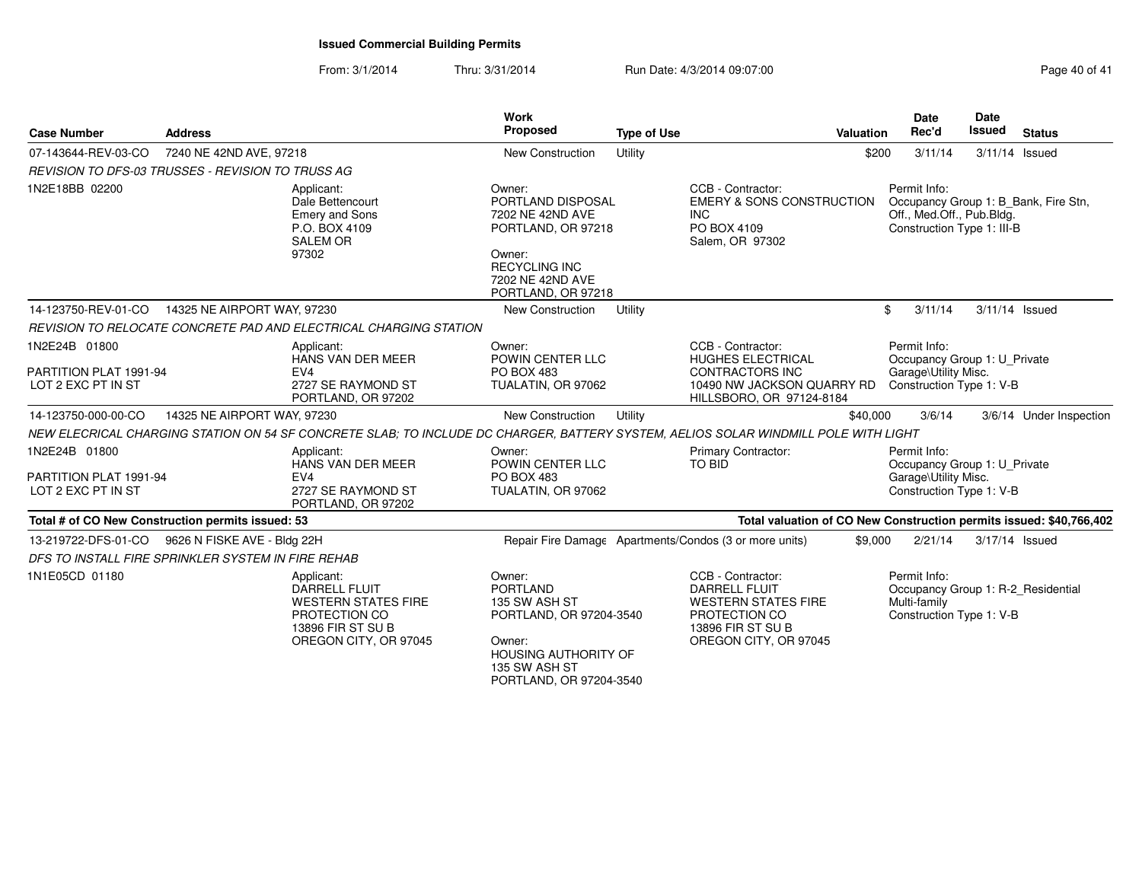| <b>Case Number</b>                                                        | <b>Address</b>              |                                                                                                                                     | <b>Work</b><br>Proposed                                                                                                                             | <b>Type of Use</b> |                                                                                                                                        | <b>Valuation</b> | <b>Date</b><br>Rec'd                                                                                            | Date<br><b>Issued</b> | <b>Status</b>                                                       |
|---------------------------------------------------------------------------|-----------------------------|-------------------------------------------------------------------------------------------------------------------------------------|-----------------------------------------------------------------------------------------------------------------------------------------------------|--------------------|----------------------------------------------------------------------------------------------------------------------------------------|------------------|-----------------------------------------------------------------------------------------------------------------|-----------------------|---------------------------------------------------------------------|
| 07-143644-REV-03-CO                                                       | 7240 NE 42ND AVE, 97218     |                                                                                                                                     | New Construction                                                                                                                                    | Utility            |                                                                                                                                        | \$200            | 3/11/14                                                                                                         |                       | $3/11/14$ Issued                                                    |
| <b>REVISION TO DFS-03 TRUSSES - REVISION TO TRUSS AG</b>                  |                             |                                                                                                                                     |                                                                                                                                                     |                    |                                                                                                                                        |                  |                                                                                                                 |                       |                                                                     |
| 1N2E18BB 02200                                                            |                             | Applicant:<br>Dale Bettencourt<br><b>Emery and Sons</b><br>P.O. BOX 4109<br><b>SALEM OR</b><br>97302                                | Owner:<br>PORTLAND DISPOSAL<br>7202 NE 42ND AVE<br>PORTLAND, OR 97218<br>Owner:<br><b>RECYCLING INC</b><br>7202 NE 42ND AVE<br>PORTLAND, OR 97218   |                    | CCB - Contractor:<br><b>EMERY &amp; SONS CONSTRUCTION</b><br><b>INC</b><br>PO BOX 4109<br>Salem, OR 97302                              |                  | Permit Info:<br>Occupancy Group 1: B_Bank, Fire Stn,<br>Off., Med.Off., Pub.Bldg.<br>Construction Type 1: III-B |                       |                                                                     |
| 14-123750-REV-01-CO                                                       | 14325 NE AIRPORT WAY, 97230 |                                                                                                                                     | <b>New Construction</b>                                                                                                                             | Utility            |                                                                                                                                        |                  | \$<br>3/11/14                                                                                                   |                       | 3/11/14 Issued                                                      |
|                                                                           |                             | REVISION TO RELOCATE CONCRETE PAD AND ELECTRICAL CHARGING STATION                                                                   |                                                                                                                                                     |                    |                                                                                                                                        |                  |                                                                                                                 |                       |                                                                     |
| 1N2E24B 01800<br>PARTITION PLAT 1991-94<br>LOT 2 EXC PT IN ST             |                             | Applicant:<br>HANS VAN DER MEER<br>EV4<br>2727 SE RAYMOND ST<br>PORTLAND, OR 97202                                                  | Owner:<br>POWIN CENTER LLC<br><b>PO BOX 483</b><br>TUALATIN, OR 97062                                                                               |                    | CCB - Contractor:<br><b>HUGHES ELECTRICAL</b><br><b>CONTRACTORS INC</b><br>10490 NW JACKSON QUARRY RD<br>HILLSBORO, OR 97124-8184      |                  | Permit Info:<br>Occupancy Group 1: U_Private<br>Garage\Utility Misc.<br>Construction Type 1: V-B                |                       |                                                                     |
| 14-123750-000-00-CO                                                       | 14325 NE AIRPORT WAY, 97230 |                                                                                                                                     | <b>New Construction</b>                                                                                                                             | Utility            |                                                                                                                                        | \$40,000         | 3/6/14                                                                                                          |                       | 3/6/14 Under Inspection                                             |
|                                                                           |                             | NEW ELECRICAL CHARGING STATION ON 54 SF CONCRETE SLAB; TO INCLUDE DC CHARGER, BATTERY SYSTEM, AELIOS SOLAR WINDMILL POLE WITH LIGHT |                                                                                                                                                     |                    |                                                                                                                                        |                  |                                                                                                                 |                       |                                                                     |
| 1N2E24B 01800<br>PARTITION PLAT 1991-94<br>LOT 2 EXC PT IN ST             |                             | Applicant:<br>HANS VAN DER MEER<br>EV <sub>4</sub><br>2727 SE RAYMOND ST<br>PORTLAND, OR 97202                                      | Owner:<br>POWIN CENTER LLC<br><b>PO BOX 483</b><br>TUALATIN, OR 97062                                                                               |                    | Primary Contractor:<br>TO BID                                                                                                          |                  | Permit Info:<br>Occupancy Group 1: U_Private<br>Garage\Utility Misc.<br>Construction Type 1: V-B                |                       |                                                                     |
| Total # of CO New Construction permits issued: 53                         |                             |                                                                                                                                     |                                                                                                                                                     |                    |                                                                                                                                        |                  |                                                                                                                 |                       | Total valuation of CO New Construction permits issued: \$40,766,402 |
| 13-219722-DFS-01-CO<br>DFS TO INSTALL FIRE SPRINKLER SYSTEM IN FIRE REHAB | 9626 N FISKE AVE - Bldg 22H |                                                                                                                                     |                                                                                                                                                     |                    | Repair Fire Damage Apartments/Condos (3 or more units)                                                                                 | \$9,000          | 2/21/14                                                                                                         | 3/17/14 Issued        |                                                                     |
| 1N1E05CD 01180                                                            |                             | Applicant:<br><b>DARRELL FLUIT</b><br><b>WESTERN STATES FIRE</b><br>PROTECTION CO<br>13896 FIR ST SU B<br>OREGON CITY, OR 97045     | Owner:<br>PORTLAND<br>135 SW ASH ST<br>PORTLAND, OR 97204-3540<br>Owner:<br><b>HOUSING AUTHORITY OF</b><br>135 SW ASH ST<br>PORTLAND, OR 97204-3540 |                    | CCB - Contractor:<br><b>DARRELL FLUIT</b><br><b>WESTERN STATES FIRE</b><br>PROTECTION CO<br>13896 FIR ST SU B<br>OREGON CITY, OR 97045 |                  | Permit Info:<br>Occupancy Group 1: R-2_Residential<br>Multi-family<br>Construction Type 1: V-B                  |                       |                                                                     |